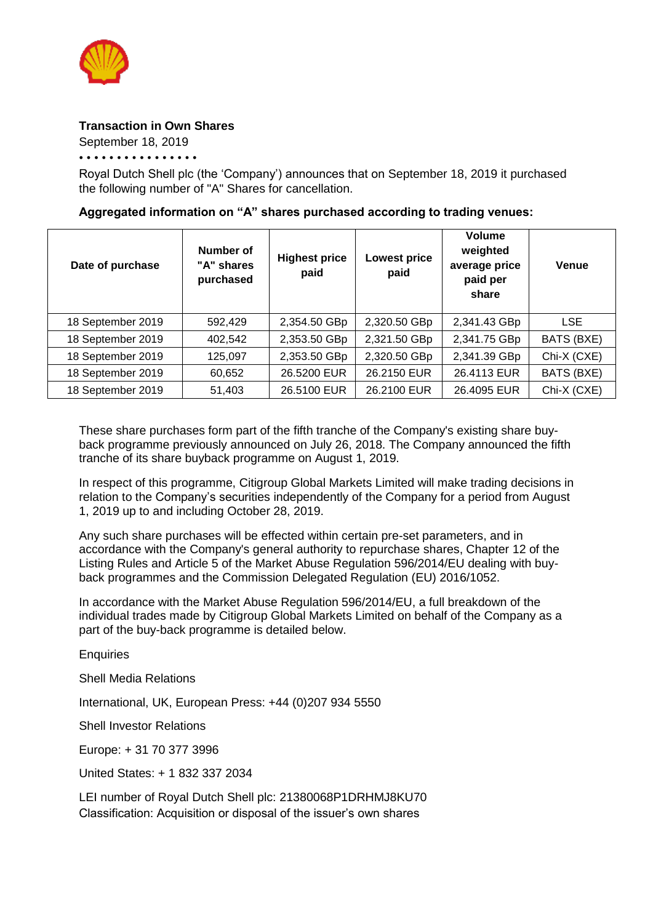

## **Transaction in Own Shares**

September 18, 2019

• • • • • • • • • • • • • • • •

Royal Dutch Shell plc (the 'Company') announces that on September 18, 2019 it purchased the following number of "A" Shares for cancellation.

## **Aggregated information on "A" shares purchased according to trading venues:**

| Date of purchase  | Number of<br>"A" shares<br>purchased | <b>Highest price</b><br>paid | <b>Lowest price</b><br>paid | Volume<br>weighted<br>average price<br>paid per<br>share | <b>Venue</b> |
|-------------------|--------------------------------------|------------------------------|-----------------------------|----------------------------------------------------------|--------------|
| 18 September 2019 | 592,429                              | 2,354.50 GBp                 | 2,320.50 GBp                | 2,341.43 GBp                                             | <b>LSE</b>   |
| 18 September 2019 | 402,542                              | 2,353.50 GBp                 | 2,321.50 GBp                | 2,341.75 GBp                                             | BATS (BXE)   |
| 18 September 2019 | 125,097                              | 2,353.50 GBp                 | 2,320.50 GBp                | 2,341.39 GBp                                             | Chi-X (CXE)  |
| 18 September 2019 | 60,652                               | 26.5200 EUR                  | 26.2150 EUR                 | 26.4113 EUR                                              | BATS (BXE)   |
| 18 September 2019 | 51,403                               | 26.5100 EUR                  | 26.2100 EUR                 | 26.4095 EUR                                              | Chi-X (CXE)  |

These share purchases form part of the fifth tranche of the Company's existing share buyback programme previously announced on July 26, 2018. The Company announced the fifth tranche of its share buyback programme on August 1, 2019.

In respect of this programme, Citigroup Global Markets Limited will make trading decisions in relation to the Company's securities independently of the Company for a period from August 1, 2019 up to and including October 28, 2019.

Any such share purchases will be effected within certain pre-set parameters, and in accordance with the Company's general authority to repurchase shares, Chapter 12 of the Listing Rules and Article 5 of the Market Abuse Regulation 596/2014/EU dealing with buyback programmes and the Commission Delegated Regulation (EU) 2016/1052.

In accordance with the Market Abuse Regulation 596/2014/EU, a full breakdown of the individual trades made by Citigroup Global Markets Limited on behalf of the Company as a part of the buy-back programme is detailed below.

**Enquiries** 

Shell Media Relations

International, UK, European Press: +44 (0)207 934 5550

Shell Investor Relations

Europe: + 31 70 377 3996

United States: + 1 832 337 2034

LEI number of Royal Dutch Shell plc: 21380068P1DRHMJ8KU70 Classification: Acquisition or disposal of the issuer's own shares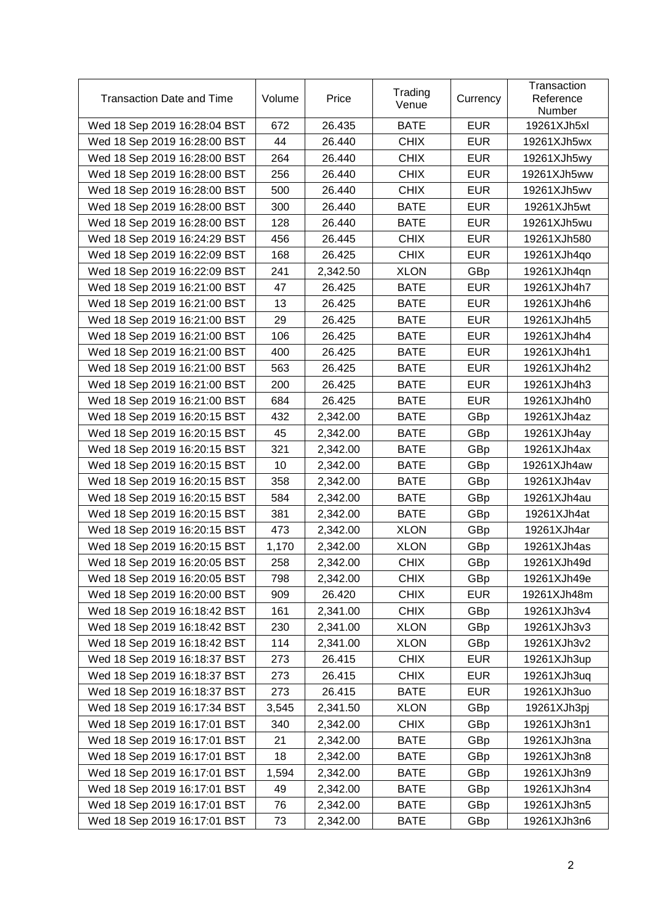| <b>Transaction Date and Time</b> | Volume | Price    | Trading<br>Venue | Currency   | Transaction<br>Reference<br>Number |
|----------------------------------|--------|----------|------------------|------------|------------------------------------|
| Wed 18 Sep 2019 16:28:04 BST     | 672    | 26.435   | <b>BATE</b>      | <b>EUR</b> | 19261XJh5xl                        |
| Wed 18 Sep 2019 16:28:00 BST     | 44     | 26.440   | <b>CHIX</b>      | <b>EUR</b> | 19261XJh5wx                        |
| Wed 18 Sep 2019 16:28:00 BST     | 264    | 26.440   | <b>CHIX</b>      | <b>EUR</b> | 19261XJh5wy                        |
| Wed 18 Sep 2019 16:28:00 BST     | 256    | 26.440   | <b>CHIX</b>      | <b>EUR</b> | 19261XJh5ww                        |
| Wed 18 Sep 2019 16:28:00 BST     | 500    | 26.440   | <b>CHIX</b>      | <b>EUR</b> | 19261XJh5wv                        |
| Wed 18 Sep 2019 16:28:00 BST     | 300    | 26.440   | <b>BATE</b>      | <b>EUR</b> | 19261XJh5wt                        |
| Wed 18 Sep 2019 16:28:00 BST     | 128    | 26.440   | <b>BATE</b>      | <b>EUR</b> | 19261XJh5wu                        |
| Wed 18 Sep 2019 16:24:29 BST     | 456    | 26.445   | <b>CHIX</b>      | <b>EUR</b> | 19261XJh580                        |
| Wed 18 Sep 2019 16:22:09 BST     | 168    | 26.425   | <b>CHIX</b>      | <b>EUR</b> | 19261XJh4qo                        |
| Wed 18 Sep 2019 16:22:09 BST     | 241    | 2,342.50 | <b>XLON</b>      | GBp        | 19261XJh4qn                        |
| Wed 18 Sep 2019 16:21:00 BST     | 47     | 26.425   | <b>BATE</b>      | <b>EUR</b> | 19261XJh4h7                        |
| Wed 18 Sep 2019 16:21:00 BST     | 13     | 26.425   | <b>BATE</b>      | <b>EUR</b> | 19261XJh4h6                        |
| Wed 18 Sep 2019 16:21:00 BST     | 29     | 26.425   | <b>BATE</b>      | <b>EUR</b> | 19261XJh4h5                        |
| Wed 18 Sep 2019 16:21:00 BST     | 106    | 26.425   | <b>BATE</b>      | <b>EUR</b> | 19261XJh4h4                        |
| Wed 18 Sep 2019 16:21:00 BST     | 400    | 26.425   | <b>BATE</b>      | <b>EUR</b> | 19261XJh4h1                        |
| Wed 18 Sep 2019 16:21:00 BST     | 563    | 26.425   | <b>BATE</b>      | <b>EUR</b> | 19261XJh4h2                        |
| Wed 18 Sep 2019 16:21:00 BST     | 200    | 26.425   | <b>BATE</b>      | <b>EUR</b> | 19261XJh4h3                        |
| Wed 18 Sep 2019 16:21:00 BST     | 684    | 26.425   | <b>BATE</b>      | <b>EUR</b> | 19261XJh4h0                        |
| Wed 18 Sep 2019 16:20:15 BST     | 432    | 2,342.00 | <b>BATE</b>      | GBp        | 19261XJh4az                        |
| Wed 18 Sep 2019 16:20:15 BST     | 45     | 2,342.00 | <b>BATE</b>      | GBp        | 19261XJh4ay                        |
| Wed 18 Sep 2019 16:20:15 BST     | 321    | 2,342.00 | <b>BATE</b>      | GBp        | 19261XJh4ax                        |
| Wed 18 Sep 2019 16:20:15 BST     | 10     | 2,342.00 | <b>BATE</b>      | GBp        | 19261XJh4aw                        |
| Wed 18 Sep 2019 16:20:15 BST     | 358    | 2,342.00 | <b>BATE</b>      | GBp        | 19261XJh4av                        |
| Wed 18 Sep 2019 16:20:15 BST     | 584    | 2,342.00 | <b>BATE</b>      | GBp        | 19261XJh4au                        |
| Wed 18 Sep 2019 16:20:15 BST     | 381    | 2,342.00 | <b>BATE</b>      | GBp        | 19261XJh4at                        |
| Wed 18 Sep 2019 16:20:15 BST     | 473    | 2,342.00 | <b>XLON</b>      | GBp        | 19261XJh4ar                        |
| Wed 18 Sep 2019 16:20:15 BST     | 1,170  | 2,342.00 | <b>XLON</b>      | GBp        | 19261XJh4as                        |
| Wed 18 Sep 2019 16:20:05 BST     | 258    | 2,342.00 | <b>CHIX</b>      | GBp        | 19261XJh49d                        |
| Wed 18 Sep 2019 16:20:05 BST     | 798    | 2,342.00 | <b>CHIX</b>      | GBp        | 19261XJh49e                        |
| Wed 18 Sep 2019 16:20:00 BST     | 909    | 26.420   | <b>CHIX</b>      | <b>EUR</b> | 19261XJh48m                        |
| Wed 18 Sep 2019 16:18:42 BST     | 161    | 2,341.00 | <b>CHIX</b>      | GBp        | 19261XJh3v4                        |
| Wed 18 Sep 2019 16:18:42 BST     | 230    | 2,341.00 | <b>XLON</b>      | GBp        | 19261XJh3v3                        |
| Wed 18 Sep 2019 16:18:42 BST     | 114    | 2,341.00 | <b>XLON</b>      | GBp        | 19261XJh3v2                        |
| Wed 18 Sep 2019 16:18:37 BST     | 273    | 26.415   | <b>CHIX</b>      | <b>EUR</b> | 19261XJh3up                        |
| Wed 18 Sep 2019 16:18:37 BST     | 273    | 26.415   | <b>CHIX</b>      | <b>EUR</b> | 19261XJh3uq                        |
| Wed 18 Sep 2019 16:18:37 BST     | 273    | 26.415   | <b>BATE</b>      | <b>EUR</b> | 19261XJh3uo                        |
| Wed 18 Sep 2019 16:17:34 BST     | 3,545  | 2,341.50 | <b>XLON</b>      | GBp        | 19261XJh3pj                        |
| Wed 18 Sep 2019 16:17:01 BST     | 340    | 2,342.00 | <b>CHIX</b>      | GBp        | 19261XJh3n1                        |
| Wed 18 Sep 2019 16:17:01 BST     | 21     | 2,342.00 | <b>BATE</b>      | GBp        | 19261XJh3na                        |
| Wed 18 Sep 2019 16:17:01 BST     | 18     | 2,342.00 | <b>BATE</b>      | GBp        | 19261XJh3n8                        |
| Wed 18 Sep 2019 16:17:01 BST     | 1,594  | 2,342.00 | <b>BATE</b>      | GBp        | 19261XJh3n9                        |
| Wed 18 Sep 2019 16:17:01 BST     | 49     | 2,342.00 | <b>BATE</b>      | GBp        | 19261XJh3n4                        |
| Wed 18 Sep 2019 16:17:01 BST     | 76     | 2,342.00 | <b>BATE</b>      | GBp        | 19261XJh3n5                        |
| Wed 18 Sep 2019 16:17:01 BST     | 73     | 2,342.00 | <b>BATE</b>      | GBp        | 19261XJh3n6                        |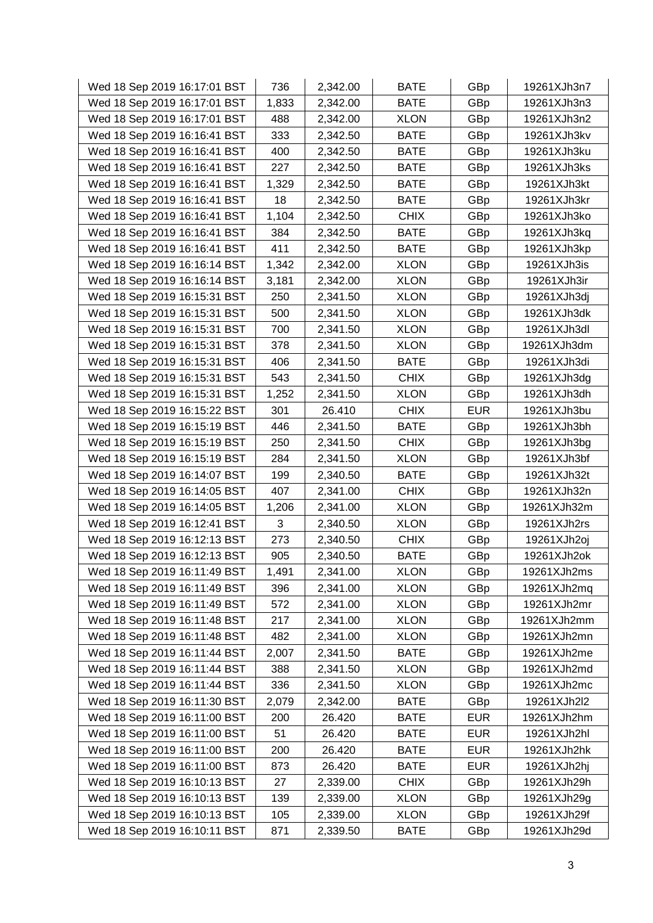| Wed 18 Sep 2019 16:17:01 BST | 736   | 2,342.00 | <b>BATE</b> | GBp        | 19261XJh3n7 |
|------------------------------|-------|----------|-------------|------------|-------------|
| Wed 18 Sep 2019 16:17:01 BST | 1,833 | 2,342.00 | <b>BATE</b> | GBp        | 19261XJh3n3 |
| Wed 18 Sep 2019 16:17:01 BST | 488   | 2,342.00 | <b>XLON</b> | GBp        | 19261XJh3n2 |
| Wed 18 Sep 2019 16:16:41 BST | 333   | 2,342.50 | <b>BATE</b> | GBp        | 19261XJh3kv |
| Wed 18 Sep 2019 16:16:41 BST | 400   | 2,342.50 | <b>BATE</b> | GBp        | 19261XJh3ku |
| Wed 18 Sep 2019 16:16:41 BST | 227   | 2,342.50 | <b>BATE</b> | GBp        | 19261XJh3ks |
| Wed 18 Sep 2019 16:16:41 BST | 1,329 | 2,342.50 | <b>BATE</b> | GBp        | 19261XJh3kt |
| Wed 18 Sep 2019 16:16:41 BST | 18    | 2,342.50 | <b>BATE</b> | GBp        | 19261XJh3kr |
| Wed 18 Sep 2019 16:16:41 BST | 1,104 | 2,342.50 | <b>CHIX</b> | GBp        | 19261XJh3ko |
| Wed 18 Sep 2019 16:16:41 BST | 384   | 2,342.50 | <b>BATE</b> | GBp        | 19261XJh3kq |
| Wed 18 Sep 2019 16:16:41 BST | 411   | 2,342.50 | <b>BATE</b> | GBp        | 19261XJh3kp |
| Wed 18 Sep 2019 16:16:14 BST | 1,342 | 2,342.00 | <b>XLON</b> | GBp        | 19261XJh3is |
| Wed 18 Sep 2019 16:16:14 BST | 3,181 | 2,342.00 | <b>XLON</b> | GBp        | 19261XJh3ir |
| Wed 18 Sep 2019 16:15:31 BST | 250   | 2,341.50 | <b>XLON</b> | GBp        | 19261XJh3dj |
| Wed 18 Sep 2019 16:15:31 BST | 500   | 2,341.50 | <b>XLON</b> | GBp        | 19261XJh3dk |
| Wed 18 Sep 2019 16:15:31 BST | 700   | 2,341.50 | <b>XLON</b> | GBp        | 19261XJh3dl |
| Wed 18 Sep 2019 16:15:31 BST | 378   | 2,341.50 | <b>XLON</b> | GBp        | 19261XJh3dm |
| Wed 18 Sep 2019 16:15:31 BST | 406   | 2,341.50 | <b>BATE</b> | GBp        | 19261XJh3di |
| Wed 18 Sep 2019 16:15:31 BST | 543   | 2,341.50 | <b>CHIX</b> | GBp        | 19261XJh3dg |
| Wed 18 Sep 2019 16:15:31 BST | 1,252 | 2,341.50 | <b>XLON</b> | GBp        | 19261XJh3dh |
| Wed 18 Sep 2019 16:15:22 BST | 301   | 26.410   | <b>CHIX</b> | <b>EUR</b> | 19261XJh3bu |
| Wed 18 Sep 2019 16:15:19 BST | 446   | 2,341.50 | <b>BATE</b> | GBp        | 19261XJh3bh |
| Wed 18 Sep 2019 16:15:19 BST | 250   | 2,341.50 | <b>CHIX</b> | GBp        | 19261XJh3bg |
| Wed 18 Sep 2019 16:15:19 BST | 284   | 2,341.50 | <b>XLON</b> | GBp        | 19261XJh3bf |
| Wed 18 Sep 2019 16:14:07 BST | 199   | 2,340.50 | <b>BATE</b> | GBp        | 19261XJh32t |
| Wed 18 Sep 2019 16:14:05 BST | 407   | 2,341.00 | <b>CHIX</b> | GBp        | 19261XJh32n |
| Wed 18 Sep 2019 16:14:05 BST | 1,206 | 2,341.00 | <b>XLON</b> | GBp        | 19261XJh32m |
| Wed 18 Sep 2019 16:12:41 BST | 3     | 2,340.50 | <b>XLON</b> | GBp        | 19261XJh2rs |
| Wed 18 Sep 2019 16:12:13 BST | 273   | 2,340.50 | <b>CHIX</b> | GBp        | 19261XJh2oj |
| Wed 18 Sep 2019 16:12:13 BST | 905   | 2,340.50 | <b>BATE</b> | GBp        | 19261XJh2ok |
| Wed 18 Sep 2019 16:11:49 BST | 1,491 | 2,341.00 | <b>XLON</b> | GBp        | 19261XJh2ms |
| Wed 18 Sep 2019 16:11:49 BST | 396   | 2,341.00 | <b>XLON</b> | GBp        | 19261XJh2mq |
| Wed 18 Sep 2019 16:11:49 BST | 572   | 2,341.00 | <b>XLON</b> | GBp        | 19261XJh2mr |
| Wed 18 Sep 2019 16:11:48 BST | 217   | 2,341.00 | <b>XLON</b> | GBp        | 19261XJh2mm |
| Wed 18 Sep 2019 16:11:48 BST | 482   | 2,341.00 | <b>XLON</b> | GBp        | 19261XJh2mn |
| Wed 18 Sep 2019 16:11:44 BST | 2,007 | 2,341.50 | <b>BATE</b> | GBp        | 19261XJh2me |
| Wed 18 Sep 2019 16:11:44 BST | 388   | 2,341.50 | <b>XLON</b> | GBp        | 19261XJh2md |
| Wed 18 Sep 2019 16:11:44 BST | 336   | 2,341.50 | <b>XLON</b> | GBp        | 19261XJh2mc |
| Wed 18 Sep 2019 16:11:30 BST | 2,079 | 2,342.00 | <b>BATE</b> | GBp        | 19261XJh2l2 |
| Wed 18 Sep 2019 16:11:00 BST | 200   | 26.420   | <b>BATE</b> | <b>EUR</b> | 19261XJh2hm |
| Wed 18 Sep 2019 16:11:00 BST | 51    | 26.420   | <b>BATE</b> | <b>EUR</b> | 19261XJh2hl |
| Wed 18 Sep 2019 16:11:00 BST | 200   | 26.420   | <b>BATE</b> | <b>EUR</b> | 19261XJh2hk |
| Wed 18 Sep 2019 16:11:00 BST | 873   | 26.420   | <b>BATE</b> | <b>EUR</b> | 19261XJh2hj |
| Wed 18 Sep 2019 16:10:13 BST | 27    | 2,339.00 | <b>CHIX</b> | GBp        | 19261XJh29h |
| Wed 18 Sep 2019 16:10:13 BST | 139   | 2,339.00 | <b>XLON</b> | GBp        | 19261XJh29g |
| Wed 18 Sep 2019 16:10:13 BST | 105   | 2,339.00 | <b>XLON</b> | GBp        | 19261XJh29f |
| Wed 18 Sep 2019 16:10:11 BST | 871   | 2,339.50 | <b>BATE</b> | GBp        | 19261XJh29d |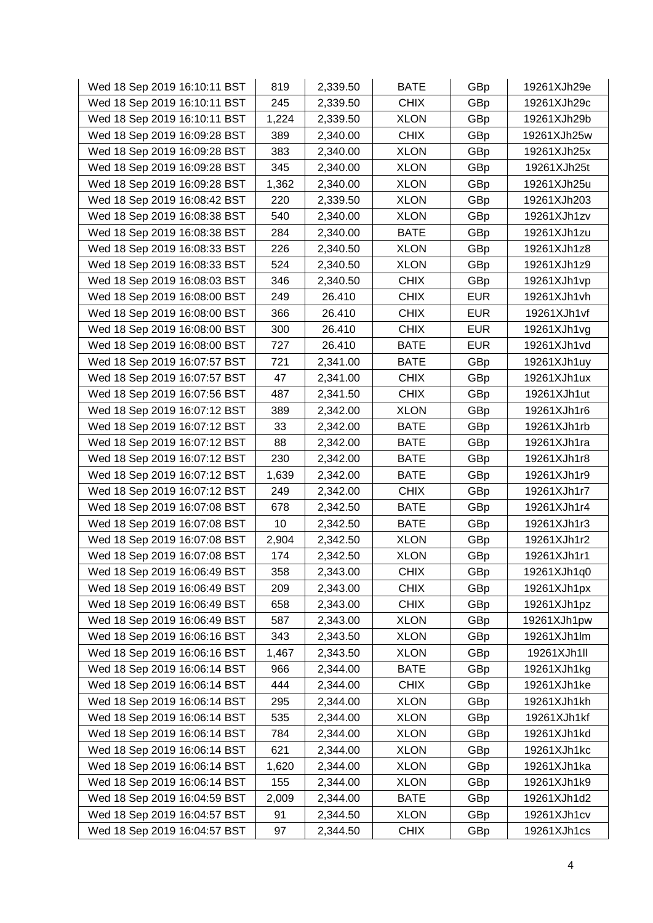| Wed 18 Sep 2019 16:10:11 BST | 819   | 2,339.50 | <b>BATE</b> | GBp        | 19261XJh29e |
|------------------------------|-------|----------|-------------|------------|-------------|
| Wed 18 Sep 2019 16:10:11 BST | 245   | 2,339.50 | <b>CHIX</b> | GBp        | 19261XJh29c |
| Wed 18 Sep 2019 16:10:11 BST | 1,224 | 2,339.50 | <b>XLON</b> | GBp        | 19261XJh29b |
| Wed 18 Sep 2019 16:09:28 BST | 389   | 2,340.00 | <b>CHIX</b> | GBp        | 19261XJh25w |
| Wed 18 Sep 2019 16:09:28 BST | 383   | 2,340.00 | <b>XLON</b> | GBp        | 19261XJh25x |
| Wed 18 Sep 2019 16:09:28 BST | 345   | 2,340.00 | <b>XLON</b> | GBp        | 19261XJh25t |
| Wed 18 Sep 2019 16:09:28 BST | 1,362 | 2,340.00 | <b>XLON</b> | GBp        | 19261XJh25u |
| Wed 18 Sep 2019 16:08:42 BST | 220   | 2,339.50 | <b>XLON</b> | GBp        | 19261XJh203 |
| Wed 18 Sep 2019 16:08:38 BST | 540   | 2,340.00 | <b>XLON</b> | GBp        | 19261XJh1zv |
| Wed 18 Sep 2019 16:08:38 BST | 284   | 2,340.00 | <b>BATE</b> | GBp        | 19261XJh1zu |
| Wed 18 Sep 2019 16:08:33 BST | 226   | 2,340.50 | <b>XLON</b> | GBp        | 19261XJh1z8 |
| Wed 18 Sep 2019 16:08:33 BST | 524   | 2,340.50 | <b>XLON</b> | GBp        | 19261XJh1z9 |
| Wed 18 Sep 2019 16:08:03 BST | 346   | 2,340.50 | <b>CHIX</b> | GBp        | 19261XJh1vp |
| Wed 18 Sep 2019 16:08:00 BST | 249   | 26.410   | <b>CHIX</b> | <b>EUR</b> | 19261XJh1vh |
| Wed 18 Sep 2019 16:08:00 BST | 366   | 26.410   | <b>CHIX</b> | <b>EUR</b> | 19261XJh1vf |
| Wed 18 Sep 2019 16:08:00 BST | 300   | 26.410   | <b>CHIX</b> | <b>EUR</b> | 19261XJh1vg |
| Wed 18 Sep 2019 16:08:00 BST | 727   | 26.410   | <b>BATE</b> | <b>EUR</b> | 19261XJh1vd |
| Wed 18 Sep 2019 16:07:57 BST | 721   | 2,341.00 | <b>BATE</b> | GBp        | 19261XJh1uy |
| Wed 18 Sep 2019 16:07:57 BST | 47    | 2,341.00 | <b>CHIX</b> | GBp        | 19261XJh1ux |
| Wed 18 Sep 2019 16:07:56 BST | 487   | 2,341.50 | <b>CHIX</b> | GBp        | 19261XJh1ut |
| Wed 18 Sep 2019 16:07:12 BST | 389   | 2,342.00 | <b>XLON</b> | GBp        | 19261XJh1r6 |
| Wed 18 Sep 2019 16:07:12 BST | 33    | 2,342.00 | <b>BATE</b> | GBp        | 19261XJh1rb |
| Wed 18 Sep 2019 16:07:12 BST | 88    | 2,342.00 | BATE        | GBp        | 19261XJh1ra |
| Wed 18 Sep 2019 16:07:12 BST | 230   | 2,342.00 | <b>BATE</b> | GBp        | 19261XJh1r8 |
| Wed 18 Sep 2019 16:07:12 BST | 1,639 | 2,342.00 | <b>BATE</b> | GBp        | 19261XJh1r9 |
| Wed 18 Sep 2019 16:07:12 BST | 249   | 2,342.00 | <b>CHIX</b> | GBp        | 19261XJh1r7 |
| Wed 18 Sep 2019 16:07:08 BST | 678   | 2,342.50 | <b>BATE</b> | GBp        | 19261XJh1r4 |
| Wed 18 Sep 2019 16:07:08 BST | 10    | 2,342.50 | <b>BATE</b> | GBp        | 19261XJh1r3 |
| Wed 18 Sep 2019 16:07:08 BST | 2,904 | 2,342.50 | <b>XLON</b> | GBp        | 19261XJh1r2 |
| Wed 18 Sep 2019 16:07:08 BST | 174   | 2,342.50 | <b>XLON</b> | GBp        | 19261XJh1r1 |
| Wed 18 Sep 2019 16:06:49 BST | 358   | 2,343.00 | <b>CHIX</b> | GBp        | 19261XJh1q0 |
| Wed 18 Sep 2019 16:06:49 BST | 209   | 2,343.00 | <b>CHIX</b> | GBp        | 19261XJh1px |
| Wed 18 Sep 2019 16:06:49 BST | 658   | 2,343.00 | <b>CHIX</b> | GBp        | 19261XJh1pz |
| Wed 18 Sep 2019 16:06:49 BST | 587   | 2,343.00 | <b>XLON</b> | GBp        | 19261XJh1pw |
| Wed 18 Sep 2019 16:06:16 BST | 343   | 2,343.50 | <b>XLON</b> | GBp        | 19261XJh1lm |
| Wed 18 Sep 2019 16:06:16 BST | 1,467 | 2,343.50 | <b>XLON</b> | GBp        | 19261XJh1ll |
| Wed 18 Sep 2019 16:06:14 BST | 966   | 2,344.00 | <b>BATE</b> | GBp        | 19261XJh1kg |
| Wed 18 Sep 2019 16:06:14 BST | 444   | 2,344.00 | <b>CHIX</b> | GBp        | 19261XJh1ke |
| Wed 18 Sep 2019 16:06:14 BST | 295   | 2,344.00 | <b>XLON</b> | GBp        | 19261XJh1kh |
| Wed 18 Sep 2019 16:06:14 BST | 535   | 2,344.00 | <b>XLON</b> | GBp        | 19261XJh1kf |
| Wed 18 Sep 2019 16:06:14 BST | 784   | 2,344.00 | <b>XLON</b> | GBp        | 19261XJh1kd |
| Wed 18 Sep 2019 16:06:14 BST | 621   | 2,344.00 | <b>XLON</b> | GBp        | 19261XJh1kc |
| Wed 18 Sep 2019 16:06:14 BST | 1,620 | 2,344.00 | <b>XLON</b> | GBp        | 19261XJh1ka |
| Wed 18 Sep 2019 16:06:14 BST | 155   | 2,344.00 | <b>XLON</b> | GBp        | 19261XJh1k9 |
| Wed 18 Sep 2019 16:04:59 BST | 2,009 | 2,344.00 | <b>BATE</b> | GBp        | 19261XJh1d2 |
| Wed 18 Sep 2019 16:04:57 BST | 91    | 2,344.50 | <b>XLON</b> | GBp        | 19261XJh1cv |
| Wed 18 Sep 2019 16:04:57 BST | 97    | 2,344.50 | <b>CHIX</b> | GBp        | 19261XJh1cs |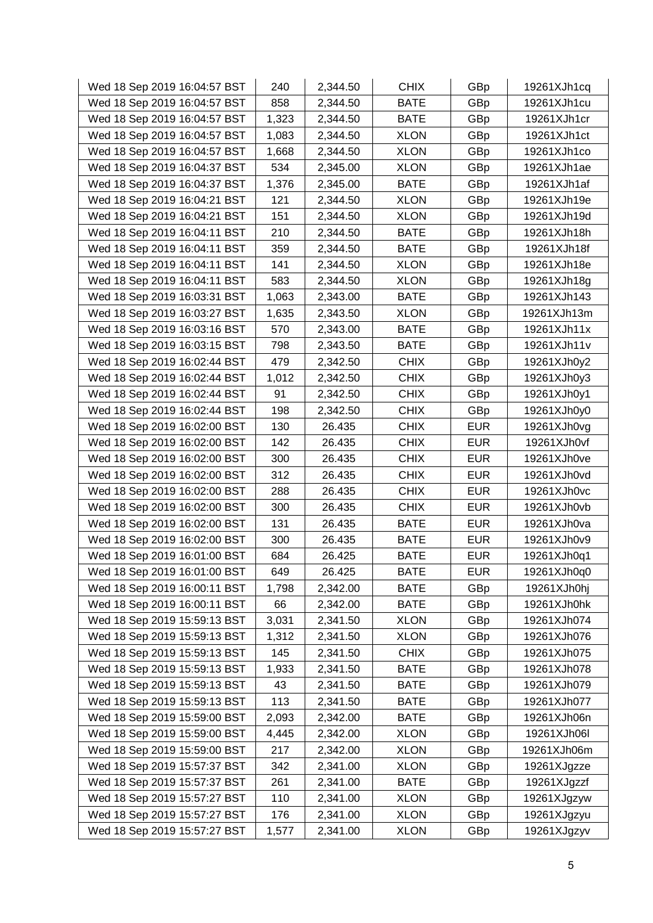| Wed 18 Sep 2019 16:04:57 BST | 240   | 2,344.50 | <b>CHIX</b> | GBp        | 19261XJh1cq |
|------------------------------|-------|----------|-------------|------------|-------------|
| Wed 18 Sep 2019 16:04:57 BST | 858   | 2,344.50 | <b>BATE</b> | GBp        | 19261XJh1cu |
| Wed 18 Sep 2019 16:04:57 BST | 1,323 | 2,344.50 | <b>BATE</b> | GBp        | 19261XJh1cr |
| Wed 18 Sep 2019 16:04:57 BST | 1,083 | 2,344.50 | <b>XLON</b> | GBp        | 19261XJh1ct |
| Wed 18 Sep 2019 16:04:57 BST | 1,668 | 2,344.50 | <b>XLON</b> | GBp        | 19261XJh1co |
| Wed 18 Sep 2019 16:04:37 BST | 534   | 2,345.00 | <b>XLON</b> | GBp        | 19261XJh1ae |
| Wed 18 Sep 2019 16:04:37 BST | 1,376 | 2,345.00 | <b>BATE</b> | GBp        | 19261XJh1af |
| Wed 18 Sep 2019 16:04:21 BST | 121   | 2,344.50 | <b>XLON</b> | GBp        | 19261XJh19e |
| Wed 18 Sep 2019 16:04:21 BST | 151   | 2,344.50 | <b>XLON</b> | GBp        | 19261XJh19d |
| Wed 18 Sep 2019 16:04:11 BST | 210   | 2,344.50 | <b>BATE</b> | GBp        | 19261XJh18h |
| Wed 18 Sep 2019 16:04:11 BST | 359   | 2,344.50 | <b>BATE</b> | GBp        | 19261XJh18f |
| Wed 18 Sep 2019 16:04:11 BST | 141   | 2,344.50 | <b>XLON</b> | GBp        | 19261XJh18e |
| Wed 18 Sep 2019 16:04:11 BST | 583   | 2,344.50 | <b>XLON</b> | GBp        | 19261XJh18g |
| Wed 18 Sep 2019 16:03:31 BST | 1,063 | 2,343.00 | <b>BATE</b> | GBp        | 19261XJh143 |
| Wed 18 Sep 2019 16:03:27 BST | 1,635 | 2,343.50 | <b>XLON</b> | GBp        | 19261XJh13m |
| Wed 18 Sep 2019 16:03:16 BST | 570   | 2,343.00 | <b>BATE</b> | GBp        | 19261XJh11x |
| Wed 18 Sep 2019 16:03:15 BST | 798   | 2,343.50 | <b>BATE</b> | GBp        | 19261XJh11v |
| Wed 18 Sep 2019 16:02:44 BST | 479   | 2,342.50 | <b>CHIX</b> | GBp        | 19261XJh0y2 |
| Wed 18 Sep 2019 16:02:44 BST | 1,012 | 2,342.50 | <b>CHIX</b> | GBp        | 19261XJh0y3 |
| Wed 18 Sep 2019 16:02:44 BST | 91    | 2,342.50 | <b>CHIX</b> | GBp        | 19261XJh0y1 |
| Wed 18 Sep 2019 16:02:44 BST | 198   | 2,342.50 | <b>CHIX</b> | GBp        | 19261XJh0y0 |
| Wed 18 Sep 2019 16:02:00 BST | 130   | 26.435   | <b>CHIX</b> | <b>EUR</b> | 19261XJh0vg |
| Wed 18 Sep 2019 16:02:00 BST | 142   | 26.435   | <b>CHIX</b> | <b>EUR</b> | 19261XJh0vf |
| Wed 18 Sep 2019 16:02:00 BST | 300   | 26.435   | <b>CHIX</b> | <b>EUR</b> | 19261XJh0ve |
| Wed 18 Sep 2019 16:02:00 BST | 312   | 26.435   | <b>CHIX</b> | <b>EUR</b> | 19261XJh0vd |
| Wed 18 Sep 2019 16:02:00 BST | 288   | 26.435   | <b>CHIX</b> | <b>EUR</b> | 19261XJh0vc |
| Wed 18 Sep 2019 16:02:00 BST | 300   | 26.435   | <b>CHIX</b> | <b>EUR</b> | 19261XJh0vb |
| Wed 18 Sep 2019 16:02:00 BST | 131   | 26.435   | <b>BATE</b> | <b>EUR</b> | 19261XJh0va |
| Wed 18 Sep 2019 16:02:00 BST | 300   | 26.435   | <b>BATE</b> | <b>EUR</b> | 19261XJh0v9 |
| Wed 18 Sep 2019 16:01:00 BST | 684   | 26.425   | <b>BATE</b> | <b>EUR</b> | 19261XJh0q1 |
| Wed 18 Sep 2019 16:01:00 BST | 649   | 26.425   | <b>BATE</b> | <b>EUR</b> | 19261XJh0q0 |
| Wed 18 Sep 2019 16:00:11 BST | 1,798 | 2,342.00 | <b>BATE</b> | GBp        | 19261XJh0hj |
| Wed 18 Sep 2019 16:00:11 BST | 66    | 2,342.00 | <b>BATE</b> | GBp        | 19261XJh0hk |
| Wed 18 Sep 2019 15:59:13 BST | 3,031 | 2,341.50 | <b>XLON</b> | GBp        | 19261XJh074 |
| Wed 18 Sep 2019 15:59:13 BST | 1,312 | 2,341.50 | <b>XLON</b> | GBp        | 19261XJh076 |
| Wed 18 Sep 2019 15:59:13 BST | 145   | 2,341.50 | <b>CHIX</b> | GBp        | 19261XJh075 |
| Wed 18 Sep 2019 15:59:13 BST | 1,933 | 2,341.50 | <b>BATE</b> | GBp        | 19261XJh078 |
| Wed 18 Sep 2019 15:59:13 BST | 43    | 2,341.50 | <b>BATE</b> | GBp        | 19261XJh079 |
| Wed 18 Sep 2019 15:59:13 BST | 113   | 2,341.50 | <b>BATE</b> | GBp        | 19261XJh077 |
| Wed 18 Sep 2019 15:59:00 BST | 2,093 | 2,342.00 | <b>BATE</b> | GBp        | 19261XJh06n |
| Wed 18 Sep 2019 15:59:00 BST | 4,445 | 2,342.00 | <b>XLON</b> | GBp        | 19261XJh06l |
| Wed 18 Sep 2019 15:59:00 BST | 217   | 2,342.00 | <b>XLON</b> | GBp        | 19261XJh06m |
| Wed 18 Sep 2019 15:57:37 BST | 342   | 2,341.00 | <b>XLON</b> | GBp        | 19261XJgzze |
| Wed 18 Sep 2019 15:57:37 BST | 261   | 2,341.00 | <b>BATE</b> | GBp        | 19261XJgzzf |
| Wed 18 Sep 2019 15:57:27 BST | 110   | 2,341.00 | <b>XLON</b> | GBp        | 19261XJgzyw |
| Wed 18 Sep 2019 15:57:27 BST | 176   | 2,341.00 | <b>XLON</b> | GBp        | 19261XJgzyu |
| Wed 18 Sep 2019 15:57:27 BST | 1,577 | 2,341.00 | <b>XLON</b> | GBp        | 19261XJgzyv |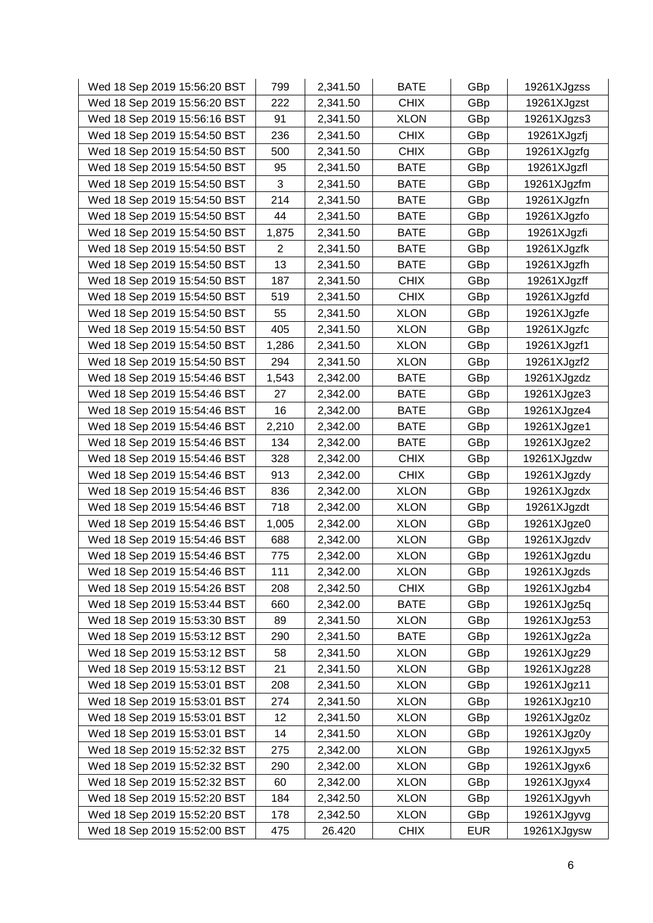| Wed 18 Sep 2019 15:56:20 BST | 799            | 2,341.50 | <b>BATE</b> | GBp        | 19261XJgzss |
|------------------------------|----------------|----------|-------------|------------|-------------|
| Wed 18 Sep 2019 15:56:20 BST | 222            | 2,341.50 | <b>CHIX</b> | GBp        | 19261XJgzst |
| Wed 18 Sep 2019 15:56:16 BST | 91             | 2,341.50 | <b>XLON</b> | GBp        | 19261XJgzs3 |
| Wed 18 Sep 2019 15:54:50 BST | 236            | 2,341.50 | <b>CHIX</b> | GBp        | 19261XJgzfj |
| Wed 18 Sep 2019 15:54:50 BST | 500            | 2,341.50 | <b>CHIX</b> | GBp        | 19261XJgzfg |
| Wed 18 Sep 2019 15:54:50 BST | 95             | 2,341.50 | <b>BATE</b> | GBp        | 19261XJgzfl |
| Wed 18 Sep 2019 15:54:50 BST | 3              | 2,341.50 | <b>BATE</b> | GBp        | 19261XJgzfm |
| Wed 18 Sep 2019 15:54:50 BST | 214            | 2,341.50 | <b>BATE</b> | GBp        | 19261XJgzfn |
| Wed 18 Sep 2019 15:54:50 BST | 44             | 2,341.50 | <b>BATE</b> | GBp        | 19261XJgzfo |
| Wed 18 Sep 2019 15:54:50 BST | 1,875          | 2,341.50 | <b>BATE</b> | GBp        | 19261XJgzfi |
| Wed 18 Sep 2019 15:54:50 BST | $\overline{2}$ | 2,341.50 | <b>BATE</b> | GBp        | 19261XJgzfk |
| Wed 18 Sep 2019 15:54:50 BST | 13             | 2,341.50 | <b>BATE</b> | GBp        | 19261XJgzfh |
| Wed 18 Sep 2019 15:54:50 BST | 187            | 2,341.50 | <b>CHIX</b> | GBp        | 19261XJgzff |
| Wed 18 Sep 2019 15:54:50 BST | 519            | 2,341.50 | <b>CHIX</b> | GBp        | 19261XJgzfd |
| Wed 18 Sep 2019 15:54:50 BST | 55             | 2,341.50 | <b>XLON</b> | GBp        | 19261XJgzfe |
| Wed 18 Sep 2019 15:54:50 BST | 405            | 2,341.50 | <b>XLON</b> | GBp        | 19261XJgzfc |
| Wed 18 Sep 2019 15:54:50 BST | 1,286          | 2,341.50 | <b>XLON</b> | GBp        | 19261XJgzf1 |
| Wed 18 Sep 2019 15:54:50 BST | 294            | 2,341.50 | <b>XLON</b> | GBp        | 19261XJgzf2 |
| Wed 18 Sep 2019 15:54:46 BST | 1,543          | 2,342.00 | <b>BATE</b> | GBp        | 19261XJgzdz |
| Wed 18 Sep 2019 15:54:46 BST | 27             | 2,342.00 | <b>BATE</b> | GBp        | 19261XJgze3 |
| Wed 18 Sep 2019 15:54:46 BST | 16             | 2,342.00 | <b>BATE</b> | GBp        | 19261XJgze4 |
| Wed 18 Sep 2019 15:54:46 BST | 2,210          | 2,342.00 | <b>BATE</b> | GBp        | 19261XJgze1 |
| Wed 18 Sep 2019 15:54:46 BST | 134            | 2,342.00 | <b>BATE</b> | GBp        | 19261XJgze2 |
| Wed 18 Sep 2019 15:54:46 BST | 328            | 2,342.00 | <b>CHIX</b> | GBp        | 19261XJgzdw |
| Wed 18 Sep 2019 15:54:46 BST | 913            | 2,342.00 | <b>CHIX</b> | GBp        | 19261XJgzdy |
| Wed 18 Sep 2019 15:54:46 BST | 836            | 2,342.00 | <b>XLON</b> | GBp        | 19261XJgzdx |
| Wed 18 Sep 2019 15:54:46 BST | 718            | 2,342.00 | <b>XLON</b> | GBp        | 19261XJgzdt |
| Wed 18 Sep 2019 15:54:46 BST | 1,005          | 2,342.00 | <b>XLON</b> | GBp        | 19261XJgze0 |
| Wed 18 Sep 2019 15:54:46 BST | 688            | 2,342.00 | <b>XLON</b> | GBp        | 19261XJgzdv |
| Wed 18 Sep 2019 15:54:46 BST | 775            | 2,342.00 | <b>XLON</b> | GBp        | 19261XJgzdu |
| Wed 18 Sep 2019 15:54:46 BST | 111            | 2,342.00 | <b>XLON</b> | GBp        | 19261XJgzds |
| Wed 18 Sep 2019 15:54:26 BST | 208            | 2,342.50 | <b>CHIX</b> | GBp        | 19261XJgzb4 |
| Wed 18 Sep 2019 15:53:44 BST | 660            | 2,342.00 | <b>BATE</b> | GBp        | 19261XJgz5q |
| Wed 18 Sep 2019 15:53:30 BST | 89             | 2,341.50 | <b>XLON</b> | GBp        | 19261XJgz53 |
| Wed 18 Sep 2019 15:53:12 BST | 290            | 2,341.50 | <b>BATE</b> | GBp        | 19261XJgz2a |
| Wed 18 Sep 2019 15:53:12 BST | 58             | 2,341.50 | <b>XLON</b> | GBp        | 19261XJgz29 |
| Wed 18 Sep 2019 15:53:12 BST | 21             | 2,341.50 | <b>XLON</b> | GBp        | 19261XJgz28 |
| Wed 18 Sep 2019 15:53:01 BST | 208            | 2,341.50 | <b>XLON</b> | GBp        | 19261XJgz11 |
| Wed 18 Sep 2019 15:53:01 BST | 274            | 2,341.50 | <b>XLON</b> | GBp        | 19261XJgz10 |
| Wed 18 Sep 2019 15:53:01 BST | 12             | 2,341.50 | <b>XLON</b> | GBp        | 19261XJgz0z |
| Wed 18 Sep 2019 15:53:01 BST | 14             | 2,341.50 | <b>XLON</b> | GBp        | 19261XJgz0y |
| Wed 18 Sep 2019 15:52:32 BST | 275            | 2,342.00 | <b>XLON</b> | GBp        | 19261XJgyx5 |
| Wed 18 Sep 2019 15:52:32 BST | 290            | 2,342.00 | <b>XLON</b> | GBp        | 19261XJgyx6 |
| Wed 18 Sep 2019 15:52:32 BST | 60             | 2,342.00 | <b>XLON</b> | GBp        | 19261XJgyx4 |
| Wed 18 Sep 2019 15:52:20 BST | 184            | 2,342.50 | <b>XLON</b> | GBp        | 19261XJgyvh |
| Wed 18 Sep 2019 15:52:20 BST | 178            | 2,342.50 | <b>XLON</b> | GBp        | 19261XJgyvg |
| Wed 18 Sep 2019 15:52:00 BST | 475            | 26.420   | <b>CHIX</b> | <b>EUR</b> | 19261XJgysw |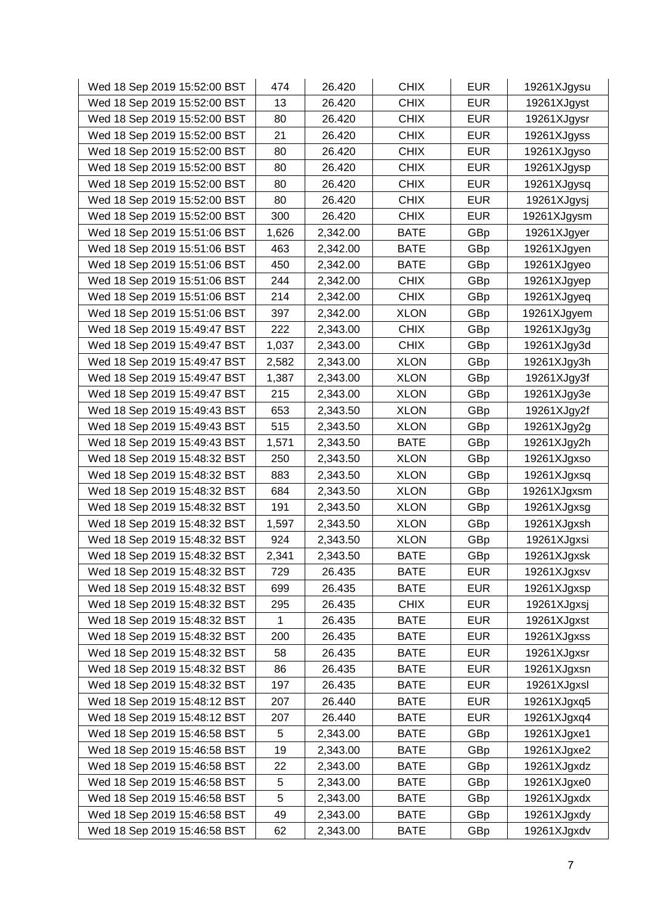| Wed 18 Sep 2019 15:52:00 BST | 474   | 26.420   | <b>CHIX</b> | <b>EUR</b> | 19261XJgysu |
|------------------------------|-------|----------|-------------|------------|-------------|
| Wed 18 Sep 2019 15:52:00 BST | 13    | 26.420   | <b>CHIX</b> | <b>EUR</b> | 19261XJgyst |
| Wed 18 Sep 2019 15:52:00 BST | 80    | 26.420   | <b>CHIX</b> | <b>EUR</b> | 19261XJgysr |
| Wed 18 Sep 2019 15:52:00 BST | 21    | 26.420   | <b>CHIX</b> | <b>EUR</b> | 19261XJgyss |
| Wed 18 Sep 2019 15:52:00 BST | 80    | 26.420   | <b>CHIX</b> | <b>EUR</b> | 19261XJgyso |
| Wed 18 Sep 2019 15:52:00 BST | 80    | 26.420   | <b>CHIX</b> | <b>EUR</b> | 19261XJgysp |
| Wed 18 Sep 2019 15:52:00 BST | 80    | 26.420   | <b>CHIX</b> | <b>EUR</b> | 19261XJgysq |
| Wed 18 Sep 2019 15:52:00 BST | 80    | 26.420   | <b>CHIX</b> | <b>EUR</b> | 19261XJgysj |
| Wed 18 Sep 2019 15:52:00 BST | 300   | 26.420   | <b>CHIX</b> | <b>EUR</b> | 19261XJgysm |
| Wed 18 Sep 2019 15:51:06 BST | 1,626 | 2,342.00 | <b>BATE</b> | GBp        | 19261XJgyer |
| Wed 18 Sep 2019 15:51:06 BST | 463   | 2,342.00 | <b>BATE</b> | GBp        | 19261XJgyen |
| Wed 18 Sep 2019 15:51:06 BST | 450   | 2,342.00 | <b>BATE</b> | GBp        | 19261XJgyeo |
| Wed 18 Sep 2019 15:51:06 BST | 244   | 2,342.00 | <b>CHIX</b> | GBp        | 19261XJgyep |
| Wed 18 Sep 2019 15:51:06 BST | 214   | 2,342.00 | <b>CHIX</b> | GBp        | 19261XJgyeq |
| Wed 18 Sep 2019 15:51:06 BST | 397   | 2,342.00 | <b>XLON</b> | GBp        | 19261XJgyem |
| Wed 18 Sep 2019 15:49:47 BST | 222   | 2,343.00 | <b>CHIX</b> | GBp        | 19261XJgy3g |
| Wed 18 Sep 2019 15:49:47 BST | 1,037 | 2,343.00 | <b>CHIX</b> | GBp        | 19261XJgy3d |
| Wed 18 Sep 2019 15:49:47 BST | 2,582 | 2,343.00 | <b>XLON</b> | GBp        | 19261XJgy3h |
| Wed 18 Sep 2019 15:49:47 BST | 1,387 | 2,343.00 | <b>XLON</b> | GBp        | 19261XJgy3f |
| Wed 18 Sep 2019 15:49:47 BST | 215   | 2,343.00 | <b>XLON</b> | GBp        | 19261XJgy3e |
| Wed 18 Sep 2019 15:49:43 BST | 653   | 2,343.50 | <b>XLON</b> | GBp        | 19261XJgy2f |
| Wed 18 Sep 2019 15:49:43 BST | 515   | 2,343.50 | <b>XLON</b> | GBp        | 19261XJgy2g |
| Wed 18 Sep 2019 15:49:43 BST | 1,571 | 2,343.50 | <b>BATE</b> | GBp        | 19261XJgy2h |
| Wed 18 Sep 2019 15:48:32 BST | 250   | 2,343.50 | <b>XLON</b> | GBp        | 19261XJgxso |
| Wed 18 Sep 2019 15:48:32 BST | 883   | 2,343.50 | <b>XLON</b> | GBp        | 19261XJgxsq |
| Wed 18 Sep 2019 15:48:32 BST | 684   | 2,343.50 | <b>XLON</b> | GBp        | 19261XJgxsm |
| Wed 18 Sep 2019 15:48:32 BST | 191   | 2,343.50 | <b>XLON</b> | GBp        | 19261XJgxsg |
| Wed 18 Sep 2019 15:48:32 BST | 1,597 | 2,343.50 | <b>XLON</b> | GBp        | 19261XJgxsh |
| Wed 18 Sep 2019 15:48:32 BST | 924   | 2,343.50 | <b>XLON</b> | GBp        | 19261XJgxsi |
| Wed 18 Sep 2019 15:48:32 BST | 2,341 | 2,343.50 | <b>BATE</b> | GBp        | 19261XJgxsk |
| Wed 18 Sep 2019 15:48:32 BST | 729   | 26.435   | <b>BATE</b> | <b>EUR</b> | 19261XJgxsv |
| Wed 18 Sep 2019 15:48:32 BST | 699   | 26.435   | <b>BATE</b> | <b>EUR</b> | 19261XJgxsp |
| Wed 18 Sep 2019 15:48:32 BST | 295   | 26.435   | <b>CHIX</b> | <b>EUR</b> | 19261XJgxsj |
| Wed 18 Sep 2019 15:48:32 BST | 1     | 26.435   | <b>BATE</b> | <b>EUR</b> | 19261XJgxst |
| Wed 18 Sep 2019 15:48:32 BST | 200   | 26.435   | <b>BATE</b> | <b>EUR</b> | 19261XJgxss |
| Wed 18 Sep 2019 15:48:32 BST | 58    | 26.435   | <b>BATE</b> | <b>EUR</b> | 19261XJgxsr |
| Wed 18 Sep 2019 15:48:32 BST | 86    | 26.435   | <b>BATE</b> | <b>EUR</b> | 19261XJgxsn |
| Wed 18 Sep 2019 15:48:32 BST | 197   | 26.435   | <b>BATE</b> | <b>EUR</b> | 19261XJgxsl |
| Wed 18 Sep 2019 15:48:12 BST | 207   | 26.440   | <b>BATE</b> | <b>EUR</b> | 19261XJgxq5 |
| Wed 18 Sep 2019 15:48:12 BST | 207   | 26.440   | <b>BATE</b> | <b>EUR</b> | 19261XJgxq4 |
| Wed 18 Sep 2019 15:46:58 BST | 5     | 2,343.00 | <b>BATE</b> | GBp        | 19261XJgxe1 |
| Wed 18 Sep 2019 15:46:58 BST | 19    | 2,343.00 | <b>BATE</b> | GBp        | 19261XJgxe2 |
| Wed 18 Sep 2019 15:46:58 BST | 22    | 2,343.00 | <b>BATE</b> | GBp        | 19261XJgxdz |
| Wed 18 Sep 2019 15:46:58 BST | 5     | 2,343.00 | <b>BATE</b> | GBp        | 19261XJgxe0 |
| Wed 18 Sep 2019 15:46:58 BST | 5     | 2,343.00 | <b>BATE</b> | GBp        | 19261XJgxdx |
| Wed 18 Sep 2019 15:46:58 BST | 49    | 2,343.00 | <b>BATE</b> | GBp        | 19261XJgxdy |
| Wed 18 Sep 2019 15:46:58 BST | 62    | 2,343.00 | BATE        | GBp        | 19261XJgxdv |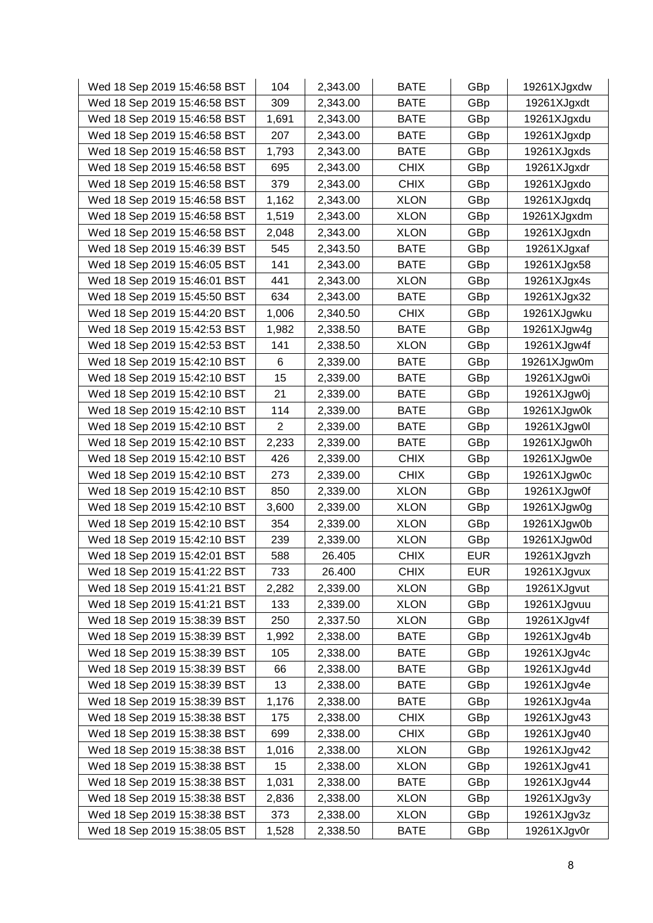| Wed 18 Sep 2019 15:46:58 BST | 104            | 2,343.00 | <b>BATE</b> | GBp        | 19261XJgxdw |
|------------------------------|----------------|----------|-------------|------------|-------------|
| Wed 18 Sep 2019 15:46:58 BST | 309            | 2,343.00 | <b>BATE</b> | GBp        | 19261XJgxdt |
| Wed 18 Sep 2019 15:46:58 BST | 1,691          | 2,343.00 | <b>BATE</b> | GBp        | 19261XJgxdu |
| Wed 18 Sep 2019 15:46:58 BST | 207            | 2,343.00 | <b>BATE</b> | GBp        | 19261XJgxdp |
| Wed 18 Sep 2019 15:46:58 BST | 1,793          | 2,343.00 | <b>BATE</b> | GBp        | 19261XJgxds |
| Wed 18 Sep 2019 15:46:58 BST | 695            | 2,343.00 | <b>CHIX</b> | GBp        | 19261XJgxdr |
| Wed 18 Sep 2019 15:46:58 BST | 379            | 2,343.00 | <b>CHIX</b> | GBp        | 19261XJgxdo |
| Wed 18 Sep 2019 15:46:58 BST | 1,162          | 2,343.00 | <b>XLON</b> | GBp        | 19261XJgxdq |
| Wed 18 Sep 2019 15:46:58 BST | 1,519          | 2,343.00 | <b>XLON</b> | GBp        | 19261XJgxdm |
| Wed 18 Sep 2019 15:46:58 BST | 2,048          | 2,343.00 | <b>XLON</b> | GBp        | 19261XJgxdn |
| Wed 18 Sep 2019 15:46:39 BST | 545            | 2,343.50 | <b>BATE</b> | GBp        | 19261XJgxaf |
| Wed 18 Sep 2019 15:46:05 BST | 141            | 2,343.00 | <b>BATE</b> | GBp        | 19261XJgx58 |
| Wed 18 Sep 2019 15:46:01 BST | 441            | 2,343.00 | <b>XLON</b> | GBp        | 19261XJgx4s |
| Wed 18 Sep 2019 15:45:50 BST | 634            | 2,343.00 | <b>BATE</b> | GBp        | 19261XJgx32 |
| Wed 18 Sep 2019 15:44:20 BST | 1,006          | 2,340.50 | <b>CHIX</b> | GBp        | 19261XJgwku |
| Wed 18 Sep 2019 15:42:53 BST | 1,982          | 2,338.50 | <b>BATE</b> | GBp        | 19261XJgw4g |
| Wed 18 Sep 2019 15:42:53 BST | 141            | 2,338.50 | <b>XLON</b> | GBp        | 19261XJgw4f |
| Wed 18 Sep 2019 15:42:10 BST | 6              | 2,339.00 | <b>BATE</b> | GBp        | 19261XJgw0m |
| Wed 18 Sep 2019 15:42:10 BST | 15             | 2,339.00 | <b>BATE</b> | GBp        | 19261XJgw0i |
| Wed 18 Sep 2019 15:42:10 BST | 21             | 2,339.00 | <b>BATE</b> | GBp        | 19261XJgw0j |
| Wed 18 Sep 2019 15:42:10 BST | 114            | 2,339.00 | <b>BATE</b> | GBp        | 19261XJgw0k |
| Wed 18 Sep 2019 15:42:10 BST | $\overline{c}$ | 2,339.00 | <b>BATE</b> | GBp        | 19261XJgw0l |
| Wed 18 Sep 2019 15:42:10 BST | 2,233          | 2,339.00 | <b>BATE</b> | GBp        | 19261XJgw0h |
| Wed 18 Sep 2019 15:42:10 BST | 426            | 2,339.00 | <b>CHIX</b> | GBp        | 19261XJgw0e |
| Wed 18 Sep 2019 15:42:10 BST | 273            | 2,339.00 | <b>CHIX</b> | GBp        | 19261XJgw0c |
| Wed 18 Sep 2019 15:42:10 BST | 850            | 2,339.00 | <b>XLON</b> | GBp        | 19261XJgw0f |
| Wed 18 Sep 2019 15:42:10 BST | 3,600          | 2,339.00 | <b>XLON</b> | GBp        | 19261XJgw0g |
| Wed 18 Sep 2019 15:42:10 BST | 354            | 2,339.00 | <b>XLON</b> | GBp        | 19261XJgw0b |
| Wed 18 Sep 2019 15:42:10 BST | 239            | 2,339.00 | <b>XLON</b> | GBp        | 19261XJgw0d |
| Wed 18 Sep 2019 15:42:01 BST | 588            | 26.405   | <b>CHIX</b> | <b>EUR</b> | 19261XJgvzh |
| Wed 18 Sep 2019 15:41:22 BST | 733            | 26.400   | <b>CHIX</b> | <b>EUR</b> | 19261XJgvux |
| Wed 18 Sep 2019 15:41:21 BST | 2,282          | 2,339.00 | <b>XLON</b> | GBp        | 19261XJgvut |
| Wed 18 Sep 2019 15:41:21 BST | 133            | 2,339.00 | <b>XLON</b> | GBp        | 19261XJgvuu |
| Wed 18 Sep 2019 15:38:39 BST | 250            | 2,337.50 | <b>XLON</b> | GBp        | 19261XJgv4f |
| Wed 18 Sep 2019 15:38:39 BST | 1,992          | 2,338.00 | <b>BATE</b> | GBp        | 19261XJgv4b |
| Wed 18 Sep 2019 15:38:39 BST | 105            | 2,338.00 | <b>BATE</b> | GBp        | 19261XJgv4c |
| Wed 18 Sep 2019 15:38:39 BST | 66             | 2,338.00 | <b>BATE</b> | GBp        | 19261XJgv4d |
| Wed 18 Sep 2019 15:38:39 BST | 13             | 2,338.00 | <b>BATE</b> | GBp        | 19261XJgv4e |
| Wed 18 Sep 2019 15:38:39 BST | 1,176          | 2,338.00 | <b>BATE</b> | GBp        | 19261XJgv4a |
| Wed 18 Sep 2019 15:38:38 BST | 175            | 2,338.00 | <b>CHIX</b> | GBp        | 19261XJgv43 |
| Wed 18 Sep 2019 15:38:38 BST | 699            | 2,338.00 | <b>CHIX</b> | GBp        | 19261XJgv40 |
| Wed 18 Sep 2019 15:38:38 BST | 1,016          | 2,338.00 | <b>XLON</b> | GBp        | 19261XJgv42 |
| Wed 18 Sep 2019 15:38:38 BST | 15             | 2,338.00 | <b>XLON</b> | GBp        | 19261XJgv41 |
| Wed 18 Sep 2019 15:38:38 BST | 1,031          | 2,338.00 | <b>BATE</b> | GBp        | 19261XJgv44 |
| Wed 18 Sep 2019 15:38:38 BST | 2,836          | 2,338.00 | <b>XLON</b> | GBp        | 19261XJgv3y |
| Wed 18 Sep 2019 15:38:38 BST | 373            | 2,338.00 | <b>XLON</b> | GBp        | 19261XJgv3z |
| Wed 18 Sep 2019 15:38:05 BST | 1,528          | 2,338.50 | <b>BATE</b> | GBp        | 19261XJgv0r |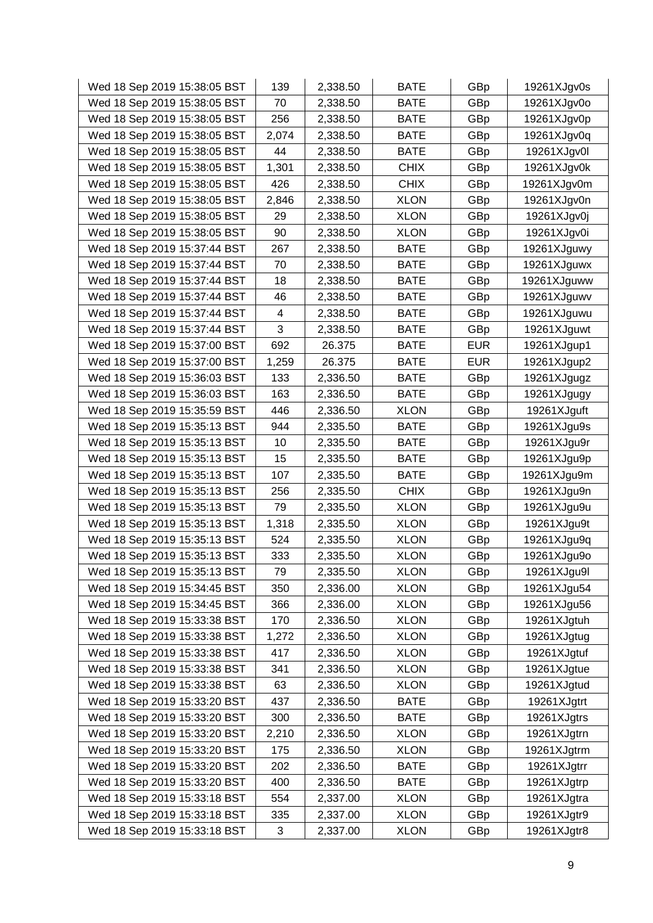| Wed 18 Sep 2019 15:38:05 BST | 139   | 2,338.50 | <b>BATE</b> | GBp        | 19261XJgv0s |
|------------------------------|-------|----------|-------------|------------|-------------|
| Wed 18 Sep 2019 15:38:05 BST | 70    | 2,338.50 | <b>BATE</b> | GBp        | 19261XJgv0o |
| Wed 18 Sep 2019 15:38:05 BST | 256   | 2,338.50 | <b>BATE</b> | GBp        | 19261XJgv0p |
| Wed 18 Sep 2019 15:38:05 BST | 2,074 | 2,338.50 | <b>BATE</b> | GBp        | 19261XJgv0q |
| Wed 18 Sep 2019 15:38:05 BST | 44    | 2,338.50 | <b>BATE</b> | GBp        | 19261XJgv0l |
| Wed 18 Sep 2019 15:38:05 BST | 1,301 | 2,338.50 | <b>CHIX</b> | GBp        | 19261XJgv0k |
| Wed 18 Sep 2019 15:38:05 BST | 426   | 2,338.50 | <b>CHIX</b> | GBp        | 19261XJgv0m |
| Wed 18 Sep 2019 15:38:05 BST | 2,846 | 2,338.50 | <b>XLON</b> | GBp        | 19261XJgv0n |
| Wed 18 Sep 2019 15:38:05 BST | 29    | 2,338.50 | <b>XLON</b> | GBp        | 19261XJgv0j |
| Wed 18 Sep 2019 15:38:05 BST | 90    | 2,338.50 | <b>XLON</b> | GBp        | 19261XJgv0i |
| Wed 18 Sep 2019 15:37:44 BST | 267   | 2,338.50 | <b>BATE</b> | GBp        | 19261XJguwy |
| Wed 18 Sep 2019 15:37:44 BST | 70    | 2,338.50 | <b>BATE</b> | GBp        | 19261XJguwx |
| Wed 18 Sep 2019 15:37:44 BST | 18    | 2,338.50 | <b>BATE</b> | GBp        | 19261XJguww |
| Wed 18 Sep 2019 15:37:44 BST | 46    | 2,338.50 | <b>BATE</b> | GBp        | 19261XJguwv |
| Wed 18 Sep 2019 15:37:44 BST | 4     | 2,338.50 | <b>BATE</b> | GBp        | 19261XJguwu |
| Wed 18 Sep 2019 15:37:44 BST | 3     | 2,338.50 | <b>BATE</b> | GBp        | 19261XJguwt |
| Wed 18 Sep 2019 15:37:00 BST | 692   | 26.375   | <b>BATE</b> | <b>EUR</b> | 19261XJgup1 |
| Wed 18 Sep 2019 15:37:00 BST | 1,259 | 26.375   | <b>BATE</b> | <b>EUR</b> | 19261XJgup2 |
| Wed 18 Sep 2019 15:36:03 BST | 133   | 2,336.50 | <b>BATE</b> | GBp        | 19261XJgugz |
| Wed 18 Sep 2019 15:36:03 BST | 163   | 2,336.50 | <b>BATE</b> | GBp        | 19261XJgugy |
| Wed 18 Sep 2019 15:35:59 BST | 446   | 2,336.50 | <b>XLON</b> | GBp        | 19261XJguft |
| Wed 18 Sep 2019 15:35:13 BST | 944   | 2,335.50 | <b>BATE</b> | GBp        | 19261XJgu9s |
| Wed 18 Sep 2019 15:35:13 BST | 10    | 2,335.50 | BATE        | GBp        | 19261XJgu9r |
| Wed 18 Sep 2019 15:35:13 BST | 15    | 2,335.50 | <b>BATE</b> | GBp        | 19261XJgu9p |
| Wed 18 Sep 2019 15:35:13 BST | 107   | 2,335.50 | <b>BATE</b> | GBp        | 19261XJgu9m |
| Wed 18 Sep 2019 15:35:13 BST | 256   | 2,335.50 | <b>CHIX</b> | GBp        | 19261XJgu9n |
| Wed 18 Sep 2019 15:35:13 BST | 79    | 2,335.50 | <b>XLON</b> | GBp        | 19261XJgu9u |
| Wed 18 Sep 2019 15:35:13 BST | 1,318 | 2,335.50 | <b>XLON</b> | GBp        | 19261XJgu9t |
| Wed 18 Sep 2019 15:35:13 BST | 524   | 2,335.50 | <b>XLON</b> | GBp        | 19261XJgu9q |
| Wed 18 Sep 2019 15:35:13 BST | 333   | 2,335.50 | <b>XLON</b> | GBp        | 19261XJgu9o |
| Wed 18 Sep 2019 15:35:13 BST | 79    | 2,335.50 | <b>XLON</b> | GBp        | 19261XJgu9l |
| Wed 18 Sep 2019 15:34:45 BST | 350   | 2,336.00 | <b>XLON</b> | GBp        | 19261XJgu54 |
| Wed 18 Sep 2019 15:34:45 BST | 366   | 2,336.00 | <b>XLON</b> | GBp        | 19261XJgu56 |
| Wed 18 Sep 2019 15:33:38 BST | 170   | 2,336.50 | <b>XLON</b> | GBp        | 19261XJgtuh |
| Wed 18 Sep 2019 15:33:38 BST | 1,272 | 2,336.50 | <b>XLON</b> | GBp        | 19261XJgtug |
| Wed 18 Sep 2019 15:33:38 BST | 417   | 2,336.50 | <b>XLON</b> | GBp        | 19261XJgtuf |
| Wed 18 Sep 2019 15:33:38 BST | 341   | 2,336.50 | <b>XLON</b> | GBp        | 19261XJgtue |
| Wed 18 Sep 2019 15:33:38 BST | 63    | 2,336.50 | <b>XLON</b> | GBp        | 19261XJgtud |
| Wed 18 Sep 2019 15:33:20 BST | 437   | 2,336.50 | <b>BATE</b> | GBp        | 19261XJgtrt |
| Wed 18 Sep 2019 15:33:20 BST | 300   | 2,336.50 | <b>BATE</b> | GBp        | 19261XJgtrs |
| Wed 18 Sep 2019 15:33:20 BST | 2,210 | 2,336.50 | <b>XLON</b> | GBp        | 19261XJgtrn |
| Wed 18 Sep 2019 15:33:20 BST | 175   | 2,336.50 | <b>XLON</b> | GBp        | 19261XJgtrm |
| Wed 18 Sep 2019 15:33:20 BST | 202   | 2,336.50 | <b>BATE</b> | GBp        | 19261XJgtrr |
| Wed 18 Sep 2019 15:33:20 BST | 400   | 2,336.50 | BATE        | GBp        | 19261XJgtrp |
| Wed 18 Sep 2019 15:33:18 BST | 554   | 2,337.00 | <b>XLON</b> | GBp        | 19261XJgtra |
| Wed 18 Sep 2019 15:33:18 BST | 335   | 2,337.00 | <b>XLON</b> | GBp        | 19261XJgtr9 |
| Wed 18 Sep 2019 15:33:18 BST | 3     | 2,337.00 | <b>XLON</b> | GBp        | 19261XJgtr8 |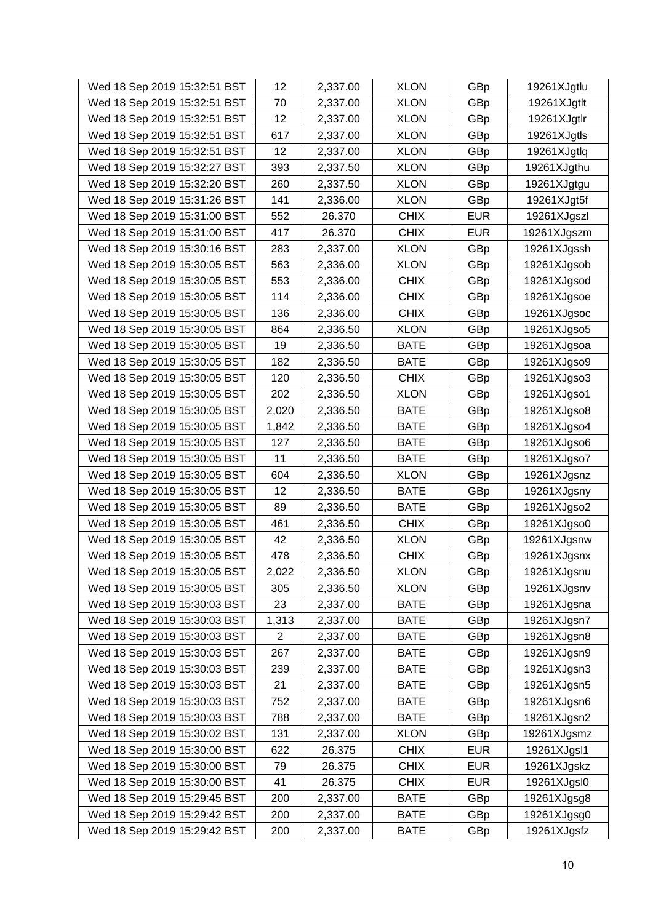| Wed 18 Sep 2019 15:32:51 BST | 12             | 2,337.00 | <b>XLON</b> | GBp        | 19261XJgtlu |
|------------------------------|----------------|----------|-------------|------------|-------------|
| Wed 18 Sep 2019 15:32:51 BST | 70             | 2,337.00 | <b>XLON</b> | GBp        | 19261XJgtlt |
| Wed 18 Sep 2019 15:32:51 BST | 12             | 2,337.00 | <b>XLON</b> | GBp        | 19261XJgtlr |
| Wed 18 Sep 2019 15:32:51 BST | 617            | 2,337.00 | <b>XLON</b> | GBp        | 19261XJgtls |
| Wed 18 Sep 2019 15:32:51 BST | 12             | 2,337.00 | <b>XLON</b> | GBp        | 19261XJgtlq |
| Wed 18 Sep 2019 15:32:27 BST | 393            | 2,337.50 | <b>XLON</b> | GBp        | 19261XJgthu |
| Wed 18 Sep 2019 15:32:20 BST | 260            | 2,337.50 | <b>XLON</b> | GBp        | 19261XJgtgu |
| Wed 18 Sep 2019 15:31:26 BST | 141            | 2,336.00 | <b>XLON</b> | GBp        | 19261XJgt5f |
| Wed 18 Sep 2019 15:31:00 BST | 552            | 26.370   | <b>CHIX</b> | <b>EUR</b> | 19261XJgszl |
| Wed 18 Sep 2019 15:31:00 BST | 417            | 26.370   | <b>CHIX</b> | <b>EUR</b> | 19261XJgszm |
| Wed 18 Sep 2019 15:30:16 BST | 283            | 2,337.00 | <b>XLON</b> | GBp        | 19261XJgssh |
| Wed 18 Sep 2019 15:30:05 BST | 563            | 2,336.00 | <b>XLON</b> | GBp        | 19261XJgsob |
| Wed 18 Sep 2019 15:30:05 BST | 553            | 2,336.00 | <b>CHIX</b> | GBp        | 19261XJgsod |
| Wed 18 Sep 2019 15:30:05 BST | 114            | 2,336.00 | <b>CHIX</b> | GBp        | 19261XJgsoe |
| Wed 18 Sep 2019 15:30:05 BST | 136            | 2,336.00 | <b>CHIX</b> | GBp        | 19261XJgsoc |
| Wed 18 Sep 2019 15:30:05 BST | 864            | 2,336.50 | <b>XLON</b> | GBp        | 19261XJgso5 |
| Wed 18 Sep 2019 15:30:05 BST | 19             | 2,336.50 | <b>BATE</b> | GBp        | 19261XJgsoa |
| Wed 18 Sep 2019 15:30:05 BST | 182            | 2,336.50 | <b>BATE</b> | GBp        | 19261XJgso9 |
| Wed 18 Sep 2019 15:30:05 BST | 120            | 2,336.50 | <b>CHIX</b> | GBp        | 19261XJgso3 |
| Wed 18 Sep 2019 15:30:05 BST | 202            | 2,336.50 | <b>XLON</b> | GBp        | 19261XJgso1 |
| Wed 18 Sep 2019 15:30:05 BST | 2,020          | 2,336.50 | <b>BATE</b> | GBp        | 19261XJgso8 |
| Wed 18 Sep 2019 15:30:05 BST | 1,842          | 2,336.50 | <b>BATE</b> | GBp        | 19261XJgso4 |
| Wed 18 Sep 2019 15:30:05 BST | 127            | 2,336.50 | <b>BATE</b> | GBp        | 19261XJgso6 |
| Wed 18 Sep 2019 15:30:05 BST | 11             | 2,336.50 | <b>BATE</b> | GBp        | 19261XJgso7 |
| Wed 18 Sep 2019 15:30:05 BST | 604            | 2,336.50 | <b>XLON</b> | GBp        | 19261XJgsnz |
| Wed 18 Sep 2019 15:30:05 BST | 12             | 2,336.50 | <b>BATE</b> | GBp        | 19261XJgsny |
| Wed 18 Sep 2019 15:30:05 BST | 89             | 2,336.50 | <b>BATE</b> | GBp        | 19261XJgso2 |
| Wed 18 Sep 2019 15:30:05 BST | 461            | 2,336.50 | <b>CHIX</b> | GBp        | 19261XJgso0 |
| Wed 18 Sep 2019 15:30:05 BST | 42             | 2,336.50 | <b>XLON</b> | GBp        | 19261XJgsnw |
| Wed 18 Sep 2019 15:30:05 BST | 478            | 2,336.50 | <b>CHIX</b> | GBp        | 19261XJgsnx |
| Wed 18 Sep 2019 15:30:05 BST | 2,022          | 2,336.50 | <b>XLON</b> | GBp        | 19261XJgsnu |
| Wed 18 Sep 2019 15:30:05 BST | 305            | 2,336.50 | <b>XLON</b> | GBp        | 19261XJgsnv |
| Wed 18 Sep 2019 15:30:03 BST | 23             | 2,337.00 | <b>BATE</b> | GBp        | 19261XJgsna |
| Wed 18 Sep 2019 15:30:03 BST | 1,313          | 2,337.00 | <b>BATE</b> | GBp        | 19261XJgsn7 |
| Wed 18 Sep 2019 15:30:03 BST | $\overline{2}$ | 2,337.00 | <b>BATE</b> | GBp        | 19261XJgsn8 |
| Wed 18 Sep 2019 15:30:03 BST | 267            | 2,337.00 | <b>BATE</b> | GBp        | 19261XJgsn9 |
| Wed 18 Sep 2019 15:30:03 BST | 239            | 2,337.00 | <b>BATE</b> | GBp        | 19261XJgsn3 |
| Wed 18 Sep 2019 15:30:03 BST | 21             | 2,337.00 | <b>BATE</b> | GBp        | 19261XJgsn5 |
| Wed 18 Sep 2019 15:30:03 BST | 752            | 2,337.00 | <b>BATE</b> | GBp        | 19261XJgsn6 |
| Wed 18 Sep 2019 15:30:03 BST | 788            | 2,337.00 | <b>BATE</b> | GBp        | 19261XJgsn2 |
| Wed 18 Sep 2019 15:30:02 BST | 131            | 2,337.00 | <b>XLON</b> | GBp        | 19261XJgsmz |
| Wed 18 Sep 2019 15:30:00 BST | 622            | 26.375   | <b>CHIX</b> | <b>EUR</b> | 19261XJgsl1 |
| Wed 18 Sep 2019 15:30:00 BST | 79             | 26.375   | <b>CHIX</b> | <b>EUR</b> | 19261XJgskz |
| Wed 18 Sep 2019 15:30:00 BST | 41             | 26.375   | <b>CHIX</b> | <b>EUR</b> | 19261XJgsl0 |
| Wed 18 Sep 2019 15:29:45 BST | 200            | 2,337.00 | <b>BATE</b> | GBp        | 19261XJgsg8 |
| Wed 18 Sep 2019 15:29:42 BST | 200            | 2,337.00 | <b>BATE</b> | GBp        | 19261XJgsg0 |
| Wed 18 Sep 2019 15:29:42 BST | 200            | 2,337.00 | <b>BATE</b> | GBp        | 19261XJgsfz |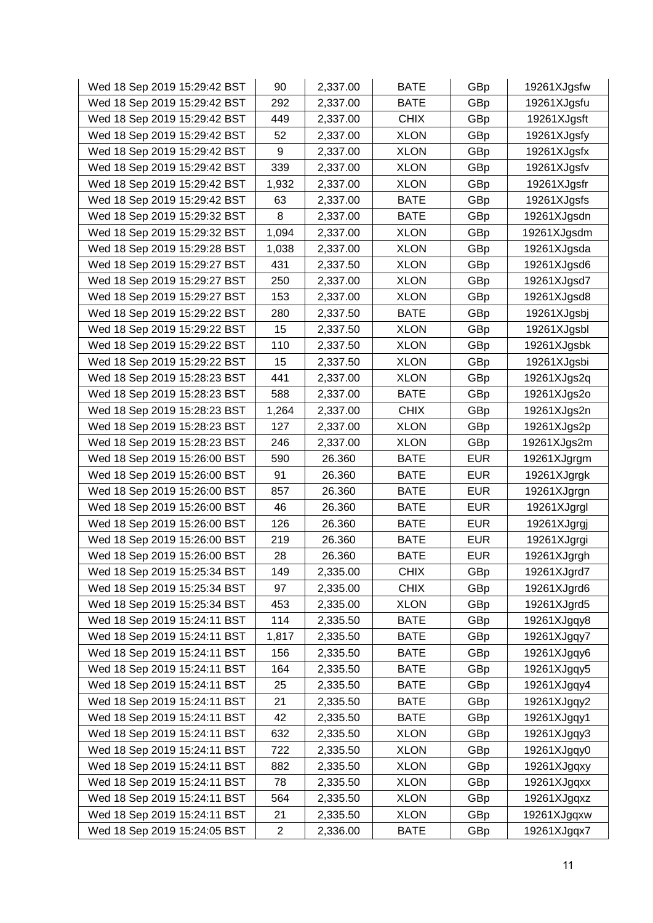| Wed 18 Sep 2019 15:29:42 BST | 90                      | 2,337.00 | <b>BATE</b> | GBp        | 19261XJgsfw |
|------------------------------|-------------------------|----------|-------------|------------|-------------|
| Wed 18 Sep 2019 15:29:42 BST | 292                     | 2,337.00 | <b>BATE</b> | GBp        | 19261XJgsfu |
| Wed 18 Sep 2019 15:29:42 BST | 449                     | 2,337.00 | <b>CHIX</b> | GBp        | 19261XJgsft |
| Wed 18 Sep 2019 15:29:42 BST | 52                      | 2,337.00 | <b>XLON</b> | GBp        | 19261XJgsfy |
| Wed 18 Sep 2019 15:29:42 BST | 9                       | 2,337.00 | <b>XLON</b> | GBp        | 19261XJgsfx |
| Wed 18 Sep 2019 15:29:42 BST | 339                     | 2,337.00 | <b>XLON</b> | GBp        | 19261XJgsfv |
| Wed 18 Sep 2019 15:29:42 BST | 1,932                   | 2,337.00 | <b>XLON</b> | GBp        | 19261XJgsfr |
| Wed 18 Sep 2019 15:29:42 BST | 63                      | 2,337.00 | <b>BATE</b> | GBp        | 19261XJgsfs |
| Wed 18 Sep 2019 15:29:32 BST | 8                       | 2,337.00 | <b>BATE</b> | GBp        | 19261XJgsdn |
| Wed 18 Sep 2019 15:29:32 BST | 1,094                   | 2,337.00 | <b>XLON</b> | GBp        | 19261XJgsdm |
| Wed 18 Sep 2019 15:29:28 BST | 1,038                   | 2,337.00 | <b>XLON</b> | GBp        | 19261XJgsda |
| Wed 18 Sep 2019 15:29:27 BST | 431                     | 2,337.50 | <b>XLON</b> | GBp        | 19261XJgsd6 |
| Wed 18 Sep 2019 15:29:27 BST | 250                     | 2,337.00 | <b>XLON</b> | GBp        | 19261XJgsd7 |
| Wed 18 Sep 2019 15:29:27 BST | 153                     | 2,337.00 | <b>XLON</b> | GBp        | 19261XJgsd8 |
| Wed 18 Sep 2019 15:29:22 BST | 280                     | 2,337.50 | <b>BATE</b> | GBp        | 19261XJgsbj |
| Wed 18 Sep 2019 15:29:22 BST | 15                      | 2,337.50 | <b>XLON</b> | GBp        | 19261XJgsbl |
| Wed 18 Sep 2019 15:29:22 BST | 110                     | 2,337.50 | <b>XLON</b> | GBp        | 19261XJgsbk |
| Wed 18 Sep 2019 15:29:22 BST | 15                      | 2,337.50 | <b>XLON</b> | GBp        | 19261XJgsbi |
| Wed 18 Sep 2019 15:28:23 BST | 441                     | 2,337.00 | <b>XLON</b> | GBp        | 19261XJgs2q |
| Wed 18 Sep 2019 15:28:23 BST | 588                     | 2,337.00 | <b>BATE</b> | GBp        | 19261XJgs2o |
| Wed 18 Sep 2019 15:28:23 BST | 1,264                   | 2,337.00 | <b>CHIX</b> | GBp        | 19261XJgs2n |
| Wed 18 Sep 2019 15:28:23 BST | 127                     | 2,337.00 | <b>XLON</b> | GBp        | 19261XJgs2p |
| Wed 18 Sep 2019 15:28:23 BST | 246                     | 2,337.00 | <b>XLON</b> | GBp        | 19261XJgs2m |
| Wed 18 Sep 2019 15:26:00 BST | 590                     | 26.360   | <b>BATE</b> | <b>EUR</b> | 19261XJgrgm |
| Wed 18 Sep 2019 15:26:00 BST | 91                      | 26.360   | <b>BATE</b> | <b>EUR</b> | 19261XJgrgk |
| Wed 18 Sep 2019 15:26:00 BST | 857                     | 26.360   | <b>BATE</b> | <b>EUR</b> | 19261XJgrgn |
| Wed 18 Sep 2019 15:26:00 BST | 46                      | 26.360   | <b>BATE</b> | <b>EUR</b> | 19261XJgrgl |
| Wed 18 Sep 2019 15:26:00 BST | 126                     | 26.360   | <b>BATE</b> | <b>EUR</b> | 19261XJgrgj |
| Wed 18 Sep 2019 15:26:00 BST | 219                     | 26.360   | <b>BATE</b> | <b>EUR</b> | 19261XJgrgi |
| Wed 18 Sep 2019 15:26:00 BST | 28                      | 26.360   | <b>BATE</b> | <b>EUR</b> | 19261XJgrgh |
| Wed 18 Sep 2019 15:25:34 BST | 149                     | 2,335.00 | <b>CHIX</b> | GBp        | 19261XJgrd7 |
| Wed 18 Sep 2019 15:25:34 BST | 97                      | 2,335.00 | <b>CHIX</b> | GBp        | 19261XJgrd6 |
| Wed 18 Sep 2019 15:25:34 BST | 453                     | 2,335.00 | <b>XLON</b> | GBp        | 19261XJgrd5 |
| Wed 18 Sep 2019 15:24:11 BST | 114                     | 2,335.50 | <b>BATE</b> | GBp        | 19261XJgqy8 |
| Wed 18 Sep 2019 15:24:11 BST | 1,817                   | 2,335.50 | <b>BATE</b> | GBp        | 19261XJgqy7 |
| Wed 18 Sep 2019 15:24:11 BST | 156                     | 2,335.50 | <b>BATE</b> | GBp        | 19261XJgqy6 |
| Wed 18 Sep 2019 15:24:11 BST | 164                     | 2,335.50 | <b>BATE</b> | GBp        | 19261XJgqy5 |
| Wed 18 Sep 2019 15:24:11 BST | 25                      | 2,335.50 | BATE        | GBp        | 19261XJgqy4 |
| Wed 18 Sep 2019 15:24:11 BST | 21                      | 2,335.50 | <b>BATE</b> | GBp        | 19261XJgqy2 |
| Wed 18 Sep 2019 15:24:11 BST | 42                      | 2,335.50 | <b>BATE</b> | GBp        | 19261XJgqy1 |
| Wed 18 Sep 2019 15:24:11 BST | 632                     | 2,335.50 | <b>XLON</b> | GBp        | 19261XJgqy3 |
| Wed 18 Sep 2019 15:24:11 BST | 722                     | 2,335.50 | <b>XLON</b> | GBp        | 19261XJgqy0 |
| Wed 18 Sep 2019 15:24:11 BST | 882                     | 2,335.50 | <b>XLON</b> | GBp        | 19261XJgqxy |
| Wed 18 Sep 2019 15:24:11 BST | 78                      | 2,335.50 | <b>XLON</b> | GBp        | 19261XJgqxx |
| Wed 18 Sep 2019 15:24:11 BST | 564                     | 2,335.50 | <b>XLON</b> | GBp        | 19261XJgqxz |
| Wed 18 Sep 2019 15:24:11 BST | 21                      | 2,335.50 | <b>XLON</b> | GBp        | 19261XJgqxw |
| Wed 18 Sep 2019 15:24:05 BST | $\overline{\mathbf{c}}$ | 2,336.00 | <b>BATE</b> | GBp        | 19261XJgqx7 |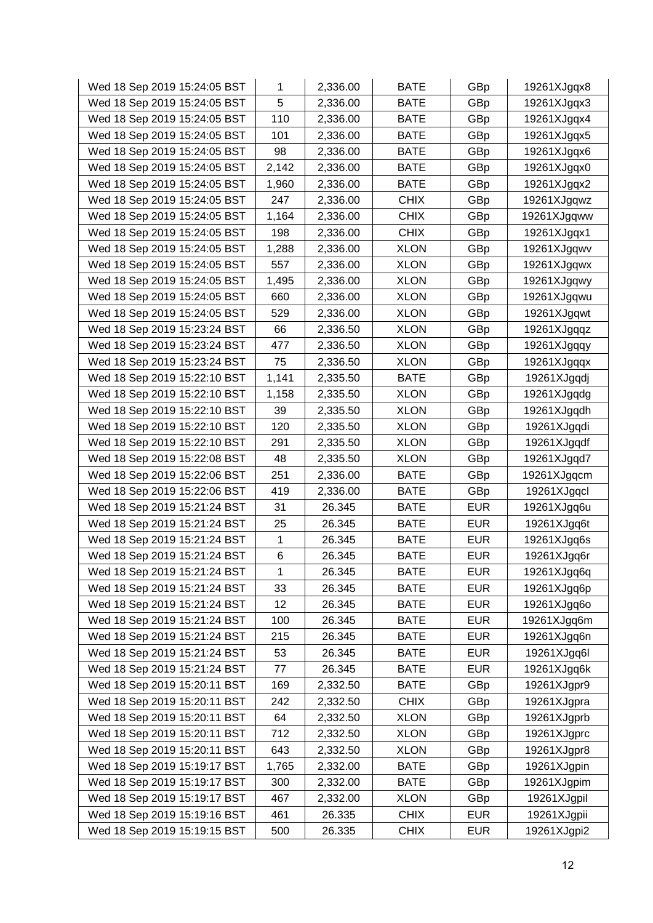| Wed 18 Sep 2019 15:24:05 BST | 1            | 2,336.00 | <b>BATE</b> | GBp        | 19261XJgqx8 |
|------------------------------|--------------|----------|-------------|------------|-------------|
| Wed 18 Sep 2019 15:24:05 BST | 5            | 2,336.00 | <b>BATE</b> | GBp        | 19261XJgqx3 |
| Wed 18 Sep 2019 15:24:05 BST | 110          | 2,336.00 | <b>BATE</b> | GBp        | 19261XJgqx4 |
| Wed 18 Sep 2019 15:24:05 BST | 101          | 2,336.00 | <b>BATE</b> | GBp        | 19261XJgqx5 |
| Wed 18 Sep 2019 15:24:05 BST | 98           | 2,336.00 | <b>BATE</b> | GBp        | 19261XJgqx6 |
| Wed 18 Sep 2019 15:24:05 BST | 2,142        | 2,336.00 | <b>BATE</b> | GBp        | 19261XJgqx0 |
| Wed 18 Sep 2019 15:24:05 BST | 1,960        | 2,336.00 | <b>BATE</b> | GBp        | 19261XJgqx2 |
| Wed 18 Sep 2019 15:24:05 BST | 247          | 2,336.00 | <b>CHIX</b> | GBp        | 19261XJgqwz |
| Wed 18 Sep 2019 15:24:05 BST | 1,164        | 2,336.00 | <b>CHIX</b> | GBp        | 19261XJgqww |
| Wed 18 Sep 2019 15:24:05 BST | 198          | 2,336.00 | <b>CHIX</b> | GBp        | 19261XJgqx1 |
| Wed 18 Sep 2019 15:24:05 BST | 1,288        | 2,336.00 | <b>XLON</b> | GBp        | 19261XJgqwv |
| Wed 18 Sep 2019 15:24:05 BST | 557          | 2,336.00 | <b>XLON</b> | GBp        | 19261XJgqwx |
| Wed 18 Sep 2019 15:24:05 BST | 1,495        | 2,336.00 | <b>XLON</b> | GBp        | 19261XJgqwy |
| Wed 18 Sep 2019 15:24:05 BST | 660          | 2,336.00 | <b>XLON</b> | GBp        | 19261XJgqwu |
| Wed 18 Sep 2019 15:24:05 BST | 529          | 2,336.00 | <b>XLON</b> | GBp        | 19261XJgqwt |
| Wed 18 Sep 2019 15:23:24 BST | 66           | 2,336.50 | <b>XLON</b> | GBp        | 19261XJgqqz |
| Wed 18 Sep 2019 15:23:24 BST | 477          | 2,336.50 | <b>XLON</b> | GBp        | 19261XJgqqy |
| Wed 18 Sep 2019 15:23:24 BST | 75           | 2,336.50 | <b>XLON</b> | GBp        | 19261XJgqqx |
| Wed 18 Sep 2019 15:22:10 BST | 1,141        | 2,335.50 | <b>BATE</b> | GBp        | 19261XJgqdj |
| Wed 18 Sep 2019 15:22:10 BST | 1,158        | 2,335.50 | <b>XLON</b> | GBp        | 19261XJgqdg |
| Wed 18 Sep 2019 15:22:10 BST | 39           | 2,335.50 | <b>XLON</b> | GBp        | 19261XJgqdh |
| Wed 18 Sep 2019 15:22:10 BST | 120          | 2,335.50 | <b>XLON</b> | GBp        | 19261XJgqdi |
| Wed 18 Sep 2019 15:22:10 BST | 291          | 2,335.50 | <b>XLON</b> | GBp        | 19261XJgqdf |
| Wed 18 Sep 2019 15:22:08 BST | 48           | 2,335.50 | <b>XLON</b> | GBp        | 19261XJgqd7 |
| Wed 18 Sep 2019 15:22:06 BST | 251          | 2,336.00 | <b>BATE</b> | GBp        | 19261XJgqcm |
| Wed 18 Sep 2019 15:22:06 BST | 419          | 2,336.00 | <b>BATE</b> | GBp        | 19261XJgqcl |
| Wed 18 Sep 2019 15:21:24 BST | 31           | 26.345   | <b>BATE</b> | <b>EUR</b> | 19261XJgq6u |
| Wed 18 Sep 2019 15:21:24 BST | 25           | 26.345   | <b>BATE</b> | <b>EUR</b> | 19261XJgq6t |
| Wed 18 Sep 2019 15:21:24 BST | 1            | 26.345   | <b>BATE</b> | <b>EUR</b> | 19261XJgq6s |
| Wed 18 Sep 2019 15:21:24 BST | 6            | 26.345   | <b>BATE</b> | <b>EUR</b> | 19261XJgq6r |
| Wed 18 Sep 2019 15:21:24 BST | $\mathbf{1}$ | 26.345   | <b>BATE</b> | <b>EUR</b> | 19261XJgq6q |
| Wed 18 Sep 2019 15:21:24 BST | 33           | 26.345   | <b>BATE</b> | <b>EUR</b> | 19261XJgq6p |
| Wed 18 Sep 2019 15:21:24 BST | 12           | 26.345   | <b>BATE</b> | <b>EUR</b> | 19261XJgq6o |
| Wed 18 Sep 2019 15:21:24 BST | 100          | 26.345   | <b>BATE</b> | <b>EUR</b> | 19261XJgq6m |
| Wed 18 Sep 2019 15:21:24 BST | 215          | 26.345   | <b>BATE</b> | <b>EUR</b> | 19261XJgq6n |
| Wed 18 Sep 2019 15:21:24 BST | 53           | 26.345   | <b>BATE</b> | <b>EUR</b> | 19261XJgq6l |
| Wed 18 Sep 2019 15:21:24 BST | 77           | 26.345   | <b>BATE</b> | <b>EUR</b> | 19261XJgq6k |
| Wed 18 Sep 2019 15:20:11 BST | 169          | 2,332.50 | <b>BATE</b> | GBp        | 19261XJgpr9 |
| Wed 18 Sep 2019 15:20:11 BST | 242          | 2,332.50 | <b>CHIX</b> | GBp        | 19261XJgpra |
| Wed 18 Sep 2019 15:20:11 BST | 64           | 2,332.50 | <b>XLON</b> | GBp        | 19261XJgprb |
| Wed 18 Sep 2019 15:20:11 BST | 712          | 2,332.50 | <b>XLON</b> | GBp        | 19261XJgprc |
| Wed 18 Sep 2019 15:20:11 BST | 643          | 2,332.50 | <b>XLON</b> | GBp        | 19261XJgpr8 |
| Wed 18 Sep 2019 15:19:17 BST | 1,765        | 2,332.00 | <b>BATE</b> | GBp        | 19261XJgpin |
| Wed 18 Sep 2019 15:19:17 BST | 300          | 2,332.00 | <b>BATE</b> | GBp        | 19261XJgpim |
| Wed 18 Sep 2019 15:19:17 BST | 467          | 2,332.00 | <b>XLON</b> | GBp        | 19261XJgpil |
| Wed 18 Sep 2019 15:19:16 BST | 461          | 26.335   | <b>CHIX</b> | <b>EUR</b> | 19261XJgpii |
| Wed 18 Sep 2019 15:19:15 BST | 500          | 26.335   | <b>CHIX</b> | <b>EUR</b> | 19261XJgpi2 |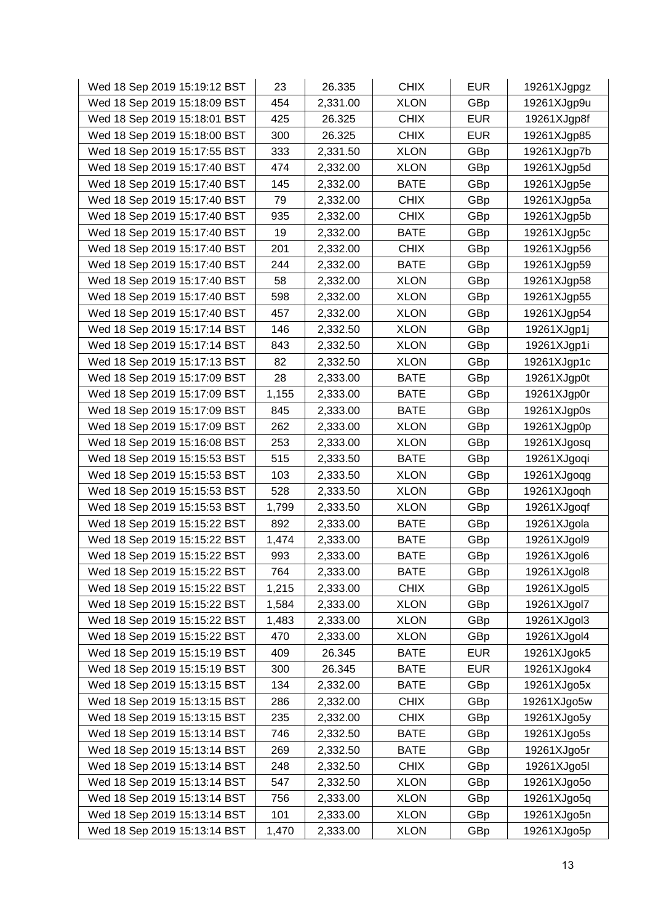| Wed 18 Sep 2019 15:19:12 BST | 23    | 26.335   | <b>CHIX</b> | <b>EUR</b> | 19261XJgpgz |
|------------------------------|-------|----------|-------------|------------|-------------|
| Wed 18 Sep 2019 15:18:09 BST | 454   | 2,331.00 | <b>XLON</b> | GBp        | 19261XJgp9u |
| Wed 18 Sep 2019 15:18:01 BST | 425   | 26.325   | <b>CHIX</b> | <b>EUR</b> | 19261XJgp8f |
| Wed 18 Sep 2019 15:18:00 BST | 300   | 26.325   | <b>CHIX</b> | <b>EUR</b> | 19261XJgp85 |
| Wed 18 Sep 2019 15:17:55 BST | 333   | 2,331.50 | <b>XLON</b> | GBp        | 19261XJgp7b |
| Wed 18 Sep 2019 15:17:40 BST | 474   | 2,332.00 | <b>XLON</b> | GBp        | 19261XJgp5d |
| Wed 18 Sep 2019 15:17:40 BST | 145   | 2,332.00 | <b>BATE</b> | GBp        | 19261XJgp5e |
| Wed 18 Sep 2019 15:17:40 BST | 79    | 2,332.00 | <b>CHIX</b> | GBp        | 19261XJgp5a |
| Wed 18 Sep 2019 15:17:40 BST | 935   | 2,332.00 | <b>CHIX</b> | GBp        | 19261XJgp5b |
| Wed 18 Sep 2019 15:17:40 BST | 19    | 2,332.00 | <b>BATE</b> | GBp        | 19261XJgp5c |
| Wed 18 Sep 2019 15:17:40 BST | 201   | 2,332.00 | <b>CHIX</b> | GBp        | 19261XJgp56 |
| Wed 18 Sep 2019 15:17:40 BST | 244   | 2,332.00 | <b>BATE</b> | GBp        | 19261XJgp59 |
| Wed 18 Sep 2019 15:17:40 BST | 58    | 2,332.00 | <b>XLON</b> | GBp        | 19261XJgp58 |
| Wed 18 Sep 2019 15:17:40 BST | 598   | 2,332.00 | <b>XLON</b> | GBp        | 19261XJgp55 |
| Wed 18 Sep 2019 15:17:40 BST | 457   | 2,332.00 | <b>XLON</b> | GBp        | 19261XJgp54 |
| Wed 18 Sep 2019 15:17:14 BST | 146   | 2,332.50 | <b>XLON</b> | GBp        | 19261XJgp1j |
| Wed 18 Sep 2019 15:17:14 BST | 843   | 2,332.50 | <b>XLON</b> | GBp        | 19261XJgp1i |
| Wed 18 Sep 2019 15:17:13 BST | 82    | 2,332.50 | <b>XLON</b> | GBp        | 19261XJgp1c |
| Wed 18 Sep 2019 15:17:09 BST | 28    | 2,333.00 | <b>BATE</b> | GBp        | 19261XJgp0t |
| Wed 18 Sep 2019 15:17:09 BST | 1,155 | 2,333.00 | <b>BATE</b> | GBp        | 19261XJgp0r |
| Wed 18 Sep 2019 15:17:09 BST | 845   | 2,333.00 | <b>BATE</b> | GBp        | 19261XJgp0s |
| Wed 18 Sep 2019 15:17:09 BST | 262   | 2,333.00 | <b>XLON</b> | GBp        | 19261XJgp0p |
| Wed 18 Sep 2019 15:16:08 BST | 253   | 2,333.00 | <b>XLON</b> | GBp        | 19261XJgosq |
| Wed 18 Sep 2019 15:15:53 BST | 515   | 2,333.50 | <b>BATE</b> | GBp        | 19261XJgoqi |
| Wed 18 Sep 2019 15:15:53 BST | 103   | 2,333.50 | <b>XLON</b> | GBp        | 19261XJgoqg |
| Wed 18 Sep 2019 15:15:53 BST | 528   | 2,333.50 | <b>XLON</b> | GBp        | 19261XJgoqh |
| Wed 18 Sep 2019 15:15:53 BST | 1,799 | 2,333.50 | <b>XLON</b> | GBp        | 19261XJgoqf |
| Wed 18 Sep 2019 15:15:22 BST | 892   | 2,333.00 | <b>BATE</b> | GBp        | 19261XJgola |
| Wed 18 Sep 2019 15:15:22 BST | 1,474 | 2,333.00 | <b>BATE</b> | GBp        | 19261XJgol9 |
| Wed 18 Sep 2019 15:15:22 BST | 993   | 2,333.00 | <b>BATE</b> | GBp        | 19261XJgol6 |
| Wed 18 Sep 2019 15:15:22 BST | 764   | 2,333.00 | <b>BATE</b> | GBp        | 19261XJgol8 |
| Wed 18 Sep 2019 15:15:22 BST | 1,215 | 2,333.00 | <b>CHIX</b> | GBp        | 19261XJgol5 |
| Wed 18 Sep 2019 15:15:22 BST | 1,584 | 2,333.00 | <b>XLON</b> | GBp        | 19261XJgol7 |
| Wed 18 Sep 2019 15:15:22 BST | 1,483 | 2,333.00 | <b>XLON</b> | GBp        | 19261XJgol3 |
| Wed 18 Sep 2019 15:15:22 BST | 470   | 2,333.00 | <b>XLON</b> | GBp        | 19261XJgol4 |
| Wed 18 Sep 2019 15:15:19 BST | 409   | 26.345   | <b>BATE</b> | <b>EUR</b> | 19261XJgok5 |
| Wed 18 Sep 2019 15:15:19 BST | 300   | 26.345   | <b>BATE</b> | <b>EUR</b> | 19261XJgok4 |
| Wed 18 Sep 2019 15:13:15 BST | 134   | 2,332.00 | <b>BATE</b> | GBp        | 19261XJgo5x |
| Wed 18 Sep 2019 15:13:15 BST | 286   | 2,332.00 | <b>CHIX</b> | GBp        | 19261XJgo5w |
| Wed 18 Sep 2019 15:13:15 BST | 235   | 2,332.00 | <b>CHIX</b> | GBp        | 19261XJgo5y |
| Wed 18 Sep 2019 15:13:14 BST | 746   | 2,332.50 | <b>BATE</b> | GBp        | 19261XJgo5s |
| Wed 18 Sep 2019 15:13:14 BST | 269   | 2,332.50 | BATE        | GBp        | 19261XJgo5r |
| Wed 18 Sep 2019 15:13:14 BST | 248   | 2,332.50 | <b>CHIX</b> | GBp        | 19261XJgo5l |
| Wed 18 Sep 2019 15:13:14 BST | 547   | 2,332.50 | <b>XLON</b> | GBp        | 19261XJgo5o |
| Wed 18 Sep 2019 15:13:14 BST | 756   | 2,333.00 | <b>XLON</b> | GBp        | 19261XJgo5q |
| Wed 18 Sep 2019 15:13:14 BST | 101   | 2,333.00 | <b>XLON</b> | GBp        | 19261XJgo5n |
| Wed 18 Sep 2019 15:13:14 BST | 1,470 | 2,333.00 | <b>XLON</b> | GBp        | 19261XJgo5p |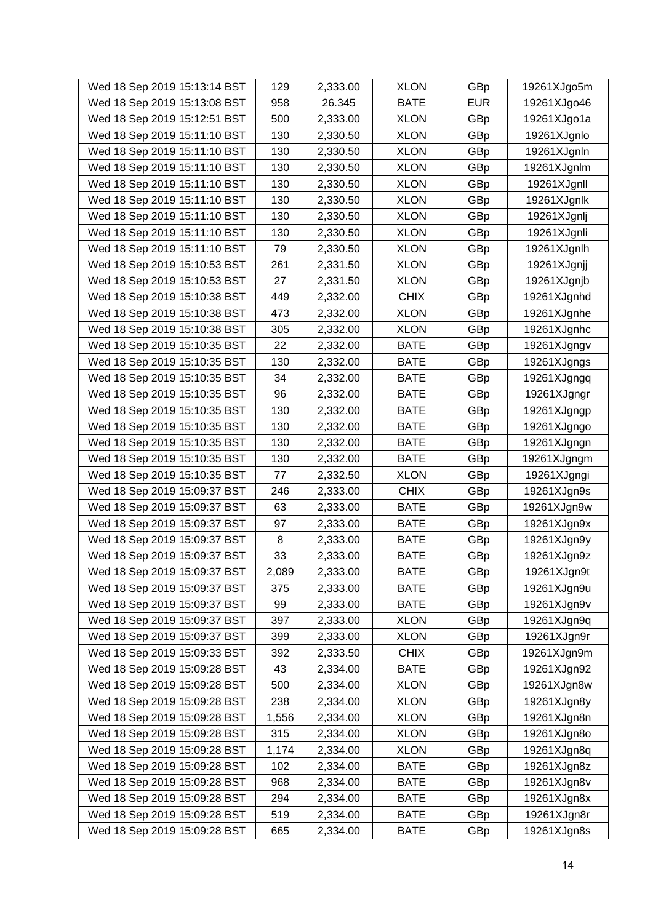| Wed 18 Sep 2019 15:13:14 BST | 129   | 2,333.00 | <b>XLON</b> | GBp        | 19261XJgo5m |
|------------------------------|-------|----------|-------------|------------|-------------|
| Wed 18 Sep 2019 15:13:08 BST | 958   | 26.345   | <b>BATE</b> | <b>EUR</b> | 19261XJgo46 |
| Wed 18 Sep 2019 15:12:51 BST | 500   | 2,333.00 | <b>XLON</b> | GBp        | 19261XJgo1a |
| Wed 18 Sep 2019 15:11:10 BST | 130   | 2,330.50 | <b>XLON</b> | GBp        | 19261XJgnlo |
| Wed 18 Sep 2019 15:11:10 BST | 130   | 2,330.50 | <b>XLON</b> | GBp        | 19261XJgnln |
| Wed 18 Sep 2019 15:11:10 BST | 130   | 2,330.50 | <b>XLON</b> | GBp        | 19261XJgnlm |
| Wed 18 Sep 2019 15:11:10 BST | 130   | 2,330.50 | <b>XLON</b> | GBp        | 19261XJgnll |
| Wed 18 Sep 2019 15:11:10 BST | 130   | 2,330.50 | <b>XLON</b> | GBp        | 19261XJgnlk |
| Wed 18 Sep 2019 15:11:10 BST | 130   | 2,330.50 | <b>XLON</b> | GBp        | 19261XJgnlj |
| Wed 18 Sep 2019 15:11:10 BST | 130   | 2,330.50 | <b>XLON</b> | GBp        | 19261XJgnli |
| Wed 18 Sep 2019 15:11:10 BST | 79    | 2,330.50 | <b>XLON</b> | GBp        | 19261XJgnlh |
| Wed 18 Sep 2019 15:10:53 BST | 261   | 2,331.50 | <b>XLON</b> | GBp        | 19261XJgnjj |
| Wed 18 Sep 2019 15:10:53 BST | 27    | 2,331.50 | <b>XLON</b> | GBp        | 19261XJgnjb |
| Wed 18 Sep 2019 15:10:38 BST | 449   | 2,332.00 | <b>CHIX</b> | GBp        | 19261XJgnhd |
| Wed 18 Sep 2019 15:10:38 BST | 473   | 2,332.00 | <b>XLON</b> | GBp        | 19261XJgnhe |
| Wed 18 Sep 2019 15:10:38 BST | 305   | 2,332.00 | <b>XLON</b> | GBp        | 19261XJgnhc |
| Wed 18 Sep 2019 15:10:35 BST | 22    | 2,332.00 | <b>BATE</b> | GBp        | 19261XJgngv |
| Wed 18 Sep 2019 15:10:35 BST | 130   | 2,332.00 | <b>BATE</b> | GBp        | 19261XJgngs |
| Wed 18 Sep 2019 15:10:35 BST | 34    | 2,332.00 | <b>BATE</b> | GBp        | 19261XJgngq |
| Wed 18 Sep 2019 15:10:35 BST | 96    | 2,332.00 | <b>BATE</b> | GBp        | 19261XJgngr |
| Wed 18 Sep 2019 15:10:35 BST | 130   | 2,332.00 | <b>BATE</b> | GBp        | 19261XJgngp |
| Wed 18 Sep 2019 15:10:35 BST | 130   | 2,332.00 | <b>BATE</b> | GBp        | 19261XJgngo |
| Wed 18 Sep 2019 15:10:35 BST | 130   | 2,332.00 | <b>BATE</b> | GBp        | 19261XJgngn |
| Wed 18 Sep 2019 15:10:35 BST | 130   | 2,332.00 | <b>BATE</b> | GBp        | 19261XJgngm |
| Wed 18 Sep 2019 15:10:35 BST | 77    | 2,332.50 | <b>XLON</b> | GBp        | 19261XJgngi |
| Wed 18 Sep 2019 15:09:37 BST | 246   | 2,333.00 | <b>CHIX</b> | GBp        | 19261XJgn9s |
| Wed 18 Sep 2019 15:09:37 BST | 63    | 2,333.00 | <b>BATE</b> | GBp        | 19261XJgn9w |
| Wed 18 Sep 2019 15:09:37 BST | 97    | 2,333.00 | <b>BATE</b> | GBp        | 19261XJgn9x |
| Wed 18 Sep 2019 15:09:37 BST | 8     | 2,333.00 | <b>BATE</b> | GBp        | 19261XJgn9y |
| Wed 18 Sep 2019 15:09:37 BST | 33    | 2,333.00 | <b>BATE</b> | GBp        | 19261XJgn9z |
| Wed 18 Sep 2019 15:09:37 BST | 2,089 | 2,333.00 | <b>BATE</b> | GBp        | 19261XJgn9t |
| Wed 18 Sep 2019 15:09:37 BST | 375   | 2,333.00 | <b>BATE</b> | GBp        | 19261XJgn9u |
| Wed 18 Sep 2019 15:09:37 BST | 99    | 2,333.00 | <b>BATE</b> | GBp        | 19261XJgn9v |
| Wed 18 Sep 2019 15:09:37 BST | 397   | 2,333.00 | <b>XLON</b> | GBp        | 19261XJgn9q |
| Wed 18 Sep 2019 15:09:37 BST | 399   | 2,333.00 | <b>XLON</b> | GBp        | 19261XJgn9r |
| Wed 18 Sep 2019 15:09:33 BST | 392   | 2,333.50 | <b>CHIX</b> | GBp        | 19261XJgn9m |
| Wed 18 Sep 2019 15:09:28 BST | 43    | 2,334.00 | <b>BATE</b> | GBp        | 19261XJgn92 |
| Wed 18 Sep 2019 15:09:28 BST | 500   | 2,334.00 | <b>XLON</b> | GBp        | 19261XJgn8w |
| Wed 18 Sep 2019 15:09:28 BST | 238   | 2,334.00 | <b>XLON</b> | GBp        | 19261XJgn8y |
| Wed 18 Sep 2019 15:09:28 BST | 1,556 | 2,334.00 | <b>XLON</b> | GBp        | 19261XJgn8n |
| Wed 18 Sep 2019 15:09:28 BST | 315   | 2,334.00 | <b>XLON</b> | GBp        | 19261XJgn8o |
| Wed 18 Sep 2019 15:09:28 BST | 1,174 | 2,334.00 | <b>XLON</b> | GBp        | 19261XJgn8q |
| Wed 18 Sep 2019 15:09:28 BST | 102   | 2,334.00 | <b>BATE</b> | GBp        | 19261XJgn8z |
| Wed 18 Sep 2019 15:09:28 BST | 968   | 2,334.00 | <b>BATE</b> | GBp        | 19261XJgn8v |
| Wed 18 Sep 2019 15:09:28 BST | 294   | 2,334.00 | <b>BATE</b> | GBp        | 19261XJgn8x |
| Wed 18 Sep 2019 15:09:28 BST | 519   | 2,334.00 | <b>BATE</b> | GBp        | 19261XJgn8r |
| Wed 18 Sep 2019 15:09:28 BST | 665   | 2,334.00 | <b>BATE</b> | GBp        | 19261XJgn8s |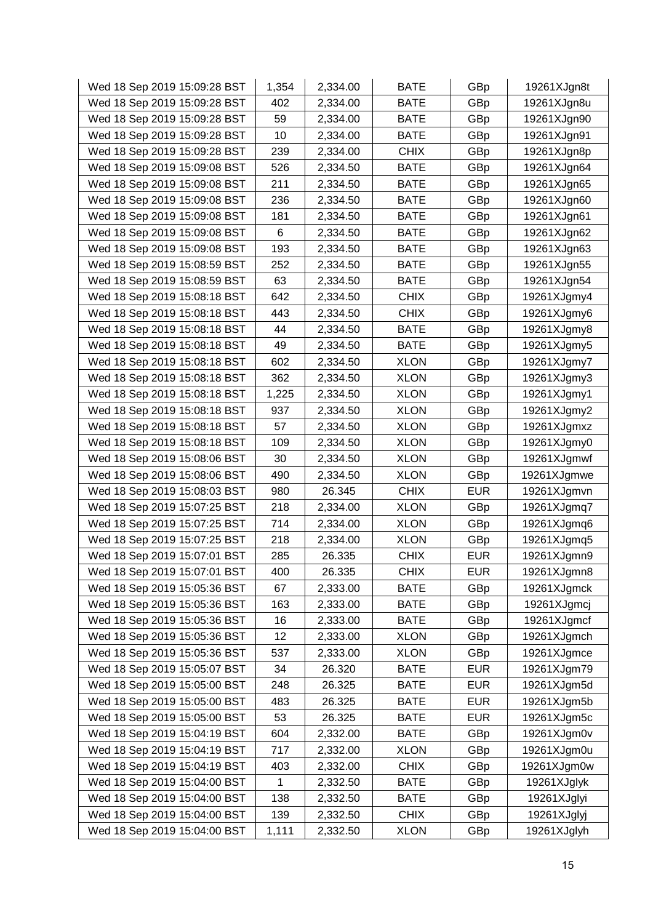| Wed 18 Sep 2019 15:09:28 BST | 1,354 | 2,334.00 | <b>BATE</b> | GBp        | 19261XJgn8t |
|------------------------------|-------|----------|-------------|------------|-------------|
| Wed 18 Sep 2019 15:09:28 BST | 402   | 2,334.00 | <b>BATE</b> | GBp        | 19261XJgn8u |
| Wed 18 Sep 2019 15:09:28 BST | 59    | 2,334.00 | <b>BATE</b> | GBp        | 19261XJgn90 |
| Wed 18 Sep 2019 15:09:28 BST | 10    | 2,334.00 | <b>BATE</b> | GBp        | 19261XJgn91 |
| Wed 18 Sep 2019 15:09:28 BST | 239   | 2,334.00 | <b>CHIX</b> | GBp        | 19261XJgn8p |
| Wed 18 Sep 2019 15:09:08 BST | 526   | 2,334.50 | <b>BATE</b> | GBp        | 19261XJgn64 |
| Wed 18 Sep 2019 15:09:08 BST | 211   | 2,334.50 | <b>BATE</b> | GBp        | 19261XJgn65 |
| Wed 18 Sep 2019 15:09:08 BST | 236   | 2,334.50 | <b>BATE</b> | GBp        | 19261XJgn60 |
| Wed 18 Sep 2019 15:09:08 BST | 181   | 2,334.50 | <b>BATE</b> | GBp        | 19261XJgn61 |
| Wed 18 Sep 2019 15:09:08 BST | 6     | 2,334.50 | <b>BATE</b> | GBp        | 19261XJgn62 |
| Wed 18 Sep 2019 15:09:08 BST | 193   | 2,334.50 | <b>BATE</b> | GBp        | 19261XJgn63 |
| Wed 18 Sep 2019 15:08:59 BST | 252   | 2,334.50 | <b>BATE</b> | GBp        | 19261XJgn55 |
| Wed 18 Sep 2019 15:08:59 BST | 63    | 2,334.50 | <b>BATE</b> | GBp        | 19261XJgn54 |
| Wed 18 Sep 2019 15:08:18 BST | 642   | 2,334.50 | <b>CHIX</b> | GBp        | 19261XJgmy4 |
| Wed 18 Sep 2019 15:08:18 BST | 443   | 2,334.50 | <b>CHIX</b> | GBp        | 19261XJgmy6 |
| Wed 18 Sep 2019 15:08:18 BST | 44    | 2,334.50 | <b>BATE</b> | GBp        | 19261XJgmy8 |
| Wed 18 Sep 2019 15:08:18 BST | 49    | 2,334.50 | <b>BATE</b> | GBp        | 19261XJgmy5 |
| Wed 18 Sep 2019 15:08:18 BST | 602   | 2,334.50 | <b>XLON</b> | GBp        | 19261XJgmy7 |
| Wed 18 Sep 2019 15:08:18 BST | 362   | 2,334.50 | <b>XLON</b> | GBp        | 19261XJgmy3 |
| Wed 18 Sep 2019 15:08:18 BST | 1,225 | 2,334.50 | <b>XLON</b> | GBp        | 19261XJgmy1 |
| Wed 18 Sep 2019 15:08:18 BST | 937   | 2,334.50 | <b>XLON</b> | GBp        | 19261XJgmy2 |
| Wed 18 Sep 2019 15:08:18 BST | 57    | 2,334.50 | <b>XLON</b> | GBp        | 19261XJgmxz |
| Wed 18 Sep 2019 15:08:18 BST | 109   | 2,334.50 | <b>XLON</b> | GBp        | 19261XJgmy0 |
| Wed 18 Sep 2019 15:08:06 BST | 30    | 2,334.50 | <b>XLON</b> | GBp        | 19261XJgmwf |
| Wed 18 Sep 2019 15:08:06 BST | 490   | 2,334.50 | <b>XLON</b> | GBp        | 19261XJgmwe |
| Wed 18 Sep 2019 15:08:03 BST | 980   | 26.345   | <b>CHIX</b> | <b>EUR</b> | 19261XJgmvn |
| Wed 18 Sep 2019 15:07:25 BST | 218   | 2,334.00 | <b>XLON</b> | GBp        | 19261XJgmq7 |
| Wed 18 Sep 2019 15:07:25 BST | 714   | 2,334.00 | <b>XLON</b> | GBp        | 19261XJgmq6 |
| Wed 18 Sep 2019 15:07:25 BST | 218   | 2,334.00 | <b>XLON</b> | GBp        | 19261XJgmq5 |
| Wed 18 Sep 2019 15:07:01 BST | 285   | 26.335   | <b>CHIX</b> | <b>EUR</b> | 19261XJgmn9 |
| Wed 18 Sep 2019 15:07:01 BST | 400   | 26.335   | <b>CHIX</b> | <b>EUR</b> | 19261XJgmn8 |
| Wed 18 Sep 2019 15:05:36 BST | 67    | 2,333.00 | <b>BATE</b> | GBp        | 19261XJgmck |
| Wed 18 Sep 2019 15:05:36 BST | 163   | 2,333.00 | <b>BATE</b> | GBp        | 19261XJgmcj |
| Wed 18 Sep 2019 15:05:36 BST | 16    | 2,333.00 | <b>BATE</b> | GBp        | 19261XJgmcf |
| Wed 18 Sep 2019 15:05:36 BST | 12    | 2,333.00 | <b>XLON</b> | GBp        | 19261XJgmch |
| Wed 18 Sep 2019 15:05:36 BST | 537   | 2,333.00 | <b>XLON</b> | GBp        | 19261XJgmce |
| Wed 18 Sep 2019 15:05:07 BST | 34    | 26.320   | <b>BATE</b> | <b>EUR</b> | 19261XJgm79 |
| Wed 18 Sep 2019 15:05:00 BST | 248   | 26.325   | <b>BATE</b> | <b>EUR</b> | 19261XJgm5d |
| Wed 18 Sep 2019 15:05:00 BST | 483   | 26.325   | <b>BATE</b> | <b>EUR</b> | 19261XJgm5b |
| Wed 18 Sep 2019 15:05:00 BST | 53    | 26.325   | <b>BATE</b> | <b>EUR</b> | 19261XJgm5c |
| Wed 18 Sep 2019 15:04:19 BST | 604   | 2,332.00 | <b>BATE</b> | GBp        | 19261XJgm0v |
| Wed 18 Sep 2019 15:04:19 BST | 717   | 2,332.00 | <b>XLON</b> | GBp        | 19261XJgm0u |
| Wed 18 Sep 2019 15:04:19 BST | 403   | 2,332.00 | <b>CHIX</b> | GBp        | 19261XJgm0w |
| Wed 18 Sep 2019 15:04:00 BST | 1     | 2,332.50 | <b>BATE</b> | GBp        | 19261XJglyk |
| Wed 18 Sep 2019 15:04:00 BST | 138   | 2,332.50 | <b>BATE</b> | GBp        | 19261XJglyi |
| Wed 18 Sep 2019 15:04:00 BST | 139   | 2,332.50 | <b>CHIX</b> | GBp        | 19261XJglyj |
| Wed 18 Sep 2019 15:04:00 BST | 1,111 | 2,332.50 | <b>XLON</b> | GBp        | 19261XJglyh |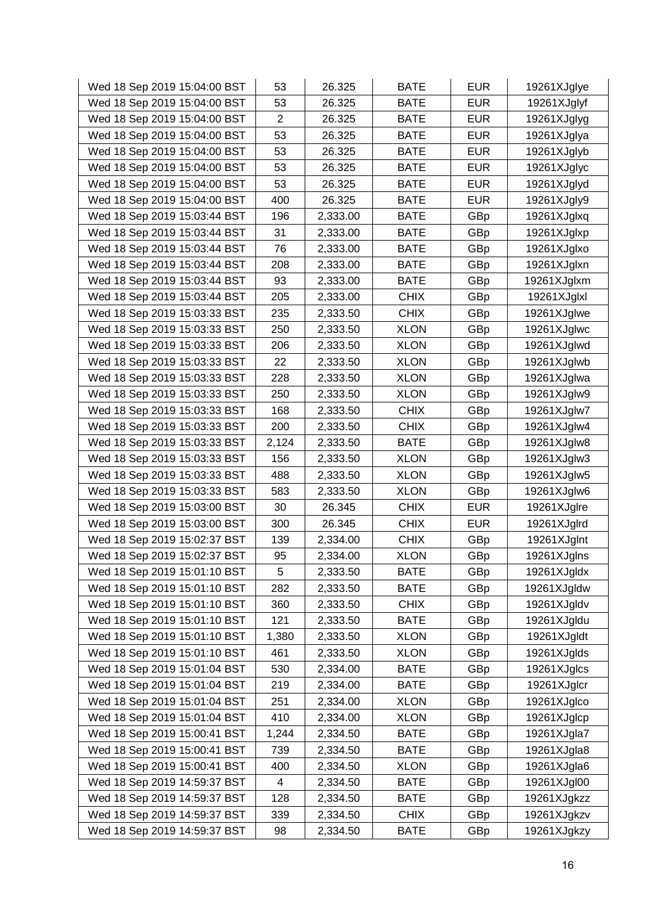| Wed 18 Sep 2019 15:04:00 BST | 53             | 26.325   | <b>BATE</b> | <b>EUR</b> | 19261XJglye |
|------------------------------|----------------|----------|-------------|------------|-------------|
| Wed 18 Sep 2019 15:04:00 BST | 53             | 26.325   | <b>BATE</b> | <b>EUR</b> | 19261XJglyf |
| Wed 18 Sep 2019 15:04:00 BST | $\overline{2}$ | 26.325   | <b>BATE</b> | <b>EUR</b> | 19261XJglyg |
| Wed 18 Sep 2019 15:04:00 BST | 53             | 26.325   | <b>BATE</b> | <b>EUR</b> | 19261XJglya |
| Wed 18 Sep 2019 15:04:00 BST | 53             | 26.325   | BATE        | <b>EUR</b> | 19261XJglyb |
| Wed 18 Sep 2019 15:04:00 BST | 53             | 26.325   | <b>BATE</b> | <b>EUR</b> | 19261XJglyc |
| Wed 18 Sep 2019 15:04:00 BST | 53             | 26.325   | <b>BATE</b> | <b>EUR</b> | 19261XJglyd |
| Wed 18 Sep 2019 15:04:00 BST | 400            | 26.325   | <b>BATE</b> | <b>EUR</b> | 19261XJgly9 |
| Wed 18 Sep 2019 15:03:44 BST | 196            | 2,333.00 | <b>BATE</b> | GBp        | 19261XJglxg |
| Wed 18 Sep 2019 15:03:44 BST | 31             | 2,333.00 | <b>BATE</b> | GBp        | 19261XJglxp |
| Wed 18 Sep 2019 15:03:44 BST | 76             | 2,333.00 | <b>BATE</b> | GBp        | 19261XJglxo |
| Wed 18 Sep 2019 15:03:44 BST | 208            | 2,333.00 | <b>BATE</b> | GBp        | 19261XJglxn |
| Wed 18 Sep 2019 15:03:44 BST | 93             | 2,333.00 | <b>BATE</b> | GBp        | 19261XJglxm |
| Wed 18 Sep 2019 15:03:44 BST | 205            | 2,333.00 | <b>CHIX</b> | GBp        | 19261XJglxl |
| Wed 18 Sep 2019 15:03:33 BST | 235            | 2,333.50 | <b>CHIX</b> | GBp        | 19261XJglwe |
| Wed 18 Sep 2019 15:03:33 BST | 250            | 2,333.50 | <b>XLON</b> | GBp        | 19261XJglwc |
| Wed 18 Sep 2019 15:03:33 BST | 206            | 2,333.50 | <b>XLON</b> | GBp        | 19261XJglwd |
| Wed 18 Sep 2019 15:03:33 BST | 22             | 2,333.50 | <b>XLON</b> | GBp        | 19261XJglwb |
| Wed 18 Sep 2019 15:03:33 BST | 228            | 2,333.50 | <b>XLON</b> | GBp        | 19261XJglwa |
| Wed 18 Sep 2019 15:03:33 BST | 250            | 2,333.50 | <b>XLON</b> | GBp        | 19261XJglw9 |
| Wed 18 Sep 2019 15:03:33 BST | 168            | 2,333.50 | <b>CHIX</b> | GBp        | 19261XJglw7 |
| Wed 18 Sep 2019 15:03:33 BST | 200            | 2,333.50 | <b>CHIX</b> | GBp        | 19261XJglw4 |
| Wed 18 Sep 2019 15:03:33 BST | 2,124          | 2,333.50 | <b>BATE</b> | GBp        | 19261XJglw8 |
| Wed 18 Sep 2019 15:03:33 BST | 156            | 2,333.50 | <b>XLON</b> | GBp        | 19261XJglw3 |
| Wed 18 Sep 2019 15:03:33 BST | 488            | 2,333.50 | <b>XLON</b> | GBp        | 19261XJglw5 |
| Wed 18 Sep 2019 15:03:33 BST | 583            | 2,333.50 | <b>XLON</b> | GBp        | 19261XJglw6 |
| Wed 18 Sep 2019 15:03:00 BST | 30             | 26.345   | <b>CHIX</b> | <b>EUR</b> | 19261XJglre |
| Wed 18 Sep 2019 15:03:00 BST | 300            | 26.345   | <b>CHIX</b> | <b>EUR</b> | 19261XJglrd |
| Wed 18 Sep 2019 15:02:37 BST | 139            | 2,334.00 | <b>CHIX</b> | GBp        | 19261XJgInt |
| Wed 18 Sep 2019 15:02:37 BST | 95             | 2,334.00 | <b>XLON</b> | GBp        | 19261XJglns |
| Wed 18 Sep 2019 15:01:10 BST | 5              | 2,333.50 | <b>BATE</b> | GBp        | 19261XJgldx |
| Wed 18 Sep 2019 15:01:10 BST | 282            | 2,333.50 | <b>BATE</b> | GBp        | 19261XJgldw |
| Wed 18 Sep 2019 15:01:10 BST | 360            | 2,333.50 | <b>CHIX</b> | GBp        | 19261XJgldv |
| Wed 18 Sep 2019 15:01:10 BST | 121            | 2,333.50 | <b>BATE</b> | GBp        | 19261XJgldu |
| Wed 18 Sep 2019 15:01:10 BST | 1,380          | 2,333.50 | <b>XLON</b> | GBp        | 19261XJgldt |
| Wed 18 Sep 2019 15:01:10 BST | 461            | 2,333.50 | <b>XLON</b> | GBp        | 19261XJglds |
| Wed 18 Sep 2019 15:01:04 BST | 530            | 2,334.00 | <b>BATE</b> | GBp        | 19261XJglcs |
| Wed 18 Sep 2019 15:01:04 BST | 219            | 2,334.00 | <b>BATE</b> | GBp        | 19261XJglcr |
| Wed 18 Sep 2019 15:01:04 BST | 251            | 2,334.00 | <b>XLON</b> | GBp        | 19261XJglco |
| Wed 18 Sep 2019 15:01:04 BST | 410            | 2,334.00 | <b>XLON</b> | GBp        | 19261XJglcp |
| Wed 18 Sep 2019 15:00:41 BST | 1,244          | 2,334.50 | <b>BATE</b> | GBp        | 19261XJgla7 |
| Wed 18 Sep 2019 15:00:41 BST | 739            | 2,334.50 | <b>BATE</b> | GBp        | 19261XJgla8 |
| Wed 18 Sep 2019 15:00:41 BST | 400            | 2,334.50 | <b>XLON</b> | GBp        | 19261XJgla6 |
| Wed 18 Sep 2019 14:59:37 BST | 4              | 2,334.50 | <b>BATE</b> | GBp        | 19261XJgl00 |
| Wed 18 Sep 2019 14:59:37 BST | 128            | 2,334.50 | <b>BATE</b> | GBp        | 19261XJgkzz |
| Wed 18 Sep 2019 14:59:37 BST | 339            | 2,334.50 | <b>CHIX</b> | GBp        | 19261XJgkzv |
| Wed 18 Sep 2019 14:59:37 BST | 98             | 2,334.50 | <b>BATE</b> | GBp        | 19261XJgkzy |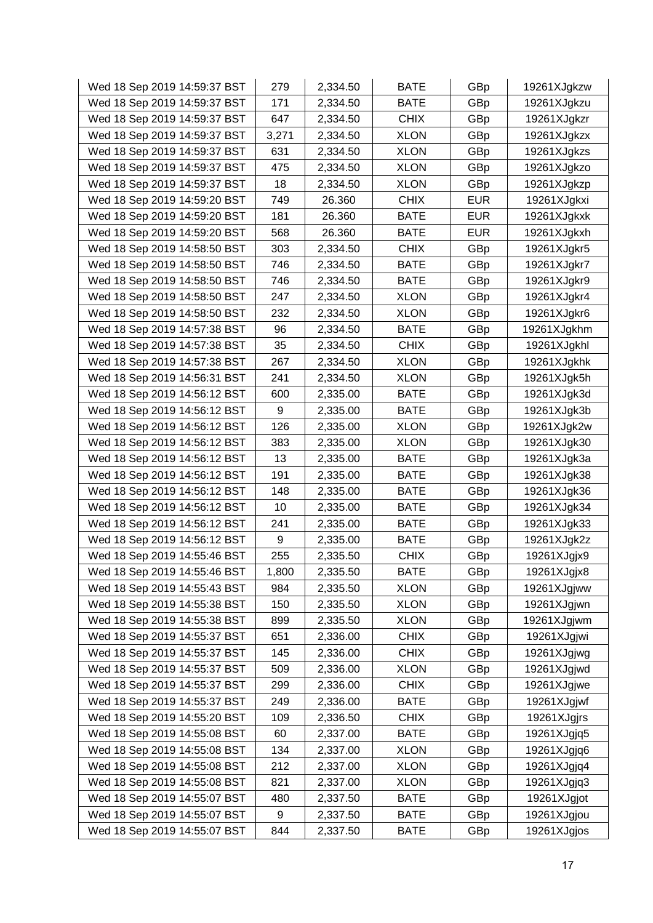| Wed 18 Sep 2019 14:59:37 BST | 279   | 2,334.50 | <b>BATE</b> | GBp        | 19261XJgkzw |
|------------------------------|-------|----------|-------------|------------|-------------|
| Wed 18 Sep 2019 14:59:37 BST | 171   | 2,334.50 | <b>BATE</b> | GBp        | 19261XJgkzu |
| Wed 18 Sep 2019 14:59:37 BST | 647   | 2,334.50 | <b>CHIX</b> | GBp        | 19261XJgkzr |
| Wed 18 Sep 2019 14:59:37 BST | 3,271 | 2,334.50 | <b>XLON</b> | GBp        | 19261XJgkzx |
| Wed 18 Sep 2019 14:59:37 BST | 631   | 2,334.50 | <b>XLON</b> | GBp        | 19261XJgkzs |
| Wed 18 Sep 2019 14:59:37 BST | 475   | 2,334.50 | <b>XLON</b> | GBp        | 19261XJgkzo |
| Wed 18 Sep 2019 14:59:37 BST | 18    | 2,334.50 | <b>XLON</b> | GBp        | 19261XJgkzp |
| Wed 18 Sep 2019 14:59:20 BST | 749   | 26.360   | <b>CHIX</b> | <b>EUR</b> | 19261XJgkxi |
| Wed 18 Sep 2019 14:59:20 BST | 181   | 26.360   | <b>BATE</b> | <b>EUR</b> | 19261XJgkxk |
| Wed 18 Sep 2019 14:59:20 BST | 568   | 26.360   | <b>BATE</b> | <b>EUR</b> | 19261XJgkxh |
| Wed 18 Sep 2019 14:58:50 BST | 303   | 2,334.50 | <b>CHIX</b> | GBp        | 19261XJgkr5 |
| Wed 18 Sep 2019 14:58:50 BST | 746   | 2,334.50 | <b>BATE</b> | GBp        | 19261XJgkr7 |
| Wed 18 Sep 2019 14:58:50 BST | 746   | 2,334.50 | <b>BATE</b> | GBp        | 19261XJgkr9 |
| Wed 18 Sep 2019 14:58:50 BST | 247   | 2,334.50 | <b>XLON</b> | GBp        | 19261XJgkr4 |
| Wed 18 Sep 2019 14:58:50 BST | 232   | 2,334.50 | <b>XLON</b> | GBp        | 19261XJgkr6 |
| Wed 18 Sep 2019 14:57:38 BST | 96    | 2,334.50 | <b>BATE</b> | GBp        | 19261XJgkhm |
| Wed 18 Sep 2019 14:57:38 BST | 35    | 2,334.50 | <b>CHIX</b> | GBp        | 19261XJgkhl |
| Wed 18 Sep 2019 14:57:38 BST | 267   | 2,334.50 | <b>XLON</b> | GBp        | 19261XJgkhk |
| Wed 18 Sep 2019 14:56:31 BST | 241   | 2,334.50 | <b>XLON</b> | GBp        | 19261XJgk5h |
| Wed 18 Sep 2019 14:56:12 BST | 600   | 2,335.00 | <b>BATE</b> | GBp        | 19261XJgk3d |
| Wed 18 Sep 2019 14:56:12 BST | 9     | 2,335.00 | <b>BATE</b> | GBp        | 19261XJgk3b |
| Wed 18 Sep 2019 14:56:12 BST | 126   | 2,335.00 | <b>XLON</b> | GBp        | 19261XJgk2w |
| Wed 18 Sep 2019 14:56:12 BST | 383   | 2,335.00 | <b>XLON</b> | GBp        | 19261XJgk30 |
| Wed 18 Sep 2019 14:56:12 BST | 13    | 2,335.00 | <b>BATE</b> | GBp        | 19261XJgk3a |
| Wed 18 Sep 2019 14:56:12 BST | 191   | 2,335.00 | <b>BATE</b> | GBp        | 19261XJgk38 |
| Wed 18 Sep 2019 14:56:12 BST | 148   | 2,335.00 | <b>BATE</b> | GBp        | 19261XJgk36 |
| Wed 18 Sep 2019 14:56:12 BST | 10    | 2,335.00 | <b>BATE</b> | GBp        | 19261XJgk34 |
| Wed 18 Sep 2019 14:56:12 BST | 241   | 2,335.00 | <b>BATE</b> | GBp        | 19261XJgk33 |
| Wed 18 Sep 2019 14:56:12 BST | 9     | 2,335.00 | <b>BATE</b> | GBp        | 19261XJgk2z |
| Wed 18 Sep 2019 14:55:46 BST | 255   | 2,335.50 | <b>CHIX</b> | GBp        | 19261XJgjx9 |
| Wed 18 Sep 2019 14:55:46 BST | 1,800 | 2,335.50 | <b>BATE</b> | GBp        | 19261XJgjx8 |
| Wed 18 Sep 2019 14:55:43 BST | 984   | 2,335.50 | <b>XLON</b> | GBp        | 19261XJgjww |
| Wed 18 Sep 2019 14:55:38 BST | 150   | 2,335.50 | <b>XLON</b> | GBp        | 19261XJgjwn |
| Wed 18 Sep 2019 14:55:38 BST | 899   | 2,335.50 | <b>XLON</b> | GBp        | 19261XJgjwm |
| Wed 18 Sep 2019 14:55:37 BST | 651   | 2,336.00 | <b>CHIX</b> | GBp        | 19261XJgjwi |
| Wed 18 Sep 2019 14:55:37 BST | 145   | 2,336.00 | <b>CHIX</b> | GBp        | 19261XJgjwg |
| Wed 18 Sep 2019 14:55:37 BST | 509   | 2,336.00 | <b>XLON</b> | GBp        | 19261XJgjwd |
| Wed 18 Sep 2019 14:55:37 BST | 299   | 2,336.00 | <b>CHIX</b> | GBp        | 19261XJgjwe |
| Wed 18 Sep 2019 14:55:37 BST | 249   | 2,336.00 | <b>BATE</b> | GBp        | 19261XJgjwf |
| Wed 18 Sep 2019 14:55:20 BST | 109   | 2,336.50 | <b>CHIX</b> | GBp        | 19261XJgjrs |
| Wed 18 Sep 2019 14:55:08 BST | 60    | 2,337.00 | <b>BATE</b> | GBp        | 19261XJgjq5 |
| Wed 18 Sep 2019 14:55:08 BST | 134   | 2,337.00 | <b>XLON</b> | GBp        | 19261XJgjq6 |
| Wed 18 Sep 2019 14:55:08 BST | 212   | 2,337.00 | <b>XLON</b> | GBp        | 19261XJgjq4 |
| Wed 18 Sep 2019 14:55:08 BST | 821   | 2,337.00 | <b>XLON</b> | GBp        | 19261XJgjq3 |
| Wed 18 Sep 2019 14:55:07 BST | 480   | 2,337.50 | <b>BATE</b> | GBp        | 19261XJgjot |
| Wed 18 Sep 2019 14:55:07 BST | 9     | 2,337.50 | <b>BATE</b> | GBp        | 19261XJgjou |
| Wed 18 Sep 2019 14:55:07 BST | 844   | 2,337.50 | <b>BATE</b> | GBp        | 19261XJgjos |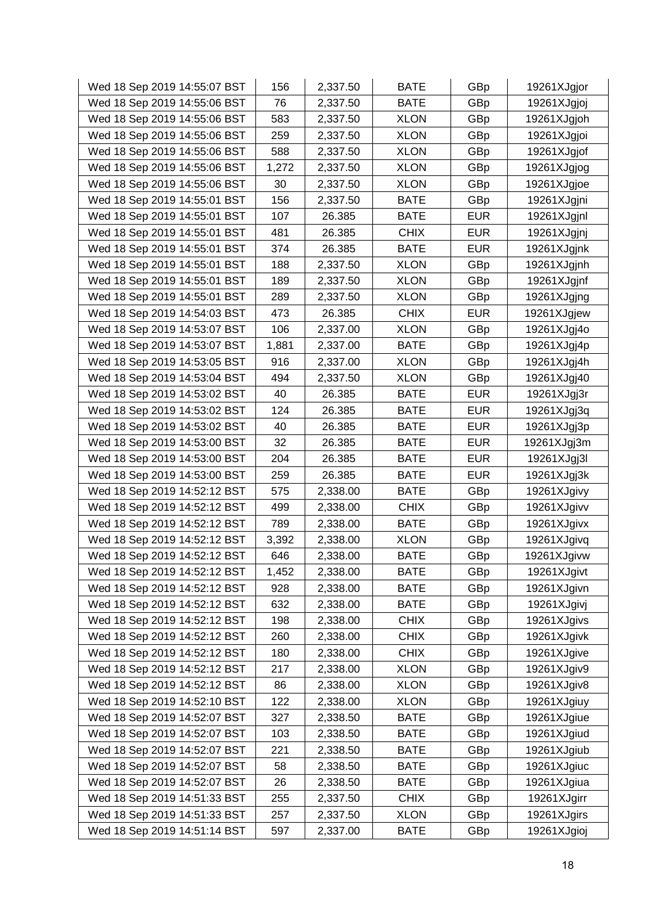| Wed 18 Sep 2019 14:55:07 BST | 156   | 2,337.50 | <b>BATE</b> | GBp        | 19261XJgjor |
|------------------------------|-------|----------|-------------|------------|-------------|
| Wed 18 Sep 2019 14:55:06 BST | 76    | 2,337.50 | <b>BATE</b> | GBp        | 19261XJgjoj |
| Wed 18 Sep 2019 14:55:06 BST | 583   | 2,337.50 | <b>XLON</b> | GBp        | 19261XJgjoh |
| Wed 18 Sep 2019 14:55:06 BST | 259   | 2,337.50 | <b>XLON</b> | GBp        | 19261XJgjoi |
| Wed 18 Sep 2019 14:55:06 BST | 588   | 2,337.50 | <b>XLON</b> | GBp        | 19261XJgjof |
| Wed 18 Sep 2019 14:55:06 BST | 1,272 | 2,337.50 | <b>XLON</b> | GBp        | 19261XJgjog |
| Wed 18 Sep 2019 14:55:06 BST | 30    | 2,337.50 | <b>XLON</b> | GBp        | 19261XJgjoe |
| Wed 18 Sep 2019 14:55:01 BST | 156   | 2,337.50 | <b>BATE</b> | GBp        | 19261XJgjni |
| Wed 18 Sep 2019 14:55:01 BST | 107   | 26.385   | <b>BATE</b> | <b>EUR</b> | 19261XJgjnl |
| Wed 18 Sep 2019 14:55:01 BST | 481   | 26.385   | <b>CHIX</b> | <b>EUR</b> | 19261XJgjnj |
| Wed 18 Sep 2019 14:55:01 BST | 374   | 26.385   | <b>BATE</b> | <b>EUR</b> | 19261XJgjnk |
| Wed 18 Sep 2019 14:55:01 BST | 188   | 2,337.50 | <b>XLON</b> | GBp        | 19261XJgjnh |
| Wed 18 Sep 2019 14:55:01 BST | 189   | 2,337.50 | <b>XLON</b> | GBp        | 19261XJgjnf |
| Wed 18 Sep 2019 14:55:01 BST | 289   | 2,337.50 | <b>XLON</b> | GBp        | 19261XJgjng |
| Wed 18 Sep 2019 14:54:03 BST | 473   | 26.385   | <b>CHIX</b> | <b>EUR</b> | 19261XJgjew |
| Wed 18 Sep 2019 14:53:07 BST | 106   | 2,337.00 | <b>XLON</b> | GBp        | 19261XJgj4o |
| Wed 18 Sep 2019 14:53:07 BST | 1,881 | 2,337.00 | <b>BATE</b> | GBp        | 19261XJgj4p |
| Wed 18 Sep 2019 14:53:05 BST | 916   | 2,337.00 | <b>XLON</b> | GBp        | 19261XJgj4h |
| Wed 18 Sep 2019 14:53:04 BST | 494   | 2,337.50 | <b>XLON</b> | GBp        | 19261XJgj40 |
| Wed 18 Sep 2019 14:53:02 BST | 40    | 26.385   | <b>BATE</b> | <b>EUR</b> | 19261XJgj3r |
| Wed 18 Sep 2019 14:53:02 BST | 124   | 26.385   | <b>BATE</b> | <b>EUR</b> | 19261XJgj3q |
| Wed 18 Sep 2019 14:53:02 BST | 40    | 26.385   | <b>BATE</b> | <b>EUR</b> | 19261XJgj3p |
| Wed 18 Sep 2019 14:53:00 BST | 32    | 26.385   | <b>BATE</b> | <b>EUR</b> | 19261XJgj3m |
| Wed 18 Sep 2019 14:53:00 BST | 204   | 26.385   | <b>BATE</b> | <b>EUR</b> | 19261XJgj3l |
| Wed 18 Sep 2019 14:53:00 BST | 259   | 26.385   | <b>BATE</b> | <b>EUR</b> | 19261XJgj3k |
| Wed 18 Sep 2019 14:52:12 BST | 575   | 2,338.00 | <b>BATE</b> | GBp        | 19261XJgivy |
| Wed 18 Sep 2019 14:52:12 BST | 499   | 2,338.00 | <b>CHIX</b> | GBp        | 19261XJgivv |
| Wed 18 Sep 2019 14:52:12 BST | 789   | 2,338.00 | <b>BATE</b> | GBp        | 19261XJgivx |
| Wed 18 Sep 2019 14:52:12 BST | 3,392 | 2,338.00 | <b>XLON</b> | GBp        | 19261XJgivq |
| Wed 18 Sep 2019 14:52:12 BST | 646   | 2,338.00 | <b>BATE</b> | GBp        | 19261XJgivw |
| Wed 18 Sep 2019 14:52:12 BST | 1,452 | 2,338.00 | <b>BATE</b> | GBp        | 19261XJgivt |
| Wed 18 Sep 2019 14:52:12 BST | 928   | 2,338.00 | <b>BATE</b> | GBp        | 19261XJgivn |
| Wed 18 Sep 2019 14:52:12 BST | 632   | 2,338.00 | <b>BATE</b> | GBp        | 19261XJgivj |
| Wed 18 Sep 2019 14:52:12 BST | 198   | 2,338.00 | <b>CHIX</b> | GBp        | 19261XJgivs |
| Wed 18 Sep 2019 14:52:12 BST | 260   | 2,338.00 | <b>CHIX</b> | GBp        | 19261XJgivk |
| Wed 18 Sep 2019 14:52:12 BST | 180   | 2,338.00 | <b>CHIX</b> | GBp        | 19261XJgive |
| Wed 18 Sep 2019 14:52:12 BST | 217   | 2,338.00 | <b>XLON</b> | GBp        | 19261XJgiv9 |
| Wed 18 Sep 2019 14:52:12 BST | 86    | 2,338.00 | <b>XLON</b> | GBp        | 19261XJgiv8 |
| Wed 18 Sep 2019 14:52:10 BST | 122   | 2,338.00 | <b>XLON</b> | GBp        | 19261XJgiuy |
| Wed 18 Sep 2019 14:52:07 BST | 327   | 2,338.50 | <b>BATE</b> | GBp        | 19261XJgiue |
| Wed 18 Sep 2019 14:52:07 BST | 103   | 2,338.50 | <b>BATE</b> | GBp        | 19261XJgiud |
| Wed 18 Sep 2019 14:52:07 BST | 221   | 2,338.50 | <b>BATE</b> | GBp        | 19261XJgiub |
| Wed 18 Sep 2019 14:52:07 BST | 58    | 2,338.50 | <b>BATE</b> | GBp        | 19261XJgiuc |
| Wed 18 Sep 2019 14:52:07 BST | 26    | 2,338.50 | <b>BATE</b> | GBp        | 19261XJgiua |
| Wed 18 Sep 2019 14:51:33 BST | 255   | 2,337.50 | <b>CHIX</b> | GBp        | 19261XJgirr |
| Wed 18 Sep 2019 14:51:33 BST | 257   | 2,337.50 | <b>XLON</b> | GBp        | 19261XJgirs |
| Wed 18 Sep 2019 14:51:14 BST | 597   | 2,337.00 | <b>BATE</b> | GBp        | 19261XJgioj |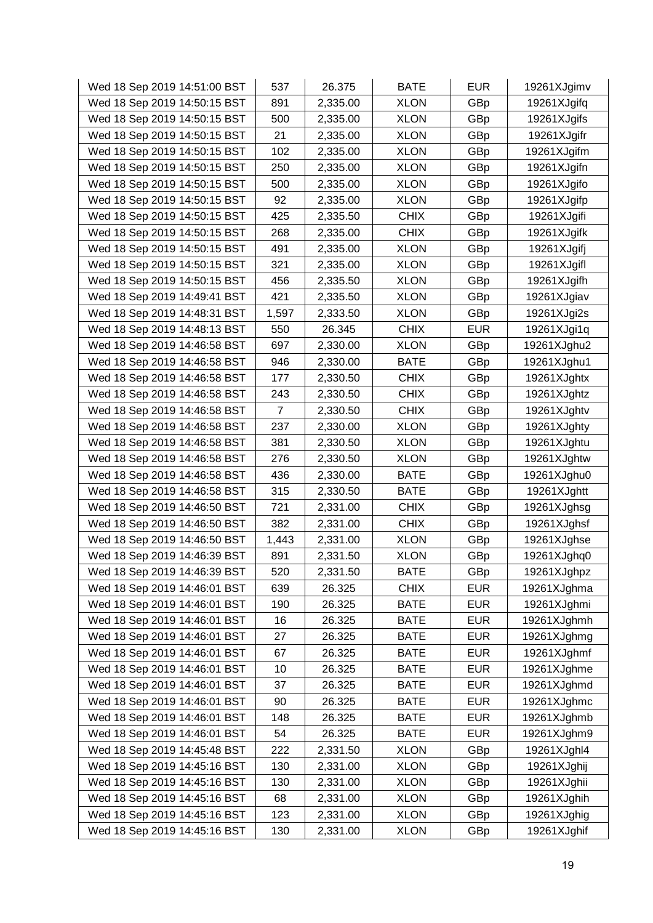| Wed 18 Sep 2019 14:51:00 BST | 537   | 26.375   | <b>BATE</b> | <b>EUR</b> | 19261XJgimv |
|------------------------------|-------|----------|-------------|------------|-------------|
| Wed 18 Sep 2019 14:50:15 BST | 891   | 2,335.00 | <b>XLON</b> | GBp        | 19261XJgifq |
| Wed 18 Sep 2019 14:50:15 BST | 500   | 2,335.00 | <b>XLON</b> | GBp        | 19261XJgifs |
| Wed 18 Sep 2019 14:50:15 BST | 21    | 2,335.00 | <b>XLON</b> | GBp        | 19261XJgifr |
| Wed 18 Sep 2019 14:50:15 BST | 102   | 2,335.00 | <b>XLON</b> | GBp        | 19261XJgifm |
| Wed 18 Sep 2019 14:50:15 BST | 250   | 2,335.00 | <b>XLON</b> | GBp        | 19261XJgifn |
| Wed 18 Sep 2019 14:50:15 BST | 500   | 2,335.00 | <b>XLON</b> | GBp        | 19261XJgifo |
| Wed 18 Sep 2019 14:50:15 BST | 92    | 2,335.00 | <b>XLON</b> | GBp        | 19261XJgifp |
| Wed 18 Sep 2019 14:50:15 BST | 425   | 2,335.50 | <b>CHIX</b> | GBp        | 19261XJgifi |
| Wed 18 Sep 2019 14:50:15 BST | 268   | 2,335.00 | <b>CHIX</b> | GBp        | 19261XJgifk |
| Wed 18 Sep 2019 14:50:15 BST | 491   | 2,335.00 | <b>XLON</b> | GBp        | 19261XJgifj |
| Wed 18 Sep 2019 14:50:15 BST | 321   | 2,335.00 | <b>XLON</b> | GBp        | 19261XJgifl |
| Wed 18 Sep 2019 14:50:15 BST | 456   | 2,335.50 | <b>XLON</b> | GBp        | 19261XJgifh |
| Wed 18 Sep 2019 14:49:41 BST | 421   | 2,335.50 | <b>XLON</b> | GBp        | 19261XJgiav |
| Wed 18 Sep 2019 14:48:31 BST | 1,597 | 2,333.50 | <b>XLON</b> | GBp        | 19261XJgi2s |
| Wed 18 Sep 2019 14:48:13 BST | 550   | 26.345   | <b>CHIX</b> | <b>EUR</b> | 19261XJgi1q |
| Wed 18 Sep 2019 14:46:58 BST | 697   | 2,330.00 | <b>XLON</b> | GBp        | 19261XJghu2 |
| Wed 18 Sep 2019 14:46:58 BST | 946   | 2,330.00 | <b>BATE</b> | GBp        | 19261XJghu1 |
| Wed 18 Sep 2019 14:46:58 BST | 177   | 2,330.50 | <b>CHIX</b> | GBp        | 19261XJghtx |
| Wed 18 Sep 2019 14:46:58 BST | 243   | 2,330.50 | <b>CHIX</b> | GBp        | 19261XJghtz |
| Wed 18 Sep 2019 14:46:58 BST | 7     | 2,330.50 | <b>CHIX</b> | GBp        | 19261XJghtv |
| Wed 18 Sep 2019 14:46:58 BST | 237   | 2,330.00 | <b>XLON</b> | GBp        | 19261XJghty |
| Wed 18 Sep 2019 14:46:58 BST | 381   | 2,330.50 | <b>XLON</b> | GBp        | 19261XJghtu |
| Wed 18 Sep 2019 14:46:58 BST | 276   | 2,330.50 | <b>XLON</b> | GBp        | 19261XJghtw |
| Wed 18 Sep 2019 14:46:58 BST | 436   | 2,330.00 | <b>BATE</b> | GBp        | 19261XJghu0 |
| Wed 18 Sep 2019 14:46:58 BST | 315   | 2,330.50 | <b>BATE</b> | GBp        | 19261XJghtt |
| Wed 18 Sep 2019 14:46:50 BST | 721   | 2,331.00 | <b>CHIX</b> | GBp        | 19261XJghsg |
| Wed 18 Sep 2019 14:46:50 BST | 382   | 2,331.00 | <b>CHIX</b> | GBp        | 19261XJghsf |
| Wed 18 Sep 2019 14:46:50 BST | 1,443 | 2,331.00 | <b>XLON</b> | GBp        | 19261XJghse |
| Wed 18 Sep 2019 14:46:39 BST | 891   | 2,331.50 | <b>XLON</b> | GBp        | 19261XJghq0 |
| Wed 18 Sep 2019 14:46:39 BST | 520   | 2,331.50 | <b>BATE</b> | GBp        | 19261XJghpz |
| Wed 18 Sep 2019 14:46:01 BST | 639   | 26.325   | <b>CHIX</b> | <b>EUR</b> | 19261XJghma |
| Wed 18 Sep 2019 14:46:01 BST | 190   | 26.325   | <b>BATE</b> | <b>EUR</b> | 19261XJghmi |
| Wed 18 Sep 2019 14:46:01 BST | 16    | 26.325   | <b>BATE</b> | <b>EUR</b> | 19261XJghmh |
| Wed 18 Sep 2019 14:46:01 BST | 27    | 26.325   | <b>BATE</b> | <b>EUR</b> | 19261XJghmg |
| Wed 18 Sep 2019 14:46:01 BST | 67    | 26.325   | <b>BATE</b> | <b>EUR</b> | 19261XJghmf |
| Wed 18 Sep 2019 14:46:01 BST | 10    | 26.325   | <b>BATE</b> | <b>EUR</b> | 19261XJghme |
| Wed 18 Sep 2019 14:46:01 BST | 37    | 26.325   | <b>BATE</b> | <b>EUR</b> | 19261XJghmd |
| Wed 18 Sep 2019 14:46:01 BST | 90    | 26.325   | <b>BATE</b> | <b>EUR</b> | 19261XJghmc |
| Wed 18 Sep 2019 14:46:01 BST | 148   | 26.325   | <b>BATE</b> | <b>EUR</b> | 19261XJghmb |
| Wed 18 Sep 2019 14:46:01 BST | 54    | 26.325   | <b>BATE</b> | <b>EUR</b> | 19261XJghm9 |
| Wed 18 Sep 2019 14:45:48 BST | 222   | 2,331.50 | <b>XLON</b> | GBp        | 19261XJghl4 |
| Wed 18 Sep 2019 14:45:16 BST | 130   | 2,331.00 | <b>XLON</b> | GBp        | 19261XJghij |
| Wed 18 Sep 2019 14:45:16 BST | 130   | 2,331.00 | <b>XLON</b> | GBp        | 19261XJghii |
| Wed 18 Sep 2019 14:45:16 BST | 68    | 2,331.00 | <b>XLON</b> | GBp        | 19261XJghih |
| Wed 18 Sep 2019 14:45:16 BST | 123   | 2,331.00 | <b>XLON</b> | GBp        | 19261XJghig |
| Wed 18 Sep 2019 14:45:16 BST | 130   | 2,331.00 | <b>XLON</b> | GBp        | 19261XJghif |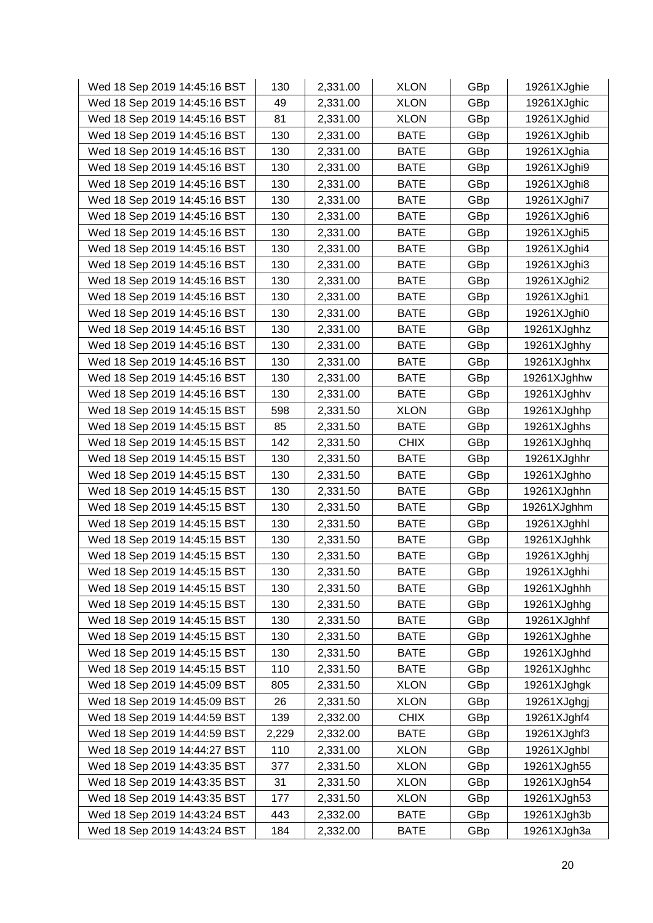| Wed 18 Sep 2019 14:45:16 BST | 130   | 2,331.00 | <b>XLON</b> | GBp | 19261XJghie |
|------------------------------|-------|----------|-------------|-----|-------------|
| Wed 18 Sep 2019 14:45:16 BST | 49    | 2,331.00 | <b>XLON</b> | GBp | 19261XJghic |
| Wed 18 Sep 2019 14:45:16 BST | 81    | 2,331.00 | <b>XLON</b> | GBp | 19261XJghid |
| Wed 18 Sep 2019 14:45:16 BST | 130   | 2,331.00 | <b>BATE</b> | GBp | 19261XJghib |
| Wed 18 Sep 2019 14:45:16 BST | 130   | 2,331.00 | BATE        | GBp | 19261XJghia |
| Wed 18 Sep 2019 14:45:16 BST | 130   | 2,331.00 | <b>BATE</b> | GBp | 19261XJghi9 |
| Wed 18 Sep 2019 14:45:16 BST | 130   | 2,331.00 | <b>BATE</b> | GBp | 19261XJghi8 |
| Wed 18 Sep 2019 14:45:16 BST | 130   | 2,331.00 | <b>BATE</b> | GBp | 19261XJghi7 |
| Wed 18 Sep 2019 14:45:16 BST | 130   | 2,331.00 | <b>BATE</b> | GBp | 19261XJghi6 |
| Wed 18 Sep 2019 14:45:16 BST | 130   | 2,331.00 | <b>BATE</b> | GBp | 19261XJghi5 |
| Wed 18 Sep 2019 14:45:16 BST | 130   | 2,331.00 | <b>BATE</b> | GBp | 19261XJghi4 |
| Wed 18 Sep 2019 14:45:16 BST | 130   | 2,331.00 | <b>BATE</b> | GBp | 19261XJghi3 |
| Wed 18 Sep 2019 14:45:16 BST | 130   | 2,331.00 | <b>BATE</b> | GBp | 19261XJghi2 |
| Wed 18 Sep 2019 14:45:16 BST | 130   | 2,331.00 | <b>BATE</b> | GBp | 19261XJghi1 |
| Wed 18 Sep 2019 14:45:16 BST | 130   | 2,331.00 | <b>BATE</b> | GBp | 19261XJghi0 |
| Wed 18 Sep 2019 14:45:16 BST | 130   | 2,331.00 | <b>BATE</b> | GBp | 19261XJghhz |
| Wed 18 Sep 2019 14:45:16 BST | 130   | 2,331.00 | <b>BATE</b> | GBp | 19261XJghhy |
| Wed 18 Sep 2019 14:45:16 BST | 130   | 2,331.00 | <b>BATE</b> | GBp | 19261XJghhx |
| Wed 18 Sep 2019 14:45:16 BST | 130   | 2,331.00 | <b>BATE</b> | GBp | 19261XJghhw |
| Wed 18 Sep 2019 14:45:16 BST | 130   | 2,331.00 | <b>BATE</b> | GBp | 19261XJghhv |
| Wed 18 Sep 2019 14:45:15 BST | 598   | 2,331.50 | <b>XLON</b> | GBp | 19261XJghhp |
| Wed 18 Sep 2019 14:45:15 BST | 85    | 2,331.50 | <b>BATE</b> | GBp | 19261XJghhs |
| Wed 18 Sep 2019 14:45:15 BST | 142   | 2,331.50 | <b>CHIX</b> | GBp | 19261XJghhq |
| Wed 18 Sep 2019 14:45:15 BST | 130   | 2,331.50 | <b>BATE</b> | GBp | 19261XJghhr |
| Wed 18 Sep 2019 14:45:15 BST | 130   | 2,331.50 | <b>BATE</b> | GBp | 19261XJghho |
| Wed 18 Sep 2019 14:45:15 BST | 130   | 2,331.50 | <b>BATE</b> | GBp | 19261XJghhn |
| Wed 18 Sep 2019 14:45:15 BST | 130   | 2,331.50 | <b>BATE</b> | GBp | 19261XJghhm |
| Wed 18 Sep 2019 14:45:15 BST | 130   | 2,331.50 | <b>BATE</b> | GBp | 19261XJghhl |
| Wed 18 Sep 2019 14:45:15 BST | 130   | 2,331.50 | <b>BATE</b> | GBp | 19261XJghhk |
| Wed 18 Sep 2019 14:45:15 BST | 130   | 2,331.50 | <b>BATE</b> | GBp | 19261XJghhj |
| Wed 18 Sep 2019 14:45:15 BST | 130   | 2,331.50 | <b>BATE</b> | GBp | 19261XJghhi |
| Wed 18 Sep 2019 14:45:15 BST | 130   | 2,331.50 | <b>BATE</b> | GBp | 19261XJghhh |
| Wed 18 Sep 2019 14:45:15 BST | 130   | 2,331.50 | <b>BATE</b> | GBp | 19261XJghhg |
| Wed 18 Sep 2019 14:45:15 BST | 130   | 2,331.50 | <b>BATE</b> | GBp | 19261XJghhf |
| Wed 18 Sep 2019 14:45:15 BST | 130   | 2,331.50 | <b>BATE</b> | GBp | 19261XJghhe |
| Wed 18 Sep 2019 14:45:15 BST | 130   | 2,331.50 | <b>BATE</b> | GBp | 19261XJghhd |
| Wed 18 Sep 2019 14:45:15 BST | 110   | 2,331.50 | <b>BATE</b> | GBp | 19261XJghhc |
| Wed 18 Sep 2019 14:45:09 BST | 805   | 2,331.50 | <b>XLON</b> | GBp | 19261XJghgk |
| Wed 18 Sep 2019 14:45:09 BST | 26    | 2,331.50 | <b>XLON</b> | GBp | 19261XJghgj |
| Wed 18 Sep 2019 14:44:59 BST | 139   | 2,332.00 | <b>CHIX</b> | GBp | 19261XJghf4 |
| Wed 18 Sep 2019 14:44:59 BST | 2,229 | 2,332.00 | <b>BATE</b> | GBp | 19261XJghf3 |
| Wed 18 Sep 2019 14:44:27 BST | 110   | 2,331.00 | <b>XLON</b> | GBp | 19261XJghbl |
| Wed 18 Sep 2019 14:43:35 BST | 377   | 2,331.50 | <b>XLON</b> | GBp | 19261XJgh55 |
| Wed 18 Sep 2019 14:43:35 BST | 31    | 2,331.50 | <b>XLON</b> | GBp | 19261XJgh54 |
| Wed 18 Sep 2019 14:43:35 BST | 177   | 2,331.50 | <b>XLON</b> | GBp | 19261XJgh53 |
| Wed 18 Sep 2019 14:43:24 BST | 443   | 2,332.00 | <b>BATE</b> | GBp | 19261XJgh3b |
| Wed 18 Sep 2019 14:43:24 BST | 184   | 2,332.00 | <b>BATE</b> | GBp | 19261XJgh3a |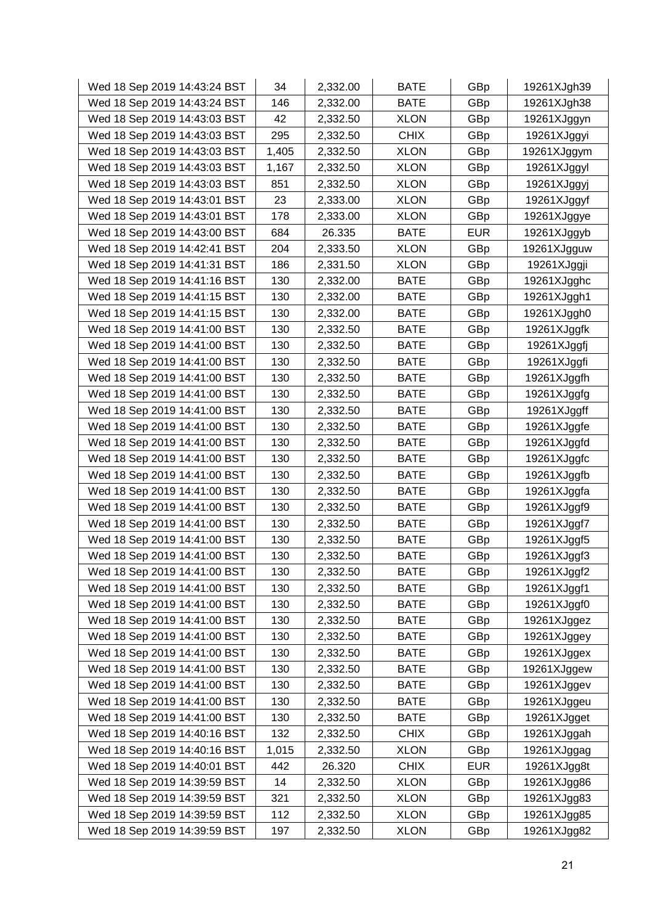| Wed 18 Sep 2019 14:43:24 BST | 34    | 2,332.00 | <b>BATE</b> | GBp        | 19261XJgh39 |
|------------------------------|-------|----------|-------------|------------|-------------|
| Wed 18 Sep 2019 14:43:24 BST | 146   | 2,332.00 | <b>BATE</b> | GBp        | 19261XJgh38 |
| Wed 18 Sep 2019 14:43:03 BST | 42    | 2,332.50 | <b>XLON</b> | GBp        | 19261XJggyn |
| Wed 18 Sep 2019 14:43:03 BST | 295   | 2,332.50 | <b>CHIX</b> | GBp        | 19261XJggyi |
| Wed 18 Sep 2019 14:43:03 BST | 1,405 | 2,332.50 | <b>XLON</b> | GBp        | 19261XJggym |
| Wed 18 Sep 2019 14:43:03 BST | 1,167 | 2,332.50 | <b>XLON</b> | GBp        | 19261XJggyl |
| Wed 18 Sep 2019 14:43:03 BST | 851   | 2,332.50 | <b>XLON</b> | GBp        | 19261XJggyj |
| Wed 18 Sep 2019 14:43:01 BST | 23    | 2,333.00 | <b>XLON</b> | GBp        | 19261XJggyf |
| Wed 18 Sep 2019 14:43:01 BST | 178   | 2,333.00 | <b>XLON</b> | GBp        | 19261XJggye |
| Wed 18 Sep 2019 14:43:00 BST | 684   | 26.335   | <b>BATE</b> | <b>EUR</b> | 19261XJggyb |
| Wed 18 Sep 2019 14:42:41 BST | 204   | 2,333.50 | <b>XLON</b> | GBp        | 19261XJgguw |
| Wed 18 Sep 2019 14:41:31 BST | 186   | 2,331.50 | <b>XLON</b> | GBp        | 19261XJggji |
| Wed 18 Sep 2019 14:41:16 BST | 130   | 2,332.00 | <b>BATE</b> | GBp        | 19261XJgghc |
| Wed 18 Sep 2019 14:41:15 BST | 130   | 2,332.00 | <b>BATE</b> | GBp        | 19261XJggh1 |
| Wed 18 Sep 2019 14:41:15 BST | 130   | 2,332.00 | <b>BATE</b> | GBp        | 19261XJggh0 |
| Wed 18 Sep 2019 14:41:00 BST | 130   | 2,332.50 | <b>BATE</b> | GBp        | 19261XJggfk |
| Wed 18 Sep 2019 14:41:00 BST | 130   | 2,332.50 | <b>BATE</b> | GBp        | 19261XJggfj |
| Wed 18 Sep 2019 14:41:00 BST | 130   | 2,332.50 | <b>BATE</b> | GBp        | 19261XJggfi |
| Wed 18 Sep 2019 14:41:00 BST | 130   | 2,332.50 | <b>BATE</b> | GBp        | 19261XJggfh |
| Wed 18 Sep 2019 14:41:00 BST | 130   | 2,332.50 | <b>BATE</b> | GBp        | 19261XJggfg |
| Wed 18 Sep 2019 14:41:00 BST | 130   | 2,332.50 | <b>BATE</b> | GBp        | 19261XJggff |
| Wed 18 Sep 2019 14:41:00 BST | 130   | 2,332.50 | <b>BATE</b> | GBp        | 19261XJggfe |
| Wed 18 Sep 2019 14:41:00 BST | 130   | 2,332.50 | BATE        | GBp        | 19261XJggfd |
| Wed 18 Sep 2019 14:41:00 BST | 130   | 2,332.50 | <b>BATE</b> | GBp        | 19261XJggfc |
| Wed 18 Sep 2019 14:41:00 BST | 130   | 2,332.50 | <b>BATE</b> | GBp        | 19261XJggfb |
| Wed 18 Sep 2019 14:41:00 BST | 130   | 2,332.50 | <b>BATE</b> | GBp        | 19261XJggfa |
| Wed 18 Sep 2019 14:41:00 BST | 130   | 2,332.50 | <b>BATE</b> | GBp        | 19261XJggf9 |
| Wed 18 Sep 2019 14:41:00 BST | 130   | 2,332.50 | <b>BATE</b> | GBp        | 19261XJggf7 |
| Wed 18 Sep 2019 14:41:00 BST | 130   | 2,332.50 | <b>BATE</b> | GBp        | 19261XJggf5 |
| Wed 18 Sep 2019 14:41:00 BST | 130   | 2,332.50 | <b>BATE</b> | GBp        | 19261XJggf3 |
| Wed 18 Sep 2019 14:41:00 BST | 130   | 2,332.50 | <b>BATE</b> | GBp        | 19261XJggf2 |
| Wed 18 Sep 2019 14:41:00 BST | 130   | 2,332.50 | <b>BATE</b> | GBp        | 19261XJggf1 |
| Wed 18 Sep 2019 14:41:00 BST | 130   | 2,332.50 | <b>BATE</b> | GBp        | 19261XJggf0 |
| Wed 18 Sep 2019 14:41:00 BST | 130   | 2,332.50 | <b>BATE</b> | GBp        | 19261XJggez |
| Wed 18 Sep 2019 14:41:00 BST | 130   | 2,332.50 | <b>BATE</b> | GBp        | 19261XJggey |
| Wed 18 Sep 2019 14:41:00 BST | 130   | 2,332.50 | BATE        | GBp        | 19261XJggex |
| Wed 18 Sep 2019 14:41:00 BST | 130   | 2,332.50 | <b>BATE</b> | GBp        | 19261XJggew |
| Wed 18 Sep 2019 14:41:00 BST | 130   | 2,332.50 | BATE        | GBp        | 19261XJggev |
| Wed 18 Sep 2019 14:41:00 BST | 130   | 2,332.50 | <b>BATE</b> | GBp        | 19261XJggeu |
| Wed 18 Sep 2019 14:41:00 BST | 130   | 2,332.50 | <b>BATE</b> | GBp        | 19261XJgget |
| Wed 18 Sep 2019 14:40:16 BST | 132   | 2,332.50 | <b>CHIX</b> | GBp        | 19261XJggah |
| Wed 18 Sep 2019 14:40:16 BST | 1,015 | 2,332.50 | <b>XLON</b> | GBp        | 19261XJggag |
| Wed 18 Sep 2019 14:40:01 BST | 442   | 26.320   | <b>CHIX</b> | <b>EUR</b> | 19261XJgg8t |
| Wed 18 Sep 2019 14:39:59 BST | 14    | 2,332.50 | <b>XLON</b> | GBp        | 19261XJgg86 |
| Wed 18 Sep 2019 14:39:59 BST | 321   | 2,332.50 | <b>XLON</b> | GBp        | 19261XJgg83 |
| Wed 18 Sep 2019 14:39:59 BST | 112   | 2,332.50 | <b>XLON</b> | GBp        | 19261XJgg85 |
| Wed 18 Sep 2019 14:39:59 BST | 197   | 2,332.50 | <b>XLON</b> | GBp        | 19261XJgg82 |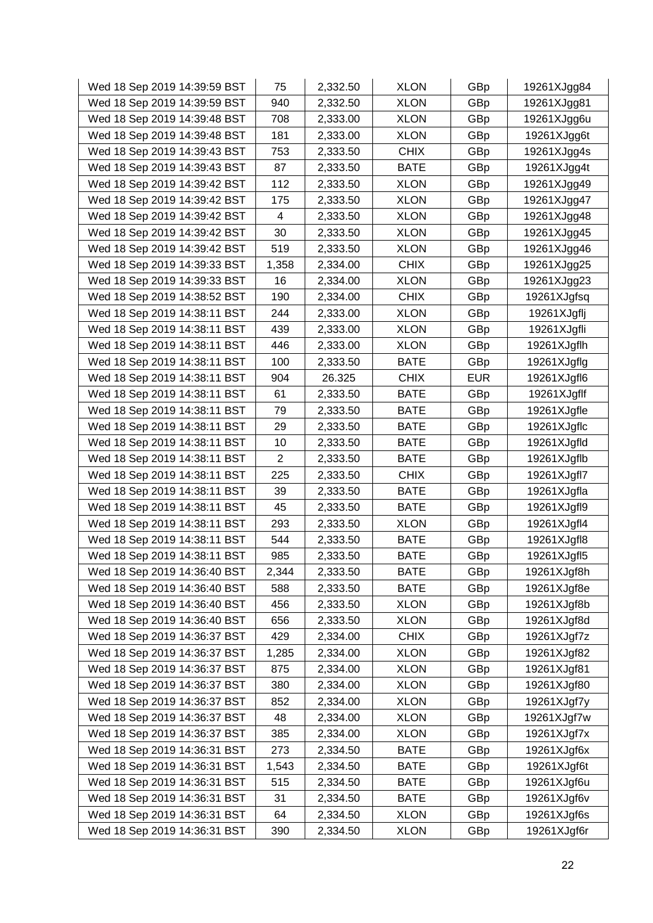| Wed 18 Sep 2019 14:39:59 BST | 75             | 2,332.50 | <b>XLON</b> | GBp        | 19261XJgg84 |
|------------------------------|----------------|----------|-------------|------------|-------------|
| Wed 18 Sep 2019 14:39:59 BST | 940            | 2,332.50 | <b>XLON</b> | GBp        | 19261XJgg81 |
| Wed 18 Sep 2019 14:39:48 BST | 708            | 2,333.00 | <b>XLON</b> | GBp        | 19261XJgg6u |
| Wed 18 Sep 2019 14:39:48 BST | 181            | 2,333.00 | <b>XLON</b> | GBp        | 19261XJgg6t |
| Wed 18 Sep 2019 14:39:43 BST | 753            | 2,333.50 | <b>CHIX</b> | GBp        | 19261XJgg4s |
| Wed 18 Sep 2019 14:39:43 BST | 87             | 2,333.50 | <b>BATE</b> | GBp        | 19261XJgg4t |
| Wed 18 Sep 2019 14:39:42 BST | 112            | 2,333.50 | <b>XLON</b> | GBp        | 19261XJgg49 |
| Wed 18 Sep 2019 14:39:42 BST | 175            | 2,333.50 | <b>XLON</b> | GBp        | 19261XJgg47 |
| Wed 18 Sep 2019 14:39:42 BST | 4              | 2,333.50 | <b>XLON</b> | GBp        | 19261XJgg48 |
| Wed 18 Sep 2019 14:39:42 BST | 30             | 2,333.50 | <b>XLON</b> | GBp        | 19261XJgg45 |
| Wed 18 Sep 2019 14:39:42 BST | 519            | 2,333.50 | <b>XLON</b> | GBp        | 19261XJgg46 |
| Wed 18 Sep 2019 14:39:33 BST | 1,358          | 2,334.00 | <b>CHIX</b> | GBp        | 19261XJgg25 |
| Wed 18 Sep 2019 14:39:33 BST | 16             | 2,334.00 | <b>XLON</b> | GBp        | 19261XJgg23 |
| Wed 18 Sep 2019 14:38:52 BST | 190            | 2,334.00 | <b>CHIX</b> | GBp        | 19261XJgfsq |
| Wed 18 Sep 2019 14:38:11 BST | 244            | 2,333.00 | <b>XLON</b> | GBp        | 19261XJgflj |
| Wed 18 Sep 2019 14:38:11 BST | 439            | 2,333.00 | <b>XLON</b> | GBp        | 19261XJgfli |
| Wed 18 Sep 2019 14:38:11 BST | 446            | 2,333.00 | <b>XLON</b> | GBp        | 19261XJgflh |
| Wed 18 Sep 2019 14:38:11 BST | 100            | 2,333.50 | <b>BATE</b> | GBp        | 19261XJgflg |
| Wed 18 Sep 2019 14:38:11 BST | 904            | 26.325   | <b>CHIX</b> | <b>EUR</b> | 19261XJgfl6 |
| Wed 18 Sep 2019 14:38:11 BST | 61             | 2,333.50 | <b>BATE</b> | GBp        | 19261XJgflf |
| Wed 18 Sep 2019 14:38:11 BST | 79             | 2,333.50 | <b>BATE</b> | GBp        | 19261XJgfle |
| Wed 18 Sep 2019 14:38:11 BST | 29             | 2,333.50 | <b>BATE</b> | GBp        | 19261XJgflc |
| Wed 18 Sep 2019 14:38:11 BST | 10             | 2,333.50 | BATE        | GBp        | 19261XJgfld |
| Wed 18 Sep 2019 14:38:11 BST | $\overline{2}$ | 2,333.50 | <b>BATE</b> | GBp        | 19261XJgflb |
| Wed 18 Sep 2019 14:38:11 BST | 225            | 2,333.50 | <b>CHIX</b> | GBp        | 19261XJgfl7 |
| Wed 18 Sep 2019 14:38:11 BST | 39             | 2,333.50 | <b>BATE</b> | GBp        | 19261XJgfla |
| Wed 18 Sep 2019 14:38:11 BST | 45             | 2,333.50 | <b>BATE</b> | GBp        | 19261XJgfl9 |
| Wed 18 Sep 2019 14:38:11 BST | 293            | 2,333.50 | <b>XLON</b> | GBp        | 19261XJgfl4 |
| Wed 18 Sep 2019 14:38:11 BST | 544            | 2,333.50 | <b>BATE</b> | GBp        | 19261XJgfl8 |
| Wed 18 Sep 2019 14:38:11 BST | 985            | 2,333.50 | <b>BATE</b> | GBp        | 19261XJgfl5 |
| Wed 18 Sep 2019 14:36:40 BST | 2,344          | 2,333.50 | <b>BATE</b> | GBp        | 19261XJgf8h |
| Wed 18 Sep 2019 14:36:40 BST | 588            | 2,333.50 | <b>BATE</b> | GBp        | 19261XJgf8e |
| Wed 18 Sep 2019 14:36:40 BST | 456            | 2,333.50 | <b>XLON</b> | GBp        | 19261XJgf8b |
| Wed 18 Sep 2019 14:36:40 BST | 656            | 2,333.50 | <b>XLON</b> | GBp        | 19261XJgf8d |
| Wed 18 Sep 2019 14:36:37 BST | 429            | 2,334.00 | <b>CHIX</b> | GBp        | 19261XJgf7z |
| Wed 18 Sep 2019 14:36:37 BST | 1,285          | 2,334.00 | <b>XLON</b> | GBp        | 19261XJgf82 |
| Wed 18 Sep 2019 14:36:37 BST | 875            | 2,334.00 | <b>XLON</b> | GBp        | 19261XJgf81 |
| Wed 18 Sep 2019 14:36:37 BST | 380            | 2,334.00 | <b>XLON</b> | GBp        | 19261XJgf80 |
| Wed 18 Sep 2019 14:36:37 BST | 852            | 2,334.00 | <b>XLON</b> | GBp        | 19261XJgf7y |
| Wed 18 Sep 2019 14:36:37 BST | 48             | 2,334.00 | <b>XLON</b> | GBp        | 19261XJgf7w |
| Wed 18 Sep 2019 14:36:37 BST | 385            | 2,334.00 | <b>XLON</b> | GBp        | 19261XJgf7x |
| Wed 18 Sep 2019 14:36:31 BST | 273            | 2,334.50 | <b>BATE</b> | GBp        | 19261XJgf6x |
| Wed 18 Sep 2019 14:36:31 BST | 1,543          | 2,334.50 | <b>BATE</b> | GBp        | 19261XJgf6t |
| Wed 18 Sep 2019 14:36:31 BST | 515            | 2,334.50 | <b>BATE</b> | GBp        | 19261XJgf6u |
| Wed 18 Sep 2019 14:36:31 BST | 31             | 2,334.50 | <b>BATE</b> | GBp        | 19261XJgf6v |
| Wed 18 Sep 2019 14:36:31 BST | 64             | 2,334.50 | <b>XLON</b> | GBp        | 19261XJgf6s |
| Wed 18 Sep 2019 14:36:31 BST | 390            | 2,334.50 | <b>XLON</b> | GBp        | 19261XJgf6r |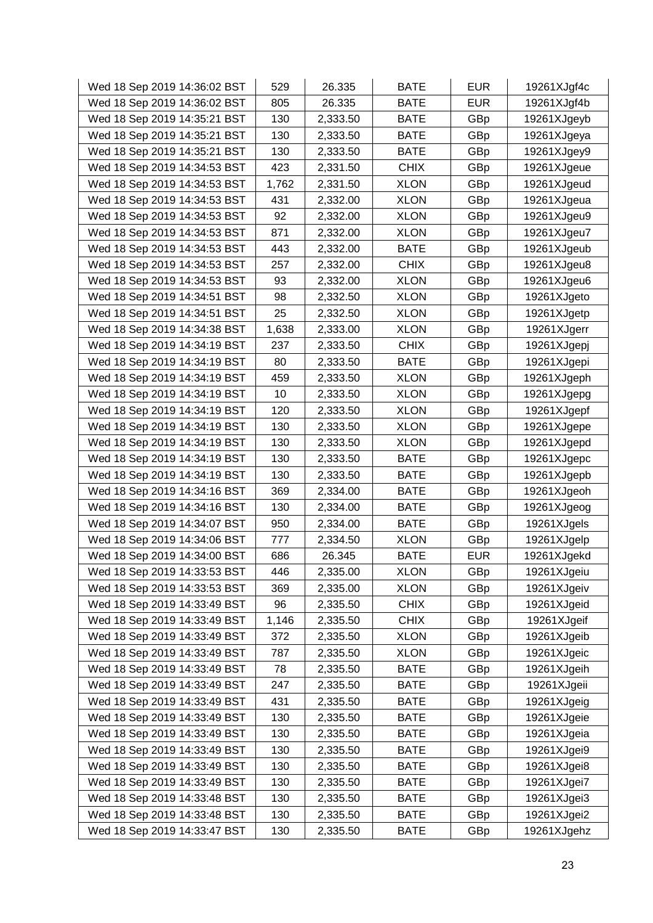| Wed 18 Sep 2019 14:36:02 BST | 529   | 26.335   | <b>BATE</b> | <b>EUR</b> | 19261XJgf4c |
|------------------------------|-------|----------|-------------|------------|-------------|
| Wed 18 Sep 2019 14:36:02 BST | 805   | 26.335   | <b>BATE</b> | <b>EUR</b> | 19261XJgf4b |
| Wed 18 Sep 2019 14:35:21 BST | 130   | 2,333.50 | <b>BATE</b> | GBp        | 19261XJgeyb |
| Wed 18 Sep 2019 14:35:21 BST | 130   | 2,333.50 | <b>BATE</b> | GBp        | 19261XJgeya |
| Wed 18 Sep 2019 14:35:21 BST | 130   | 2,333.50 | <b>BATE</b> | GBp        | 19261XJgey9 |
| Wed 18 Sep 2019 14:34:53 BST | 423   | 2,331.50 | <b>CHIX</b> | GBp        | 19261XJgeue |
| Wed 18 Sep 2019 14:34:53 BST | 1,762 | 2,331.50 | <b>XLON</b> | GBp        | 19261XJgeud |
| Wed 18 Sep 2019 14:34:53 BST | 431   | 2,332.00 | <b>XLON</b> | GBp        | 19261XJgeua |
| Wed 18 Sep 2019 14:34:53 BST | 92    | 2,332.00 | <b>XLON</b> | GBp        | 19261XJgeu9 |
| Wed 18 Sep 2019 14:34:53 BST | 871   | 2,332.00 | <b>XLON</b> | GBp        | 19261XJgeu7 |
| Wed 18 Sep 2019 14:34:53 BST | 443   | 2,332.00 | <b>BATE</b> | GBp        | 19261XJgeub |
| Wed 18 Sep 2019 14:34:53 BST | 257   | 2,332.00 | <b>CHIX</b> | GBp        | 19261XJgeu8 |
| Wed 18 Sep 2019 14:34:53 BST | 93    | 2,332.00 | <b>XLON</b> | GBp        | 19261XJgeu6 |
| Wed 18 Sep 2019 14:34:51 BST | 98    | 2,332.50 | <b>XLON</b> | GBp        | 19261XJgeto |
| Wed 18 Sep 2019 14:34:51 BST | 25    | 2,332.50 | <b>XLON</b> | GBp        | 19261XJgetp |
| Wed 18 Sep 2019 14:34:38 BST | 1,638 | 2,333.00 | <b>XLON</b> | GBp        | 19261XJgerr |
| Wed 18 Sep 2019 14:34:19 BST | 237   | 2,333.50 | <b>CHIX</b> | GBp        | 19261XJgepj |
| Wed 18 Sep 2019 14:34:19 BST | 80    | 2,333.50 | <b>BATE</b> | GBp        | 19261XJgepi |
| Wed 18 Sep 2019 14:34:19 BST | 459   | 2,333.50 | <b>XLON</b> | GBp        | 19261XJgeph |
| Wed 18 Sep 2019 14:34:19 BST | 10    | 2,333.50 | <b>XLON</b> | GBp        | 19261XJgepg |
| Wed 18 Sep 2019 14:34:19 BST | 120   | 2,333.50 | <b>XLON</b> | GBp        | 19261XJgepf |
| Wed 18 Sep 2019 14:34:19 BST | 130   | 2,333.50 | <b>XLON</b> | GBp        | 19261XJgepe |
| Wed 18 Sep 2019 14:34:19 BST | 130   | 2,333.50 | <b>XLON</b> | GBp        | 19261XJgepd |
| Wed 18 Sep 2019 14:34:19 BST | 130   | 2,333.50 | <b>BATE</b> | GBp        | 19261XJgepc |
| Wed 18 Sep 2019 14:34:19 BST | 130   | 2,333.50 | <b>BATE</b> | GBp        | 19261XJgepb |
| Wed 18 Sep 2019 14:34:16 BST | 369   | 2,334.00 | <b>BATE</b> | GBp        | 19261XJgeoh |
| Wed 18 Sep 2019 14:34:16 BST | 130   | 2,334.00 | <b>BATE</b> | GBp        | 19261XJgeog |
| Wed 18 Sep 2019 14:34:07 BST | 950   | 2,334.00 | <b>BATE</b> | GBp        | 19261XJgels |
| Wed 18 Sep 2019 14:34:06 BST | 777   | 2,334.50 | <b>XLON</b> | GBp        | 19261XJgelp |
| Wed 18 Sep 2019 14:34:00 BST | 686   | 26.345   | <b>BATE</b> | <b>EUR</b> | 19261XJgekd |
| Wed 18 Sep 2019 14:33:53 BST | 446   | 2,335.00 | <b>XLON</b> | GBp        | 19261XJgeiu |
| Wed 18 Sep 2019 14:33:53 BST | 369   | 2,335.00 | <b>XLON</b> | GBp        | 19261XJgeiv |
| Wed 18 Sep 2019 14:33:49 BST | 96    | 2,335.50 | <b>CHIX</b> | GBp        | 19261XJgeid |
| Wed 18 Sep 2019 14:33:49 BST | 1,146 | 2,335.50 | <b>CHIX</b> | GBp        | 19261XJgeif |
| Wed 18 Sep 2019 14:33:49 BST | 372   | 2,335.50 | <b>XLON</b> | GBp        | 19261XJgeib |
| Wed 18 Sep 2019 14:33:49 BST | 787   | 2,335.50 | <b>XLON</b> | GBp        | 19261XJgeic |
| Wed 18 Sep 2019 14:33:49 BST | 78    | 2,335.50 | <b>BATE</b> | GBp        | 19261XJgeih |
| Wed 18 Sep 2019 14:33:49 BST | 247   | 2,335.50 | <b>BATE</b> | GBp        | 19261XJgeii |
| Wed 18 Sep 2019 14:33:49 BST | 431   | 2,335.50 | <b>BATE</b> | GBp        | 19261XJgeig |
| Wed 18 Sep 2019 14:33:49 BST | 130   | 2,335.50 | <b>BATE</b> | GBp        | 19261XJgeie |
| Wed 18 Sep 2019 14:33:49 BST | 130   | 2,335.50 | <b>BATE</b> | GBp        | 19261XJgeia |
| Wed 18 Sep 2019 14:33:49 BST | 130   | 2,335.50 | <b>BATE</b> | GBp        | 19261XJgei9 |
| Wed 18 Sep 2019 14:33:49 BST | 130   | 2,335.50 | <b>BATE</b> | GBp        | 19261XJgei8 |
| Wed 18 Sep 2019 14:33:49 BST | 130   | 2,335.50 | <b>BATE</b> | GBp        | 19261XJgei7 |
| Wed 18 Sep 2019 14:33:48 BST | 130   | 2,335.50 | <b>BATE</b> | GBp        | 19261XJgei3 |
| Wed 18 Sep 2019 14:33:48 BST | 130   | 2,335.50 | <b>BATE</b> | GBp        | 19261XJgei2 |
| Wed 18 Sep 2019 14:33:47 BST | 130   | 2,335.50 | BATE        | GBp        | 19261XJgehz |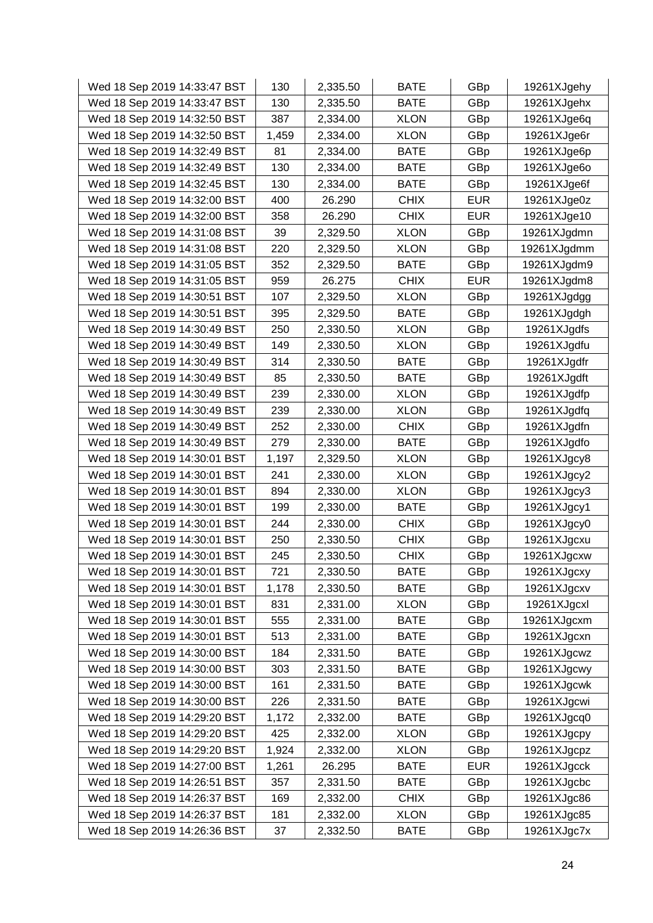| Wed 18 Sep 2019 14:33:47 BST | 130   | 2,335.50 | <b>BATE</b> | GBp        | 19261XJgehy |
|------------------------------|-------|----------|-------------|------------|-------------|
| Wed 18 Sep 2019 14:33:47 BST | 130   | 2,335.50 | <b>BATE</b> | GBp        | 19261XJgehx |
| Wed 18 Sep 2019 14:32:50 BST | 387   | 2,334.00 | <b>XLON</b> | GBp        | 19261XJge6q |
| Wed 18 Sep 2019 14:32:50 BST | 1,459 | 2,334.00 | <b>XLON</b> | GBp        | 19261XJge6r |
| Wed 18 Sep 2019 14:32:49 BST | 81    | 2,334.00 | <b>BATE</b> | GBp        | 19261XJge6p |
| Wed 18 Sep 2019 14:32:49 BST | 130   | 2,334.00 | <b>BATE</b> | GBp        | 19261XJge6o |
| Wed 18 Sep 2019 14:32:45 BST | 130   | 2,334.00 | <b>BATE</b> | GBp        | 19261XJge6f |
| Wed 18 Sep 2019 14:32:00 BST | 400   | 26.290   | <b>CHIX</b> | <b>EUR</b> | 19261XJge0z |
| Wed 18 Sep 2019 14:32:00 BST | 358   | 26.290   | <b>CHIX</b> | <b>EUR</b> | 19261XJge10 |
| Wed 18 Sep 2019 14:31:08 BST | 39    | 2,329.50 | <b>XLON</b> | GBp        | 19261XJgdmn |
| Wed 18 Sep 2019 14:31:08 BST | 220   | 2,329.50 | <b>XLON</b> | GBp        | 19261XJgdmm |
| Wed 18 Sep 2019 14:31:05 BST | 352   | 2,329.50 | <b>BATE</b> | GBp        | 19261XJgdm9 |
| Wed 18 Sep 2019 14:31:05 BST | 959   | 26.275   | <b>CHIX</b> | <b>EUR</b> | 19261XJgdm8 |
| Wed 18 Sep 2019 14:30:51 BST | 107   | 2,329.50 | <b>XLON</b> | GBp        | 19261XJgdgg |
| Wed 18 Sep 2019 14:30:51 BST | 395   | 2,329.50 | <b>BATE</b> | GBp        | 19261XJgdgh |
| Wed 18 Sep 2019 14:30:49 BST | 250   | 2,330.50 | <b>XLON</b> | GBp        | 19261XJgdfs |
| Wed 18 Sep 2019 14:30:49 BST | 149   | 2,330.50 | <b>XLON</b> | GBp        | 19261XJgdfu |
| Wed 18 Sep 2019 14:30:49 BST | 314   | 2,330.50 | <b>BATE</b> | GBp        | 19261XJgdfr |
| Wed 18 Sep 2019 14:30:49 BST | 85    | 2,330.50 | <b>BATE</b> | GBp        | 19261XJgdft |
| Wed 18 Sep 2019 14:30:49 BST | 239   | 2,330.00 | <b>XLON</b> | GBp        | 19261XJgdfp |
| Wed 18 Sep 2019 14:30:49 BST | 239   | 2,330.00 | <b>XLON</b> | GBp        | 19261XJgdfq |
| Wed 18 Sep 2019 14:30:49 BST | 252   | 2,330.00 | <b>CHIX</b> | GBp        | 19261XJgdfn |
| Wed 18 Sep 2019 14:30:49 BST | 279   | 2,330.00 | <b>BATE</b> | GBp        | 19261XJgdfo |
| Wed 18 Sep 2019 14:30:01 BST | 1,197 | 2,329.50 | <b>XLON</b> | GBp        | 19261XJgcy8 |
| Wed 18 Sep 2019 14:30:01 BST | 241   | 2,330.00 | <b>XLON</b> | GBp        | 19261XJgcy2 |
| Wed 18 Sep 2019 14:30:01 BST | 894   | 2,330.00 | <b>XLON</b> | GBp        | 19261XJgcy3 |
| Wed 18 Sep 2019 14:30:01 BST | 199   | 2,330.00 | <b>BATE</b> | GBp        | 19261XJgcy1 |
| Wed 18 Sep 2019 14:30:01 BST | 244   | 2,330.00 | <b>CHIX</b> | GBp        | 19261XJgcy0 |
| Wed 18 Sep 2019 14:30:01 BST | 250   | 2,330.50 | <b>CHIX</b> | GBp        | 19261XJgcxu |
| Wed 18 Sep 2019 14:30:01 BST | 245   | 2,330.50 | <b>CHIX</b> | GBp        | 19261XJgcxw |
| Wed 18 Sep 2019 14:30:01 BST | 721   | 2,330.50 | <b>BATE</b> | GBp        | 19261XJgcxy |
| Wed 18 Sep 2019 14:30:01 BST | 1,178 | 2,330.50 | <b>BATE</b> | GBp        | 19261XJgcxv |
| Wed 18 Sep 2019 14:30:01 BST | 831   | 2,331.00 | <b>XLON</b> | GBp        | 19261XJgcxl |
| Wed 18 Sep 2019 14:30:01 BST | 555   | 2,331.00 | <b>BATE</b> | GBp        | 19261XJgcxm |
| Wed 18 Sep 2019 14:30:01 BST | 513   | 2,331.00 | <b>BATE</b> | GBp        | 19261XJgcxn |
| Wed 18 Sep 2019 14:30:00 BST | 184   | 2,331.50 | <b>BATE</b> | GBp        | 19261XJgcwz |
| Wed 18 Sep 2019 14:30:00 BST | 303   | 2,331.50 | <b>BATE</b> | GBp        | 19261XJgcwy |
| Wed 18 Sep 2019 14:30:00 BST | 161   | 2,331.50 | <b>BATE</b> | GBp        | 19261XJgcwk |
| Wed 18 Sep 2019 14:30:00 BST | 226   | 2,331.50 | <b>BATE</b> | GBp        | 19261XJgcwi |
| Wed 18 Sep 2019 14:29:20 BST | 1,172 | 2,332.00 | <b>BATE</b> | GBp        | 19261XJgcq0 |
| Wed 18 Sep 2019 14:29:20 BST | 425   | 2,332.00 | <b>XLON</b> | GBp        | 19261XJgcpy |
| Wed 18 Sep 2019 14:29:20 BST | 1,924 | 2,332.00 | <b>XLON</b> | GBp        | 19261XJgcpz |
| Wed 18 Sep 2019 14:27:00 BST | 1,261 | 26.295   | <b>BATE</b> | <b>EUR</b> | 19261XJgcck |
| Wed 18 Sep 2019 14:26:51 BST | 357   | 2,331.50 | <b>BATE</b> | GBp        | 19261XJgcbc |
| Wed 18 Sep 2019 14:26:37 BST | 169   | 2,332.00 | <b>CHIX</b> | GBp        | 19261XJgc86 |
| Wed 18 Sep 2019 14:26:37 BST | 181   | 2,332.00 | <b>XLON</b> | GBp        | 19261XJgc85 |
| Wed 18 Sep 2019 14:26:36 BST | 37    | 2,332.50 | <b>BATE</b> | GBp        | 19261XJgc7x |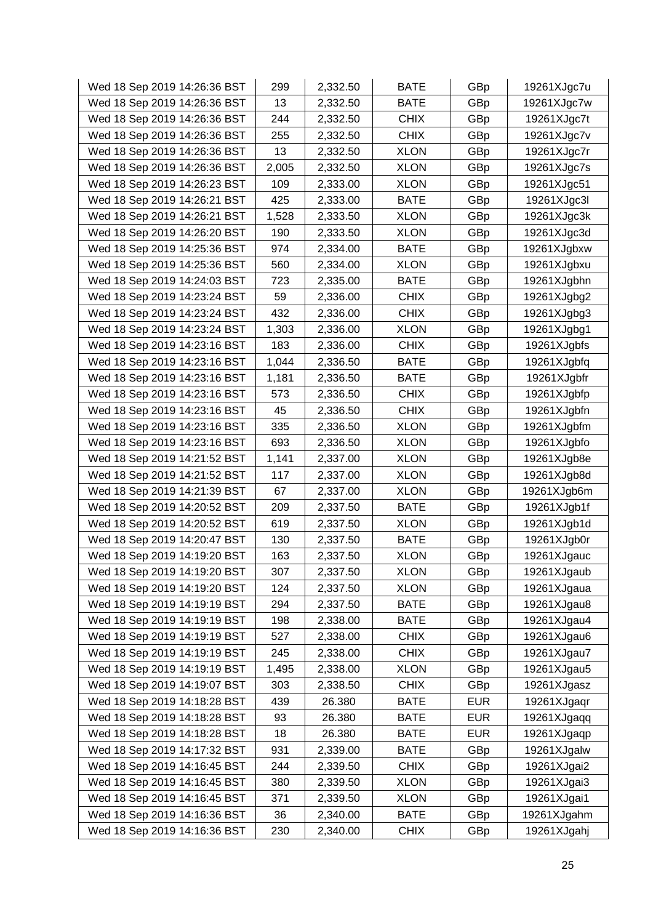| Wed 18 Sep 2019 14:26:36 BST | 299   | 2,332.50 | <b>BATE</b> | GBp        | 19261XJgc7u |
|------------------------------|-------|----------|-------------|------------|-------------|
| Wed 18 Sep 2019 14:26:36 BST | 13    | 2,332.50 | <b>BATE</b> | GBp        | 19261XJgc7w |
| Wed 18 Sep 2019 14:26:36 BST | 244   | 2,332.50 | <b>CHIX</b> | GBp        | 19261XJgc7t |
| Wed 18 Sep 2019 14:26:36 BST | 255   | 2,332.50 | <b>CHIX</b> | GBp        | 19261XJgc7v |
| Wed 18 Sep 2019 14:26:36 BST | 13    | 2,332.50 | <b>XLON</b> | GBp        | 19261XJgc7r |
| Wed 18 Sep 2019 14:26:36 BST | 2,005 | 2,332.50 | <b>XLON</b> | GBp        | 19261XJgc7s |
| Wed 18 Sep 2019 14:26:23 BST | 109   | 2,333.00 | <b>XLON</b> | GBp        | 19261XJgc51 |
| Wed 18 Sep 2019 14:26:21 BST | 425   | 2,333.00 | <b>BATE</b> | GBp        | 19261XJgc3l |
| Wed 18 Sep 2019 14:26:21 BST | 1,528 | 2,333.50 | <b>XLON</b> | GBp        | 19261XJgc3k |
| Wed 18 Sep 2019 14:26:20 BST | 190   | 2,333.50 | <b>XLON</b> | GBp        | 19261XJgc3d |
| Wed 18 Sep 2019 14:25:36 BST | 974   | 2,334.00 | <b>BATE</b> | GBp        | 19261XJgbxw |
| Wed 18 Sep 2019 14:25:36 BST | 560   | 2,334.00 | <b>XLON</b> | GBp        | 19261XJgbxu |
| Wed 18 Sep 2019 14:24:03 BST | 723   | 2,335.00 | <b>BATE</b> | GBp        | 19261XJgbhn |
| Wed 18 Sep 2019 14:23:24 BST | 59    | 2,336.00 | <b>CHIX</b> | GBp        | 19261XJgbg2 |
| Wed 18 Sep 2019 14:23:24 BST | 432   | 2,336.00 | <b>CHIX</b> | GBp        | 19261XJgbg3 |
| Wed 18 Sep 2019 14:23:24 BST | 1,303 | 2,336.00 | <b>XLON</b> | GBp        | 19261XJgbg1 |
| Wed 18 Sep 2019 14:23:16 BST | 183   | 2,336.00 | <b>CHIX</b> | GBp        | 19261XJgbfs |
| Wed 18 Sep 2019 14:23:16 BST | 1,044 | 2,336.50 | <b>BATE</b> | GBp        | 19261XJgbfq |
| Wed 18 Sep 2019 14:23:16 BST | 1,181 | 2,336.50 | <b>BATE</b> | GBp        | 19261XJgbfr |
| Wed 18 Sep 2019 14:23:16 BST | 573   | 2,336.50 | <b>CHIX</b> | GBp        | 19261XJgbfp |
| Wed 18 Sep 2019 14:23:16 BST | 45    | 2,336.50 | <b>CHIX</b> | GBp        | 19261XJgbfn |
| Wed 18 Sep 2019 14:23:16 BST | 335   | 2,336.50 | <b>XLON</b> | GBp        | 19261XJgbfm |
| Wed 18 Sep 2019 14:23:16 BST | 693   | 2,336.50 | <b>XLON</b> | GBp        | 19261XJgbfo |
| Wed 18 Sep 2019 14:21:52 BST | 1,141 | 2,337.00 | <b>XLON</b> | GBp        | 19261XJgb8e |
| Wed 18 Sep 2019 14:21:52 BST | 117   | 2,337.00 | <b>XLON</b> | GBp        | 19261XJgb8d |
| Wed 18 Sep 2019 14:21:39 BST | 67    | 2,337.00 | <b>XLON</b> | GBp        | 19261XJgb6m |
| Wed 18 Sep 2019 14:20:52 BST | 209   | 2,337.50 | <b>BATE</b> | GBp        | 19261XJgb1f |
| Wed 18 Sep 2019 14:20:52 BST | 619   | 2,337.50 | <b>XLON</b> | GBp        | 19261XJgb1d |
| Wed 18 Sep 2019 14:20:47 BST | 130   | 2,337.50 | <b>BATE</b> | GBp        | 19261XJgb0r |
| Wed 18 Sep 2019 14:19:20 BST | 163   | 2,337.50 | <b>XLON</b> | GBp        | 19261XJgauc |
| Wed 18 Sep 2019 14:19:20 BST | 307   | 2,337.50 | <b>XLON</b> | GBp        | 19261XJgaub |
| Wed 18 Sep 2019 14:19:20 BST | 124   | 2,337.50 | <b>XLON</b> | GBp        | 19261XJgaua |
| Wed 18 Sep 2019 14:19:19 BST | 294   | 2,337.50 | <b>BATE</b> | GBp        | 19261XJgau8 |
| Wed 18 Sep 2019 14:19:19 BST | 198   | 2,338.00 | <b>BATE</b> | GBp        | 19261XJgau4 |
| Wed 18 Sep 2019 14:19:19 BST | 527   | 2,338.00 | <b>CHIX</b> | GBp        | 19261XJgau6 |
| Wed 18 Sep 2019 14:19:19 BST | 245   | 2,338.00 | <b>CHIX</b> | GBp        | 19261XJgau7 |
| Wed 18 Sep 2019 14:19:19 BST | 1,495 | 2,338.00 | <b>XLON</b> | GBp        | 19261XJgau5 |
| Wed 18 Sep 2019 14:19:07 BST | 303   | 2,338.50 | <b>CHIX</b> | GBp        | 19261XJgasz |
| Wed 18 Sep 2019 14:18:28 BST | 439   | 26.380   | <b>BATE</b> | <b>EUR</b> | 19261XJgaqr |
| Wed 18 Sep 2019 14:18:28 BST | 93    | 26.380   | <b>BATE</b> | <b>EUR</b> | 19261XJgaqq |
| Wed 18 Sep 2019 14:18:28 BST | 18    | 26.380   | <b>BATE</b> | <b>EUR</b> | 19261XJgaqp |
| Wed 18 Sep 2019 14:17:32 BST | 931   | 2,339.00 | <b>BATE</b> | GBp        | 19261XJgalw |
| Wed 18 Sep 2019 14:16:45 BST | 244   | 2,339.50 | <b>CHIX</b> | GBp        | 19261XJgai2 |
| Wed 18 Sep 2019 14:16:45 BST | 380   | 2,339.50 | <b>XLON</b> | GBp        | 19261XJgai3 |
| Wed 18 Sep 2019 14:16:45 BST | 371   | 2,339.50 | <b>XLON</b> | GBp        | 19261XJgai1 |
| Wed 18 Sep 2019 14:16:36 BST | 36    | 2,340.00 | <b>BATE</b> | GBp        | 19261XJgahm |
| Wed 18 Sep 2019 14:16:36 BST | 230   | 2,340.00 | <b>CHIX</b> | GBp        | 19261XJgahj |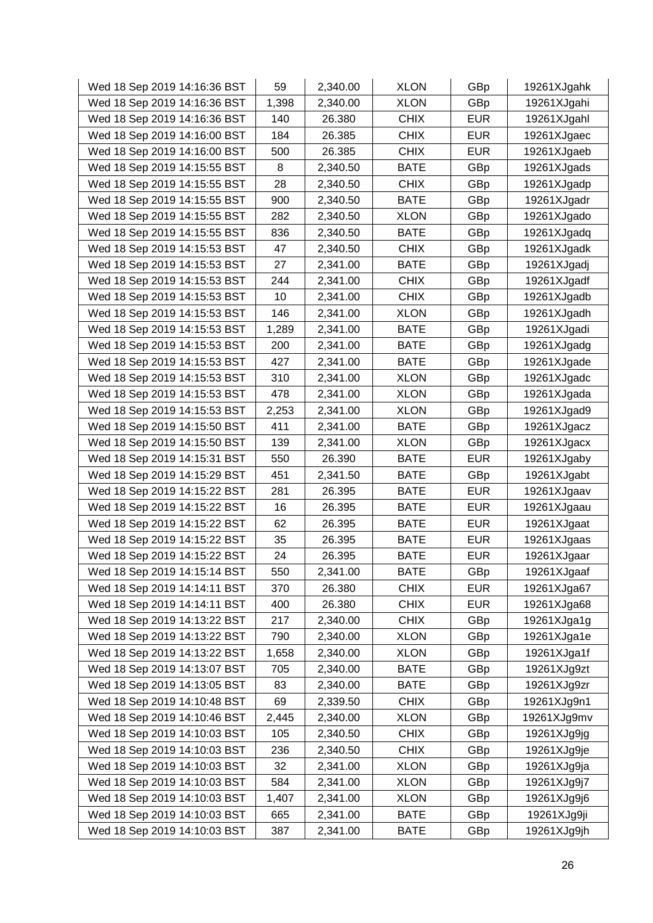| Wed 18 Sep 2019 14:16:36 BST | 59    | 2,340.00 | <b>XLON</b> | GBp        | 19261XJgahk |
|------------------------------|-------|----------|-------------|------------|-------------|
| Wed 18 Sep 2019 14:16:36 BST | 1,398 | 2,340.00 | <b>XLON</b> | GBp        | 19261XJgahi |
| Wed 18 Sep 2019 14:16:36 BST | 140   | 26.380   | <b>CHIX</b> | <b>EUR</b> | 19261XJgahl |
| Wed 18 Sep 2019 14:16:00 BST | 184   | 26.385   | <b>CHIX</b> | <b>EUR</b> | 19261XJgaec |
| Wed 18 Sep 2019 14:16:00 BST | 500   | 26.385   | <b>CHIX</b> | <b>EUR</b> | 19261XJgaeb |
| Wed 18 Sep 2019 14:15:55 BST | 8     | 2,340.50 | <b>BATE</b> | GBp        | 19261XJgads |
| Wed 18 Sep 2019 14:15:55 BST | 28    | 2,340.50 | <b>CHIX</b> | GBp        | 19261XJgadp |
| Wed 18 Sep 2019 14:15:55 BST | 900   | 2,340.50 | <b>BATE</b> | GBp        | 19261XJgadr |
| Wed 18 Sep 2019 14:15:55 BST | 282   | 2,340.50 | <b>XLON</b> | GBp        | 19261XJgado |
| Wed 18 Sep 2019 14:15:55 BST | 836   | 2,340.50 | <b>BATE</b> | GBp        | 19261XJgadq |
| Wed 18 Sep 2019 14:15:53 BST | 47    | 2,340.50 | <b>CHIX</b> | GBp        | 19261XJgadk |
| Wed 18 Sep 2019 14:15:53 BST | 27    | 2,341.00 | <b>BATE</b> | GBp        | 19261XJgadj |
| Wed 18 Sep 2019 14:15:53 BST | 244   | 2,341.00 | <b>CHIX</b> | GBp        | 19261XJgadf |
| Wed 18 Sep 2019 14:15:53 BST | 10    | 2,341.00 | <b>CHIX</b> | GBp        | 19261XJgadb |
| Wed 18 Sep 2019 14:15:53 BST | 146   | 2,341.00 | <b>XLON</b> | GBp        | 19261XJgadh |
| Wed 18 Sep 2019 14:15:53 BST | 1,289 | 2,341.00 | <b>BATE</b> | GBp        | 19261XJgadi |
| Wed 18 Sep 2019 14:15:53 BST | 200   | 2,341.00 | <b>BATE</b> | GBp        | 19261XJgadg |
| Wed 18 Sep 2019 14:15:53 BST | 427   | 2,341.00 | <b>BATE</b> | GBp        | 19261XJgade |
| Wed 18 Sep 2019 14:15:53 BST | 310   | 2,341.00 | <b>XLON</b> | GBp        | 19261XJgadc |
| Wed 18 Sep 2019 14:15:53 BST | 478   | 2,341.00 | <b>XLON</b> | GBp        | 19261XJgada |
| Wed 18 Sep 2019 14:15:53 BST | 2,253 | 2,341.00 | <b>XLON</b> | GBp        | 19261XJgad9 |
| Wed 18 Sep 2019 14:15:50 BST | 411   | 2,341.00 | <b>BATE</b> | GBp        | 19261XJgacz |
| Wed 18 Sep 2019 14:15:50 BST | 139   | 2,341.00 | <b>XLON</b> | GBp        | 19261XJgacx |
| Wed 18 Sep 2019 14:15:31 BST | 550   | 26.390   | <b>BATE</b> | <b>EUR</b> | 19261XJgaby |
| Wed 18 Sep 2019 14:15:29 BST | 451   | 2,341.50 | <b>BATE</b> | GBp        | 19261XJgabt |
| Wed 18 Sep 2019 14:15:22 BST | 281   | 26.395   | <b>BATE</b> | <b>EUR</b> | 19261XJgaav |
| Wed 18 Sep 2019 14:15:22 BST | 16    | 26.395   | <b>BATE</b> | <b>EUR</b> | 19261XJgaau |
| Wed 18 Sep 2019 14:15:22 BST | 62    | 26.395   | <b>BATE</b> | <b>EUR</b> | 19261XJgaat |
| Wed 18 Sep 2019 14:15:22 BST | 35    | 26.395   | <b>BATE</b> | <b>EUR</b> | 19261XJgaas |
| Wed 18 Sep 2019 14:15:22 BST | 24    | 26.395   | <b>BATE</b> | <b>EUR</b> | 19261XJgaar |
| Wed 18 Sep 2019 14:15:14 BST | 550   | 2,341.00 | <b>BATE</b> | GBp        | 19261XJgaaf |
| Wed 18 Sep 2019 14:14:11 BST | 370   | 26.380   | <b>CHIX</b> | <b>EUR</b> | 19261XJga67 |
| Wed 18 Sep 2019 14:14:11 BST | 400   | 26.380   | <b>CHIX</b> | <b>EUR</b> | 19261XJga68 |
| Wed 18 Sep 2019 14:13:22 BST | 217   | 2,340.00 | <b>CHIX</b> | GBp        | 19261XJga1g |
| Wed 18 Sep 2019 14:13:22 BST | 790   | 2,340.00 | <b>XLON</b> | GBp        | 19261XJga1e |
| Wed 18 Sep 2019 14:13:22 BST | 1,658 | 2,340.00 | <b>XLON</b> | GBp        | 19261XJga1f |
| Wed 18 Sep 2019 14:13:07 BST | 705   | 2,340.00 | <b>BATE</b> | GBp        | 19261XJg9zt |
| Wed 18 Sep 2019 14:13:05 BST | 83    | 2,340.00 | <b>BATE</b> | GBp        | 19261XJg9zr |
| Wed 18 Sep 2019 14:10:48 BST | 69    | 2,339.50 | <b>CHIX</b> | GBp        | 19261XJg9n1 |
| Wed 18 Sep 2019 14:10:46 BST | 2,445 | 2,340.00 | <b>XLON</b> | GBp        | 19261XJg9mv |
| Wed 18 Sep 2019 14:10:03 BST | 105   | 2,340.50 | <b>CHIX</b> | GBp        | 19261XJg9jg |
| Wed 18 Sep 2019 14:10:03 BST | 236   | 2,340.50 | <b>CHIX</b> | GBp        | 19261XJg9je |
| Wed 18 Sep 2019 14:10:03 BST | 32    | 2,341.00 | <b>XLON</b> | GBp        | 19261XJg9ja |
| Wed 18 Sep 2019 14:10:03 BST | 584   | 2,341.00 | <b>XLON</b> | GBp        | 19261XJg9j7 |
| Wed 18 Sep 2019 14:10:03 BST | 1,407 | 2,341.00 | <b>XLON</b> | GBp        | 19261XJg9j6 |
| Wed 18 Sep 2019 14:10:03 BST | 665   | 2,341.00 | <b>BATE</b> | GBp        | 19261XJg9ji |
| Wed 18 Sep 2019 14:10:03 BST | 387   | 2,341.00 | BATE        | GBp        | 19261XJg9jh |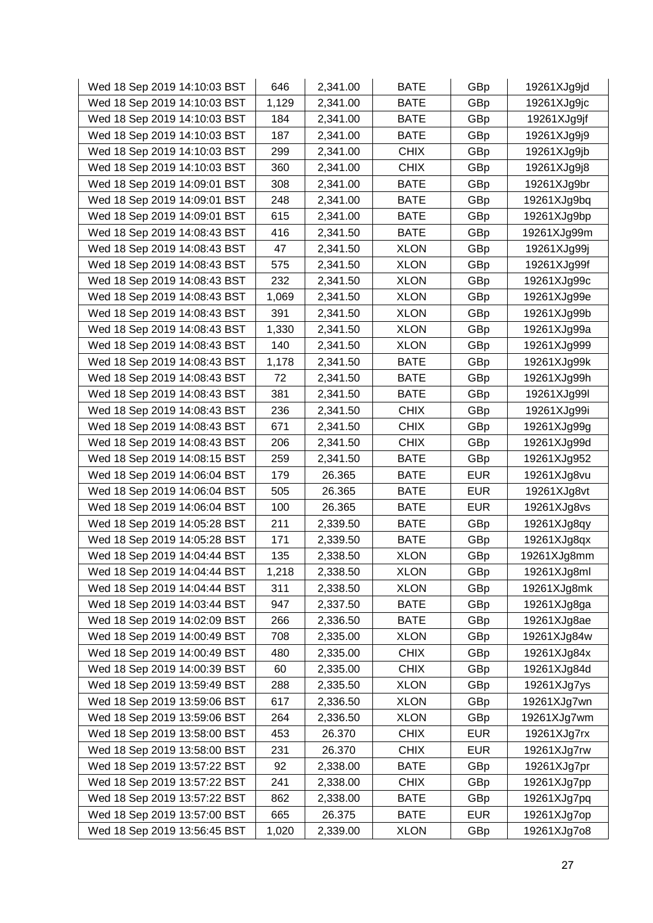| Wed 18 Sep 2019 14:10:03 BST | 646   | 2,341.00 | <b>BATE</b> | GBp        | 19261XJg9jd |
|------------------------------|-------|----------|-------------|------------|-------------|
| Wed 18 Sep 2019 14:10:03 BST | 1,129 | 2,341.00 | <b>BATE</b> | GBp        | 19261XJg9jc |
| Wed 18 Sep 2019 14:10:03 BST | 184   | 2,341.00 | <b>BATE</b> | GBp        | 19261XJg9jf |
| Wed 18 Sep 2019 14:10:03 BST | 187   | 2,341.00 | <b>BATE</b> | GBp        | 19261XJg9j9 |
| Wed 18 Sep 2019 14:10:03 BST | 299   | 2,341.00 | <b>CHIX</b> | GBp        | 19261XJg9jb |
| Wed 18 Sep 2019 14:10:03 BST | 360   | 2,341.00 | <b>CHIX</b> | GBp        | 19261XJg9j8 |
| Wed 18 Sep 2019 14:09:01 BST | 308   | 2,341.00 | <b>BATE</b> | GBp        | 19261XJg9br |
| Wed 18 Sep 2019 14:09:01 BST | 248   | 2,341.00 | <b>BATE</b> | GBp        | 19261XJg9bq |
| Wed 18 Sep 2019 14:09:01 BST | 615   | 2,341.00 | <b>BATE</b> | GBp        | 19261XJg9bp |
| Wed 18 Sep 2019 14:08:43 BST | 416   | 2,341.50 | <b>BATE</b> | GBp        | 19261XJg99m |
| Wed 18 Sep 2019 14:08:43 BST | 47    | 2,341.50 | <b>XLON</b> | GBp        | 19261XJg99j |
| Wed 18 Sep 2019 14:08:43 BST | 575   | 2,341.50 | <b>XLON</b> | GBp        | 19261XJg99f |
| Wed 18 Sep 2019 14:08:43 BST | 232   | 2,341.50 | <b>XLON</b> | GBp        | 19261XJg99c |
| Wed 18 Sep 2019 14:08:43 BST | 1,069 | 2,341.50 | <b>XLON</b> | GBp        | 19261XJg99e |
| Wed 18 Sep 2019 14:08:43 BST | 391   | 2,341.50 | <b>XLON</b> | GBp        | 19261XJg99b |
| Wed 18 Sep 2019 14:08:43 BST | 1,330 | 2,341.50 | <b>XLON</b> | GBp        | 19261XJg99a |
| Wed 18 Sep 2019 14:08:43 BST | 140   | 2,341.50 | <b>XLON</b> | GBp        | 19261XJg999 |
| Wed 18 Sep 2019 14:08:43 BST | 1,178 | 2,341.50 | <b>BATE</b> | GBp        | 19261XJg99k |
| Wed 18 Sep 2019 14:08:43 BST | 72    | 2,341.50 | <b>BATE</b> | GBp        | 19261XJg99h |
| Wed 18 Sep 2019 14:08:43 BST | 381   | 2,341.50 | <b>BATE</b> | GBp        | 19261XJg99I |
| Wed 18 Sep 2019 14:08:43 BST | 236   | 2,341.50 | <b>CHIX</b> | GBp        | 19261XJg99i |
| Wed 18 Sep 2019 14:08:43 BST | 671   | 2,341.50 | <b>CHIX</b> | GBp        | 19261XJg99g |
| Wed 18 Sep 2019 14:08:43 BST | 206   | 2,341.50 | <b>CHIX</b> | GBp        | 19261XJg99d |
| Wed 18 Sep 2019 14:08:15 BST | 259   | 2,341.50 | <b>BATE</b> | GBp        | 19261XJg952 |
| Wed 18 Sep 2019 14:06:04 BST | 179   | 26.365   | <b>BATE</b> | <b>EUR</b> | 19261XJg8vu |
| Wed 18 Sep 2019 14:06:04 BST | 505   | 26.365   | <b>BATE</b> | <b>EUR</b> | 19261XJg8vt |
| Wed 18 Sep 2019 14:06:04 BST | 100   | 26.365   | <b>BATE</b> | <b>EUR</b> | 19261XJg8vs |
| Wed 18 Sep 2019 14:05:28 BST | 211   | 2,339.50 | <b>BATE</b> | GBp        | 19261XJg8qy |
| Wed 18 Sep 2019 14:05:28 BST | 171   | 2,339.50 | <b>BATE</b> | GBp        | 19261XJg8qx |
| Wed 18 Sep 2019 14:04:44 BST | 135   | 2,338.50 | <b>XLON</b> | GBp        | 19261XJg8mm |
| Wed 18 Sep 2019 14:04:44 BST | 1,218 | 2,338.50 | <b>XLON</b> | GBp        | 19261XJg8ml |
| Wed 18 Sep 2019 14:04:44 BST | 311   | 2,338.50 | <b>XLON</b> | GBp        | 19261XJg8mk |
| Wed 18 Sep 2019 14:03:44 BST | 947   | 2,337.50 | <b>BATE</b> | GBp        | 19261XJg8ga |
| Wed 18 Sep 2019 14:02:09 BST | 266   | 2,336.50 | <b>BATE</b> | GBp        | 19261XJg8ae |
| Wed 18 Sep 2019 14:00:49 BST | 708   | 2,335.00 | <b>XLON</b> | GBp        | 19261XJg84w |
| Wed 18 Sep 2019 14:00:49 BST | 480   | 2,335.00 | <b>CHIX</b> | GBp        | 19261XJg84x |
| Wed 18 Sep 2019 14:00:39 BST | 60    | 2,335.00 | <b>CHIX</b> | GBp        | 19261XJg84d |
| Wed 18 Sep 2019 13:59:49 BST | 288   | 2,335.50 | <b>XLON</b> | GBp        | 19261XJg7ys |
| Wed 18 Sep 2019 13:59:06 BST | 617   | 2,336.50 | <b>XLON</b> | GBp        | 19261XJg7wn |
| Wed 18 Sep 2019 13:59:06 BST | 264   | 2,336.50 | <b>XLON</b> | GBp        | 19261XJg7wm |
| Wed 18 Sep 2019 13:58:00 BST | 453   | 26.370   | <b>CHIX</b> | <b>EUR</b> | 19261XJg7rx |
| Wed 18 Sep 2019 13:58:00 BST | 231   | 26.370   | <b>CHIX</b> | <b>EUR</b> | 19261XJg7rw |
| Wed 18 Sep 2019 13:57:22 BST | 92    | 2,338.00 | <b>BATE</b> | GBp        | 19261XJg7pr |
| Wed 18 Sep 2019 13:57:22 BST | 241   | 2,338.00 | <b>CHIX</b> | GBp        | 19261XJg7pp |
| Wed 18 Sep 2019 13:57:22 BST | 862   | 2,338.00 | <b>BATE</b> | GBp        | 19261XJg7pq |
| Wed 18 Sep 2019 13:57:00 BST | 665   | 26.375   | <b>BATE</b> | <b>EUR</b> | 19261XJg7op |
| Wed 18 Sep 2019 13:56:45 BST | 1,020 | 2,339.00 | <b>XLON</b> | GBp        | 19261XJg7o8 |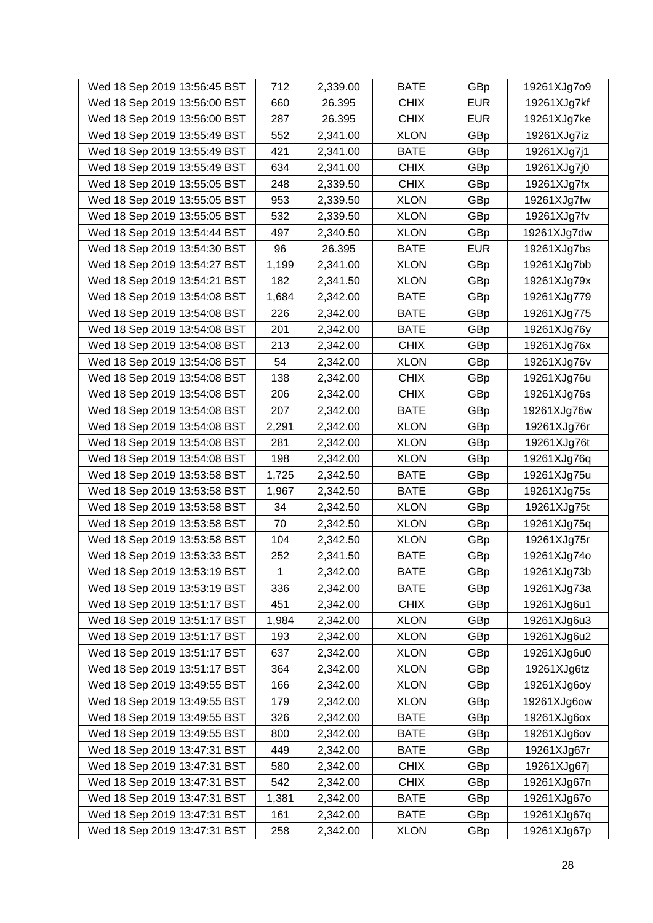| Wed 18 Sep 2019 13:56:45 BST | 712          | 2,339.00 | <b>BATE</b> | GBp        | 19261XJg7o9 |
|------------------------------|--------------|----------|-------------|------------|-------------|
| Wed 18 Sep 2019 13:56:00 BST | 660          | 26.395   | <b>CHIX</b> | <b>EUR</b> | 19261XJg7kf |
| Wed 18 Sep 2019 13:56:00 BST | 287          | 26.395   | <b>CHIX</b> | <b>EUR</b> | 19261XJg7ke |
| Wed 18 Sep 2019 13:55:49 BST | 552          | 2,341.00 | <b>XLON</b> | GBp        | 19261XJg7iz |
| Wed 18 Sep 2019 13:55:49 BST | 421          | 2,341.00 | <b>BATE</b> | GBp        | 19261XJg7j1 |
| Wed 18 Sep 2019 13:55:49 BST | 634          | 2,341.00 | <b>CHIX</b> | GBp        | 19261XJg7j0 |
| Wed 18 Sep 2019 13:55:05 BST | 248          | 2,339.50 | <b>CHIX</b> | GBp        | 19261XJg7fx |
| Wed 18 Sep 2019 13:55:05 BST | 953          | 2,339.50 | <b>XLON</b> | GBp        | 19261XJg7fw |
| Wed 18 Sep 2019 13:55:05 BST | 532          | 2,339.50 | <b>XLON</b> | GBp        | 19261XJg7fv |
| Wed 18 Sep 2019 13:54:44 BST | 497          | 2,340.50 | <b>XLON</b> | GBp        | 19261XJg7dw |
| Wed 18 Sep 2019 13:54:30 BST | 96           | 26.395   | <b>BATE</b> | <b>EUR</b> | 19261XJg7bs |
| Wed 18 Sep 2019 13:54:27 BST | 1,199        | 2,341.00 | <b>XLON</b> | GBp        | 19261XJg7bb |
| Wed 18 Sep 2019 13:54:21 BST | 182          | 2,341.50 | <b>XLON</b> | GBp        | 19261XJg79x |
| Wed 18 Sep 2019 13:54:08 BST | 1,684        | 2,342.00 | <b>BATE</b> | GBp        | 19261XJg779 |
| Wed 18 Sep 2019 13:54:08 BST | 226          | 2,342.00 | <b>BATE</b> | GBp        | 19261XJg775 |
| Wed 18 Sep 2019 13:54:08 BST | 201          | 2,342.00 | <b>BATE</b> | GBp        | 19261XJg76y |
| Wed 18 Sep 2019 13:54:08 BST | 213          | 2,342.00 | <b>CHIX</b> | GBp        | 19261XJg76x |
| Wed 18 Sep 2019 13:54:08 BST | 54           | 2,342.00 | <b>XLON</b> | GBp        | 19261XJg76v |
| Wed 18 Sep 2019 13:54:08 BST | 138          | 2,342.00 | <b>CHIX</b> | GBp        | 19261XJg76u |
| Wed 18 Sep 2019 13:54:08 BST | 206          | 2,342.00 | <b>CHIX</b> | GBp        | 19261XJg76s |
| Wed 18 Sep 2019 13:54:08 BST | 207          | 2,342.00 | <b>BATE</b> | GBp        | 19261XJg76w |
| Wed 18 Sep 2019 13:54:08 BST | 2,291        | 2,342.00 | <b>XLON</b> | GBp        | 19261XJg76r |
| Wed 18 Sep 2019 13:54:08 BST | 281          | 2,342.00 | <b>XLON</b> | GBp        | 19261XJg76t |
| Wed 18 Sep 2019 13:54:08 BST | 198          | 2,342.00 | <b>XLON</b> | GBp        | 19261XJg76q |
| Wed 18 Sep 2019 13:53:58 BST | 1,725        | 2,342.50 | <b>BATE</b> | GBp        | 19261XJg75u |
| Wed 18 Sep 2019 13:53:58 BST | 1,967        | 2,342.50 | <b>BATE</b> | GBp        | 19261XJg75s |
| Wed 18 Sep 2019 13:53:58 BST | 34           | 2,342.50 | <b>XLON</b> | GBp        | 19261XJg75t |
| Wed 18 Sep 2019 13:53:58 BST | 70           | 2,342.50 | <b>XLON</b> | GBp        | 19261XJg75q |
| Wed 18 Sep 2019 13:53:58 BST | 104          | 2,342.50 | <b>XLON</b> | GBp        | 19261XJg75r |
| Wed 18 Sep 2019 13:53:33 BST | 252          | 2,341.50 | <b>BATE</b> | GBp        | 19261XJg74o |
| Wed 18 Sep 2019 13:53:19 BST | $\mathbf{1}$ | 2,342.00 | <b>BATE</b> | GBp        | 19261XJg73b |
| Wed 18 Sep 2019 13:53:19 BST | 336          | 2,342.00 | <b>BATE</b> | GBp        | 19261XJg73a |
| Wed 18 Sep 2019 13:51:17 BST | 451          | 2,342.00 | <b>CHIX</b> | GBp        | 19261XJg6u1 |
| Wed 18 Sep 2019 13:51:17 BST | 1,984        | 2,342.00 | <b>XLON</b> | GBp        | 19261XJg6u3 |
| Wed 18 Sep 2019 13:51:17 BST | 193          | 2,342.00 | <b>XLON</b> | GBp        | 19261XJg6u2 |
| Wed 18 Sep 2019 13:51:17 BST | 637          | 2,342.00 | <b>XLON</b> | GBp        | 19261XJg6u0 |
| Wed 18 Sep 2019 13:51:17 BST | 364          | 2,342.00 | <b>XLON</b> | GBp        | 19261XJg6tz |
| Wed 18 Sep 2019 13:49:55 BST | 166          | 2,342.00 | <b>XLON</b> | GBp        | 19261XJg6oy |
| Wed 18 Sep 2019 13:49:55 BST | 179          | 2,342.00 | <b>XLON</b> | GBp        | 19261XJg6ow |
| Wed 18 Sep 2019 13:49:55 BST | 326          | 2,342.00 | <b>BATE</b> | GBp        | 19261XJg6ox |
| Wed 18 Sep 2019 13:49:55 BST | 800          | 2,342.00 | <b>BATE</b> | GBp        | 19261XJg6ov |
| Wed 18 Sep 2019 13:47:31 BST | 449          | 2,342.00 | <b>BATE</b> | GBp        | 19261XJg67r |
| Wed 18 Sep 2019 13:47:31 BST | 580          | 2,342.00 | <b>CHIX</b> | GBp        | 19261XJg67j |
| Wed 18 Sep 2019 13:47:31 BST | 542          | 2,342.00 | <b>CHIX</b> | GBp        | 19261XJg67n |
| Wed 18 Sep 2019 13:47:31 BST | 1,381        | 2,342.00 | <b>BATE</b> | GBp        | 19261XJg67o |
| Wed 18 Sep 2019 13:47:31 BST | 161          | 2,342.00 | <b>BATE</b> | GBp        | 19261XJg67q |
| Wed 18 Sep 2019 13:47:31 BST | 258          | 2,342.00 | <b>XLON</b> | GBp        | 19261XJg67p |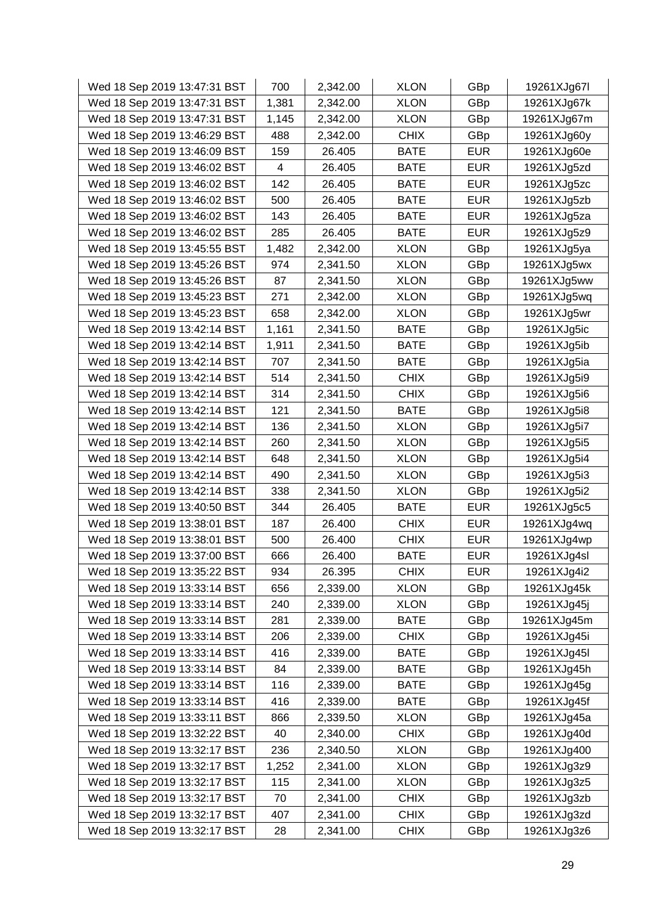| Wed 18 Sep 2019 13:47:31 BST | 700   | 2,342.00 | <b>XLON</b> | GBp        | 19261XJg67I |
|------------------------------|-------|----------|-------------|------------|-------------|
| Wed 18 Sep 2019 13:47:31 BST | 1,381 | 2,342.00 | <b>XLON</b> | GBp        | 19261XJg67k |
| Wed 18 Sep 2019 13:47:31 BST | 1,145 | 2,342.00 | <b>XLON</b> | GBp        | 19261XJg67m |
| Wed 18 Sep 2019 13:46:29 BST | 488   | 2,342.00 | <b>CHIX</b> | GBp        | 19261XJg60y |
| Wed 18 Sep 2019 13:46:09 BST | 159   | 26.405   | BATE        | <b>EUR</b> | 19261XJg60e |
| Wed 18 Sep 2019 13:46:02 BST | 4     | 26.405   | <b>BATE</b> | <b>EUR</b> | 19261XJg5zd |
| Wed 18 Sep 2019 13:46:02 BST | 142   | 26.405   | <b>BATE</b> | <b>EUR</b> | 19261XJg5zc |
| Wed 18 Sep 2019 13:46:02 BST | 500   | 26.405   | <b>BATE</b> | <b>EUR</b> | 19261XJg5zb |
| Wed 18 Sep 2019 13:46:02 BST | 143   | 26.405   | <b>BATE</b> | <b>EUR</b> | 19261XJg5za |
| Wed 18 Sep 2019 13:46:02 BST | 285   | 26.405   | <b>BATE</b> | <b>EUR</b> | 19261XJg5z9 |
| Wed 18 Sep 2019 13:45:55 BST | 1,482 | 2,342.00 | <b>XLON</b> | GBp        | 19261XJg5ya |
| Wed 18 Sep 2019 13:45:26 BST | 974   | 2,341.50 | <b>XLON</b> | GBp        | 19261XJg5wx |
| Wed 18 Sep 2019 13:45:26 BST | 87    | 2,341.50 | <b>XLON</b> | GBp        | 19261XJg5ww |
| Wed 18 Sep 2019 13:45:23 BST | 271   | 2,342.00 | <b>XLON</b> | GBp        | 19261XJg5wq |
| Wed 18 Sep 2019 13:45:23 BST | 658   | 2,342.00 | <b>XLON</b> | GBp        | 19261XJg5wr |
| Wed 18 Sep 2019 13:42:14 BST | 1,161 | 2,341.50 | <b>BATE</b> | GBp        | 19261XJg5ic |
| Wed 18 Sep 2019 13:42:14 BST | 1,911 | 2,341.50 | <b>BATE</b> | GBp        | 19261XJg5ib |
| Wed 18 Sep 2019 13:42:14 BST | 707   | 2,341.50 | <b>BATE</b> | GBp        | 19261XJg5ia |
| Wed 18 Sep 2019 13:42:14 BST | 514   | 2,341.50 | <b>CHIX</b> | GBp        | 19261XJg5i9 |
| Wed 18 Sep 2019 13:42:14 BST | 314   | 2,341.50 | <b>CHIX</b> | GBp        | 19261XJg5i6 |
| Wed 18 Sep 2019 13:42:14 BST | 121   | 2,341.50 | <b>BATE</b> | GBp        | 19261XJg5i8 |
| Wed 18 Sep 2019 13:42:14 BST | 136   | 2,341.50 | <b>XLON</b> | GBp        | 19261XJg5i7 |
| Wed 18 Sep 2019 13:42:14 BST | 260   | 2,341.50 | <b>XLON</b> | GBp        | 19261XJg5i5 |
| Wed 18 Sep 2019 13:42:14 BST | 648   | 2,341.50 | <b>XLON</b> | GBp        | 19261XJg5i4 |
| Wed 18 Sep 2019 13:42:14 BST | 490   | 2,341.50 | <b>XLON</b> | GBp        | 19261XJg5i3 |
| Wed 18 Sep 2019 13:42:14 BST | 338   | 2,341.50 | <b>XLON</b> | GBp        | 19261XJg5i2 |
| Wed 18 Sep 2019 13:40:50 BST | 344   | 26.405   | <b>BATE</b> | <b>EUR</b> | 19261XJg5c5 |
| Wed 18 Sep 2019 13:38:01 BST | 187   | 26.400   | <b>CHIX</b> | <b>EUR</b> | 19261XJg4wq |
| Wed 18 Sep 2019 13:38:01 BST | 500   | 26.400   | <b>CHIX</b> | <b>EUR</b> | 19261XJg4wp |
| Wed 18 Sep 2019 13:37:00 BST | 666   | 26.400   | <b>BATE</b> | <b>EUR</b> | 19261XJg4sl |
| Wed 18 Sep 2019 13:35:22 BST | 934   | 26.395   | <b>CHIX</b> | <b>EUR</b> | 19261XJg4i2 |
| Wed 18 Sep 2019 13:33:14 BST | 656   | 2,339.00 | <b>XLON</b> | GBp        | 19261XJg45k |
| Wed 18 Sep 2019 13:33:14 BST | 240   | 2,339.00 | <b>XLON</b> | GBp        | 19261XJg45j |
| Wed 18 Sep 2019 13:33:14 BST | 281   | 2,339.00 | <b>BATE</b> | GBp        | 19261XJg45m |
| Wed 18 Sep 2019 13:33:14 BST | 206   | 2,339.00 | <b>CHIX</b> | GBp        | 19261XJg45i |
| Wed 18 Sep 2019 13:33:14 BST | 416   | 2,339.00 | <b>BATE</b> | GBp        | 19261XJg45I |
| Wed 18 Sep 2019 13:33:14 BST | 84    | 2,339.00 | <b>BATE</b> | GBp        | 19261XJg45h |
| Wed 18 Sep 2019 13:33:14 BST | 116   | 2,339.00 | <b>BATE</b> | GBp        | 19261XJg45g |
| Wed 18 Sep 2019 13:33:14 BST | 416   | 2,339.00 | <b>BATE</b> | GBp        | 19261XJg45f |
| Wed 18 Sep 2019 13:33:11 BST | 866   | 2,339.50 | <b>XLON</b> | GBp        | 19261XJg45a |
| Wed 18 Sep 2019 13:32:22 BST | 40    | 2,340.00 | <b>CHIX</b> | GBp        | 19261XJg40d |
| Wed 18 Sep 2019 13:32:17 BST | 236   | 2,340.50 | <b>XLON</b> | GBp        | 19261XJg400 |
| Wed 18 Sep 2019 13:32:17 BST | 1,252 | 2,341.00 | <b>XLON</b> | GBp        | 19261XJg3z9 |
| Wed 18 Sep 2019 13:32:17 BST | 115   | 2,341.00 | <b>XLON</b> | GBp        | 19261XJg3z5 |
| Wed 18 Sep 2019 13:32:17 BST | 70    | 2,341.00 | <b>CHIX</b> | GBp        | 19261XJg3zb |
| Wed 18 Sep 2019 13:32:17 BST | 407   | 2,341.00 | <b>CHIX</b> | GBp        | 19261XJg3zd |
| Wed 18 Sep 2019 13:32:17 BST | 28    | 2,341.00 | <b>CHIX</b> | GBp        | 19261XJg3z6 |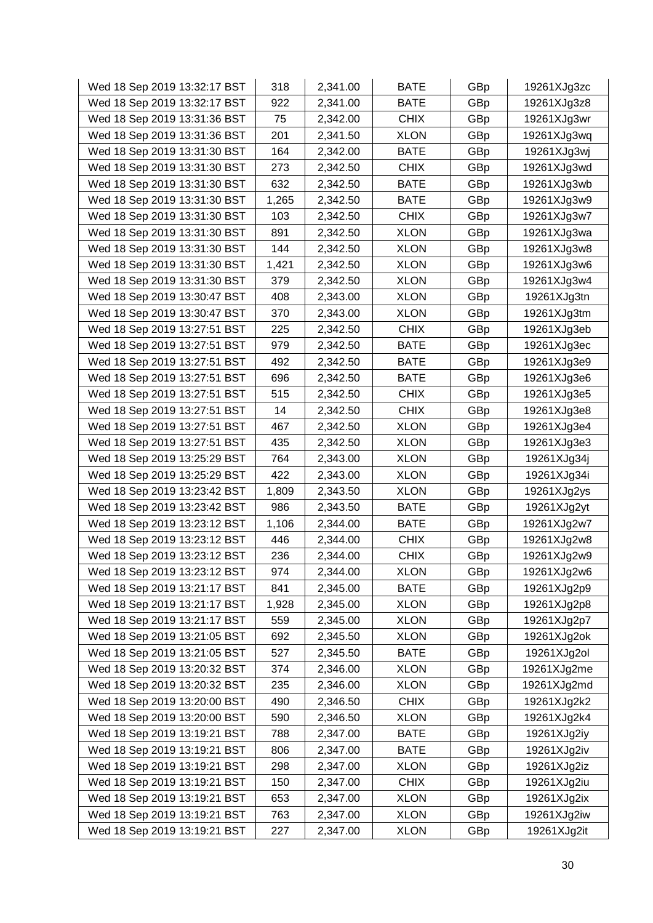| Wed 18 Sep 2019 13:32:17 BST | 318   | 2,341.00 | <b>BATE</b> | GBp | 19261XJg3zc |
|------------------------------|-------|----------|-------------|-----|-------------|
| Wed 18 Sep 2019 13:32:17 BST | 922   | 2,341.00 | <b>BATE</b> | GBp | 19261XJg3z8 |
| Wed 18 Sep 2019 13:31:36 BST | 75    | 2,342.00 | <b>CHIX</b> | GBp | 19261XJg3wr |
| Wed 18 Sep 2019 13:31:36 BST | 201   | 2,341.50 | <b>XLON</b> | GBp | 19261XJg3wq |
| Wed 18 Sep 2019 13:31:30 BST | 164   | 2,342.00 | <b>BATE</b> | GBp | 19261XJg3wj |
| Wed 18 Sep 2019 13:31:30 BST | 273   | 2,342.50 | <b>CHIX</b> | GBp | 19261XJg3wd |
| Wed 18 Sep 2019 13:31:30 BST | 632   | 2,342.50 | <b>BATE</b> | GBp | 19261XJg3wb |
| Wed 18 Sep 2019 13:31:30 BST | 1,265 | 2,342.50 | <b>BATE</b> | GBp | 19261XJg3w9 |
| Wed 18 Sep 2019 13:31:30 BST | 103   | 2,342.50 | <b>CHIX</b> | GBp | 19261XJg3w7 |
| Wed 18 Sep 2019 13:31:30 BST | 891   | 2,342.50 | <b>XLON</b> | GBp | 19261XJg3wa |
| Wed 18 Sep 2019 13:31:30 BST | 144   | 2,342.50 | <b>XLON</b> | GBp | 19261XJg3w8 |
| Wed 18 Sep 2019 13:31:30 BST | 1,421 | 2,342.50 | <b>XLON</b> | GBp | 19261XJg3w6 |
| Wed 18 Sep 2019 13:31:30 BST | 379   | 2,342.50 | <b>XLON</b> | GBp | 19261XJg3w4 |
| Wed 18 Sep 2019 13:30:47 BST | 408   | 2,343.00 | <b>XLON</b> | GBp | 19261XJg3tn |
| Wed 18 Sep 2019 13:30:47 BST | 370   | 2,343.00 | <b>XLON</b> | GBp | 19261XJg3tm |
| Wed 18 Sep 2019 13:27:51 BST | 225   | 2,342.50 | <b>CHIX</b> | GBp | 19261XJg3eb |
| Wed 18 Sep 2019 13:27:51 BST | 979   | 2,342.50 | <b>BATE</b> | GBp | 19261XJg3ec |
| Wed 18 Sep 2019 13:27:51 BST | 492   | 2,342.50 | <b>BATE</b> | GBp | 19261XJg3e9 |
| Wed 18 Sep 2019 13:27:51 BST | 696   | 2,342.50 | <b>BATE</b> | GBp | 19261XJg3e6 |
| Wed 18 Sep 2019 13:27:51 BST | 515   | 2,342.50 | <b>CHIX</b> | GBp | 19261XJg3e5 |
| Wed 18 Sep 2019 13:27:51 BST | 14    | 2,342.50 | <b>CHIX</b> | GBp | 19261XJg3e8 |
| Wed 18 Sep 2019 13:27:51 BST | 467   | 2,342.50 | <b>XLON</b> | GBp | 19261XJg3e4 |
| Wed 18 Sep 2019 13:27:51 BST | 435   | 2,342.50 | <b>XLON</b> | GBp | 19261XJg3e3 |
| Wed 18 Sep 2019 13:25:29 BST | 764   | 2,343.00 | <b>XLON</b> | GBp | 19261XJg34j |
| Wed 18 Sep 2019 13:25:29 BST | 422   | 2,343.00 | <b>XLON</b> | GBp | 19261XJg34i |
| Wed 18 Sep 2019 13:23:42 BST | 1,809 | 2,343.50 | <b>XLON</b> | GBp | 19261XJg2ys |
| Wed 18 Sep 2019 13:23:42 BST | 986   | 2,343.50 | <b>BATE</b> | GBp | 19261XJg2yt |
| Wed 18 Sep 2019 13:23:12 BST | 1,106 | 2,344.00 | <b>BATE</b> | GBp | 19261XJg2w7 |
| Wed 18 Sep 2019 13:23:12 BST | 446   | 2,344.00 | <b>CHIX</b> | GBp | 19261XJg2w8 |
| Wed 18 Sep 2019 13:23:12 BST | 236   | 2,344.00 | <b>CHIX</b> | GBp | 19261XJg2w9 |
| Wed 18 Sep 2019 13:23:12 BST | 974   | 2,344.00 | <b>XLON</b> | GBp | 19261XJg2w6 |
| Wed 18 Sep 2019 13:21:17 BST | 841   | 2,345.00 | <b>BATE</b> | GBp | 19261XJg2p9 |
| Wed 18 Sep 2019 13:21:17 BST | 1,928 | 2,345.00 | <b>XLON</b> | GBp | 19261XJg2p8 |
| Wed 18 Sep 2019 13:21:17 BST | 559   | 2,345.00 | <b>XLON</b> | GBp | 19261XJg2p7 |
| Wed 18 Sep 2019 13:21:05 BST | 692   | 2,345.50 | <b>XLON</b> | GBp | 19261XJg2ok |
| Wed 18 Sep 2019 13:21:05 BST | 527   | 2,345.50 | <b>BATE</b> | GBp | 19261XJg2ol |
| Wed 18 Sep 2019 13:20:32 BST | 374   | 2,346.00 | <b>XLON</b> | GBp | 19261XJg2me |
| Wed 18 Sep 2019 13:20:32 BST | 235   | 2,346.00 | <b>XLON</b> | GBp | 19261XJg2md |
| Wed 18 Sep 2019 13:20:00 BST | 490   | 2,346.50 | <b>CHIX</b> | GBp | 19261XJg2k2 |
| Wed 18 Sep 2019 13:20:00 BST | 590   | 2,346.50 | <b>XLON</b> | GBp | 19261XJg2k4 |
| Wed 18 Sep 2019 13:19:21 BST | 788   | 2,347.00 | <b>BATE</b> | GBp | 19261XJg2iy |
| Wed 18 Sep 2019 13:19:21 BST | 806   | 2,347.00 | <b>BATE</b> | GBp | 19261XJg2iv |
| Wed 18 Sep 2019 13:19:21 BST | 298   | 2,347.00 | <b>XLON</b> | GBp | 19261XJg2iz |
| Wed 18 Sep 2019 13:19:21 BST | 150   | 2,347.00 | <b>CHIX</b> | GBp | 19261XJg2iu |
| Wed 18 Sep 2019 13:19:21 BST | 653   | 2,347.00 | <b>XLON</b> | GBp | 19261XJg2ix |
| Wed 18 Sep 2019 13:19:21 BST | 763   | 2,347.00 | <b>XLON</b> | GBp | 19261XJg2iw |
| Wed 18 Sep 2019 13:19:21 BST | 227   | 2,347.00 | <b>XLON</b> | GBp | 19261XJg2it |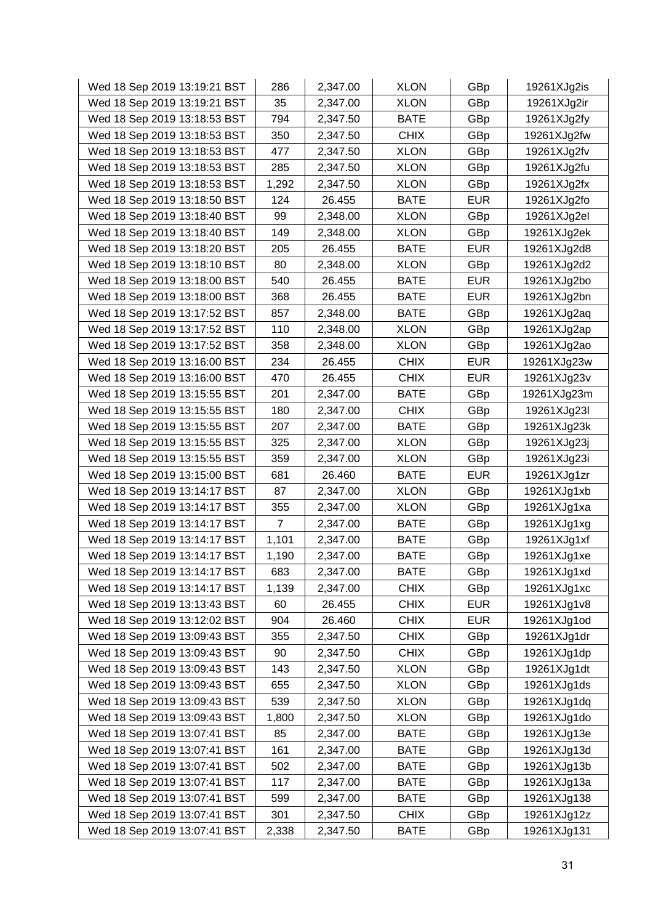| Wed 18 Sep 2019 13:19:21 BST | 286            | 2,347.00 | <b>XLON</b> | GBp        | 19261XJg2is |
|------------------------------|----------------|----------|-------------|------------|-------------|
| Wed 18 Sep 2019 13:19:21 BST | 35             | 2,347.00 | <b>XLON</b> | GBp        | 19261XJg2ir |
| Wed 18 Sep 2019 13:18:53 BST | 794            | 2,347.50 | <b>BATE</b> | GBp        | 19261XJg2fy |
| Wed 18 Sep 2019 13:18:53 BST | 350            | 2,347.50 | <b>CHIX</b> | GBp        | 19261XJg2fw |
| Wed 18 Sep 2019 13:18:53 BST | 477            | 2,347.50 | <b>XLON</b> | GBp        | 19261XJg2fv |
| Wed 18 Sep 2019 13:18:53 BST | 285            | 2,347.50 | <b>XLON</b> | GBp        | 19261XJg2fu |
| Wed 18 Sep 2019 13:18:53 BST | 1,292          | 2,347.50 | <b>XLON</b> | GBp        | 19261XJg2fx |
| Wed 18 Sep 2019 13:18:50 BST | 124            | 26.455   | <b>BATE</b> | <b>EUR</b> | 19261XJg2fo |
| Wed 18 Sep 2019 13:18:40 BST | 99             | 2,348.00 | <b>XLON</b> | GBp        | 19261XJg2el |
| Wed 18 Sep 2019 13:18:40 BST | 149            | 2,348.00 | <b>XLON</b> | GBp        | 19261XJg2ek |
| Wed 18 Sep 2019 13:18:20 BST | 205            | 26.455   | <b>BATE</b> | <b>EUR</b> | 19261XJg2d8 |
| Wed 18 Sep 2019 13:18:10 BST | 80             | 2,348.00 | <b>XLON</b> | GBp        | 19261XJg2d2 |
| Wed 18 Sep 2019 13:18:00 BST | 540            | 26.455   | <b>BATE</b> | <b>EUR</b> | 19261XJg2bo |
| Wed 18 Sep 2019 13:18:00 BST | 368            | 26.455   | <b>BATE</b> | <b>EUR</b> | 19261XJg2bn |
| Wed 18 Sep 2019 13:17:52 BST | 857            | 2,348.00 | <b>BATE</b> | GBp        | 19261XJg2aq |
| Wed 18 Sep 2019 13:17:52 BST | 110            | 2,348.00 | <b>XLON</b> | GBp        | 19261XJg2ap |
| Wed 18 Sep 2019 13:17:52 BST | 358            | 2,348.00 | <b>XLON</b> | GBp        | 19261XJg2ao |
| Wed 18 Sep 2019 13:16:00 BST | 234            | 26.455   | <b>CHIX</b> | <b>EUR</b> | 19261XJg23w |
| Wed 18 Sep 2019 13:16:00 BST | 470            | 26.455   | <b>CHIX</b> | <b>EUR</b> | 19261XJg23v |
| Wed 18 Sep 2019 13:15:55 BST | 201            | 2,347.00 | <b>BATE</b> | GBp        | 19261XJg23m |
| Wed 18 Sep 2019 13:15:55 BST | 180            | 2,347.00 | <b>CHIX</b> | GBp        | 19261XJg23I |
| Wed 18 Sep 2019 13:15:55 BST | 207            | 2,347.00 | <b>BATE</b> | GBp        | 19261XJg23k |
| Wed 18 Sep 2019 13:15:55 BST | 325            | 2,347.00 | <b>XLON</b> | GBp        | 19261XJg23j |
| Wed 18 Sep 2019 13:15:55 BST | 359            | 2,347.00 | <b>XLON</b> | GBp        | 19261XJg23i |
| Wed 18 Sep 2019 13:15:00 BST | 681            | 26.460   | <b>BATE</b> | <b>EUR</b> | 19261XJg1zr |
| Wed 18 Sep 2019 13:14:17 BST | 87             | 2,347.00 | <b>XLON</b> | GBp        | 19261XJg1xb |
| Wed 18 Sep 2019 13:14:17 BST | 355            | 2,347.00 | <b>XLON</b> | GBp        | 19261XJg1xa |
| Wed 18 Sep 2019 13:14:17 BST | $\overline{7}$ | 2,347.00 | <b>BATE</b> | GBp        | 19261XJg1xg |
| Wed 18 Sep 2019 13:14:17 BST | 1,101          | 2,347.00 | <b>BATE</b> | GBp        | 19261XJg1xf |
| Wed 18 Sep 2019 13:14:17 BST | 1,190          | 2,347.00 | <b>BATE</b> | GBp        | 19261XJg1xe |
| Wed 18 Sep 2019 13:14:17 BST | 683            | 2,347.00 | <b>BATE</b> | GBp        | 19261XJg1xd |
| Wed 18 Sep 2019 13:14:17 BST | 1,139          | 2,347.00 | <b>CHIX</b> | GBp        | 19261XJg1xc |
| Wed 18 Sep 2019 13:13:43 BST | 60             | 26.455   | <b>CHIX</b> | <b>EUR</b> | 19261XJg1v8 |
| Wed 18 Sep 2019 13:12:02 BST | 904            | 26.460   | <b>CHIX</b> | <b>EUR</b> | 19261XJg1od |
| Wed 18 Sep 2019 13:09:43 BST | 355            | 2,347.50 | <b>CHIX</b> | GBp        | 19261XJg1dr |
| Wed 18 Sep 2019 13:09:43 BST | 90             | 2,347.50 | <b>CHIX</b> | GBp        | 19261XJg1dp |
| Wed 18 Sep 2019 13:09:43 BST | 143            | 2,347.50 | <b>XLON</b> | GBp        | 19261XJg1dt |
| Wed 18 Sep 2019 13:09:43 BST | 655            | 2,347.50 | <b>XLON</b> | GBp        | 19261XJg1ds |
| Wed 18 Sep 2019 13:09:43 BST | 539            | 2,347.50 | <b>XLON</b> | GBp        | 19261XJg1dq |
| Wed 18 Sep 2019 13:09:43 BST | 1,800          | 2,347.50 | <b>XLON</b> | GBp        | 19261XJg1do |
| Wed 18 Sep 2019 13:07:41 BST | 85             | 2,347.00 | <b>BATE</b> | GBp        | 19261XJg13e |
| Wed 18 Sep 2019 13:07:41 BST | 161            | 2,347.00 | <b>BATE</b> | GBp        | 19261XJg13d |
| Wed 18 Sep 2019 13:07:41 BST | 502            | 2,347.00 | <b>BATE</b> | GBp        | 19261XJg13b |
| Wed 18 Sep 2019 13:07:41 BST | 117            | 2,347.00 | BATE        | GBp        | 19261XJg13a |
| Wed 18 Sep 2019 13:07:41 BST | 599            | 2,347.00 | <b>BATE</b> | GBp        | 19261XJg138 |
| Wed 18 Sep 2019 13:07:41 BST | 301            | 2,347.50 | <b>CHIX</b> | GBp        | 19261XJg12z |
| Wed 18 Sep 2019 13:07:41 BST | 2,338          | 2,347.50 | <b>BATE</b> | GBp        | 19261XJg131 |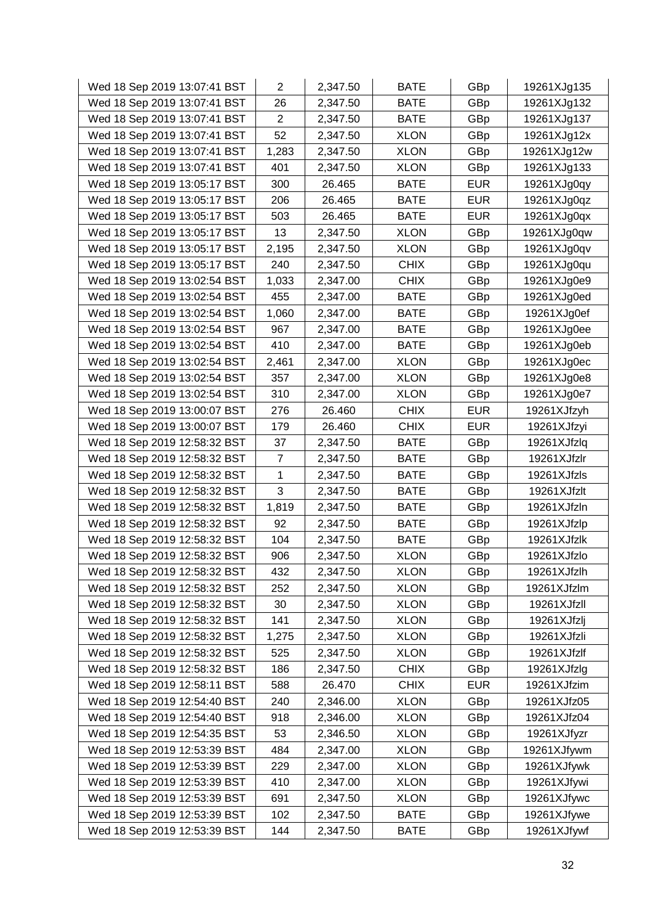| Wed 18 Sep 2019 13:07:41 BST | $\overline{2}$ | 2,347.50 | <b>BATE</b> | GBp        | 19261XJg135 |
|------------------------------|----------------|----------|-------------|------------|-------------|
| Wed 18 Sep 2019 13:07:41 BST | 26             | 2,347.50 | <b>BATE</b> | GBp        | 19261XJg132 |
| Wed 18 Sep 2019 13:07:41 BST | $\overline{2}$ | 2,347.50 | <b>BATE</b> | GBp        | 19261XJg137 |
| Wed 18 Sep 2019 13:07:41 BST | 52             | 2,347.50 | <b>XLON</b> | GBp        | 19261XJg12x |
| Wed 18 Sep 2019 13:07:41 BST | 1,283          | 2,347.50 | <b>XLON</b> | GBp        | 19261XJg12w |
| Wed 18 Sep 2019 13:07:41 BST | 401            | 2,347.50 | <b>XLON</b> | GBp        | 19261XJg133 |
| Wed 18 Sep 2019 13:05:17 BST | 300            | 26.465   | <b>BATE</b> | <b>EUR</b> | 19261XJg0qy |
| Wed 18 Sep 2019 13:05:17 BST | 206            | 26.465   | <b>BATE</b> | <b>EUR</b> | 19261XJg0qz |
| Wed 18 Sep 2019 13:05:17 BST | 503            | 26.465   | <b>BATE</b> | <b>EUR</b> | 19261XJg0qx |
| Wed 18 Sep 2019 13:05:17 BST | 13             | 2,347.50 | <b>XLON</b> | GBp        | 19261XJg0qw |
| Wed 18 Sep 2019 13:05:17 BST | 2,195          | 2,347.50 | <b>XLON</b> | GBp        | 19261XJg0qv |
| Wed 18 Sep 2019 13:05:17 BST | 240            | 2,347.50 | <b>CHIX</b> | GBp        | 19261XJg0qu |
| Wed 18 Sep 2019 13:02:54 BST | 1,033          | 2,347.00 | <b>CHIX</b> | GBp        | 19261XJg0e9 |
| Wed 18 Sep 2019 13:02:54 BST | 455            | 2,347.00 | <b>BATE</b> | GBp        | 19261XJg0ed |
| Wed 18 Sep 2019 13:02:54 BST | 1,060          | 2,347.00 | <b>BATE</b> | GBp        | 19261XJg0ef |
| Wed 18 Sep 2019 13:02:54 BST | 967            | 2,347.00 | <b>BATE</b> | GBp        | 19261XJg0ee |
| Wed 18 Sep 2019 13:02:54 BST | 410            | 2,347.00 | <b>BATE</b> | GBp        | 19261XJg0eb |
| Wed 18 Sep 2019 13:02:54 BST | 2,461          | 2,347.00 | <b>XLON</b> | GBp        | 19261XJg0ec |
| Wed 18 Sep 2019 13:02:54 BST | 357            | 2,347.00 | <b>XLON</b> | GBp        | 19261XJg0e8 |
| Wed 18 Sep 2019 13:02:54 BST | 310            | 2,347.00 | <b>XLON</b> | GBp        | 19261XJg0e7 |
| Wed 18 Sep 2019 13:00:07 BST | 276            | 26.460   | <b>CHIX</b> | <b>EUR</b> | 19261XJfzyh |
| Wed 18 Sep 2019 13:00:07 BST | 179            | 26.460   | <b>CHIX</b> | <b>EUR</b> | 19261XJfzyi |
| Wed 18 Sep 2019 12:58:32 BST | 37             | 2,347.50 | <b>BATE</b> | GBp        | 19261XJfzlq |
| Wed 18 Sep 2019 12:58:32 BST | $\overline{7}$ | 2,347.50 | <b>BATE</b> | GBp        | 19261XJfzlr |
| Wed 18 Sep 2019 12:58:32 BST | 1              | 2,347.50 | <b>BATE</b> | GBp        | 19261XJfzls |
| Wed 18 Sep 2019 12:58:32 BST | 3              | 2,347.50 | <b>BATE</b> | GBp        | 19261XJfzlt |
| Wed 18 Sep 2019 12:58:32 BST | 1,819          | 2,347.50 | <b>BATE</b> | GBp        | 19261XJfzln |
| Wed 18 Sep 2019 12:58:32 BST | 92             | 2,347.50 | <b>BATE</b> | GBp        | 19261XJfzlp |
| Wed 18 Sep 2019 12:58:32 BST | 104            | 2,347.50 | <b>BATE</b> | GBp        | 19261XJfzlk |
| Wed 18 Sep 2019 12:58:32 BST | 906            | 2,347.50 | <b>XLON</b> | GBp        | 19261XJfzlo |
| Wed 18 Sep 2019 12:58:32 BST | 432            | 2,347.50 | <b>XLON</b> | GBp        | 19261XJfzlh |
| Wed 18 Sep 2019 12:58:32 BST | 252            | 2,347.50 | <b>XLON</b> | GBp        | 19261XJfzlm |
| Wed 18 Sep 2019 12:58:32 BST | 30             | 2,347.50 | <b>XLON</b> | GBp        | 19261XJfzll |
| Wed 18 Sep 2019 12:58:32 BST | 141            | 2,347.50 | <b>XLON</b> | GBp        | 19261XJfzlj |
| Wed 18 Sep 2019 12:58:32 BST | 1,275          | 2,347.50 | <b>XLON</b> | GBp        | 19261XJfzli |
| Wed 18 Sep 2019 12:58:32 BST | 525            | 2,347.50 | <b>XLON</b> | GBp        | 19261XJfzlf |
| Wed 18 Sep 2019 12:58:32 BST | 186            | 2,347.50 | <b>CHIX</b> | GBp        | 19261XJfzlg |
| Wed 18 Sep 2019 12:58:11 BST | 588            | 26.470   | <b>CHIX</b> | <b>EUR</b> | 19261XJfzim |
| Wed 18 Sep 2019 12:54:40 BST | 240            | 2,346.00 | <b>XLON</b> | GBp        | 19261XJfz05 |
| Wed 18 Sep 2019 12:54:40 BST | 918            | 2,346.00 | <b>XLON</b> | GBp        | 19261XJfz04 |
| Wed 18 Sep 2019 12:54:35 BST | 53             | 2,346.50 | <b>XLON</b> | GBp        | 19261XJfyzr |
| Wed 18 Sep 2019 12:53:39 BST | 484            | 2,347.00 | <b>XLON</b> | GBp        | 19261XJfywm |
| Wed 18 Sep 2019 12:53:39 BST | 229            | 2,347.00 | <b>XLON</b> | GBp        | 19261XJfywk |
| Wed 18 Sep 2019 12:53:39 BST | 410            | 2,347.00 | <b>XLON</b> | GBp        | 19261XJfywi |
| Wed 18 Sep 2019 12:53:39 BST | 691            | 2,347.50 | <b>XLON</b> | GBp        | 19261XJfywc |
| Wed 18 Sep 2019 12:53:39 BST | 102            | 2,347.50 | <b>BATE</b> | GBp        | 19261XJfywe |
| Wed 18 Sep 2019 12:53:39 BST | 144            | 2,347.50 | <b>BATE</b> | GBp        | 19261XJfywf |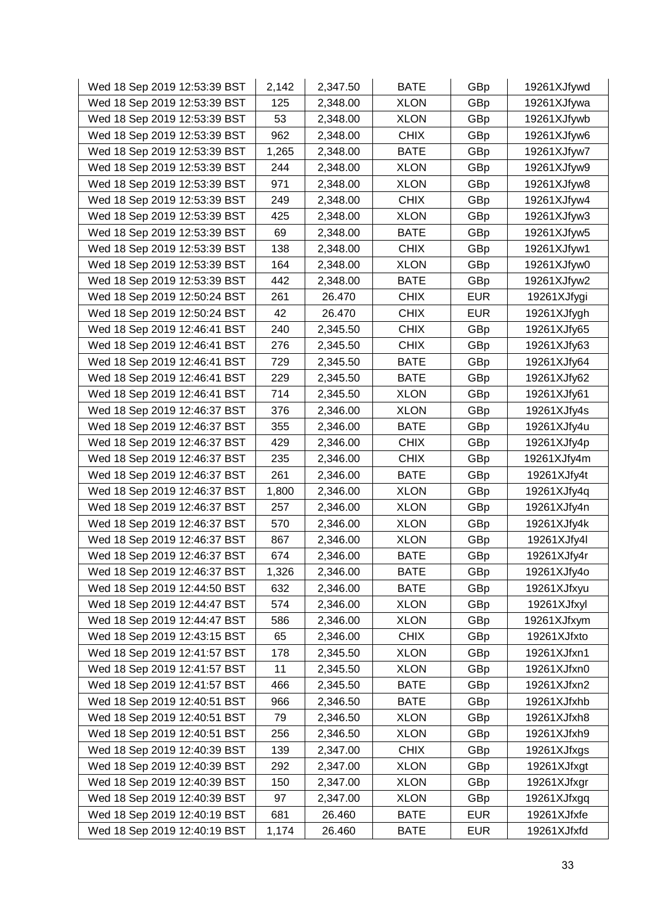| Wed 18 Sep 2019 12:53:39 BST | 2,142 | 2,347.50 | <b>BATE</b> | GBp        | 19261XJfywd |
|------------------------------|-------|----------|-------------|------------|-------------|
| Wed 18 Sep 2019 12:53:39 BST | 125   | 2,348.00 | <b>XLON</b> | GBp        | 19261XJfywa |
| Wed 18 Sep 2019 12:53:39 BST | 53    | 2,348.00 | <b>XLON</b> | GBp        | 19261XJfywb |
| Wed 18 Sep 2019 12:53:39 BST | 962   | 2,348.00 | <b>CHIX</b> | GBp        | 19261XJfyw6 |
| Wed 18 Sep 2019 12:53:39 BST | 1,265 | 2,348.00 | <b>BATE</b> | GBp        | 19261XJfyw7 |
| Wed 18 Sep 2019 12:53:39 BST | 244   | 2,348.00 | <b>XLON</b> | GBp        | 19261XJfyw9 |
| Wed 18 Sep 2019 12:53:39 BST | 971   | 2,348.00 | <b>XLON</b> | GBp        | 19261XJfyw8 |
| Wed 18 Sep 2019 12:53:39 BST | 249   | 2,348.00 | <b>CHIX</b> | GBp        | 19261XJfyw4 |
| Wed 18 Sep 2019 12:53:39 BST | 425   | 2,348.00 | <b>XLON</b> | GBp        | 19261XJfyw3 |
| Wed 18 Sep 2019 12:53:39 BST | 69    | 2,348.00 | <b>BATE</b> | GBp        | 19261XJfyw5 |
| Wed 18 Sep 2019 12:53:39 BST | 138   | 2,348.00 | <b>CHIX</b> | GBp        | 19261XJfyw1 |
| Wed 18 Sep 2019 12:53:39 BST | 164   | 2,348.00 | <b>XLON</b> | GBp        | 19261XJfyw0 |
| Wed 18 Sep 2019 12:53:39 BST | 442   | 2,348.00 | <b>BATE</b> | GBp        | 19261XJfyw2 |
| Wed 18 Sep 2019 12:50:24 BST | 261   | 26.470   | <b>CHIX</b> | <b>EUR</b> | 19261XJfygi |
| Wed 18 Sep 2019 12:50:24 BST | 42    | 26.470   | <b>CHIX</b> | <b>EUR</b> | 19261XJfygh |
| Wed 18 Sep 2019 12:46:41 BST | 240   | 2,345.50 | <b>CHIX</b> | GBp        | 19261XJfy65 |
| Wed 18 Sep 2019 12:46:41 BST | 276   | 2,345.50 | <b>CHIX</b> | GBp        | 19261XJfy63 |
| Wed 18 Sep 2019 12:46:41 BST | 729   | 2,345.50 | <b>BATE</b> | GBp        | 19261XJfy64 |
| Wed 18 Sep 2019 12:46:41 BST | 229   | 2,345.50 | <b>BATE</b> | GBp        | 19261XJfy62 |
| Wed 18 Sep 2019 12:46:41 BST | 714   | 2,345.50 | <b>XLON</b> | GBp        | 19261XJfy61 |
| Wed 18 Sep 2019 12:46:37 BST | 376   | 2,346.00 | <b>XLON</b> | GBp        | 19261XJfy4s |
| Wed 18 Sep 2019 12:46:37 BST | 355   | 2,346.00 | <b>BATE</b> | GBp        | 19261XJfy4u |
| Wed 18 Sep 2019 12:46:37 BST | 429   | 2,346.00 | <b>CHIX</b> | GBp        | 19261XJfy4p |
| Wed 18 Sep 2019 12:46:37 BST | 235   | 2,346.00 | <b>CHIX</b> | GBp        | 19261XJfy4m |
| Wed 18 Sep 2019 12:46:37 BST | 261   | 2,346.00 | <b>BATE</b> | GBp        | 19261XJfy4t |
| Wed 18 Sep 2019 12:46:37 BST | 1,800 | 2,346.00 | <b>XLON</b> | GBp        | 19261XJfy4q |
| Wed 18 Sep 2019 12:46:37 BST | 257   | 2,346.00 | <b>XLON</b> | GBp        | 19261XJfy4n |
| Wed 18 Sep 2019 12:46:37 BST | 570   | 2,346.00 | <b>XLON</b> | GBp        | 19261XJfy4k |
| Wed 18 Sep 2019 12:46:37 BST | 867   | 2,346.00 | <b>XLON</b> | GBp        | 19261XJfy4l |
| Wed 18 Sep 2019 12:46:37 BST | 674   | 2,346.00 | <b>BATE</b> | GBp        | 19261XJfy4r |
| Wed 18 Sep 2019 12:46:37 BST | 1,326 | 2,346.00 | <b>BATE</b> | GBp        | 19261XJfy4o |
| Wed 18 Sep 2019 12:44:50 BST | 632   | 2,346.00 | <b>BATE</b> | GBp        | 19261XJfxyu |
| Wed 18 Sep 2019 12:44:47 BST | 574   | 2,346.00 | <b>XLON</b> | GBp        | 19261XJfxyl |
| Wed 18 Sep 2019 12:44:47 BST | 586   | 2,346.00 | <b>XLON</b> | GBp        | 19261XJfxym |
| Wed 18 Sep 2019 12:43:15 BST | 65    | 2,346.00 | <b>CHIX</b> | GBp        | 19261XJfxto |
| Wed 18 Sep 2019 12:41:57 BST | 178   | 2,345.50 | <b>XLON</b> | GBp        | 19261XJfxn1 |
| Wed 18 Sep 2019 12:41:57 BST | 11    | 2,345.50 | <b>XLON</b> | GBp        | 19261XJfxn0 |
| Wed 18 Sep 2019 12:41:57 BST | 466   | 2,345.50 | <b>BATE</b> | GBp        | 19261XJfxn2 |
| Wed 18 Sep 2019 12:40:51 BST | 966   | 2,346.50 | <b>BATE</b> | GBp        | 19261XJfxhb |
| Wed 18 Sep 2019 12:40:51 BST | 79    | 2,346.50 | <b>XLON</b> | GBp        | 19261XJfxh8 |
| Wed 18 Sep 2019 12:40:51 BST | 256   | 2,346.50 | <b>XLON</b> | GBp        | 19261XJfxh9 |
| Wed 18 Sep 2019 12:40:39 BST | 139   | 2,347.00 | <b>CHIX</b> | GBp        | 19261XJfxgs |
| Wed 18 Sep 2019 12:40:39 BST | 292   | 2,347.00 | <b>XLON</b> | GBp        | 19261XJfxgt |
| Wed 18 Sep 2019 12:40:39 BST | 150   | 2,347.00 | <b>XLON</b> | GBp        | 19261XJfxgr |
| Wed 18 Sep 2019 12:40:39 BST | 97    | 2,347.00 | <b>XLON</b> | GBp        | 19261XJfxgq |
| Wed 18 Sep 2019 12:40:19 BST | 681   | 26.460   | <b>BATE</b> | <b>EUR</b> | 19261XJfxfe |
| Wed 18 Sep 2019 12:40:19 BST | 1,174 | 26.460   | <b>BATE</b> | <b>EUR</b> | 19261XJfxfd |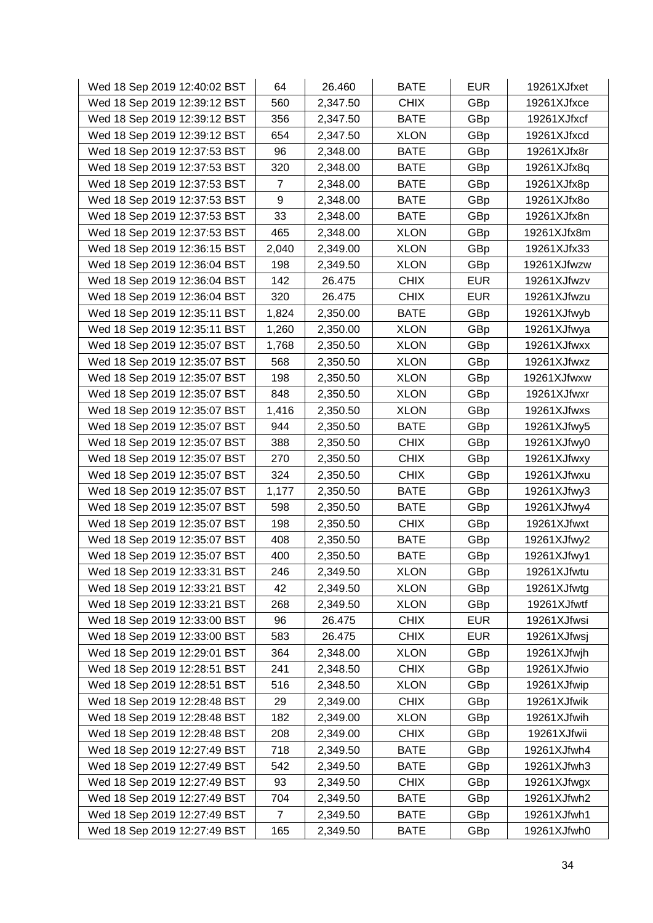| Wed 18 Sep 2019 12:40:02 BST | 64             | 26.460   | <b>BATE</b> | <b>EUR</b> | 19261XJfxet |
|------------------------------|----------------|----------|-------------|------------|-------------|
| Wed 18 Sep 2019 12:39:12 BST | 560            | 2,347.50 | <b>CHIX</b> | GBp        | 19261XJfxce |
| Wed 18 Sep 2019 12:39:12 BST | 356            | 2,347.50 | <b>BATE</b> | GBp        | 19261XJfxcf |
| Wed 18 Sep 2019 12:39:12 BST | 654            | 2,347.50 | <b>XLON</b> | GBp        | 19261XJfxcd |
| Wed 18 Sep 2019 12:37:53 BST | 96             | 2,348.00 | <b>BATE</b> | GBp        | 19261XJfx8r |
| Wed 18 Sep 2019 12:37:53 BST | 320            | 2,348.00 | <b>BATE</b> | GBp        | 19261XJfx8q |
| Wed 18 Sep 2019 12:37:53 BST | 7              | 2,348.00 | <b>BATE</b> | GBp        | 19261XJfx8p |
| Wed 18 Sep 2019 12:37:53 BST | 9              | 2,348.00 | <b>BATE</b> | GBp        | 19261XJfx8o |
| Wed 18 Sep 2019 12:37:53 BST | 33             | 2,348.00 | <b>BATE</b> | GBp        | 19261XJfx8n |
| Wed 18 Sep 2019 12:37:53 BST | 465            | 2,348.00 | <b>XLON</b> | GBp        | 19261XJfx8m |
| Wed 18 Sep 2019 12:36:15 BST | 2,040          | 2,349.00 | <b>XLON</b> | GBp        | 19261XJfx33 |
| Wed 18 Sep 2019 12:36:04 BST | 198            | 2,349.50 | <b>XLON</b> | GBp        | 19261XJfwzw |
| Wed 18 Sep 2019 12:36:04 BST | 142            | 26.475   | <b>CHIX</b> | <b>EUR</b> | 19261XJfwzv |
| Wed 18 Sep 2019 12:36:04 BST | 320            | 26.475   | <b>CHIX</b> | <b>EUR</b> | 19261XJfwzu |
| Wed 18 Sep 2019 12:35:11 BST | 1,824          | 2,350.00 | <b>BATE</b> | GBp        | 19261XJfwyb |
| Wed 18 Sep 2019 12:35:11 BST | 1,260          | 2,350.00 | <b>XLON</b> | GBp        | 19261XJfwya |
| Wed 18 Sep 2019 12:35:07 BST | 1,768          | 2,350.50 | <b>XLON</b> | GBp        | 19261XJfwxx |
| Wed 18 Sep 2019 12:35:07 BST | 568            | 2,350.50 | <b>XLON</b> | GBp        | 19261XJfwxz |
| Wed 18 Sep 2019 12:35:07 BST | 198            | 2,350.50 | <b>XLON</b> | GBp        | 19261XJfwxw |
| Wed 18 Sep 2019 12:35:07 BST | 848            | 2,350.50 | <b>XLON</b> | GBp        | 19261XJfwxr |
| Wed 18 Sep 2019 12:35:07 BST | 1,416          | 2,350.50 | <b>XLON</b> | GBp        | 19261XJfwxs |
| Wed 18 Sep 2019 12:35:07 BST | 944            | 2,350.50 | <b>BATE</b> | GBp        | 19261XJfwy5 |
| Wed 18 Sep 2019 12:35:07 BST | 388            | 2,350.50 | <b>CHIX</b> | GBp        | 19261XJfwy0 |
| Wed 18 Sep 2019 12:35:07 BST | 270            | 2,350.50 | <b>CHIX</b> | GBp        | 19261XJfwxy |
| Wed 18 Sep 2019 12:35:07 BST | 324            | 2,350.50 | <b>CHIX</b> | GBp        | 19261XJfwxu |
| Wed 18 Sep 2019 12:35:07 BST | 1,177          | 2,350.50 | <b>BATE</b> | GBp        | 19261XJfwy3 |
| Wed 18 Sep 2019 12:35:07 BST | 598            | 2,350.50 | <b>BATE</b> | GBp        | 19261XJfwy4 |
| Wed 18 Sep 2019 12:35:07 BST | 198            | 2,350.50 | <b>CHIX</b> | GBp        | 19261XJfwxt |
| Wed 18 Sep 2019 12:35:07 BST | 408            | 2,350.50 | <b>BATE</b> | GBp        | 19261XJfwy2 |
| Wed 18 Sep 2019 12:35:07 BST | 400            | 2,350.50 | <b>BATE</b> | GBp        | 19261XJfwy1 |
| Wed 18 Sep 2019 12:33:31 BST | 246            | 2,349.50 | <b>XLON</b> | GBp        | 19261XJfwtu |
| Wed 18 Sep 2019 12:33:21 BST | 42             | 2,349.50 | <b>XLON</b> | GBp        | 19261XJfwtg |
| Wed 18 Sep 2019 12:33:21 BST | 268            | 2,349.50 | <b>XLON</b> | GBp        | 19261XJfwtf |
| Wed 18 Sep 2019 12:33:00 BST | 96             | 26.475   | <b>CHIX</b> | <b>EUR</b> | 19261XJfwsi |
| Wed 18 Sep 2019 12:33:00 BST | 583            | 26.475   | <b>CHIX</b> | <b>EUR</b> | 19261XJfwsj |
| Wed 18 Sep 2019 12:29:01 BST | 364            | 2,348.00 | <b>XLON</b> | GBp        | 19261XJfwjh |
| Wed 18 Sep 2019 12:28:51 BST | 241            | 2,348.50 | <b>CHIX</b> | GBp        | 19261XJfwio |
| Wed 18 Sep 2019 12:28:51 BST | 516            | 2,348.50 | <b>XLON</b> | GBp        | 19261XJfwip |
| Wed 18 Sep 2019 12:28:48 BST | 29             | 2,349.00 | <b>CHIX</b> | GBp        | 19261XJfwik |
| Wed 18 Sep 2019 12:28:48 BST | 182            | 2,349.00 | <b>XLON</b> | GBp        | 19261XJfwih |
| Wed 18 Sep 2019 12:28:48 BST | 208            | 2,349.00 | <b>CHIX</b> | GBp        | 19261XJfwii |
| Wed 18 Sep 2019 12:27:49 BST | 718            | 2,349.50 | <b>BATE</b> | GBp        | 19261XJfwh4 |
| Wed 18 Sep 2019 12:27:49 BST | 542            | 2,349.50 | <b>BATE</b> | GBp        | 19261XJfwh3 |
| Wed 18 Sep 2019 12:27:49 BST | 93             | 2,349.50 | <b>CHIX</b> | GBp        | 19261XJfwgx |
| Wed 18 Sep 2019 12:27:49 BST | 704            | 2,349.50 | <b>BATE</b> | GBp        | 19261XJfwh2 |
| Wed 18 Sep 2019 12:27:49 BST | $\overline{7}$ | 2,349.50 | <b>BATE</b> | GBp        | 19261XJfwh1 |
| Wed 18 Sep 2019 12:27:49 BST | 165            | 2,349.50 | BATE        | GBp        | 19261XJfwh0 |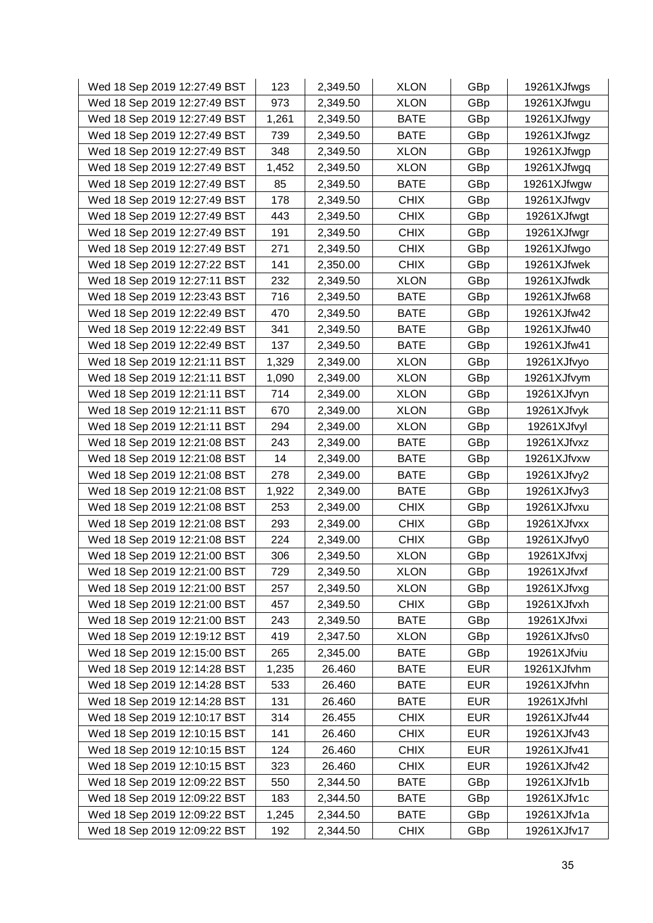| Wed 18 Sep 2019 12:27:49 BST | 123   | 2,349.50 | <b>XLON</b> | GBp        | 19261XJfwgs |
|------------------------------|-------|----------|-------------|------------|-------------|
| Wed 18 Sep 2019 12:27:49 BST | 973   | 2,349.50 | <b>XLON</b> | GBp        | 19261XJfwgu |
| Wed 18 Sep 2019 12:27:49 BST | 1,261 | 2,349.50 | <b>BATE</b> | GBp        | 19261XJfwgy |
| Wed 18 Sep 2019 12:27:49 BST | 739   | 2,349.50 | <b>BATE</b> | GBp        | 19261XJfwgz |
| Wed 18 Sep 2019 12:27:49 BST | 348   | 2,349.50 | <b>XLON</b> | GBp        | 19261XJfwgp |
| Wed 18 Sep 2019 12:27:49 BST | 1,452 | 2,349.50 | <b>XLON</b> | GBp        | 19261XJfwgq |
| Wed 18 Sep 2019 12:27:49 BST | 85    | 2,349.50 | <b>BATE</b> | GBp        | 19261XJfwgw |
| Wed 18 Sep 2019 12:27:49 BST | 178   | 2,349.50 | <b>CHIX</b> | GBp        | 19261XJfwgv |
| Wed 18 Sep 2019 12:27:49 BST | 443   | 2,349.50 | <b>CHIX</b> | GBp        | 19261XJfwgt |
| Wed 18 Sep 2019 12:27:49 BST | 191   | 2,349.50 | <b>CHIX</b> | GBp        | 19261XJfwgr |
| Wed 18 Sep 2019 12:27:49 BST | 271   | 2,349.50 | <b>CHIX</b> | GBp        | 19261XJfwgo |
| Wed 18 Sep 2019 12:27:22 BST | 141   | 2,350.00 | <b>CHIX</b> | GBp        | 19261XJfwek |
| Wed 18 Sep 2019 12:27:11 BST | 232   | 2,349.50 | <b>XLON</b> | GBp        | 19261XJfwdk |
| Wed 18 Sep 2019 12:23:43 BST | 716   | 2,349.50 | <b>BATE</b> | GBp        | 19261XJfw68 |
| Wed 18 Sep 2019 12:22:49 BST | 470   | 2,349.50 | <b>BATE</b> | GBp        | 19261XJfw42 |
| Wed 18 Sep 2019 12:22:49 BST | 341   | 2,349.50 | <b>BATE</b> | GBp        | 19261XJfw40 |
| Wed 18 Sep 2019 12:22:49 BST | 137   | 2,349.50 | <b>BATE</b> | GBp        | 19261XJfw41 |
| Wed 18 Sep 2019 12:21:11 BST | 1,329 | 2,349.00 | <b>XLON</b> | GBp        | 19261XJfvyo |
| Wed 18 Sep 2019 12:21:11 BST | 1,090 | 2,349.00 | <b>XLON</b> | GBp        | 19261XJfvym |
| Wed 18 Sep 2019 12:21:11 BST | 714   | 2,349.00 | <b>XLON</b> | GBp        | 19261XJfvyn |
| Wed 18 Sep 2019 12:21:11 BST | 670   | 2,349.00 | <b>XLON</b> | GBp        | 19261XJfvyk |
| Wed 18 Sep 2019 12:21:11 BST | 294   | 2,349.00 | <b>XLON</b> | GBp        | 19261XJfvyl |
| Wed 18 Sep 2019 12:21:08 BST | 243   | 2,349.00 | <b>BATE</b> | GBp        | 19261XJfvxz |
| Wed 18 Sep 2019 12:21:08 BST | 14    | 2,349.00 | <b>BATE</b> | GBp        | 19261XJfvxw |
| Wed 18 Sep 2019 12:21:08 BST | 278   | 2,349.00 | <b>BATE</b> | GBp        | 19261XJfvy2 |
| Wed 18 Sep 2019 12:21:08 BST | 1,922 | 2,349.00 | <b>BATE</b> | GBp        | 19261XJfvy3 |
| Wed 18 Sep 2019 12:21:08 BST | 253   | 2,349.00 | <b>CHIX</b> | GBp        | 19261XJfvxu |
| Wed 18 Sep 2019 12:21:08 BST | 293   | 2,349.00 | <b>CHIX</b> | GBp        | 19261XJfvxx |
| Wed 18 Sep 2019 12:21:08 BST | 224   | 2,349.00 | <b>CHIX</b> | GBp        | 19261XJfvy0 |
| Wed 18 Sep 2019 12:21:00 BST | 306   | 2,349.50 | <b>XLON</b> | GBp        | 19261XJfvxj |
| Wed 18 Sep 2019 12:21:00 BST | 729   | 2,349.50 | <b>XLON</b> | GBp        | 19261XJfvxf |
| Wed 18 Sep 2019 12:21:00 BST | 257   | 2,349.50 | <b>XLON</b> | GBp        | 19261XJfvxg |
| Wed 18 Sep 2019 12:21:00 BST | 457   | 2,349.50 | <b>CHIX</b> | GBp        | 19261XJfvxh |
| Wed 18 Sep 2019 12:21:00 BST | 243   | 2,349.50 | <b>BATE</b> | GBp        | 19261XJfvxi |
| Wed 18 Sep 2019 12:19:12 BST | 419   | 2,347.50 | <b>XLON</b> | GBp        | 19261XJfvs0 |
| Wed 18 Sep 2019 12:15:00 BST | 265   | 2,345.00 | <b>BATE</b> | GBp        | 19261XJfviu |
| Wed 18 Sep 2019 12:14:28 BST | 1,235 | 26.460   | <b>BATE</b> | <b>EUR</b> | 19261XJfvhm |
| Wed 18 Sep 2019 12:14:28 BST | 533   | 26.460   | <b>BATE</b> | <b>EUR</b> | 19261XJfvhn |
| Wed 18 Sep 2019 12:14:28 BST | 131   | 26.460   | <b>BATE</b> | <b>EUR</b> | 19261XJfvhl |
| Wed 18 Sep 2019 12:10:17 BST | 314   | 26.455   | <b>CHIX</b> | <b>EUR</b> | 19261XJfv44 |
| Wed 18 Sep 2019 12:10:15 BST | 141   | 26.460   | <b>CHIX</b> | <b>EUR</b> | 19261XJfv43 |
| Wed 18 Sep 2019 12:10:15 BST | 124   | 26.460   | <b>CHIX</b> | <b>EUR</b> | 19261XJfv41 |
| Wed 18 Sep 2019 12:10:15 BST | 323   | 26.460   | <b>CHIX</b> | <b>EUR</b> | 19261XJfv42 |
| Wed 18 Sep 2019 12:09:22 BST | 550   | 2,344.50 | <b>BATE</b> | GBp        | 19261XJfv1b |
| Wed 18 Sep 2019 12:09:22 BST | 183   | 2,344.50 | <b>BATE</b> | GBp        | 19261XJfv1c |
| Wed 18 Sep 2019 12:09:22 BST | 1,245 | 2,344.50 | <b>BATE</b> | GBp        | 19261XJfv1a |
| Wed 18 Sep 2019 12:09:22 BST | 192   | 2,344.50 | <b>CHIX</b> | GBp        | 19261XJfv17 |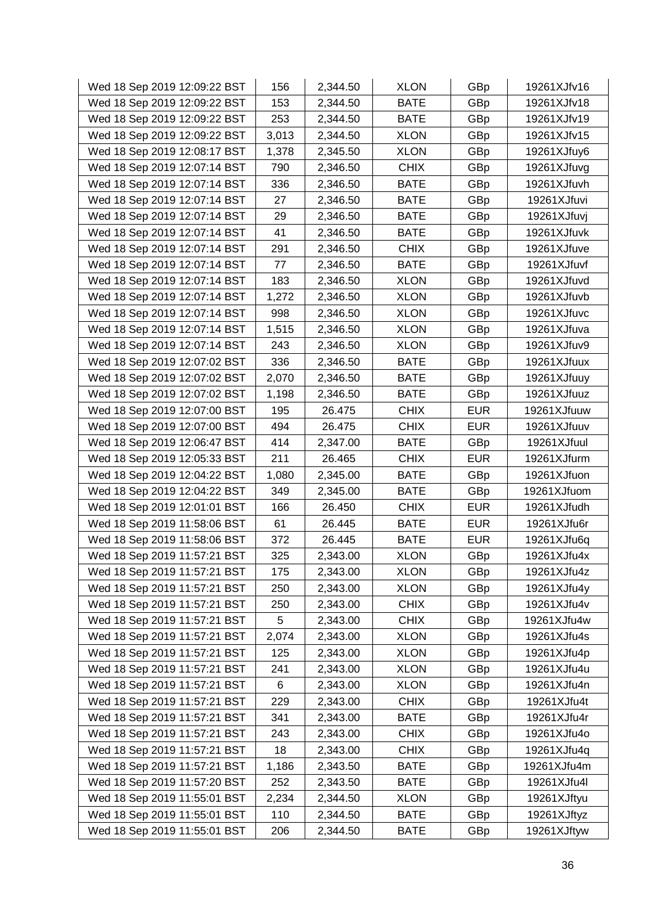| Wed 18 Sep 2019 12:09:22 BST | 156   | 2,344.50 | <b>XLON</b> | GBp        | 19261XJfv16 |
|------------------------------|-------|----------|-------------|------------|-------------|
| Wed 18 Sep 2019 12:09:22 BST | 153   | 2,344.50 | <b>BATE</b> | GBp        | 19261XJfv18 |
| Wed 18 Sep 2019 12:09:22 BST | 253   | 2,344.50 | <b>BATE</b> | GBp        | 19261XJfv19 |
| Wed 18 Sep 2019 12:09:22 BST | 3,013 | 2,344.50 | <b>XLON</b> | GBp        | 19261XJfv15 |
| Wed 18 Sep 2019 12:08:17 BST | 1,378 | 2,345.50 | <b>XLON</b> | GBp        | 19261XJfuy6 |
| Wed 18 Sep 2019 12:07:14 BST | 790   | 2,346.50 | <b>CHIX</b> | GBp        | 19261XJfuvg |
| Wed 18 Sep 2019 12:07:14 BST | 336   | 2,346.50 | <b>BATE</b> | GBp        | 19261XJfuvh |
| Wed 18 Sep 2019 12:07:14 BST | 27    | 2,346.50 | <b>BATE</b> | GBp        | 19261XJfuvi |
| Wed 18 Sep 2019 12:07:14 BST | 29    | 2,346.50 | <b>BATE</b> | GBp        | 19261XJfuvj |
| Wed 18 Sep 2019 12:07:14 BST | 41    | 2,346.50 | <b>BATE</b> | GBp        | 19261XJfuvk |
| Wed 18 Sep 2019 12:07:14 BST | 291   | 2,346.50 | <b>CHIX</b> | GBp        | 19261XJfuve |
| Wed 18 Sep 2019 12:07:14 BST | 77    | 2,346.50 | <b>BATE</b> | GBp        | 19261XJfuvf |
| Wed 18 Sep 2019 12:07:14 BST | 183   | 2,346.50 | <b>XLON</b> | GBp        | 19261XJfuvd |
| Wed 18 Sep 2019 12:07:14 BST | 1,272 | 2,346.50 | <b>XLON</b> | GBp        | 19261XJfuvb |
| Wed 18 Sep 2019 12:07:14 BST | 998   | 2,346.50 | <b>XLON</b> | GBp        | 19261XJfuvc |
| Wed 18 Sep 2019 12:07:14 BST | 1,515 | 2,346.50 | <b>XLON</b> | GBp        | 19261XJfuva |
| Wed 18 Sep 2019 12:07:14 BST | 243   | 2,346.50 | <b>XLON</b> | GBp        | 19261XJfuv9 |
| Wed 18 Sep 2019 12:07:02 BST | 336   | 2,346.50 | <b>BATE</b> | GBp        | 19261XJfuux |
| Wed 18 Sep 2019 12:07:02 BST | 2,070 | 2,346.50 | <b>BATE</b> | GBp        | 19261XJfuuy |
| Wed 18 Sep 2019 12:07:02 BST | 1,198 | 2,346.50 | <b>BATE</b> | GBp        | 19261XJfuuz |
| Wed 18 Sep 2019 12:07:00 BST | 195   | 26.475   | <b>CHIX</b> | <b>EUR</b> | 19261XJfuuw |
| Wed 18 Sep 2019 12:07:00 BST | 494   | 26.475   | <b>CHIX</b> | <b>EUR</b> | 19261XJfuuv |
| Wed 18 Sep 2019 12:06:47 BST | 414   | 2,347.00 | <b>BATE</b> | GBp        | 19261XJfuul |
| Wed 18 Sep 2019 12:05:33 BST | 211   | 26.465   | <b>CHIX</b> | <b>EUR</b> | 19261XJfurm |
| Wed 18 Sep 2019 12:04:22 BST | 1,080 | 2,345.00 | <b>BATE</b> | GBp        | 19261XJfuon |
| Wed 18 Sep 2019 12:04:22 BST | 349   | 2,345.00 | <b>BATE</b> | GBp        | 19261XJfuom |
| Wed 18 Sep 2019 12:01:01 BST | 166   | 26.450   | <b>CHIX</b> | <b>EUR</b> | 19261XJfudh |
| Wed 18 Sep 2019 11:58:06 BST | 61    | 26.445   | <b>BATE</b> | <b>EUR</b> | 19261XJfu6r |
| Wed 18 Sep 2019 11:58:06 BST | 372   | 26.445   | <b>BATE</b> | <b>EUR</b> | 19261XJfu6q |
| Wed 18 Sep 2019 11:57:21 BST | 325   | 2,343.00 | <b>XLON</b> | GBp        | 19261XJfu4x |
| Wed 18 Sep 2019 11:57:21 BST | 175   | 2,343.00 | <b>XLON</b> | GBp        | 19261XJfu4z |
| Wed 18 Sep 2019 11:57:21 BST | 250   | 2,343.00 | <b>XLON</b> | GBp        | 19261XJfu4y |
| Wed 18 Sep 2019 11:57:21 BST | 250   | 2,343.00 | <b>CHIX</b> | GBp        | 19261XJfu4v |
| Wed 18 Sep 2019 11:57:21 BST | 5     | 2,343.00 | <b>CHIX</b> | GBp        | 19261XJfu4w |
| Wed 18 Sep 2019 11:57:21 BST | 2,074 | 2,343.00 | <b>XLON</b> | GBp        | 19261XJfu4s |
| Wed 18 Sep 2019 11:57:21 BST | 125   | 2,343.00 | <b>XLON</b> | GBp        | 19261XJfu4p |
| Wed 18 Sep 2019 11:57:21 BST | 241   | 2,343.00 | <b>XLON</b> | GBp        | 19261XJfu4u |
| Wed 18 Sep 2019 11:57:21 BST | 6     | 2,343.00 | <b>XLON</b> | GBp        | 19261XJfu4n |
| Wed 18 Sep 2019 11:57:21 BST | 229   | 2,343.00 | <b>CHIX</b> | GBp        | 19261XJfu4t |
| Wed 18 Sep 2019 11:57:21 BST | 341   | 2,343.00 | <b>BATE</b> | GBp        | 19261XJfu4r |
| Wed 18 Sep 2019 11:57:21 BST | 243   | 2,343.00 | <b>CHIX</b> | GBp        | 19261XJfu4o |
| Wed 18 Sep 2019 11:57:21 BST | 18    | 2,343.00 | <b>CHIX</b> | GBp        | 19261XJfu4q |
| Wed 18 Sep 2019 11:57:21 BST | 1,186 | 2,343.50 | <b>BATE</b> | GBp        | 19261XJfu4m |
| Wed 18 Sep 2019 11:57:20 BST | 252   | 2,343.50 | <b>BATE</b> | GBp        | 19261XJfu4l |
| Wed 18 Sep 2019 11:55:01 BST | 2,234 | 2,344.50 | <b>XLON</b> | GBp        | 19261XJftyu |
| Wed 18 Sep 2019 11:55:01 BST | 110   | 2,344.50 | <b>BATE</b> | GBp        | 19261XJftyz |
| Wed 18 Sep 2019 11:55:01 BST | 206   | 2,344.50 | <b>BATE</b> | GBp        | 19261XJftyw |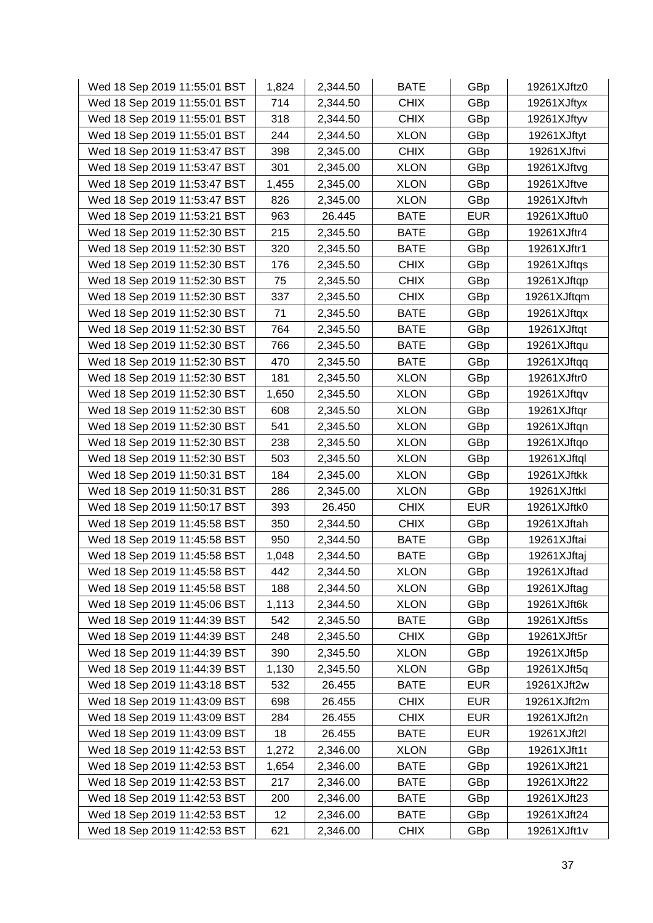| Wed 18 Sep 2019 11:55:01 BST | 1,824 | 2,344.50 | <b>BATE</b> | GBp        | 19261XJftz0 |
|------------------------------|-------|----------|-------------|------------|-------------|
| Wed 18 Sep 2019 11:55:01 BST | 714   | 2,344.50 | <b>CHIX</b> | GBp        | 19261XJftyx |
| Wed 18 Sep 2019 11:55:01 BST | 318   | 2,344.50 | <b>CHIX</b> | GBp        | 19261XJftyv |
| Wed 18 Sep 2019 11:55:01 BST | 244   | 2,344.50 | <b>XLON</b> | GBp        | 19261XJftyt |
| Wed 18 Sep 2019 11:53:47 BST | 398   | 2,345.00 | <b>CHIX</b> | GBp        | 19261XJftvi |
| Wed 18 Sep 2019 11:53:47 BST | 301   | 2,345.00 | <b>XLON</b> | GBp        | 19261XJftvg |
| Wed 18 Sep 2019 11:53:47 BST | 1,455 | 2,345.00 | <b>XLON</b> | GBp        | 19261XJftve |
| Wed 18 Sep 2019 11:53:47 BST | 826   | 2,345.00 | <b>XLON</b> | GBp        | 19261XJftvh |
| Wed 18 Sep 2019 11:53:21 BST | 963   | 26.445   | <b>BATE</b> | <b>EUR</b> | 19261XJftu0 |
| Wed 18 Sep 2019 11:52:30 BST | 215   | 2,345.50 | <b>BATE</b> | GBp        | 19261XJftr4 |
| Wed 18 Sep 2019 11:52:30 BST | 320   | 2,345.50 | <b>BATE</b> | GBp        | 19261XJftr1 |
| Wed 18 Sep 2019 11:52:30 BST | 176   | 2,345.50 | <b>CHIX</b> | GBp        | 19261XJftqs |
| Wed 18 Sep 2019 11:52:30 BST | 75    | 2,345.50 | <b>CHIX</b> | GBp        | 19261XJftqp |
| Wed 18 Sep 2019 11:52:30 BST | 337   | 2,345.50 | <b>CHIX</b> | GBp        | 19261XJftqm |
| Wed 18 Sep 2019 11:52:30 BST | 71    | 2,345.50 | <b>BATE</b> | GBp        | 19261XJftqx |
| Wed 18 Sep 2019 11:52:30 BST | 764   | 2,345.50 | <b>BATE</b> | GBp        | 19261XJftqt |
| Wed 18 Sep 2019 11:52:30 BST | 766   | 2,345.50 | <b>BATE</b> | GBp        | 19261XJftqu |
| Wed 18 Sep 2019 11:52:30 BST | 470   | 2,345.50 | <b>BATE</b> | GBp        | 19261XJftqq |
| Wed 18 Sep 2019 11:52:30 BST | 181   | 2,345.50 | <b>XLON</b> | GBp        | 19261XJftr0 |
| Wed 18 Sep 2019 11:52:30 BST | 1,650 | 2,345.50 | <b>XLON</b> | GBp        | 19261XJftqv |
| Wed 18 Sep 2019 11:52:30 BST | 608   | 2,345.50 | <b>XLON</b> | GBp        | 19261XJftqr |
| Wed 18 Sep 2019 11:52:30 BST | 541   | 2,345.50 | <b>XLON</b> | GBp        | 19261XJftqn |
| Wed 18 Sep 2019 11:52:30 BST | 238   | 2,345.50 | <b>XLON</b> | GBp        | 19261XJftqo |
| Wed 18 Sep 2019 11:52:30 BST | 503   | 2,345.50 | <b>XLON</b> | GBp        | 19261XJftql |
| Wed 18 Sep 2019 11:50:31 BST | 184   | 2,345.00 | <b>XLON</b> | GBp        | 19261XJftkk |
| Wed 18 Sep 2019 11:50:31 BST | 286   | 2,345.00 | <b>XLON</b> | GBp        | 19261XJftkl |
| Wed 18 Sep 2019 11:50:17 BST | 393   | 26.450   | <b>CHIX</b> | <b>EUR</b> | 19261XJftk0 |
| Wed 18 Sep 2019 11:45:58 BST | 350   | 2,344.50 | <b>CHIX</b> | GBp        | 19261XJftah |
| Wed 18 Sep 2019 11:45:58 BST | 950   | 2,344.50 | <b>BATE</b> | GBp        | 19261XJftai |
| Wed 18 Sep 2019 11:45:58 BST | 1,048 | 2,344.50 | <b>BATE</b> | GBp        | 19261XJftaj |
| Wed 18 Sep 2019 11:45:58 BST | 442   | 2,344.50 | <b>XLON</b> | GBp        | 19261XJftad |
| Wed 18 Sep 2019 11:45:58 BST | 188   | 2,344.50 | <b>XLON</b> | GBp        | 19261XJftag |
| Wed 18 Sep 2019 11:45:06 BST | 1,113 | 2,344.50 | <b>XLON</b> | GBp        | 19261XJft6k |
| Wed 18 Sep 2019 11:44:39 BST | 542   | 2,345.50 | <b>BATE</b> | GBp        | 19261XJft5s |
| Wed 18 Sep 2019 11:44:39 BST | 248   | 2,345.50 | <b>CHIX</b> | GBp        | 19261XJft5r |
| Wed 18 Sep 2019 11:44:39 BST | 390   | 2,345.50 | <b>XLON</b> | GBp        | 19261XJft5p |
| Wed 18 Sep 2019 11:44:39 BST | 1,130 | 2,345.50 | <b>XLON</b> | GBp        | 19261XJft5q |
| Wed 18 Sep 2019 11:43:18 BST | 532   | 26.455   | <b>BATE</b> | <b>EUR</b> | 19261XJft2w |
| Wed 18 Sep 2019 11:43:09 BST | 698   | 26.455   | <b>CHIX</b> | <b>EUR</b> | 19261XJft2m |
| Wed 18 Sep 2019 11:43:09 BST | 284   | 26.455   | <b>CHIX</b> | <b>EUR</b> | 19261XJft2n |
| Wed 18 Sep 2019 11:43:09 BST | 18    | 26.455   | <b>BATE</b> | <b>EUR</b> | 19261XJft2l |
| Wed 18 Sep 2019 11:42:53 BST | 1,272 | 2,346.00 | <b>XLON</b> | GBp        | 19261XJft1t |
| Wed 18 Sep 2019 11:42:53 BST | 1,654 | 2,346.00 | <b>BATE</b> | GBp        | 19261XJft21 |
| Wed 18 Sep 2019 11:42:53 BST | 217   | 2,346.00 | <b>BATE</b> | GBp        | 19261XJft22 |
| Wed 18 Sep 2019 11:42:53 BST | 200   | 2,346.00 | <b>BATE</b> | GBp        | 19261XJft23 |
| Wed 18 Sep 2019 11:42:53 BST | 12    | 2,346.00 | <b>BATE</b> | GBp        | 19261XJft24 |
| Wed 18 Sep 2019 11:42:53 BST | 621   | 2,346.00 | <b>CHIX</b> | GBp        | 19261XJft1v |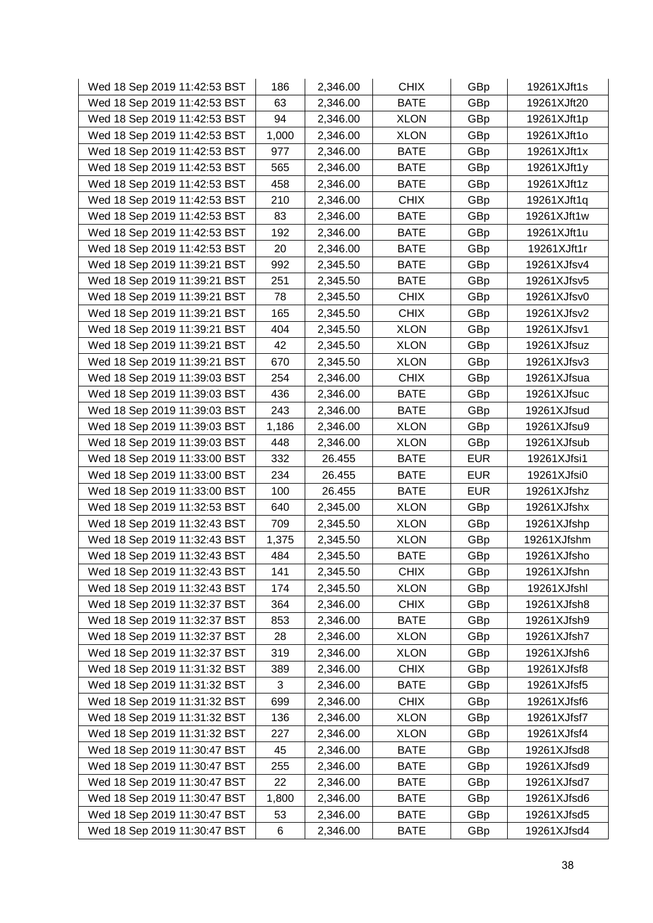| Wed 18 Sep 2019 11:42:53 BST | 186   | 2,346.00 | <b>CHIX</b> | GBp        | 19261XJft1s |
|------------------------------|-------|----------|-------------|------------|-------------|
| Wed 18 Sep 2019 11:42:53 BST | 63    | 2,346.00 | <b>BATE</b> | GBp        | 19261XJft20 |
| Wed 18 Sep 2019 11:42:53 BST | 94    | 2,346.00 | <b>XLON</b> | GBp        | 19261XJft1p |
| Wed 18 Sep 2019 11:42:53 BST | 1,000 | 2,346.00 | <b>XLON</b> | GBp        | 19261XJft1o |
| Wed 18 Sep 2019 11:42:53 BST | 977   | 2,346.00 | <b>BATE</b> | GBp        | 19261XJft1x |
| Wed 18 Sep 2019 11:42:53 BST | 565   | 2,346.00 | <b>BATE</b> | GBp        | 19261XJft1y |
| Wed 18 Sep 2019 11:42:53 BST | 458   | 2,346.00 | <b>BATE</b> | GBp        | 19261XJft1z |
| Wed 18 Sep 2019 11:42:53 BST | 210   | 2,346.00 | <b>CHIX</b> | GBp        | 19261XJft1q |
| Wed 18 Sep 2019 11:42:53 BST | 83    | 2,346.00 | <b>BATE</b> | GBp        | 19261XJft1w |
| Wed 18 Sep 2019 11:42:53 BST | 192   | 2,346.00 | <b>BATE</b> | GBp        | 19261XJft1u |
| Wed 18 Sep 2019 11:42:53 BST | 20    | 2,346.00 | <b>BATE</b> | GBp        | 19261XJft1r |
| Wed 18 Sep 2019 11:39:21 BST | 992   | 2,345.50 | <b>BATE</b> | GBp        | 19261XJfsv4 |
| Wed 18 Sep 2019 11:39:21 BST | 251   | 2,345.50 | <b>BATE</b> | GBp        | 19261XJfsv5 |
| Wed 18 Sep 2019 11:39:21 BST | 78    | 2,345.50 | <b>CHIX</b> | GBp        | 19261XJfsv0 |
| Wed 18 Sep 2019 11:39:21 BST | 165   | 2,345.50 | <b>CHIX</b> | GBp        | 19261XJfsv2 |
| Wed 18 Sep 2019 11:39:21 BST | 404   | 2,345.50 | <b>XLON</b> | GBp        | 19261XJfsv1 |
| Wed 18 Sep 2019 11:39:21 BST | 42    | 2,345.50 | <b>XLON</b> | GBp        | 19261XJfsuz |
| Wed 18 Sep 2019 11:39:21 BST | 670   | 2,345.50 | <b>XLON</b> | GBp        | 19261XJfsv3 |
| Wed 18 Sep 2019 11:39:03 BST | 254   | 2,346.00 | <b>CHIX</b> | GBp        | 19261XJfsua |
| Wed 18 Sep 2019 11:39:03 BST | 436   | 2,346.00 | <b>BATE</b> | GBp        | 19261XJfsuc |
| Wed 18 Sep 2019 11:39:03 BST | 243   | 2,346.00 | <b>BATE</b> | GBp        | 19261XJfsud |
| Wed 18 Sep 2019 11:39:03 BST | 1,186 | 2,346.00 | <b>XLON</b> | GBp        | 19261XJfsu9 |
| Wed 18 Sep 2019 11:39:03 BST | 448   | 2,346.00 | <b>XLON</b> | GBp        | 19261XJfsub |
| Wed 18 Sep 2019 11:33:00 BST | 332   | 26.455   | <b>BATE</b> | <b>EUR</b> | 19261XJfsi1 |
| Wed 18 Sep 2019 11:33:00 BST | 234   | 26.455   | <b>BATE</b> | <b>EUR</b> | 19261XJfsi0 |
| Wed 18 Sep 2019 11:33:00 BST | 100   | 26.455   | <b>BATE</b> | <b>EUR</b> | 19261XJfshz |
| Wed 18 Sep 2019 11:32:53 BST | 640   | 2,345.00 | <b>XLON</b> | GBp        | 19261XJfshx |
| Wed 18 Sep 2019 11:32:43 BST | 709   | 2,345.50 | <b>XLON</b> | GBp        | 19261XJfshp |
| Wed 18 Sep 2019 11:32:43 BST | 1,375 | 2,345.50 | <b>XLON</b> | GBp        | 19261XJfshm |
| Wed 18 Sep 2019 11:32:43 BST | 484   | 2,345.50 | <b>BATE</b> | GBp        | 19261XJfsho |
| Wed 18 Sep 2019 11:32:43 BST | 141   | 2,345.50 | <b>CHIX</b> | GBp        | 19261XJfshn |
| Wed 18 Sep 2019 11:32:43 BST | 174   | 2,345.50 | <b>XLON</b> | GBp        | 19261XJfshl |
| Wed 18 Sep 2019 11:32:37 BST | 364   | 2,346.00 | <b>CHIX</b> | GBp        | 19261XJfsh8 |
| Wed 18 Sep 2019 11:32:37 BST | 853   | 2,346.00 | <b>BATE</b> | GBp        | 19261XJfsh9 |
| Wed 18 Sep 2019 11:32:37 BST | 28    | 2,346.00 | <b>XLON</b> | GBp        | 19261XJfsh7 |
| Wed 18 Sep 2019 11:32:37 BST | 319   | 2,346.00 | <b>XLON</b> | GBp        | 19261XJfsh6 |
| Wed 18 Sep 2019 11:31:32 BST | 389   | 2,346.00 | <b>CHIX</b> | GBp        | 19261XJfsf8 |
| Wed 18 Sep 2019 11:31:32 BST | 3     | 2,346.00 | <b>BATE</b> | GBp        | 19261XJfsf5 |
| Wed 18 Sep 2019 11:31:32 BST | 699   | 2,346.00 | <b>CHIX</b> | GBp        | 19261XJfsf6 |
| Wed 18 Sep 2019 11:31:32 BST | 136   | 2,346.00 | <b>XLON</b> | GBp        | 19261XJfsf7 |
| Wed 18 Sep 2019 11:31:32 BST | 227   | 2,346.00 | <b>XLON</b> | GBp        | 19261XJfsf4 |
| Wed 18 Sep 2019 11:30:47 BST | 45    | 2,346.00 | <b>BATE</b> | GBp        | 19261XJfsd8 |
| Wed 18 Sep 2019 11:30:47 BST | 255   | 2,346.00 | <b>BATE</b> | GBp        | 19261XJfsd9 |
| Wed 18 Sep 2019 11:30:47 BST | 22    | 2,346.00 | <b>BATE</b> | GBp        | 19261XJfsd7 |
| Wed 18 Sep 2019 11:30:47 BST | 1,800 | 2,346.00 | <b>BATE</b> | GBp        | 19261XJfsd6 |
| Wed 18 Sep 2019 11:30:47 BST | 53    | 2,346.00 | <b>BATE</b> | GBp        | 19261XJfsd5 |
| Wed 18 Sep 2019 11:30:47 BST | 6     | 2,346.00 | <b>BATE</b> | GBp        | 19261XJfsd4 |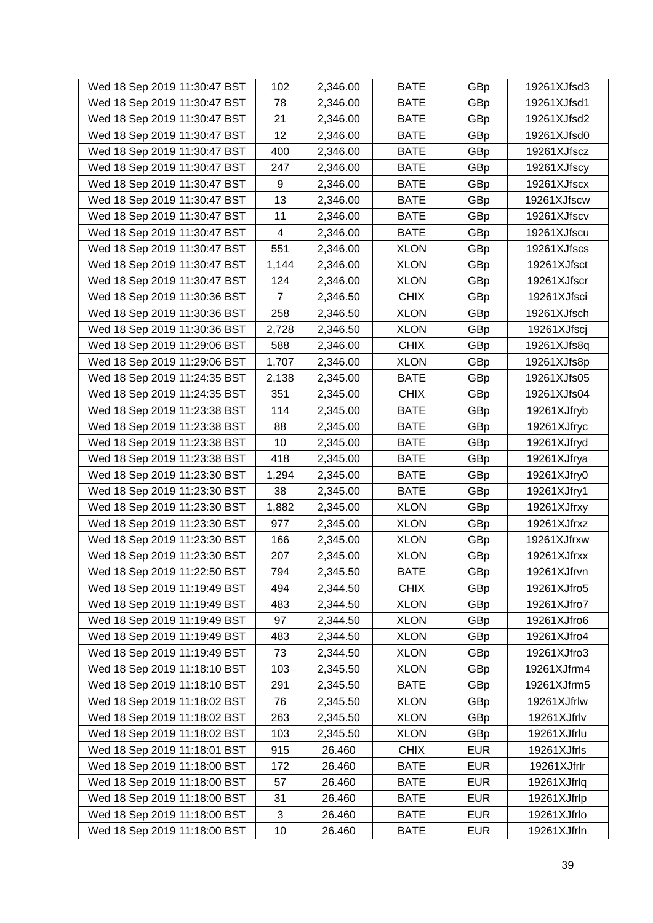| Wed 18 Sep 2019 11:30:47 BST | 102   | 2,346.00 | <b>BATE</b> | GBp        | 19261XJfsd3 |
|------------------------------|-------|----------|-------------|------------|-------------|
| Wed 18 Sep 2019 11:30:47 BST | 78    | 2,346.00 | <b>BATE</b> | GBp        | 19261XJfsd1 |
| Wed 18 Sep 2019 11:30:47 BST | 21    | 2,346.00 | <b>BATE</b> | GBp        | 19261XJfsd2 |
| Wed 18 Sep 2019 11:30:47 BST | 12    | 2,346.00 | <b>BATE</b> | GBp        | 19261XJfsd0 |
| Wed 18 Sep 2019 11:30:47 BST | 400   | 2,346.00 | <b>BATE</b> | GBp        | 19261XJfscz |
| Wed 18 Sep 2019 11:30:47 BST | 247   | 2,346.00 | <b>BATE</b> | GBp        | 19261XJfscy |
| Wed 18 Sep 2019 11:30:47 BST | 9     | 2,346.00 | <b>BATE</b> | GBp        | 19261XJfscx |
| Wed 18 Sep 2019 11:30:47 BST | 13    | 2,346.00 | <b>BATE</b> | GBp        | 19261XJfscw |
| Wed 18 Sep 2019 11:30:47 BST | 11    | 2,346.00 | <b>BATE</b> | GBp        | 19261XJfscv |
| Wed 18 Sep 2019 11:30:47 BST | 4     | 2,346.00 | <b>BATE</b> | GBp        | 19261XJfscu |
| Wed 18 Sep 2019 11:30:47 BST | 551   | 2,346.00 | <b>XLON</b> | GBp        | 19261XJfscs |
| Wed 18 Sep 2019 11:30:47 BST | 1,144 | 2,346.00 | <b>XLON</b> | GBp        | 19261XJfsct |
| Wed 18 Sep 2019 11:30:47 BST | 124   | 2,346.00 | <b>XLON</b> | GBp        | 19261XJfscr |
| Wed 18 Sep 2019 11:30:36 BST | 7     | 2,346.50 | <b>CHIX</b> | GBp        | 19261XJfsci |
| Wed 18 Sep 2019 11:30:36 BST | 258   | 2,346.50 | <b>XLON</b> | GBp        | 19261XJfsch |
| Wed 18 Sep 2019 11:30:36 BST | 2,728 | 2,346.50 | <b>XLON</b> | GBp        | 19261XJfscj |
| Wed 18 Sep 2019 11:29:06 BST | 588   | 2,346.00 | <b>CHIX</b> | GBp        | 19261XJfs8q |
| Wed 18 Sep 2019 11:29:06 BST | 1,707 | 2,346.00 | <b>XLON</b> | GBp        | 19261XJfs8p |
| Wed 18 Sep 2019 11:24:35 BST | 2,138 | 2,345.00 | <b>BATE</b> | GBp        | 19261XJfs05 |
| Wed 18 Sep 2019 11:24:35 BST | 351   | 2,345.00 | <b>CHIX</b> | GBp        | 19261XJfs04 |
| Wed 18 Sep 2019 11:23:38 BST | 114   | 2,345.00 | <b>BATE</b> | GBp        | 19261XJfryb |
| Wed 18 Sep 2019 11:23:38 BST | 88    | 2,345.00 | <b>BATE</b> | GBp        | 19261XJfryc |
| Wed 18 Sep 2019 11:23:38 BST | 10    | 2,345.00 | <b>BATE</b> | GBp        | 19261XJfryd |
| Wed 18 Sep 2019 11:23:38 BST | 418   | 2,345.00 | <b>BATE</b> | GBp        | 19261XJfrya |
| Wed 18 Sep 2019 11:23:30 BST | 1,294 | 2,345.00 | <b>BATE</b> | GBp        | 19261XJfry0 |
| Wed 18 Sep 2019 11:23:30 BST | 38    | 2,345.00 | <b>BATE</b> | GBp        | 19261XJfry1 |
| Wed 18 Sep 2019 11:23:30 BST | 1,882 | 2,345.00 | <b>XLON</b> | GBp        | 19261XJfrxy |
| Wed 18 Sep 2019 11:23:30 BST | 977   | 2,345.00 | <b>XLON</b> | GBp        | 19261XJfrxz |
| Wed 18 Sep 2019 11:23:30 BST | 166   | 2,345.00 | <b>XLON</b> | GBp        | 19261XJfrxw |
| Wed 18 Sep 2019 11:23:30 BST | 207   | 2,345.00 | <b>XLON</b> | GBp        | 19261XJfrxx |
| Wed 18 Sep 2019 11:22:50 BST | 794   | 2,345.50 | <b>BATE</b> | GBp        | 19261XJfrvn |
| Wed 18 Sep 2019 11:19:49 BST | 494   | 2,344.50 | <b>CHIX</b> | GBp        | 19261XJfro5 |
| Wed 18 Sep 2019 11:19:49 BST | 483   | 2,344.50 | <b>XLON</b> | GBp        | 19261XJfro7 |
| Wed 18 Sep 2019 11:19:49 BST | 97    | 2,344.50 | <b>XLON</b> | GBp        | 19261XJfro6 |
| Wed 18 Sep 2019 11:19:49 BST | 483   | 2,344.50 | <b>XLON</b> | GBp        | 19261XJfro4 |
| Wed 18 Sep 2019 11:19:49 BST | 73    | 2,344.50 | <b>XLON</b> | GBp        | 19261XJfro3 |
| Wed 18 Sep 2019 11:18:10 BST | 103   | 2,345.50 | <b>XLON</b> | GBp        | 19261XJfrm4 |
| Wed 18 Sep 2019 11:18:10 BST | 291   | 2,345.50 | <b>BATE</b> | GBp        | 19261XJfrm5 |
| Wed 18 Sep 2019 11:18:02 BST | 76    | 2,345.50 | <b>XLON</b> | GBp        | 19261XJfrlw |
| Wed 18 Sep 2019 11:18:02 BST | 263   | 2,345.50 | <b>XLON</b> | GBp        | 19261XJfrlv |
| Wed 18 Sep 2019 11:18:02 BST | 103   | 2,345.50 | <b>XLON</b> | GBp        | 19261XJfrlu |
| Wed 18 Sep 2019 11:18:01 BST | 915   | 26.460   | <b>CHIX</b> | <b>EUR</b> | 19261XJfrls |
| Wed 18 Sep 2019 11:18:00 BST | 172   | 26.460   | <b>BATE</b> | <b>EUR</b> | 19261XJfrlr |
| Wed 18 Sep 2019 11:18:00 BST | 57    | 26.460   | <b>BATE</b> | <b>EUR</b> | 19261XJfrlq |
| Wed 18 Sep 2019 11:18:00 BST | 31    | 26.460   | <b>BATE</b> | <b>EUR</b> | 19261XJfrlp |
| Wed 18 Sep 2019 11:18:00 BST | 3     | 26.460   | <b>BATE</b> | <b>EUR</b> | 19261XJfrlo |
| Wed 18 Sep 2019 11:18:00 BST | 10    | 26.460   | <b>BATE</b> | <b>EUR</b> | 19261XJfrln |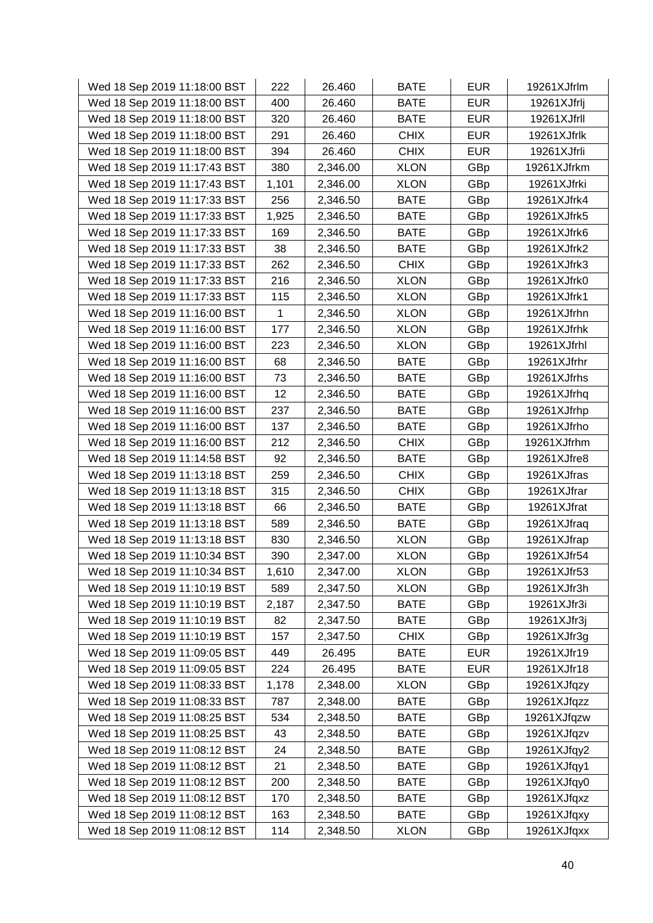| Wed 18 Sep 2019 11:18:00 BST | 222          | 26.460   | <b>BATE</b> | <b>EUR</b> | 19261XJfrlm |
|------------------------------|--------------|----------|-------------|------------|-------------|
| Wed 18 Sep 2019 11:18:00 BST | 400          | 26.460   | <b>BATE</b> | <b>EUR</b> | 19261XJfrlj |
| Wed 18 Sep 2019 11:18:00 BST | 320          | 26.460   | <b>BATE</b> | <b>EUR</b> | 19261XJfrll |
| Wed 18 Sep 2019 11:18:00 BST | 291          | 26.460   | <b>CHIX</b> | <b>EUR</b> | 19261XJfrlk |
| Wed 18 Sep 2019 11:18:00 BST | 394          | 26.460   | <b>CHIX</b> | <b>EUR</b> | 19261XJfrli |
| Wed 18 Sep 2019 11:17:43 BST | 380          | 2,346.00 | <b>XLON</b> | GBp        | 19261XJfrkm |
| Wed 18 Sep 2019 11:17:43 BST | 1,101        | 2,346.00 | <b>XLON</b> | GBp        | 19261XJfrki |
| Wed 18 Sep 2019 11:17:33 BST | 256          | 2,346.50 | <b>BATE</b> | GBp        | 19261XJfrk4 |
| Wed 18 Sep 2019 11:17:33 BST | 1,925        | 2,346.50 | <b>BATE</b> | GBp        | 19261XJfrk5 |
| Wed 18 Sep 2019 11:17:33 BST | 169          | 2,346.50 | <b>BATE</b> | GBp        | 19261XJfrk6 |
| Wed 18 Sep 2019 11:17:33 BST | 38           | 2,346.50 | <b>BATE</b> | GBp        | 19261XJfrk2 |
| Wed 18 Sep 2019 11:17:33 BST | 262          | 2,346.50 | <b>CHIX</b> | GBp        | 19261XJfrk3 |
| Wed 18 Sep 2019 11:17:33 BST | 216          | 2,346.50 | <b>XLON</b> | GBp        | 19261XJfrk0 |
| Wed 18 Sep 2019 11:17:33 BST | 115          | 2,346.50 | <b>XLON</b> | GBp        | 19261XJfrk1 |
| Wed 18 Sep 2019 11:16:00 BST | $\mathbf{1}$ | 2,346.50 | <b>XLON</b> | GBp        | 19261XJfrhn |
| Wed 18 Sep 2019 11:16:00 BST | 177          | 2,346.50 | <b>XLON</b> | GBp        | 19261XJfrhk |
| Wed 18 Sep 2019 11:16:00 BST | 223          | 2,346.50 | <b>XLON</b> | GBp        | 19261XJfrhl |
| Wed 18 Sep 2019 11:16:00 BST | 68           | 2,346.50 | <b>BATE</b> | GBp        | 19261XJfrhr |
| Wed 18 Sep 2019 11:16:00 BST | 73           | 2,346.50 | <b>BATE</b> | GBp        | 19261XJfrhs |
| Wed 18 Sep 2019 11:16:00 BST | 12           | 2,346.50 | <b>BATE</b> | GBp        | 19261XJfrhq |
| Wed 18 Sep 2019 11:16:00 BST | 237          | 2,346.50 | <b>BATE</b> | GBp        | 19261XJfrhp |
| Wed 18 Sep 2019 11:16:00 BST | 137          | 2,346.50 | <b>BATE</b> | GBp        | 19261XJfrho |
| Wed 18 Sep 2019 11:16:00 BST | 212          | 2,346.50 | <b>CHIX</b> | GBp        | 19261XJfrhm |
| Wed 18 Sep 2019 11:14:58 BST | 92           | 2,346.50 | <b>BATE</b> | GBp        | 19261XJfre8 |
| Wed 18 Sep 2019 11:13:18 BST | 259          | 2,346.50 | <b>CHIX</b> | GBp        | 19261XJfras |
| Wed 18 Sep 2019 11:13:18 BST | 315          | 2,346.50 | <b>CHIX</b> | GBp        | 19261XJfrar |
| Wed 18 Sep 2019 11:13:18 BST | 66           | 2,346.50 | <b>BATE</b> | GBp        | 19261XJfrat |
| Wed 18 Sep 2019 11:13:18 BST | 589          | 2,346.50 | <b>BATE</b> | GBp        | 19261XJfraq |
| Wed 18 Sep 2019 11:13:18 BST | 830          | 2,346.50 | <b>XLON</b> | GBp        | 19261XJfrap |
| Wed 18 Sep 2019 11:10:34 BST | 390          | 2,347.00 | <b>XLON</b> | GBp        | 19261XJfr54 |
| Wed 18 Sep 2019 11:10:34 BST | 1,610        | 2,347.00 | <b>XLON</b> | GBp        | 19261XJfr53 |
| Wed 18 Sep 2019 11:10:19 BST | 589          | 2,347.50 | <b>XLON</b> | GBp        | 19261XJfr3h |
| Wed 18 Sep 2019 11:10:19 BST | 2,187        | 2,347.50 | <b>BATE</b> | GBp        | 19261XJfr3i |
| Wed 18 Sep 2019 11:10:19 BST | 82           | 2,347.50 | <b>BATE</b> | GBp        | 19261XJfr3j |
| Wed 18 Sep 2019 11:10:19 BST | 157          | 2,347.50 | <b>CHIX</b> | GBp        | 19261XJfr3g |
| Wed 18 Sep 2019 11:09:05 BST | 449          | 26.495   | <b>BATE</b> | <b>EUR</b> | 19261XJfr19 |
| Wed 18 Sep 2019 11:09:05 BST | 224          | 26.495   | <b>BATE</b> | <b>EUR</b> | 19261XJfr18 |
| Wed 18 Sep 2019 11:08:33 BST | 1,178        | 2,348.00 | <b>XLON</b> | GBp        | 19261XJfqzy |
| Wed 18 Sep 2019 11:08:33 BST | 787          | 2,348.00 | <b>BATE</b> | GBp        | 19261XJfqzz |
| Wed 18 Sep 2019 11:08:25 BST | 534          | 2,348.50 | <b>BATE</b> | GBp        | 19261XJfqzw |
| Wed 18 Sep 2019 11:08:25 BST | 43           | 2,348.50 | <b>BATE</b> | GBp        | 19261XJfqzv |
| Wed 18 Sep 2019 11:08:12 BST | 24           | 2,348.50 | <b>BATE</b> | GBp        | 19261XJfqy2 |
| Wed 18 Sep 2019 11:08:12 BST | 21           | 2,348.50 | <b>BATE</b> | GBp        | 19261XJfqy1 |
| Wed 18 Sep 2019 11:08:12 BST | 200          | 2,348.50 | <b>BATE</b> | GBp        | 19261XJfqy0 |
| Wed 18 Sep 2019 11:08:12 BST | 170          | 2,348.50 | <b>BATE</b> | GBp        | 19261XJfqxz |
| Wed 18 Sep 2019 11:08:12 BST | 163          | 2,348.50 | <b>BATE</b> | GBp        | 19261XJfqxy |
| Wed 18 Sep 2019 11:08:12 BST | 114          | 2,348.50 | <b>XLON</b> | GBp        | 19261XJfqxx |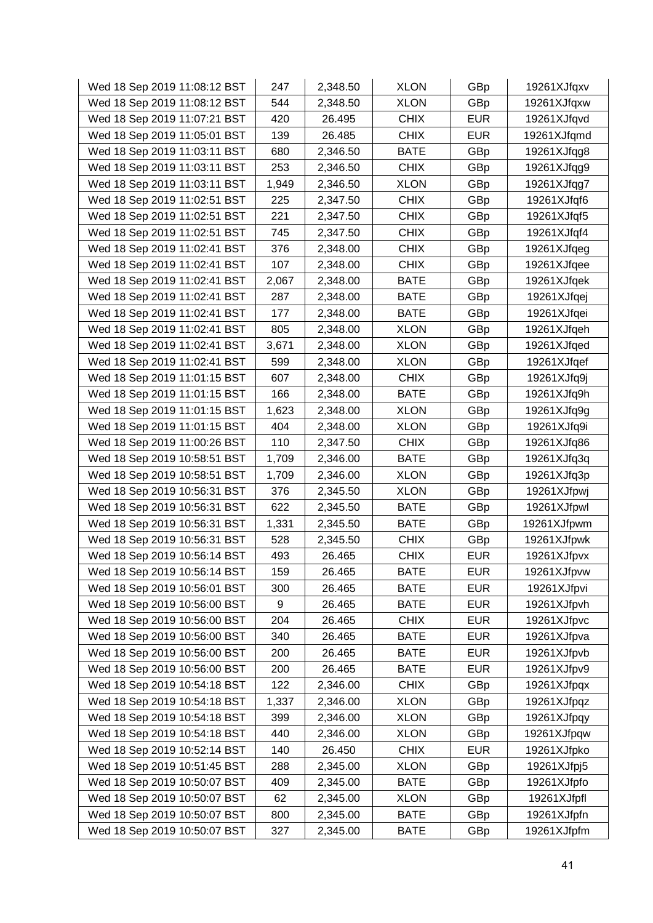| Wed 18 Sep 2019 11:08:12 BST | 247   | 2,348.50 | <b>XLON</b> | GBp        | 19261XJfqxv |
|------------------------------|-------|----------|-------------|------------|-------------|
| Wed 18 Sep 2019 11:08:12 BST | 544   | 2,348.50 | <b>XLON</b> | GBp        | 19261XJfqxw |
| Wed 18 Sep 2019 11:07:21 BST | 420   | 26.495   | <b>CHIX</b> | <b>EUR</b> | 19261XJfqvd |
| Wed 18 Sep 2019 11:05:01 BST | 139   | 26.485   | <b>CHIX</b> | <b>EUR</b> | 19261XJfqmd |
| Wed 18 Sep 2019 11:03:11 BST | 680   | 2,346.50 | <b>BATE</b> | GBp        | 19261XJfqg8 |
| Wed 18 Sep 2019 11:03:11 BST | 253   | 2,346.50 | <b>CHIX</b> | GBp        | 19261XJfqg9 |
| Wed 18 Sep 2019 11:03:11 BST | 1,949 | 2,346.50 | <b>XLON</b> | GBp        | 19261XJfqg7 |
| Wed 18 Sep 2019 11:02:51 BST | 225   | 2,347.50 | <b>CHIX</b> | GBp        | 19261XJfqf6 |
| Wed 18 Sep 2019 11:02:51 BST | 221   | 2,347.50 | <b>CHIX</b> | GBp        | 19261XJfqf5 |
| Wed 18 Sep 2019 11:02:51 BST | 745   | 2,347.50 | <b>CHIX</b> | GBp        | 19261XJfqf4 |
| Wed 18 Sep 2019 11:02:41 BST | 376   | 2,348.00 | <b>CHIX</b> | GBp        | 19261XJfqeg |
| Wed 18 Sep 2019 11:02:41 BST | 107   | 2,348.00 | <b>CHIX</b> | GBp        | 19261XJfqee |
| Wed 18 Sep 2019 11:02:41 BST | 2,067 | 2,348.00 | <b>BATE</b> | GBp        | 19261XJfqek |
| Wed 18 Sep 2019 11:02:41 BST | 287   | 2,348.00 | <b>BATE</b> | GBp        | 19261XJfqej |
| Wed 18 Sep 2019 11:02:41 BST | 177   | 2,348.00 | <b>BATE</b> | GBp        | 19261XJfqei |
| Wed 18 Sep 2019 11:02:41 BST | 805   | 2,348.00 | <b>XLON</b> | GBp        | 19261XJfqeh |
| Wed 18 Sep 2019 11:02:41 BST | 3,671 | 2,348.00 | <b>XLON</b> | GBp        | 19261XJfqed |
| Wed 18 Sep 2019 11:02:41 BST | 599   | 2,348.00 | <b>XLON</b> | GBp        | 19261XJfqef |
| Wed 18 Sep 2019 11:01:15 BST | 607   | 2,348.00 | <b>CHIX</b> | GBp        | 19261XJfq9j |
| Wed 18 Sep 2019 11:01:15 BST | 166   | 2,348.00 | <b>BATE</b> | GBp        | 19261XJfq9h |
| Wed 18 Sep 2019 11:01:15 BST | 1,623 | 2,348.00 | <b>XLON</b> | GBp        | 19261XJfq9g |
| Wed 18 Sep 2019 11:01:15 BST | 404   | 2,348.00 | <b>XLON</b> | GBp        | 19261XJfq9i |
| Wed 18 Sep 2019 11:00:26 BST | 110   | 2,347.50 | <b>CHIX</b> | GBp        | 19261XJfq86 |
| Wed 18 Sep 2019 10:58:51 BST | 1,709 | 2,346.00 | <b>BATE</b> | GBp        | 19261XJfq3q |
| Wed 18 Sep 2019 10:58:51 BST | 1,709 | 2,346.00 | <b>XLON</b> | GBp        | 19261XJfq3p |
| Wed 18 Sep 2019 10:56:31 BST | 376   | 2,345.50 | <b>XLON</b> | GBp        | 19261XJfpwj |
| Wed 18 Sep 2019 10:56:31 BST | 622   | 2,345.50 | <b>BATE</b> | GBp        | 19261XJfpwl |
| Wed 18 Sep 2019 10:56:31 BST | 1,331 | 2,345.50 | <b>BATE</b> | GBp        | 19261XJfpwm |
| Wed 18 Sep 2019 10:56:31 BST | 528   | 2,345.50 | <b>CHIX</b> | GBp        | 19261XJfpwk |
| Wed 18 Sep 2019 10:56:14 BST | 493   | 26.465   | <b>CHIX</b> | <b>EUR</b> | 19261XJfpvx |
| Wed 18 Sep 2019 10:56:14 BST | 159   | 26.465   | <b>BATE</b> | <b>EUR</b> | 19261XJfpvw |
| Wed 18 Sep 2019 10:56:01 BST | 300   | 26.465   | <b>BATE</b> | <b>EUR</b> | 19261XJfpvi |
| Wed 18 Sep 2019 10:56:00 BST | 9     | 26.465   | <b>BATE</b> | <b>EUR</b> | 19261XJfpvh |
| Wed 18 Sep 2019 10:56:00 BST | 204   | 26.465   | <b>CHIX</b> | <b>EUR</b> | 19261XJfpvc |
| Wed 18 Sep 2019 10:56:00 BST | 340   | 26.465   | <b>BATE</b> | <b>EUR</b> | 19261XJfpva |
| Wed 18 Sep 2019 10:56:00 BST | 200   | 26.465   | <b>BATE</b> | <b>EUR</b> | 19261XJfpvb |
| Wed 18 Sep 2019 10:56:00 BST | 200   | 26.465   | <b>BATE</b> | <b>EUR</b> | 19261XJfpv9 |
| Wed 18 Sep 2019 10:54:18 BST | 122   | 2,346.00 | <b>CHIX</b> | GBp        | 19261XJfpqx |
| Wed 18 Sep 2019 10:54:18 BST | 1,337 | 2,346.00 | <b>XLON</b> | GBp        | 19261XJfpqz |
| Wed 18 Sep 2019 10:54:18 BST | 399   | 2,346.00 | <b>XLON</b> | GBp        | 19261XJfpqy |
| Wed 18 Sep 2019 10:54:18 BST | 440   | 2,346.00 | <b>XLON</b> | GBp        | 19261XJfpqw |
| Wed 18 Sep 2019 10:52:14 BST | 140   | 26.450   | <b>CHIX</b> | <b>EUR</b> | 19261XJfpko |
| Wed 18 Sep 2019 10:51:45 BST | 288   | 2,345.00 | <b>XLON</b> | GBp        | 19261XJfpj5 |
| Wed 18 Sep 2019 10:50:07 BST | 409   | 2,345.00 | <b>BATE</b> | GBp        | 19261XJfpfo |
| Wed 18 Sep 2019 10:50:07 BST | 62    | 2,345.00 | <b>XLON</b> | GBp        | 19261XJfpfl |
| Wed 18 Sep 2019 10:50:07 BST | 800   | 2,345.00 | <b>BATE</b> | GBp        | 19261XJfpfn |
| Wed 18 Sep 2019 10:50:07 BST | 327   | 2,345.00 | <b>BATE</b> | GBp        | 19261XJfpfm |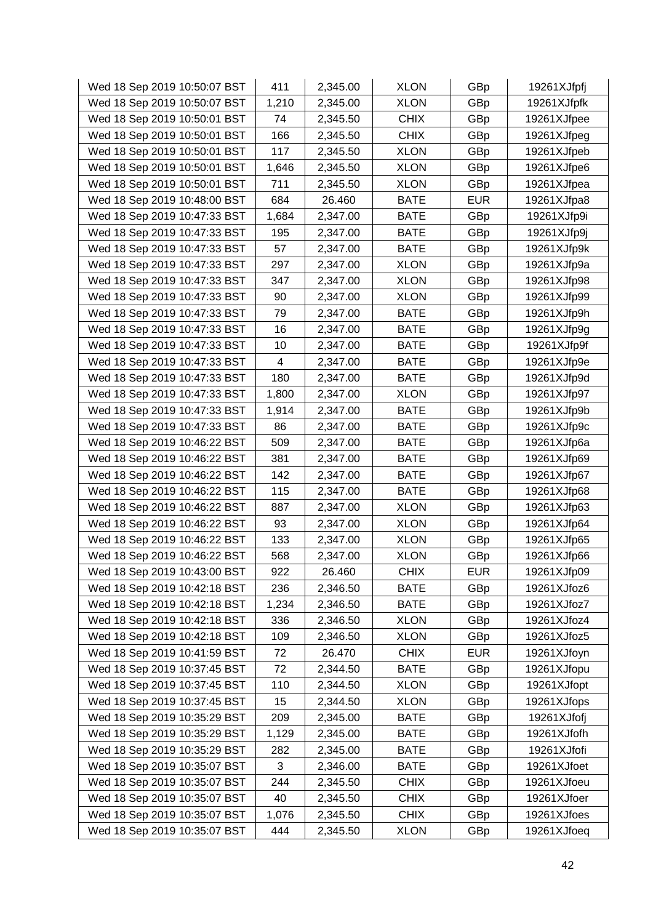| Wed 18 Sep 2019 10:50:07 BST | 411            | 2,345.00 | <b>XLON</b> | GBp        | 19261XJfpfj |
|------------------------------|----------------|----------|-------------|------------|-------------|
| Wed 18 Sep 2019 10:50:07 BST | 1,210          | 2,345.00 | <b>XLON</b> | GBp        | 19261XJfpfk |
| Wed 18 Sep 2019 10:50:01 BST | 74             | 2,345.50 | <b>CHIX</b> | GBp        | 19261XJfpee |
| Wed 18 Sep 2019 10:50:01 BST | 166            | 2,345.50 | <b>CHIX</b> | GBp        | 19261XJfpeg |
| Wed 18 Sep 2019 10:50:01 BST | 117            | 2,345.50 | <b>XLON</b> | GBp        | 19261XJfpeb |
| Wed 18 Sep 2019 10:50:01 BST | 1,646          | 2,345.50 | <b>XLON</b> | GBp        | 19261XJfpe6 |
| Wed 18 Sep 2019 10:50:01 BST | 711            | 2,345.50 | <b>XLON</b> | GBp        | 19261XJfpea |
| Wed 18 Sep 2019 10:48:00 BST | 684            | 26.460   | <b>BATE</b> | <b>EUR</b> | 19261XJfpa8 |
| Wed 18 Sep 2019 10:47:33 BST | 1,684          | 2,347.00 | <b>BATE</b> | GBp        | 19261XJfp9i |
| Wed 18 Sep 2019 10:47:33 BST | 195            | 2,347.00 | <b>BATE</b> | GBp        | 19261XJfp9j |
| Wed 18 Sep 2019 10:47:33 BST | 57             | 2,347.00 | <b>BATE</b> | GBp        | 19261XJfp9k |
| Wed 18 Sep 2019 10:47:33 BST | 297            | 2,347.00 | <b>XLON</b> | GBp        | 19261XJfp9a |
| Wed 18 Sep 2019 10:47:33 BST | 347            | 2,347.00 | <b>XLON</b> | GBp        | 19261XJfp98 |
| Wed 18 Sep 2019 10:47:33 BST | 90             | 2,347.00 | <b>XLON</b> | GBp        | 19261XJfp99 |
| Wed 18 Sep 2019 10:47:33 BST | 79             | 2,347.00 | <b>BATE</b> | GBp        | 19261XJfp9h |
| Wed 18 Sep 2019 10:47:33 BST | 16             | 2,347.00 | <b>BATE</b> | GBp        | 19261XJfp9g |
| Wed 18 Sep 2019 10:47:33 BST | 10             | 2,347.00 | <b>BATE</b> | GBp        | 19261XJfp9f |
| Wed 18 Sep 2019 10:47:33 BST | $\overline{4}$ | 2,347.00 | <b>BATE</b> | GBp        | 19261XJfp9e |
| Wed 18 Sep 2019 10:47:33 BST | 180            | 2,347.00 | <b>BATE</b> | GBp        | 19261XJfp9d |
| Wed 18 Sep 2019 10:47:33 BST | 1,800          | 2,347.00 | <b>XLON</b> | GBp        | 19261XJfp97 |
| Wed 18 Sep 2019 10:47:33 BST | 1,914          | 2,347.00 | <b>BATE</b> | GBp        | 19261XJfp9b |
| Wed 18 Sep 2019 10:47:33 BST | 86             | 2,347.00 | <b>BATE</b> | GBp        | 19261XJfp9c |
| Wed 18 Sep 2019 10:46:22 BST | 509            | 2,347.00 | <b>BATE</b> | GBp        | 19261XJfp6a |
| Wed 18 Sep 2019 10:46:22 BST | 381            | 2,347.00 | <b>BATE</b> | GBp        | 19261XJfp69 |
| Wed 18 Sep 2019 10:46:22 BST | 142            | 2,347.00 | <b>BATE</b> | GBp        | 19261XJfp67 |
| Wed 18 Sep 2019 10:46:22 BST | 115            | 2,347.00 | <b>BATE</b> | GBp        | 19261XJfp68 |
| Wed 18 Sep 2019 10:46:22 BST | 887            | 2,347.00 | <b>XLON</b> | GBp        | 19261XJfp63 |
| Wed 18 Sep 2019 10:46:22 BST | 93             | 2,347.00 | <b>XLON</b> | GBp        | 19261XJfp64 |
| Wed 18 Sep 2019 10:46:22 BST | 133            | 2,347.00 | <b>XLON</b> | GBp        | 19261XJfp65 |
| Wed 18 Sep 2019 10:46:22 BST | 568            | 2,347.00 | <b>XLON</b> | GBp        | 19261XJfp66 |
| Wed 18 Sep 2019 10:43:00 BST | 922            | 26.460   | <b>CHIX</b> | <b>EUR</b> | 19261XJfp09 |
| Wed 18 Sep 2019 10:42:18 BST | 236            | 2,346.50 | <b>BATE</b> | GBp        | 19261XJfoz6 |
| Wed 18 Sep 2019 10:42:18 BST | 1,234          | 2,346.50 | <b>BATE</b> | GBp        | 19261XJfoz7 |
| Wed 18 Sep 2019 10:42:18 BST | 336            | 2,346.50 | <b>XLON</b> | GBp        | 19261XJfoz4 |
| Wed 18 Sep 2019 10:42:18 BST | 109            | 2,346.50 | <b>XLON</b> | GBp        | 19261XJfoz5 |
| Wed 18 Sep 2019 10:41:59 BST | 72             | 26.470   | <b>CHIX</b> | <b>EUR</b> | 19261XJfoyn |
| Wed 18 Sep 2019 10:37:45 BST | 72             | 2,344.50 | <b>BATE</b> | GBp        | 19261XJfopu |
| Wed 18 Sep 2019 10:37:45 BST | 110            | 2,344.50 | <b>XLON</b> | GBp        | 19261XJfopt |
| Wed 18 Sep 2019 10:37:45 BST | 15             | 2,344.50 | <b>XLON</b> | GBp        | 19261XJfops |
| Wed 18 Sep 2019 10:35:29 BST | 209            | 2,345.00 | <b>BATE</b> | GBp        | 19261XJfofj |
| Wed 18 Sep 2019 10:35:29 BST | 1,129          | 2,345.00 | <b>BATE</b> | GBp        | 19261XJfofh |
| Wed 18 Sep 2019 10:35:29 BST | 282            | 2,345.00 | <b>BATE</b> | GBp        | 19261XJfofi |
| Wed 18 Sep 2019 10:35:07 BST | 3              | 2,346.00 | <b>BATE</b> | GBp        | 19261XJfoet |
| Wed 18 Sep 2019 10:35:07 BST | 244            | 2,345.50 | <b>CHIX</b> | GBp        | 19261XJfoeu |
| Wed 18 Sep 2019 10:35:07 BST | 40             | 2,345.50 | <b>CHIX</b> | GBp        | 19261XJfoer |
| Wed 18 Sep 2019 10:35:07 BST | 1,076          | 2,345.50 | <b>CHIX</b> | GBp        | 19261XJfoes |
| Wed 18 Sep 2019 10:35:07 BST | 444            | 2,345.50 | <b>XLON</b> | GBp        | 19261XJfoeq |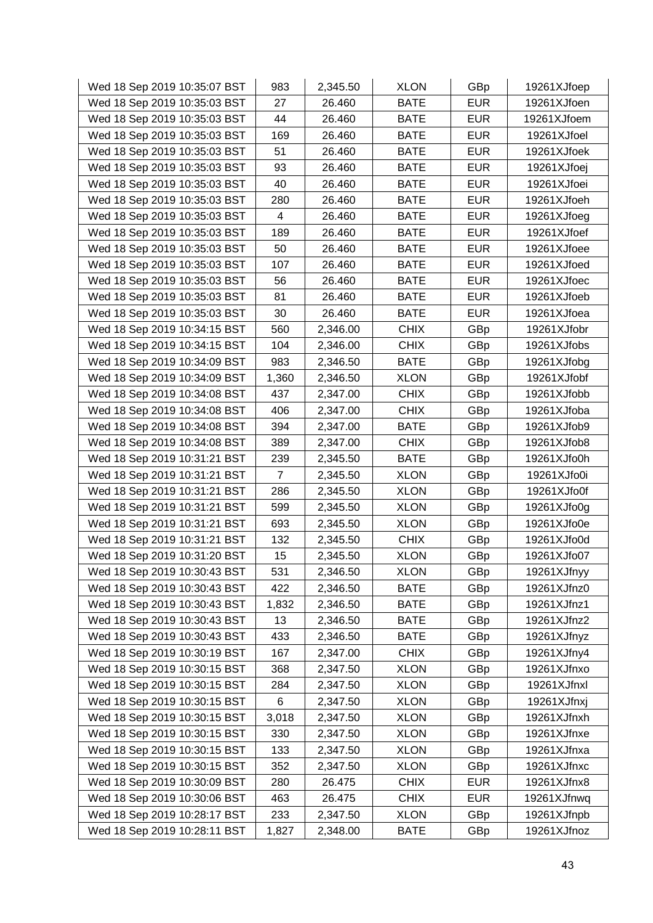| Wed 18 Sep 2019 10:35:07 BST | 983            | 2,345.50 | <b>XLON</b> | GBp        | 19261XJfoep |
|------------------------------|----------------|----------|-------------|------------|-------------|
| Wed 18 Sep 2019 10:35:03 BST | 27             | 26.460   | <b>BATE</b> | <b>EUR</b> | 19261XJfoen |
| Wed 18 Sep 2019 10:35:03 BST | 44             | 26.460   | <b>BATE</b> | <b>EUR</b> | 19261XJfoem |
| Wed 18 Sep 2019 10:35:03 BST | 169            | 26.460   | <b>BATE</b> | <b>EUR</b> | 19261XJfoel |
| Wed 18 Sep 2019 10:35:03 BST | 51             | 26.460   | <b>BATE</b> | <b>EUR</b> | 19261XJfoek |
| Wed 18 Sep 2019 10:35:03 BST | 93             | 26.460   | <b>BATE</b> | <b>EUR</b> | 19261XJfoej |
| Wed 18 Sep 2019 10:35:03 BST | 40             | 26.460   | <b>BATE</b> | <b>EUR</b> | 19261XJfoei |
| Wed 18 Sep 2019 10:35:03 BST | 280            | 26.460   | <b>BATE</b> | <b>EUR</b> | 19261XJfoeh |
| Wed 18 Sep 2019 10:35:03 BST | 4              | 26.460   | <b>BATE</b> | <b>EUR</b> | 19261XJfoeg |
| Wed 18 Sep 2019 10:35:03 BST | 189            | 26.460   | <b>BATE</b> | <b>EUR</b> | 19261XJfoef |
| Wed 18 Sep 2019 10:35:03 BST | 50             | 26.460   | <b>BATE</b> | <b>EUR</b> | 19261XJfoee |
| Wed 18 Sep 2019 10:35:03 BST | 107            | 26.460   | <b>BATE</b> | <b>EUR</b> | 19261XJfoed |
| Wed 18 Sep 2019 10:35:03 BST | 56             | 26.460   | <b>BATE</b> | <b>EUR</b> | 19261XJfoec |
| Wed 18 Sep 2019 10:35:03 BST | 81             | 26.460   | <b>BATE</b> | <b>EUR</b> | 19261XJfoeb |
| Wed 18 Sep 2019 10:35:03 BST | 30             | 26.460   | <b>BATE</b> | <b>EUR</b> | 19261XJfoea |
| Wed 18 Sep 2019 10:34:15 BST | 560            | 2,346.00 | <b>CHIX</b> | GBp        | 19261XJfobr |
| Wed 18 Sep 2019 10:34:15 BST | 104            | 2,346.00 | <b>CHIX</b> | GBp        | 19261XJfobs |
| Wed 18 Sep 2019 10:34:09 BST | 983            | 2,346.50 | <b>BATE</b> | GBp        | 19261XJfobg |
| Wed 18 Sep 2019 10:34:09 BST | 1,360          | 2,346.50 | <b>XLON</b> | GBp        | 19261XJfobf |
| Wed 18 Sep 2019 10:34:08 BST | 437            | 2,347.00 | <b>CHIX</b> | GBp        | 19261XJfobb |
| Wed 18 Sep 2019 10:34:08 BST | 406            | 2,347.00 | <b>CHIX</b> | GBp        | 19261XJfoba |
| Wed 18 Sep 2019 10:34:08 BST | 394            | 2,347.00 | <b>BATE</b> | GBp        | 19261XJfob9 |
| Wed 18 Sep 2019 10:34:08 BST | 389            | 2,347.00 | <b>CHIX</b> | GBp        | 19261XJfob8 |
| Wed 18 Sep 2019 10:31:21 BST | 239            | 2,345.50 | <b>BATE</b> | GBp        | 19261XJfo0h |
| Wed 18 Sep 2019 10:31:21 BST | $\overline{7}$ | 2,345.50 | <b>XLON</b> | GBp        | 19261XJfo0i |
| Wed 18 Sep 2019 10:31:21 BST | 286            | 2,345.50 | <b>XLON</b> | GBp        | 19261XJfo0f |
| Wed 18 Sep 2019 10:31:21 BST | 599            | 2,345.50 | <b>XLON</b> | GBp        | 19261XJfo0g |
| Wed 18 Sep 2019 10:31:21 BST | 693            | 2,345.50 | <b>XLON</b> | GBp        | 19261XJfo0e |
| Wed 18 Sep 2019 10:31:21 BST | 132            | 2,345.50 | <b>CHIX</b> | GBp        | 19261XJfo0d |
| Wed 18 Sep 2019 10:31:20 BST | 15             | 2,345.50 | <b>XLON</b> | GBp        | 19261XJfo07 |
| Wed 18 Sep 2019 10:30:43 BST | 531            | 2,346.50 | <b>XLON</b> | GBp        | 19261XJfnyy |
| Wed 18 Sep 2019 10:30:43 BST | 422            | 2,346.50 | <b>BATE</b> | GBp        | 19261XJfnz0 |
| Wed 18 Sep 2019 10:30:43 BST | 1,832          | 2,346.50 | <b>BATE</b> | GBp        | 19261XJfnz1 |
| Wed 18 Sep 2019 10:30:43 BST | 13             | 2,346.50 | <b>BATE</b> | GBp        | 19261XJfnz2 |
| Wed 18 Sep 2019 10:30:43 BST | 433            | 2,346.50 | <b>BATE</b> | GBp        | 19261XJfnyz |
| Wed 18 Sep 2019 10:30:19 BST | 167            | 2,347.00 | <b>CHIX</b> | GBp        | 19261XJfny4 |
| Wed 18 Sep 2019 10:30:15 BST | 368            | 2,347.50 | <b>XLON</b> | GBp        | 19261XJfnxo |
| Wed 18 Sep 2019 10:30:15 BST | 284            | 2,347.50 | <b>XLON</b> | GBp        | 19261XJfnxl |
| Wed 18 Sep 2019 10:30:15 BST | 6              | 2,347.50 | <b>XLON</b> | GBp        | 19261XJfnxj |
| Wed 18 Sep 2019 10:30:15 BST | 3,018          | 2,347.50 | <b>XLON</b> | GBp        | 19261XJfnxh |
| Wed 18 Sep 2019 10:30:15 BST | 330            | 2,347.50 | <b>XLON</b> | GBp        | 19261XJfnxe |
| Wed 18 Sep 2019 10:30:15 BST | 133            | 2,347.50 | <b>XLON</b> | GBp        | 19261XJfnxa |
| Wed 18 Sep 2019 10:30:15 BST | 352            | 2,347.50 | <b>XLON</b> | GBp        | 19261XJfnxc |
| Wed 18 Sep 2019 10:30:09 BST | 280            | 26.475   | <b>CHIX</b> | <b>EUR</b> | 19261XJfnx8 |
| Wed 18 Sep 2019 10:30:06 BST | 463            | 26.475   | <b>CHIX</b> | <b>EUR</b> | 19261XJfnwq |
| Wed 18 Sep 2019 10:28:17 BST | 233            | 2,347.50 | <b>XLON</b> | GBp        | 19261XJfnpb |
| Wed 18 Sep 2019 10:28:11 BST | 1,827          | 2,348.00 | <b>BATE</b> | GBp        | 19261XJfnoz |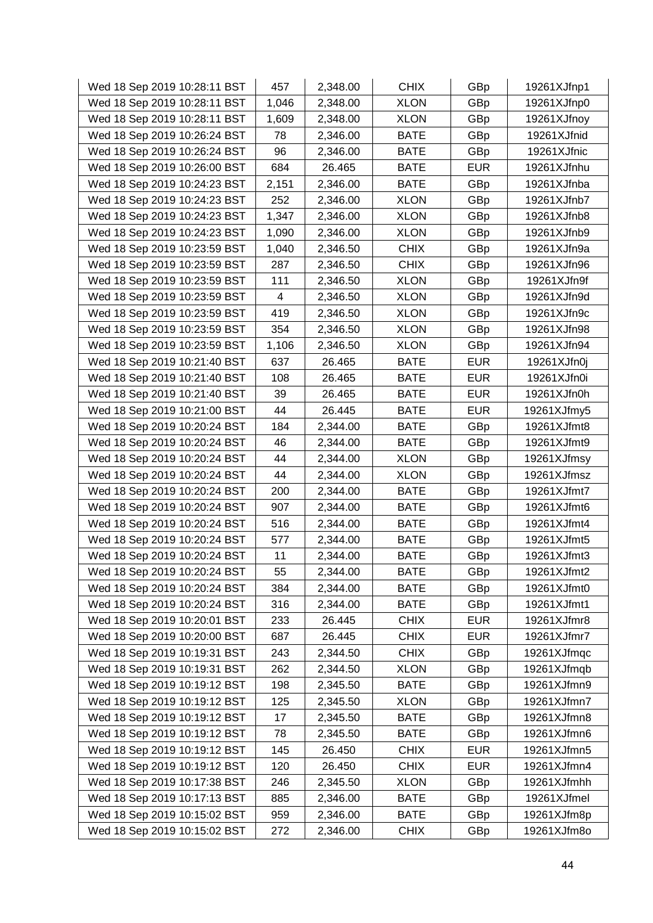| Wed 18 Sep 2019 10:28:11 BST | 457   | 2,348.00 | <b>CHIX</b> | GBp        | 19261XJfnp1 |
|------------------------------|-------|----------|-------------|------------|-------------|
| Wed 18 Sep 2019 10:28:11 BST | 1,046 | 2,348.00 | <b>XLON</b> | GBp        | 19261XJfnp0 |
| Wed 18 Sep 2019 10:28:11 BST | 1,609 | 2,348.00 | <b>XLON</b> | GBp        | 19261XJfnoy |
| Wed 18 Sep 2019 10:26:24 BST | 78    | 2,346.00 | <b>BATE</b> | GBp        | 19261XJfnid |
| Wed 18 Sep 2019 10:26:24 BST | 96    | 2,346.00 | <b>BATE</b> | GBp        | 19261XJfnic |
| Wed 18 Sep 2019 10:26:00 BST | 684   | 26.465   | <b>BATE</b> | <b>EUR</b> | 19261XJfnhu |
| Wed 18 Sep 2019 10:24:23 BST | 2,151 | 2,346.00 | <b>BATE</b> | GBp        | 19261XJfnba |
| Wed 18 Sep 2019 10:24:23 BST | 252   | 2,346.00 | <b>XLON</b> | GBp        | 19261XJfnb7 |
| Wed 18 Sep 2019 10:24:23 BST | 1,347 | 2,346.00 | <b>XLON</b> | GBp        | 19261XJfnb8 |
| Wed 18 Sep 2019 10:24:23 BST | 1,090 | 2,346.00 | <b>XLON</b> | GBp        | 19261XJfnb9 |
| Wed 18 Sep 2019 10:23:59 BST | 1,040 | 2,346.50 | <b>CHIX</b> | GBp        | 19261XJfn9a |
| Wed 18 Sep 2019 10:23:59 BST | 287   | 2,346.50 | <b>CHIX</b> | GBp        | 19261XJfn96 |
| Wed 18 Sep 2019 10:23:59 BST | 111   | 2,346.50 | <b>XLON</b> | GBp        | 19261XJfn9f |
| Wed 18 Sep 2019 10:23:59 BST | 4     | 2,346.50 | <b>XLON</b> | GBp        | 19261XJfn9d |
| Wed 18 Sep 2019 10:23:59 BST | 419   | 2,346.50 | <b>XLON</b> | GBp        | 19261XJfn9c |
| Wed 18 Sep 2019 10:23:59 BST | 354   | 2,346.50 | <b>XLON</b> | GBp        | 19261XJfn98 |
| Wed 18 Sep 2019 10:23:59 BST | 1,106 | 2,346.50 | <b>XLON</b> | GBp        | 19261XJfn94 |
| Wed 18 Sep 2019 10:21:40 BST | 637   | 26.465   | <b>BATE</b> | <b>EUR</b> | 19261XJfn0j |
| Wed 18 Sep 2019 10:21:40 BST | 108   | 26.465   | <b>BATE</b> | <b>EUR</b> | 19261XJfn0i |
| Wed 18 Sep 2019 10:21:40 BST | 39    | 26.465   | <b>BATE</b> | <b>EUR</b> | 19261XJfn0h |
| Wed 18 Sep 2019 10:21:00 BST | 44    | 26.445   | <b>BATE</b> | <b>EUR</b> | 19261XJfmy5 |
| Wed 18 Sep 2019 10:20:24 BST | 184   | 2,344.00 | <b>BATE</b> | GBp        | 19261XJfmt8 |
| Wed 18 Sep 2019 10:20:24 BST | 46    | 2,344.00 | <b>BATE</b> | GBp        | 19261XJfmt9 |
| Wed 18 Sep 2019 10:20:24 BST | 44    | 2,344.00 | <b>XLON</b> | GBp        | 19261XJfmsy |
| Wed 18 Sep 2019 10:20:24 BST | 44    | 2,344.00 | <b>XLON</b> | GBp        | 19261XJfmsz |
| Wed 18 Sep 2019 10:20:24 BST | 200   | 2,344.00 | <b>BATE</b> | GBp        | 19261XJfmt7 |
| Wed 18 Sep 2019 10:20:24 BST | 907   | 2,344.00 | <b>BATE</b> | GBp        | 19261XJfmt6 |
| Wed 18 Sep 2019 10:20:24 BST | 516   | 2,344.00 | <b>BATE</b> | GBp        | 19261XJfmt4 |
| Wed 18 Sep 2019 10:20:24 BST | 577   | 2,344.00 | <b>BATE</b> | GBp        | 19261XJfmt5 |
| Wed 18 Sep 2019 10:20:24 BST | 11    | 2,344.00 | <b>BATE</b> | GBp        | 19261XJfmt3 |
| Wed 18 Sep 2019 10:20:24 BST | 55    | 2,344.00 | <b>BATE</b> | GBp        | 19261XJfmt2 |
| Wed 18 Sep 2019 10:20:24 BST | 384   | 2,344.00 | <b>BATE</b> | GBp        | 19261XJfmt0 |
| Wed 18 Sep 2019 10:20:24 BST | 316   | 2,344.00 | <b>BATE</b> | GBp        | 19261XJfmt1 |
| Wed 18 Sep 2019 10:20:01 BST | 233   | 26.445   | <b>CHIX</b> | <b>EUR</b> | 19261XJfmr8 |
| Wed 18 Sep 2019 10:20:00 BST | 687   | 26.445   | <b>CHIX</b> | <b>EUR</b> | 19261XJfmr7 |
| Wed 18 Sep 2019 10:19:31 BST | 243   | 2,344.50 | <b>CHIX</b> | GBp        | 19261XJfmqc |
| Wed 18 Sep 2019 10:19:31 BST | 262   | 2,344.50 | <b>XLON</b> | GBp        | 19261XJfmqb |
| Wed 18 Sep 2019 10:19:12 BST | 198   | 2,345.50 | <b>BATE</b> | GBp        | 19261XJfmn9 |
| Wed 18 Sep 2019 10:19:12 BST | 125   | 2,345.50 | <b>XLON</b> | GBp        | 19261XJfmn7 |
| Wed 18 Sep 2019 10:19:12 BST | 17    | 2,345.50 | <b>BATE</b> | GBp        | 19261XJfmn8 |
| Wed 18 Sep 2019 10:19:12 BST | 78    | 2,345.50 | <b>BATE</b> | GBp        | 19261XJfmn6 |
| Wed 18 Sep 2019 10:19:12 BST | 145   | 26.450   | <b>CHIX</b> | <b>EUR</b> | 19261XJfmn5 |
| Wed 18 Sep 2019 10:19:12 BST | 120   | 26.450   | <b>CHIX</b> | <b>EUR</b> | 19261XJfmn4 |
| Wed 18 Sep 2019 10:17:38 BST | 246   | 2,345.50 | <b>XLON</b> | GBp        | 19261XJfmhh |
| Wed 18 Sep 2019 10:17:13 BST | 885   | 2,346.00 | <b>BATE</b> | GBp        | 19261XJfmel |
| Wed 18 Sep 2019 10:15:02 BST | 959   | 2,346.00 | <b>BATE</b> | GBp        | 19261XJfm8p |
| Wed 18 Sep 2019 10:15:02 BST | 272   | 2,346.00 | <b>CHIX</b> | GBp        | 19261XJfm8o |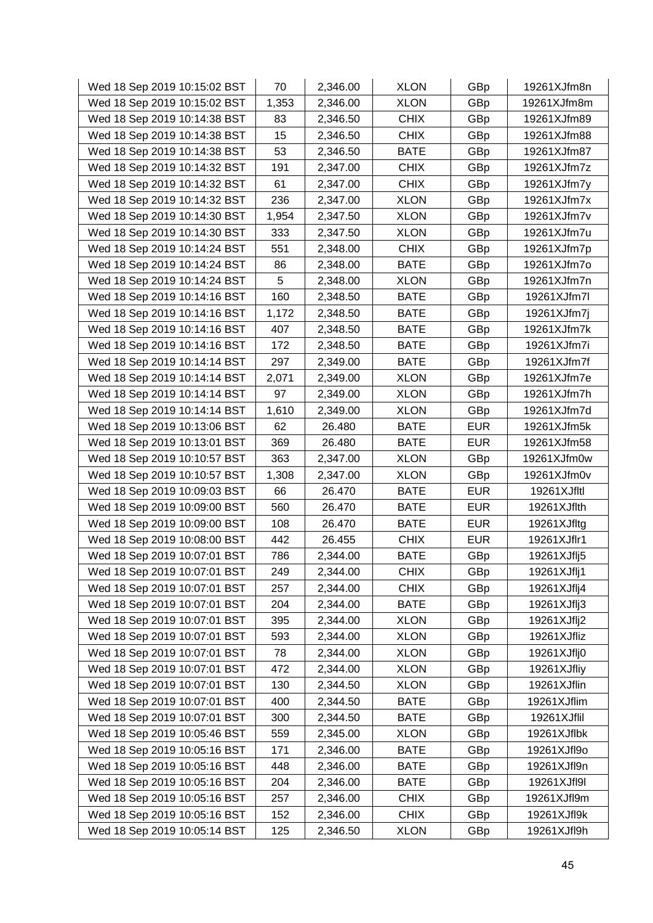| Wed 18 Sep 2019 10:15:02 BST | 70    | 2,346.00 | <b>XLON</b> | GBp        | 19261XJfm8n |
|------------------------------|-------|----------|-------------|------------|-------------|
| Wed 18 Sep 2019 10:15:02 BST | 1,353 | 2,346.00 | <b>XLON</b> | GBp        | 19261XJfm8m |
| Wed 18 Sep 2019 10:14:38 BST | 83    | 2,346.50 | <b>CHIX</b> | GBp        | 19261XJfm89 |
| Wed 18 Sep 2019 10:14:38 BST | 15    | 2,346.50 | <b>CHIX</b> | GBp        | 19261XJfm88 |
| Wed 18 Sep 2019 10:14:38 BST | 53    | 2,346.50 | <b>BATE</b> | GBp        | 19261XJfm87 |
| Wed 18 Sep 2019 10:14:32 BST | 191   | 2,347.00 | <b>CHIX</b> | GBp        | 19261XJfm7z |
| Wed 18 Sep 2019 10:14:32 BST | 61    | 2,347.00 | <b>CHIX</b> | GBp        | 19261XJfm7y |
| Wed 18 Sep 2019 10:14:32 BST | 236   | 2,347.00 | <b>XLON</b> | GBp        | 19261XJfm7x |
| Wed 18 Sep 2019 10:14:30 BST | 1,954 | 2,347.50 | <b>XLON</b> | GBp        | 19261XJfm7v |
| Wed 18 Sep 2019 10:14:30 BST | 333   | 2,347.50 | <b>XLON</b> | GBp        | 19261XJfm7u |
| Wed 18 Sep 2019 10:14:24 BST | 551   | 2,348.00 | <b>CHIX</b> | GBp        | 19261XJfm7p |
| Wed 18 Sep 2019 10:14:24 BST | 86    | 2,348.00 | <b>BATE</b> | GBp        | 19261XJfm7o |
| Wed 18 Sep 2019 10:14:24 BST | 5     | 2,348.00 | <b>XLON</b> | GBp        | 19261XJfm7n |
| Wed 18 Sep 2019 10:14:16 BST | 160   | 2,348.50 | <b>BATE</b> | GBp        | 19261XJfm7l |
| Wed 18 Sep 2019 10:14:16 BST | 1,172 | 2,348.50 | <b>BATE</b> | GBp        | 19261XJfm7j |
| Wed 18 Sep 2019 10:14:16 BST | 407   | 2,348.50 | <b>BATE</b> | GBp        | 19261XJfm7k |
| Wed 18 Sep 2019 10:14:16 BST | 172   | 2,348.50 | <b>BATE</b> | GBp        | 19261XJfm7i |
| Wed 18 Sep 2019 10:14:14 BST | 297   | 2,349.00 | <b>BATE</b> | GBp        | 19261XJfm7f |
| Wed 18 Sep 2019 10:14:14 BST | 2,071 | 2,349.00 | <b>XLON</b> | GBp        | 19261XJfm7e |
| Wed 18 Sep 2019 10:14:14 BST | 97    | 2,349.00 | <b>XLON</b> | GBp        | 19261XJfm7h |
| Wed 18 Sep 2019 10:14:14 BST | 1,610 | 2,349.00 | <b>XLON</b> | GBp        | 19261XJfm7d |
| Wed 18 Sep 2019 10:13:06 BST | 62    | 26.480   | <b>BATE</b> | <b>EUR</b> | 19261XJfm5k |
| Wed 18 Sep 2019 10:13:01 BST | 369   | 26.480   | <b>BATE</b> | <b>EUR</b> | 19261XJfm58 |
| Wed 18 Sep 2019 10:10:57 BST | 363   | 2,347.00 | <b>XLON</b> | GBp        | 19261XJfm0w |
| Wed 18 Sep 2019 10:10:57 BST | 1,308 | 2,347.00 | <b>XLON</b> | GBp        | 19261XJfm0v |
| Wed 18 Sep 2019 10:09:03 BST | 66    | 26.470   | <b>BATE</b> | <b>EUR</b> | 19261XJfltl |
| Wed 18 Sep 2019 10:09:00 BST | 560   | 26.470   | <b>BATE</b> | <b>EUR</b> | 19261XJflth |
| Wed 18 Sep 2019 10:09:00 BST | 108   | 26.470   | <b>BATE</b> | <b>EUR</b> | 19261XJfltg |
| Wed 18 Sep 2019 10:08:00 BST | 442   | 26.455   | <b>CHIX</b> | <b>EUR</b> | 19261XJflr1 |
| Wed 18 Sep 2019 10:07:01 BST | 786   | 2,344.00 | <b>BATE</b> | GBp        | 19261XJflj5 |
| Wed 18 Sep 2019 10:07:01 BST | 249   | 2,344.00 | <b>CHIX</b> | GBp        | 19261XJflj1 |
| Wed 18 Sep 2019 10:07:01 BST | 257   | 2,344.00 | <b>CHIX</b> | GBp        | 19261XJflj4 |
| Wed 18 Sep 2019 10:07:01 BST | 204   | 2,344.00 | <b>BATE</b> | GBp        | 19261XJflj3 |
| Wed 18 Sep 2019 10:07:01 BST | 395   | 2,344.00 | <b>XLON</b> | GBp        | 19261XJflj2 |
| Wed 18 Sep 2019 10:07:01 BST | 593   | 2,344.00 | <b>XLON</b> | GBp        | 19261XJfliz |
| Wed 18 Sep 2019 10:07:01 BST | 78    | 2,344.00 | <b>XLON</b> | GBp        | 19261XJflj0 |
| Wed 18 Sep 2019 10:07:01 BST | 472   | 2,344.00 | <b>XLON</b> | GBp        | 19261XJfliy |
| Wed 18 Sep 2019 10:07:01 BST | 130   | 2,344.50 | <b>XLON</b> | GBp        | 19261XJflin |
| Wed 18 Sep 2019 10:07:01 BST | 400   | 2,344.50 | <b>BATE</b> | GBp        | 19261XJflim |
| Wed 18 Sep 2019 10:07:01 BST | 300   | 2,344.50 | <b>BATE</b> | GBp        | 19261XJflil |
| Wed 18 Sep 2019 10:05:46 BST | 559   | 2,345.00 | <b>XLON</b> | GBp        | 19261XJflbk |
| Wed 18 Sep 2019 10:05:16 BST | 171   | 2,346.00 | <b>BATE</b> | GBp        | 19261XJfl9o |
| Wed 18 Sep 2019 10:05:16 BST | 448   | 2,346.00 | <b>BATE</b> | GBp        | 19261XJfl9n |
| Wed 18 Sep 2019 10:05:16 BST | 204   | 2,346.00 | <b>BATE</b> | GBp        | 19261XJfI9I |
| Wed 18 Sep 2019 10:05:16 BST | 257   | 2,346.00 | <b>CHIX</b> | GBp        | 19261XJfl9m |
| Wed 18 Sep 2019 10:05:16 BST | 152   | 2,346.00 | <b>CHIX</b> | GBp        | 19261XJfl9k |
| Wed 18 Sep 2019 10:05:14 BST | 125   | 2,346.50 | <b>XLON</b> | GBp        | 19261XJfl9h |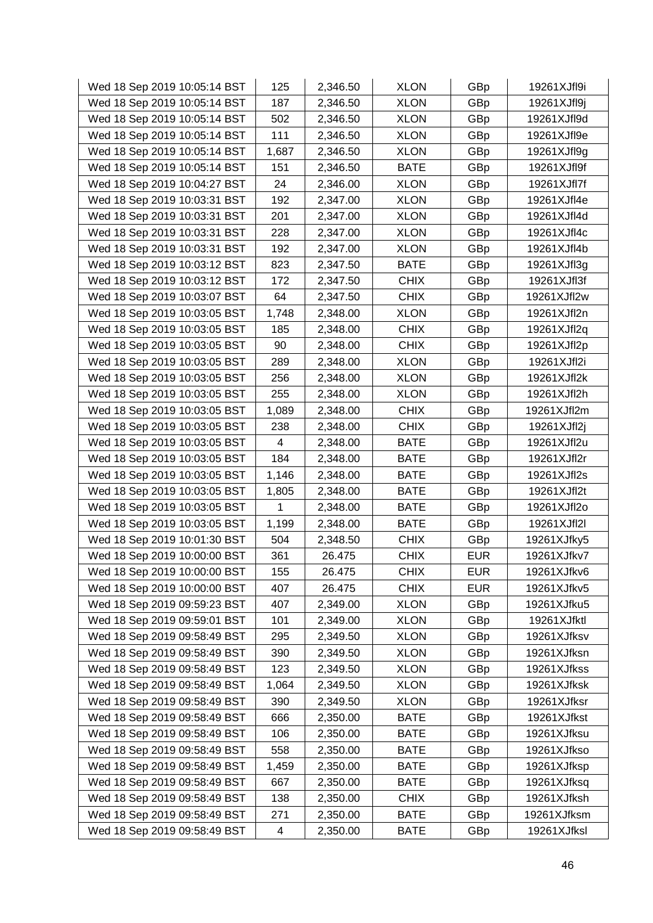| Wed 18 Sep 2019 10:05:14 BST | 125   | 2,346.50 | <b>XLON</b> | GBp        | 19261XJfl9i |
|------------------------------|-------|----------|-------------|------------|-------------|
| Wed 18 Sep 2019 10:05:14 BST | 187   | 2,346.50 | <b>XLON</b> | GBp        | 19261XJfl9j |
| Wed 18 Sep 2019 10:05:14 BST | 502   | 2,346.50 | <b>XLON</b> | GBp        | 19261XJfl9d |
| Wed 18 Sep 2019 10:05:14 BST | 111   | 2,346.50 | <b>XLON</b> | GBp        | 19261XJfl9e |
| Wed 18 Sep 2019 10:05:14 BST | 1,687 | 2,346.50 | <b>XLON</b> | GBp        | 19261XJfl9g |
| Wed 18 Sep 2019 10:05:14 BST | 151   | 2,346.50 | <b>BATE</b> | GBp        | 19261XJfl9f |
| Wed 18 Sep 2019 10:04:27 BST | 24    | 2,346.00 | <b>XLON</b> | GBp        | 19261XJfl7f |
| Wed 18 Sep 2019 10:03:31 BST | 192   | 2,347.00 | <b>XLON</b> | GBp        | 19261XJfl4e |
| Wed 18 Sep 2019 10:03:31 BST | 201   | 2,347.00 | <b>XLON</b> | GBp        | 19261XJfl4d |
| Wed 18 Sep 2019 10:03:31 BST | 228   | 2,347.00 | <b>XLON</b> | GBp        | 19261XJfl4c |
| Wed 18 Sep 2019 10:03:31 BST | 192   | 2,347.00 | <b>XLON</b> | GBp        | 19261XJfl4b |
| Wed 18 Sep 2019 10:03:12 BST | 823   | 2,347.50 | <b>BATE</b> | GBp        | 19261XJfl3g |
| Wed 18 Sep 2019 10:03:12 BST | 172   | 2,347.50 | <b>CHIX</b> | GBp        | 19261XJfl3f |
| Wed 18 Sep 2019 10:03:07 BST | 64    | 2,347.50 | <b>CHIX</b> | GBp        | 19261XJfl2w |
| Wed 18 Sep 2019 10:03:05 BST | 1,748 | 2,348.00 | <b>XLON</b> | GBp        | 19261XJfl2n |
| Wed 18 Sep 2019 10:03:05 BST | 185   | 2,348.00 | <b>CHIX</b> | GBp        | 19261XJfl2q |
| Wed 18 Sep 2019 10:03:05 BST | 90    | 2,348.00 | <b>CHIX</b> | GBp        | 19261XJfl2p |
| Wed 18 Sep 2019 10:03:05 BST | 289   | 2,348.00 | <b>XLON</b> | GBp        | 19261XJfl2i |
| Wed 18 Sep 2019 10:03:05 BST | 256   | 2,348.00 | <b>XLON</b> | GBp        | 19261XJfl2k |
| Wed 18 Sep 2019 10:03:05 BST | 255   | 2,348.00 | <b>XLON</b> | GBp        | 19261XJfl2h |
| Wed 18 Sep 2019 10:03:05 BST | 1,089 | 2,348.00 | <b>CHIX</b> | GBp        | 19261XJfl2m |
| Wed 18 Sep 2019 10:03:05 BST | 238   | 2,348.00 | <b>CHIX</b> | GBp        | 19261XJfl2j |
| Wed 18 Sep 2019 10:03:05 BST | 4     | 2,348.00 | <b>BATE</b> | GBp        | 19261XJfl2u |
| Wed 18 Sep 2019 10:03:05 BST | 184   | 2,348.00 | <b>BATE</b> | GBp        | 19261XJfl2r |
| Wed 18 Sep 2019 10:03:05 BST | 1,146 | 2,348.00 | <b>BATE</b> | GBp        | 19261XJfl2s |
| Wed 18 Sep 2019 10:03:05 BST | 1,805 | 2,348.00 | <b>BATE</b> | GBp        | 19261XJfl2t |
| Wed 18 Sep 2019 10:03:05 BST | 1     | 2,348.00 | <b>BATE</b> | GBp        | 19261XJfl2o |
| Wed 18 Sep 2019 10:03:05 BST | 1,199 | 2,348.00 | <b>BATE</b> | GBp        | 19261XJfI2I |
| Wed 18 Sep 2019 10:01:30 BST | 504   | 2,348.50 | <b>CHIX</b> | GBp        | 19261XJfky5 |
| Wed 18 Sep 2019 10:00:00 BST | 361   | 26.475   | <b>CHIX</b> | <b>EUR</b> | 19261XJfkv7 |
| Wed 18 Sep 2019 10:00:00 BST | 155   | 26.475   | <b>CHIX</b> | <b>EUR</b> | 19261XJfkv6 |
| Wed 18 Sep 2019 10:00:00 BST | 407   | 26.475   | <b>CHIX</b> | <b>EUR</b> | 19261XJfkv5 |
| Wed 18 Sep 2019 09:59:23 BST | 407   | 2,349.00 | <b>XLON</b> | GBp        | 19261XJfku5 |
| Wed 18 Sep 2019 09:59:01 BST | 101   | 2,349.00 | <b>XLON</b> | GBp        | 19261XJfktl |
| Wed 18 Sep 2019 09:58:49 BST | 295   | 2,349.50 | <b>XLON</b> | GBp        | 19261XJfksv |
| Wed 18 Sep 2019 09:58:49 BST | 390   | 2,349.50 | <b>XLON</b> | GBp        | 19261XJfksn |
| Wed 18 Sep 2019 09:58:49 BST | 123   | 2,349.50 | <b>XLON</b> | GBp        | 19261XJfkss |
| Wed 18 Sep 2019 09:58:49 BST | 1,064 | 2,349.50 | <b>XLON</b> | GBp        | 19261XJfksk |
| Wed 18 Sep 2019 09:58:49 BST | 390   | 2,349.50 | <b>XLON</b> | GBp        | 19261XJfksr |
| Wed 18 Sep 2019 09:58:49 BST | 666   | 2,350.00 | <b>BATE</b> | GBp        | 19261XJfkst |
| Wed 18 Sep 2019 09:58:49 BST | 106   | 2,350.00 | <b>BATE</b> | GBp        | 19261XJfksu |
| Wed 18 Sep 2019 09:58:49 BST | 558   | 2,350.00 | <b>BATE</b> | GBp        | 19261XJfkso |
| Wed 18 Sep 2019 09:58:49 BST | 1,459 | 2,350.00 | <b>BATE</b> | GBp        | 19261XJfksp |
| Wed 18 Sep 2019 09:58:49 BST | 667   | 2,350.00 | <b>BATE</b> | GBp        | 19261XJfksq |
| Wed 18 Sep 2019 09:58:49 BST | 138   | 2,350.00 | <b>CHIX</b> | GBp        | 19261XJfksh |
| Wed 18 Sep 2019 09:58:49 BST | 271   | 2,350.00 | <b>BATE</b> | GBp        | 19261XJfksm |
| Wed 18 Sep 2019 09:58:49 BST | 4     | 2,350.00 | <b>BATE</b> | GBp        | 19261XJfksl |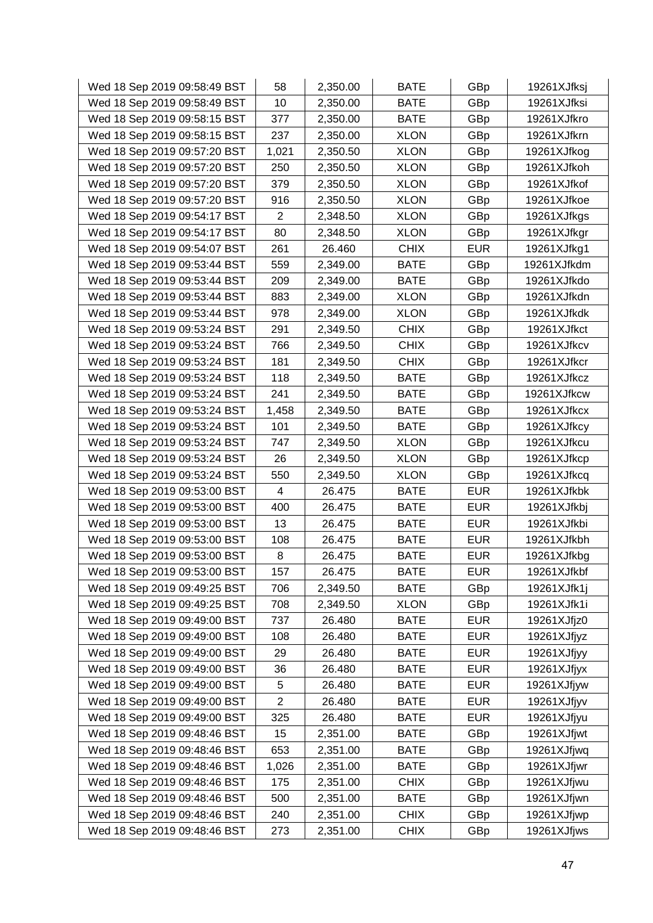| Wed 18 Sep 2019 09:58:49 BST | 58             | 2,350.00 | <b>BATE</b> | GBp        | 19261XJfksj |
|------------------------------|----------------|----------|-------------|------------|-------------|
| Wed 18 Sep 2019 09:58:49 BST | 10             | 2,350.00 | <b>BATE</b> | GBp        | 19261XJfksi |
| Wed 18 Sep 2019 09:58:15 BST | 377            | 2,350.00 | <b>BATE</b> | GBp        | 19261XJfkro |
| Wed 18 Sep 2019 09:58:15 BST | 237            | 2,350.00 | <b>XLON</b> | GBp        | 19261XJfkrn |
| Wed 18 Sep 2019 09:57:20 BST | 1,021          | 2,350.50 | <b>XLON</b> | GBp        | 19261XJfkog |
| Wed 18 Sep 2019 09:57:20 BST | 250            | 2,350.50 | <b>XLON</b> | GBp        | 19261XJfkoh |
| Wed 18 Sep 2019 09:57:20 BST | 379            | 2,350.50 | <b>XLON</b> | GBp        | 19261XJfkof |
| Wed 18 Sep 2019 09:57:20 BST | 916            | 2,350.50 | <b>XLON</b> | GBp        | 19261XJfkoe |
| Wed 18 Sep 2019 09:54:17 BST | $\overline{2}$ | 2,348.50 | <b>XLON</b> | GBp        | 19261XJfkgs |
| Wed 18 Sep 2019 09:54:17 BST | 80             | 2,348.50 | <b>XLON</b> | GBp        | 19261XJfkgr |
| Wed 18 Sep 2019 09:54:07 BST | 261            | 26.460   | <b>CHIX</b> | <b>EUR</b> | 19261XJfkg1 |
| Wed 18 Sep 2019 09:53:44 BST | 559            | 2,349.00 | <b>BATE</b> | GBp        | 19261XJfkdm |
| Wed 18 Sep 2019 09:53:44 BST | 209            | 2,349.00 | <b>BATE</b> | GBp        | 19261XJfkdo |
| Wed 18 Sep 2019 09:53:44 BST | 883            | 2,349.00 | <b>XLON</b> | GBp        | 19261XJfkdn |
| Wed 18 Sep 2019 09:53:44 BST | 978            | 2,349.00 | <b>XLON</b> | GBp        | 19261XJfkdk |
| Wed 18 Sep 2019 09:53:24 BST | 291            | 2,349.50 | <b>CHIX</b> | GBp        | 19261XJfkct |
| Wed 18 Sep 2019 09:53:24 BST | 766            | 2,349.50 | <b>CHIX</b> | GBp        | 19261XJfkcv |
| Wed 18 Sep 2019 09:53:24 BST | 181            | 2,349.50 | <b>CHIX</b> | GBp        | 19261XJfkcr |
| Wed 18 Sep 2019 09:53:24 BST | 118            | 2,349.50 | <b>BATE</b> | GBp        | 19261XJfkcz |
| Wed 18 Sep 2019 09:53:24 BST | 241            | 2,349.50 | <b>BATE</b> | GBp        | 19261XJfkcw |
| Wed 18 Sep 2019 09:53:24 BST | 1,458          | 2,349.50 | <b>BATE</b> | GBp        | 19261XJfkcx |
| Wed 18 Sep 2019 09:53:24 BST | 101            | 2,349.50 | <b>BATE</b> | GBp        | 19261XJfkcy |
| Wed 18 Sep 2019 09:53:24 BST | 747            | 2,349.50 | <b>XLON</b> | GBp        | 19261XJfkcu |
| Wed 18 Sep 2019 09:53:24 BST | 26             | 2,349.50 | <b>XLON</b> | GBp        | 19261XJfkcp |
| Wed 18 Sep 2019 09:53:24 BST | 550            | 2,349.50 | <b>XLON</b> | GBp        | 19261XJfkcq |
| Wed 18 Sep 2019 09:53:00 BST | $\overline{4}$ | 26.475   | <b>BATE</b> | <b>EUR</b> | 19261XJfkbk |
| Wed 18 Sep 2019 09:53:00 BST | 400            | 26.475   | <b>BATE</b> | <b>EUR</b> | 19261XJfkbj |
| Wed 18 Sep 2019 09:53:00 BST | 13             | 26.475   | <b>BATE</b> | <b>EUR</b> | 19261XJfkbi |
| Wed 18 Sep 2019 09:53:00 BST | 108            | 26.475   | <b>BATE</b> | <b>EUR</b> | 19261XJfkbh |
| Wed 18 Sep 2019 09:53:00 BST | 8              | 26.475   | <b>BATE</b> | <b>EUR</b> | 19261XJfkbg |
| Wed 18 Sep 2019 09:53:00 BST | 157            | 26.475   | <b>BATE</b> | <b>EUR</b> | 19261XJfkbf |
| Wed 18 Sep 2019 09:49:25 BST | 706            | 2,349.50 | <b>BATE</b> | GBp        | 19261XJfk1j |
| Wed 18 Sep 2019 09:49:25 BST | 708            | 2,349.50 | <b>XLON</b> | GBp        | 19261XJfk1i |
| Wed 18 Sep 2019 09:49:00 BST | 737            | 26.480   | <b>BATE</b> | <b>EUR</b> | 19261XJfjz0 |
| Wed 18 Sep 2019 09:49:00 BST | 108            | 26.480   | <b>BATE</b> | <b>EUR</b> | 19261XJfjyz |
| Wed 18 Sep 2019 09:49:00 BST | 29             | 26.480   | <b>BATE</b> | <b>EUR</b> | 19261XJfjyy |
| Wed 18 Sep 2019 09:49:00 BST | 36             | 26.480   | <b>BATE</b> | <b>EUR</b> | 19261XJfjyx |
| Wed 18 Sep 2019 09:49:00 BST | 5              | 26.480   | <b>BATE</b> | <b>EUR</b> | 19261XJfjyw |
| Wed 18 Sep 2019 09:49:00 BST | $\overline{2}$ | 26.480   | <b>BATE</b> | <b>EUR</b> | 19261XJfjyv |
| Wed 18 Sep 2019 09:49:00 BST | 325            | 26.480   | <b>BATE</b> | <b>EUR</b> | 19261XJfjyu |
| Wed 18 Sep 2019 09:48:46 BST | 15             | 2,351.00 | <b>BATE</b> | GBp        | 19261XJfjwt |
| Wed 18 Sep 2019 09:48:46 BST | 653            | 2,351.00 | <b>BATE</b> | GBp        | 19261XJfjwq |
| Wed 18 Sep 2019 09:48:46 BST | 1,026          | 2,351.00 | <b>BATE</b> | GBp        | 19261XJfjwr |
| Wed 18 Sep 2019 09:48:46 BST | 175            | 2,351.00 | <b>CHIX</b> | GBp        | 19261XJfjwu |
| Wed 18 Sep 2019 09:48:46 BST | 500            | 2,351.00 | <b>BATE</b> | GBp        | 19261XJfjwn |
| Wed 18 Sep 2019 09:48:46 BST | 240            | 2,351.00 | <b>CHIX</b> | GBp        | 19261XJfjwp |
| Wed 18 Sep 2019 09:48:46 BST | 273            | 2,351.00 | <b>CHIX</b> | GBp        | 19261XJfjws |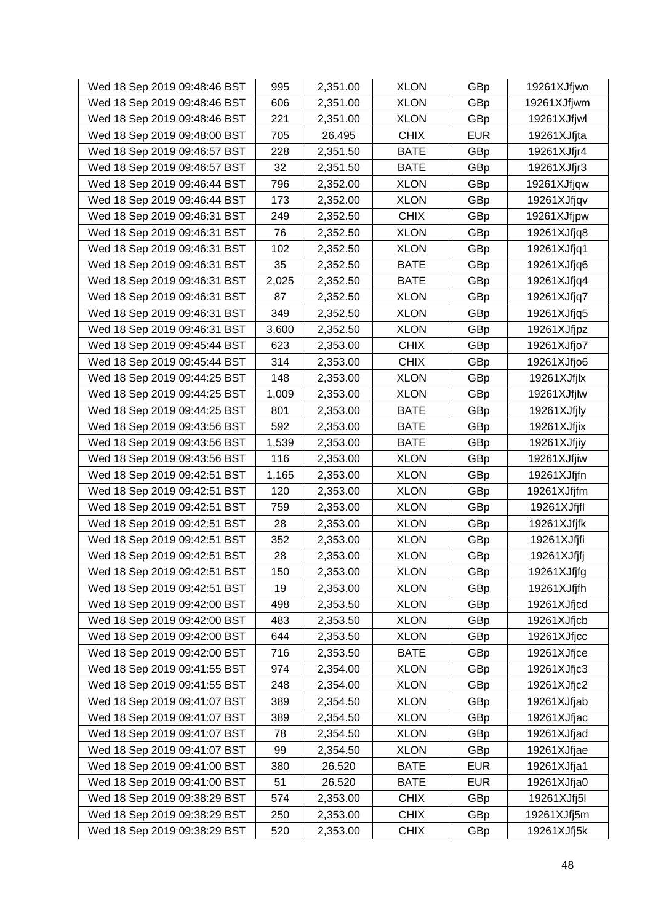| Wed 18 Sep 2019 09:48:46 BST | 995   | 2,351.00 | <b>XLON</b> | GBp        | 19261XJfjwo |
|------------------------------|-------|----------|-------------|------------|-------------|
| Wed 18 Sep 2019 09:48:46 BST | 606   | 2,351.00 | <b>XLON</b> | GBp        | 19261XJfjwm |
| Wed 18 Sep 2019 09:48:46 BST | 221   | 2,351.00 | <b>XLON</b> | GBp        | 19261XJfjwl |
| Wed 18 Sep 2019 09:48:00 BST | 705   | 26.495   | <b>CHIX</b> | <b>EUR</b> | 19261XJfjta |
| Wed 18 Sep 2019 09:46:57 BST | 228   | 2,351.50 | <b>BATE</b> | GBp        | 19261XJfjr4 |
| Wed 18 Sep 2019 09:46:57 BST | 32    | 2,351.50 | <b>BATE</b> | GBp        | 19261XJfjr3 |
| Wed 18 Sep 2019 09:46:44 BST | 796   | 2,352.00 | <b>XLON</b> | GBp        | 19261XJfjqw |
| Wed 18 Sep 2019 09:46:44 BST | 173   | 2,352.00 | <b>XLON</b> | GBp        | 19261XJfjqv |
| Wed 18 Sep 2019 09:46:31 BST | 249   | 2,352.50 | <b>CHIX</b> | GBp        | 19261XJfjpw |
| Wed 18 Sep 2019 09:46:31 BST | 76    | 2,352.50 | <b>XLON</b> | GBp        | 19261XJfjq8 |
| Wed 18 Sep 2019 09:46:31 BST | 102   | 2,352.50 | <b>XLON</b> | GBp        | 19261XJfjq1 |
| Wed 18 Sep 2019 09:46:31 BST | 35    | 2,352.50 | <b>BATE</b> | GBp        | 19261XJfjq6 |
| Wed 18 Sep 2019 09:46:31 BST | 2,025 | 2,352.50 | <b>BATE</b> | GBp        | 19261XJfjq4 |
| Wed 18 Sep 2019 09:46:31 BST | 87    | 2,352.50 | <b>XLON</b> | GBp        | 19261XJfjq7 |
| Wed 18 Sep 2019 09:46:31 BST | 349   | 2,352.50 | <b>XLON</b> | GBp        | 19261XJfjq5 |
| Wed 18 Sep 2019 09:46:31 BST | 3,600 | 2,352.50 | <b>XLON</b> | GBp        | 19261XJfjpz |
| Wed 18 Sep 2019 09:45:44 BST | 623   | 2,353.00 | <b>CHIX</b> | GBp        | 19261XJfjo7 |
| Wed 18 Sep 2019 09:45:44 BST | 314   | 2,353.00 | <b>CHIX</b> | GBp        | 19261XJfjo6 |
| Wed 18 Sep 2019 09:44:25 BST | 148   | 2,353.00 | <b>XLON</b> | GBp        | 19261XJfjlx |
| Wed 18 Sep 2019 09:44:25 BST | 1,009 | 2,353.00 | <b>XLON</b> | GBp        | 19261XJfjlw |
| Wed 18 Sep 2019 09:44:25 BST | 801   | 2,353.00 | <b>BATE</b> | GBp        | 19261XJfjly |
| Wed 18 Sep 2019 09:43:56 BST | 592   | 2,353.00 | <b>BATE</b> | GBp        | 19261XJfjix |
| Wed 18 Sep 2019 09:43:56 BST | 1,539 | 2,353.00 | <b>BATE</b> | GBp        | 19261XJfjiy |
| Wed 18 Sep 2019 09:43:56 BST | 116   | 2,353.00 | <b>XLON</b> | GBp        | 19261XJfjiw |
| Wed 18 Sep 2019 09:42:51 BST | 1,165 | 2,353.00 | <b>XLON</b> | GBp        | 19261XJfjfn |
| Wed 18 Sep 2019 09:42:51 BST | 120   | 2,353.00 | <b>XLON</b> | GBp        | 19261XJfjfm |
| Wed 18 Sep 2019 09:42:51 BST | 759   | 2,353.00 | <b>XLON</b> | GBp        | 19261XJfjfl |
| Wed 18 Sep 2019 09:42:51 BST | 28    | 2,353.00 | <b>XLON</b> | GBp        | 19261XJfjfk |
| Wed 18 Sep 2019 09:42:51 BST | 352   | 2,353.00 | <b>XLON</b> | GBp        | 19261XJfjfi |
| Wed 18 Sep 2019 09:42:51 BST | 28    | 2,353.00 | <b>XLON</b> | GBp        | 19261XJfjfj |
| Wed 18 Sep 2019 09:42:51 BST | 150   | 2,353.00 | <b>XLON</b> | GBp        | 19261XJfjfg |
| Wed 18 Sep 2019 09:42:51 BST | 19    | 2,353.00 | <b>XLON</b> | GBp        | 19261XJfjfh |
| Wed 18 Sep 2019 09:42:00 BST | 498   | 2,353.50 | <b>XLON</b> | GBp        | 19261XJfjcd |
| Wed 18 Sep 2019 09:42:00 BST | 483   | 2,353.50 | <b>XLON</b> | GBp        | 19261XJfjcb |
| Wed 18 Sep 2019 09:42:00 BST | 644   | 2,353.50 | <b>XLON</b> | GBp        | 19261XJfjcc |
| Wed 18 Sep 2019 09:42:00 BST | 716   | 2,353.50 | <b>BATE</b> | GBp        | 19261XJfjce |
| Wed 18 Sep 2019 09:41:55 BST | 974   | 2,354.00 | <b>XLON</b> | GBp        | 19261XJfjc3 |
| Wed 18 Sep 2019 09:41:55 BST | 248   | 2,354.00 | <b>XLON</b> | GBp        | 19261XJfjc2 |
| Wed 18 Sep 2019 09:41:07 BST | 389   | 2,354.50 | <b>XLON</b> | GBp        | 19261XJfjab |
| Wed 18 Sep 2019 09:41:07 BST | 389   | 2,354.50 | <b>XLON</b> | GBp        | 19261XJfjac |
| Wed 18 Sep 2019 09:41:07 BST | 78    | 2,354.50 | <b>XLON</b> | GBp        | 19261XJfjad |
| Wed 18 Sep 2019 09:41:07 BST | 99    | 2,354.50 | <b>XLON</b> | GBp        | 19261XJfjae |
| Wed 18 Sep 2019 09:41:00 BST | 380   | 26.520   | <b>BATE</b> | <b>EUR</b> | 19261XJfja1 |
| Wed 18 Sep 2019 09:41:00 BST | 51    | 26.520   | <b>BATE</b> | <b>EUR</b> | 19261XJfja0 |
| Wed 18 Sep 2019 09:38:29 BST | 574   | 2,353.00 | <b>CHIX</b> | GBp        | 19261XJfj5l |
| Wed 18 Sep 2019 09:38:29 BST | 250   | 2,353.00 | <b>CHIX</b> | GBp        | 19261XJfj5m |
| Wed 18 Sep 2019 09:38:29 BST | 520   | 2,353.00 | <b>CHIX</b> | GBp        | 19261XJfj5k |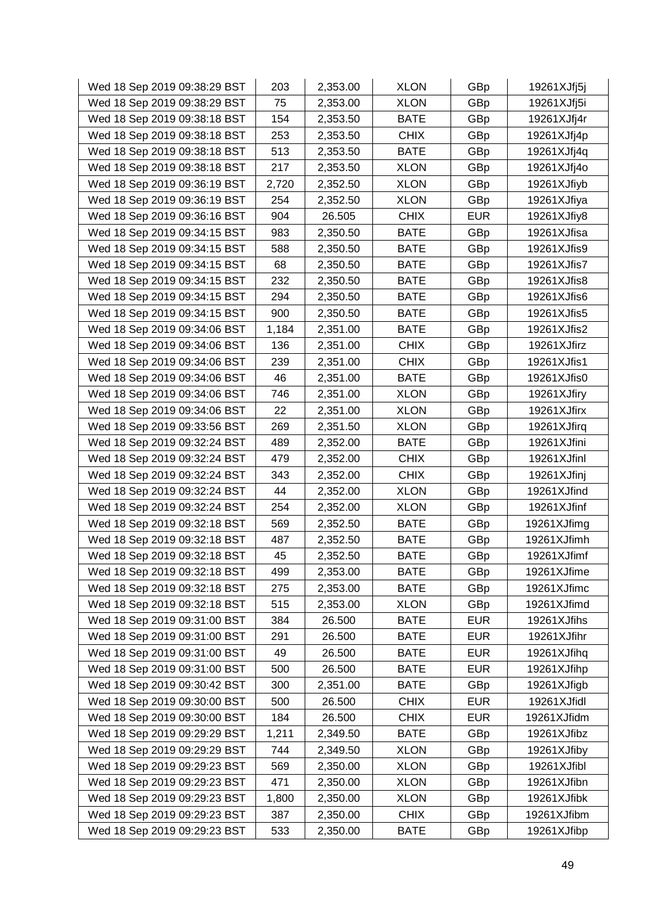| Wed 18 Sep 2019 09:38:29 BST | 203   | 2,353.00 | <b>XLON</b> | GBp        | 19261XJfj5j |
|------------------------------|-------|----------|-------------|------------|-------------|
| Wed 18 Sep 2019 09:38:29 BST | 75    | 2,353.00 | <b>XLON</b> | GBp        | 19261XJfj5i |
| Wed 18 Sep 2019 09:38:18 BST | 154   | 2,353.50 | <b>BATE</b> | GBp        | 19261XJfj4r |
| Wed 18 Sep 2019 09:38:18 BST | 253   | 2,353.50 | <b>CHIX</b> | GBp        | 19261XJfj4p |
| Wed 18 Sep 2019 09:38:18 BST | 513   | 2,353.50 | <b>BATE</b> | GBp        | 19261XJfj4q |
| Wed 18 Sep 2019 09:38:18 BST | 217   | 2,353.50 | <b>XLON</b> | GBp        | 19261XJfj4o |
| Wed 18 Sep 2019 09:36:19 BST | 2,720 | 2,352.50 | <b>XLON</b> | GBp        | 19261XJfiyb |
| Wed 18 Sep 2019 09:36:19 BST | 254   | 2,352.50 | <b>XLON</b> | GBp        | 19261XJfiya |
| Wed 18 Sep 2019 09:36:16 BST | 904   | 26.505   | <b>CHIX</b> | <b>EUR</b> | 19261XJfiy8 |
| Wed 18 Sep 2019 09:34:15 BST | 983   | 2,350.50 | <b>BATE</b> | GBp        | 19261XJfisa |
| Wed 18 Sep 2019 09:34:15 BST | 588   | 2,350.50 | <b>BATE</b> | GBp        | 19261XJfis9 |
| Wed 18 Sep 2019 09:34:15 BST | 68    | 2,350.50 | <b>BATE</b> | GBp        | 19261XJfis7 |
| Wed 18 Sep 2019 09:34:15 BST | 232   | 2,350.50 | <b>BATE</b> | GBp        | 19261XJfis8 |
| Wed 18 Sep 2019 09:34:15 BST | 294   | 2,350.50 | <b>BATE</b> | GBp        | 19261XJfis6 |
| Wed 18 Sep 2019 09:34:15 BST | 900   | 2,350.50 | <b>BATE</b> | GBp        | 19261XJfis5 |
| Wed 18 Sep 2019 09:34:06 BST | 1,184 | 2,351.00 | <b>BATE</b> | GBp        | 19261XJfis2 |
| Wed 18 Sep 2019 09:34:06 BST | 136   | 2,351.00 | <b>CHIX</b> | GBp        | 19261XJfirz |
| Wed 18 Sep 2019 09:34:06 BST | 239   | 2,351.00 | <b>CHIX</b> | GBp        | 19261XJfis1 |
| Wed 18 Sep 2019 09:34:06 BST | 46    | 2,351.00 | <b>BATE</b> | GBp        | 19261XJfis0 |
| Wed 18 Sep 2019 09:34:06 BST | 746   | 2,351.00 | <b>XLON</b> | GBp        | 19261XJfiry |
| Wed 18 Sep 2019 09:34:06 BST | 22    | 2,351.00 | <b>XLON</b> | GBp        | 19261XJfirx |
| Wed 18 Sep 2019 09:33:56 BST | 269   | 2,351.50 | <b>XLON</b> | GBp        | 19261XJfirq |
| Wed 18 Sep 2019 09:32:24 BST | 489   | 2,352.00 | <b>BATE</b> | GBp        | 19261XJfini |
| Wed 18 Sep 2019 09:32:24 BST | 479   | 2,352.00 | <b>CHIX</b> | GBp        | 19261XJfinl |
| Wed 18 Sep 2019 09:32:24 BST | 343   | 2,352.00 | <b>CHIX</b> | GBp        | 19261XJfinj |
| Wed 18 Sep 2019 09:32:24 BST | 44    | 2,352.00 | <b>XLON</b> | GBp        | 19261XJfind |
| Wed 18 Sep 2019 09:32:24 BST | 254   | 2,352.00 | <b>XLON</b> | GBp        | 19261XJfinf |
| Wed 18 Sep 2019 09:32:18 BST | 569   | 2,352.50 | <b>BATE</b> | GBp        | 19261XJfimg |
| Wed 18 Sep 2019 09:32:18 BST | 487   | 2,352.50 | <b>BATE</b> | GBp        | 19261XJfimh |
| Wed 18 Sep 2019 09:32:18 BST | 45    | 2,352.50 | <b>BATE</b> | GBp        | 19261XJfimf |
| Wed 18 Sep 2019 09:32:18 BST | 499   | 2,353.00 | <b>BATE</b> | GBp        | 19261XJfime |
| Wed 18 Sep 2019 09:32:18 BST | 275   | 2,353.00 | <b>BATE</b> | GBp        | 19261XJfimc |
| Wed 18 Sep 2019 09:32:18 BST | 515   | 2,353.00 | <b>XLON</b> | GBp        | 19261XJfimd |
| Wed 18 Sep 2019 09:31:00 BST | 384   | 26.500   | <b>BATE</b> | <b>EUR</b> | 19261XJfihs |
| Wed 18 Sep 2019 09:31:00 BST | 291   | 26.500   | <b>BATE</b> | <b>EUR</b> | 19261XJfihr |
| Wed 18 Sep 2019 09:31:00 BST | 49    | 26.500   | <b>BATE</b> | <b>EUR</b> | 19261XJfihq |
| Wed 18 Sep 2019 09:31:00 BST | 500   | 26.500   | <b>BATE</b> | <b>EUR</b> | 19261XJfihp |
| Wed 18 Sep 2019 09:30:42 BST | 300   | 2,351.00 | <b>BATE</b> | GBp        | 19261XJfigb |
| Wed 18 Sep 2019 09:30:00 BST | 500   | 26.500   | <b>CHIX</b> | <b>EUR</b> | 19261XJfidl |
| Wed 18 Sep 2019 09:30:00 BST | 184   | 26.500   | <b>CHIX</b> | <b>EUR</b> | 19261XJfidm |
| Wed 18 Sep 2019 09:29:29 BST | 1,211 | 2,349.50 | <b>BATE</b> | GBp        | 19261XJfibz |
| Wed 18 Sep 2019 09:29:29 BST | 744   | 2,349.50 | <b>XLON</b> | GBp        | 19261XJfiby |
| Wed 18 Sep 2019 09:29:23 BST | 569   | 2,350.00 | <b>XLON</b> | GBp        | 19261XJfibl |
| Wed 18 Sep 2019 09:29:23 BST | 471   | 2,350.00 | <b>XLON</b> | GBp        | 19261XJfibn |
| Wed 18 Sep 2019 09:29:23 BST | 1,800 | 2,350.00 | <b>XLON</b> | <b>GBp</b> | 19261XJfibk |
| Wed 18 Sep 2019 09:29:23 BST | 387   | 2,350.00 | <b>CHIX</b> | GBp        | 19261XJfibm |
| Wed 18 Sep 2019 09:29:23 BST | 533   | 2,350.00 | BATE        | GBp        | 19261XJfibp |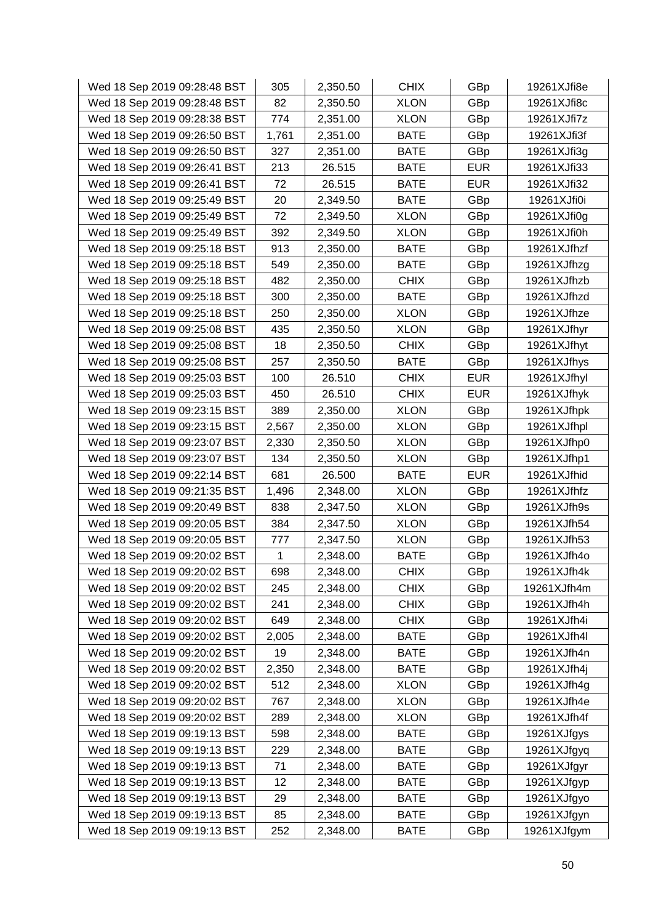| Wed 18 Sep 2019 09:28:48 BST | 305   | 2,350.50 | <b>CHIX</b> | GBp        | 19261XJfi8e |
|------------------------------|-------|----------|-------------|------------|-------------|
| Wed 18 Sep 2019 09:28:48 BST | 82    | 2,350.50 | <b>XLON</b> | GBp        | 19261XJfi8c |
| Wed 18 Sep 2019 09:28:38 BST | 774   | 2,351.00 | <b>XLON</b> | GBp        | 19261XJfi7z |
| Wed 18 Sep 2019 09:26:50 BST | 1,761 | 2,351.00 | <b>BATE</b> | GBp        | 19261XJfi3f |
| Wed 18 Sep 2019 09:26:50 BST | 327   | 2,351.00 | <b>BATE</b> | GBp        | 19261XJfi3g |
| Wed 18 Sep 2019 09:26:41 BST | 213   | 26.515   | <b>BATE</b> | <b>EUR</b> | 19261XJfi33 |
| Wed 18 Sep 2019 09:26:41 BST | 72    | 26.515   | <b>BATE</b> | <b>EUR</b> | 19261XJfi32 |
| Wed 18 Sep 2019 09:25:49 BST | 20    | 2,349.50 | <b>BATE</b> | GBp        | 19261XJfi0i |
| Wed 18 Sep 2019 09:25:49 BST | 72    | 2,349.50 | <b>XLON</b> | GBp        | 19261XJfi0g |
| Wed 18 Sep 2019 09:25:49 BST | 392   | 2,349.50 | <b>XLON</b> | GBp        | 19261XJfi0h |
| Wed 18 Sep 2019 09:25:18 BST | 913   | 2,350.00 | <b>BATE</b> | GBp        | 19261XJfhzf |
| Wed 18 Sep 2019 09:25:18 BST | 549   | 2,350.00 | <b>BATE</b> | GBp        | 19261XJfhzg |
| Wed 18 Sep 2019 09:25:18 BST | 482   | 2,350.00 | <b>CHIX</b> | GBp        | 19261XJfhzb |
| Wed 18 Sep 2019 09:25:18 BST | 300   | 2,350.00 | <b>BATE</b> | GBp        | 19261XJfhzd |
| Wed 18 Sep 2019 09:25:18 BST | 250   | 2,350.00 | <b>XLON</b> | GBp        | 19261XJfhze |
| Wed 18 Sep 2019 09:25:08 BST | 435   | 2,350.50 | <b>XLON</b> | GBp        | 19261XJfhyr |
| Wed 18 Sep 2019 09:25:08 BST | 18    | 2,350.50 | <b>CHIX</b> | GBp        | 19261XJfhyt |
| Wed 18 Sep 2019 09:25:08 BST | 257   | 2,350.50 | <b>BATE</b> | GBp        | 19261XJfhys |
| Wed 18 Sep 2019 09:25:03 BST | 100   | 26.510   | <b>CHIX</b> | <b>EUR</b> | 19261XJfhyl |
| Wed 18 Sep 2019 09:25:03 BST | 450   | 26.510   | <b>CHIX</b> | <b>EUR</b> | 19261XJfhyk |
| Wed 18 Sep 2019 09:23:15 BST | 389   | 2,350.00 | <b>XLON</b> | GBp        | 19261XJfhpk |
| Wed 18 Sep 2019 09:23:15 BST | 2,567 | 2,350.00 | <b>XLON</b> | GBp        | 19261XJfhpl |
| Wed 18 Sep 2019 09:23:07 BST | 2,330 | 2,350.50 | <b>XLON</b> | GBp        | 19261XJfhp0 |
| Wed 18 Sep 2019 09:23:07 BST | 134   | 2,350.50 | <b>XLON</b> | GBp        | 19261XJfhp1 |
| Wed 18 Sep 2019 09:22:14 BST | 681   | 26.500   | <b>BATE</b> | <b>EUR</b> | 19261XJfhid |
| Wed 18 Sep 2019 09:21:35 BST | 1,496 | 2,348.00 | <b>XLON</b> | GBp        | 19261XJfhfz |
| Wed 18 Sep 2019 09:20:49 BST | 838   | 2,347.50 | <b>XLON</b> | GBp        | 19261XJfh9s |
| Wed 18 Sep 2019 09:20:05 BST | 384   | 2,347.50 | <b>XLON</b> | GBp        | 19261XJfh54 |
| Wed 18 Sep 2019 09:20:05 BST | 777   | 2,347.50 | <b>XLON</b> | GBp        | 19261XJfh53 |
| Wed 18 Sep 2019 09:20:02 BST | 1     | 2,348.00 | <b>BATE</b> | GBp        | 19261XJfh4o |
| Wed 18 Sep 2019 09:20:02 BST | 698   | 2,348.00 | <b>CHIX</b> | GBp        | 19261XJfh4k |
| Wed 18 Sep 2019 09:20:02 BST | 245   | 2,348.00 | <b>CHIX</b> | GBp        | 19261XJfh4m |
| Wed 18 Sep 2019 09:20:02 BST | 241   | 2,348.00 | <b>CHIX</b> | GBp        | 19261XJfh4h |
| Wed 18 Sep 2019 09:20:02 BST | 649   | 2,348.00 | <b>CHIX</b> | GBp        | 19261XJfh4i |
| Wed 18 Sep 2019 09:20:02 BST | 2,005 | 2,348.00 | <b>BATE</b> | GBp        | 19261XJfh4l |
| Wed 18 Sep 2019 09:20:02 BST | 19    | 2,348.00 | <b>BATE</b> | GBp        | 19261XJfh4n |
| Wed 18 Sep 2019 09:20:02 BST | 2,350 | 2,348.00 | <b>BATE</b> | GBp        | 19261XJfh4j |
| Wed 18 Sep 2019 09:20:02 BST | 512   | 2,348.00 | <b>XLON</b> | GBp        | 19261XJfh4g |
| Wed 18 Sep 2019 09:20:02 BST | 767   | 2,348.00 | <b>XLON</b> | GBp        | 19261XJfh4e |
| Wed 18 Sep 2019 09:20:02 BST | 289   | 2,348.00 | <b>XLON</b> | GBp        | 19261XJfh4f |
| Wed 18 Sep 2019 09:19:13 BST | 598   | 2,348.00 | <b>BATE</b> | GBp        | 19261XJfgys |
| Wed 18 Sep 2019 09:19:13 BST | 229   | 2,348.00 | <b>BATE</b> | GBp        | 19261XJfgyq |
| Wed 18 Sep 2019 09:19:13 BST | 71    | 2,348.00 | <b>BATE</b> | GBp        | 19261XJfgyr |
| Wed 18 Sep 2019 09:19:13 BST | 12    | 2,348.00 | <b>BATE</b> | GBp        | 19261XJfgyp |
| Wed 18 Sep 2019 09:19:13 BST | 29    | 2,348.00 | <b>BATE</b> | GBp        | 19261XJfgyo |
| Wed 18 Sep 2019 09:19:13 BST | 85    | 2,348.00 | <b>BATE</b> | GBp        | 19261XJfgyn |
| Wed 18 Sep 2019 09:19:13 BST | 252   | 2,348.00 | BATE        | GBp        | 19261XJfgym |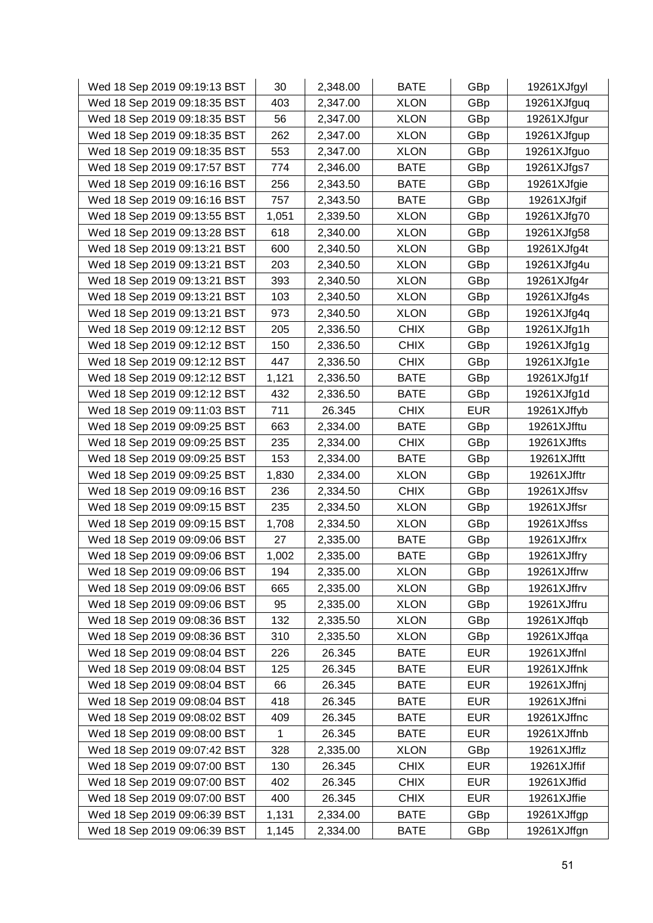| Wed 18 Sep 2019 09:19:13 BST | 30    | 2,348.00 | <b>BATE</b> | GBp        | 19261XJfgyl |
|------------------------------|-------|----------|-------------|------------|-------------|
| Wed 18 Sep 2019 09:18:35 BST | 403   | 2,347.00 | <b>XLON</b> | GBp        | 19261XJfguq |
| Wed 18 Sep 2019 09:18:35 BST | 56    | 2,347.00 | <b>XLON</b> | GBp        | 19261XJfgur |
| Wed 18 Sep 2019 09:18:35 BST | 262   | 2,347.00 | <b>XLON</b> | GBp        | 19261XJfgup |
| Wed 18 Sep 2019 09:18:35 BST | 553   | 2,347.00 | <b>XLON</b> | GBp        | 19261XJfguo |
| Wed 18 Sep 2019 09:17:57 BST | 774   | 2,346.00 | <b>BATE</b> | GBp        | 19261XJfgs7 |
| Wed 18 Sep 2019 09:16:16 BST | 256   | 2,343.50 | <b>BATE</b> | GBp        | 19261XJfgie |
| Wed 18 Sep 2019 09:16:16 BST | 757   | 2,343.50 | <b>BATE</b> | GBp        | 19261XJfgif |
| Wed 18 Sep 2019 09:13:55 BST | 1,051 | 2,339.50 | <b>XLON</b> | GBp        | 19261XJfg70 |
| Wed 18 Sep 2019 09:13:28 BST | 618   | 2,340.00 | <b>XLON</b> | GBp        | 19261XJfg58 |
| Wed 18 Sep 2019 09:13:21 BST | 600   | 2,340.50 | <b>XLON</b> | GBp        | 19261XJfg4t |
| Wed 18 Sep 2019 09:13:21 BST | 203   | 2,340.50 | <b>XLON</b> | GBp        | 19261XJfg4u |
| Wed 18 Sep 2019 09:13:21 BST | 393   | 2,340.50 | <b>XLON</b> | GBp        | 19261XJfg4r |
| Wed 18 Sep 2019 09:13:21 BST | 103   | 2,340.50 | <b>XLON</b> | GBp        | 19261XJfg4s |
| Wed 18 Sep 2019 09:13:21 BST | 973   | 2,340.50 | <b>XLON</b> | GBp        | 19261XJfg4q |
| Wed 18 Sep 2019 09:12:12 BST | 205   | 2,336.50 | <b>CHIX</b> | GBp        | 19261XJfg1h |
| Wed 18 Sep 2019 09:12:12 BST | 150   | 2,336.50 | <b>CHIX</b> | GBp        | 19261XJfg1g |
| Wed 18 Sep 2019 09:12:12 BST | 447   | 2,336.50 | <b>CHIX</b> | GBp        | 19261XJfg1e |
| Wed 18 Sep 2019 09:12:12 BST | 1,121 | 2,336.50 | <b>BATE</b> | GBp        | 19261XJfg1f |
| Wed 18 Sep 2019 09:12:12 BST | 432   | 2,336.50 | <b>BATE</b> | GBp        | 19261XJfg1d |
| Wed 18 Sep 2019 09:11:03 BST | 711   | 26.345   | <b>CHIX</b> | <b>EUR</b> | 19261XJffyb |
| Wed 18 Sep 2019 09:09:25 BST | 663   | 2,334.00 | <b>BATE</b> | GBp        | 19261XJfftu |
| Wed 18 Sep 2019 09:09:25 BST | 235   | 2,334.00 | <b>CHIX</b> | GBp        | 19261XJffts |
| Wed 18 Sep 2019 09:09:25 BST | 153   | 2,334.00 | <b>BATE</b> | GBp        | 19261XJfftt |
| Wed 18 Sep 2019 09:09:25 BST | 1,830 | 2,334.00 | <b>XLON</b> | GBp        | 19261XJfftr |
| Wed 18 Sep 2019 09:09:16 BST | 236   | 2,334.50 | <b>CHIX</b> | GBp        | 19261XJffsv |
| Wed 18 Sep 2019 09:09:15 BST | 235   | 2,334.50 | <b>XLON</b> | GBp        | 19261XJffsr |
| Wed 18 Sep 2019 09:09:15 BST | 1,708 | 2,334.50 | <b>XLON</b> | GBp        | 19261XJffss |
| Wed 18 Sep 2019 09:09:06 BST | 27    | 2,335.00 | <b>BATE</b> | GBp        | 19261XJffrx |
| Wed 18 Sep 2019 09:09:06 BST | 1,002 | 2,335.00 | <b>BATE</b> | GBp        | 19261XJffry |
| Wed 18 Sep 2019 09:09:06 BST | 194   | 2,335.00 | <b>XLON</b> | GBp        | 19261XJffrw |
| Wed 18 Sep 2019 09:09:06 BST | 665   | 2,335.00 | <b>XLON</b> | GBp        | 19261XJffrv |
| Wed 18 Sep 2019 09:09:06 BST | 95    | 2,335.00 | <b>XLON</b> | GBp        | 19261XJffru |
| Wed 18 Sep 2019 09:08:36 BST | 132   | 2,335.50 | <b>XLON</b> | GBp        | 19261XJffqb |
| Wed 18 Sep 2019 09:08:36 BST | 310   | 2,335.50 | <b>XLON</b> | GBp        | 19261XJffqa |
| Wed 18 Sep 2019 09:08:04 BST | 226   | 26.345   | <b>BATE</b> | <b>EUR</b> | 19261XJffnl |
| Wed 18 Sep 2019 09:08:04 BST | 125   | 26.345   | <b>BATE</b> | <b>EUR</b> | 19261XJffnk |
| Wed 18 Sep 2019 09:08:04 BST | 66    | 26.345   | <b>BATE</b> | <b>EUR</b> | 19261XJffnj |
| Wed 18 Sep 2019 09:08:04 BST | 418   | 26.345   | <b>BATE</b> | <b>EUR</b> | 19261XJffni |
| Wed 18 Sep 2019 09:08:02 BST | 409   | 26.345   | <b>BATE</b> | <b>EUR</b> | 19261XJffnc |
| Wed 18 Sep 2019 09:08:00 BST | 1     | 26.345   | <b>BATE</b> | <b>EUR</b> | 19261XJffnb |
| Wed 18 Sep 2019 09:07:42 BST | 328   | 2,335.00 | <b>XLON</b> | GBp        | 19261XJfflz |
| Wed 18 Sep 2019 09:07:00 BST | 130   | 26.345   | <b>CHIX</b> | <b>EUR</b> | 19261XJffif |
| Wed 18 Sep 2019 09:07:00 BST | 402   | 26.345   | <b>CHIX</b> | <b>EUR</b> | 19261XJffid |
| Wed 18 Sep 2019 09:07:00 BST | 400   | 26.345   | <b>CHIX</b> | <b>EUR</b> | 19261XJffie |
| Wed 18 Sep 2019 09:06:39 BST | 1,131 | 2,334.00 | <b>BATE</b> | GBp        | 19261XJffgp |
| Wed 18 Sep 2019 09:06:39 BST | 1,145 | 2,334.00 | <b>BATE</b> | GBp        | 19261XJffgn |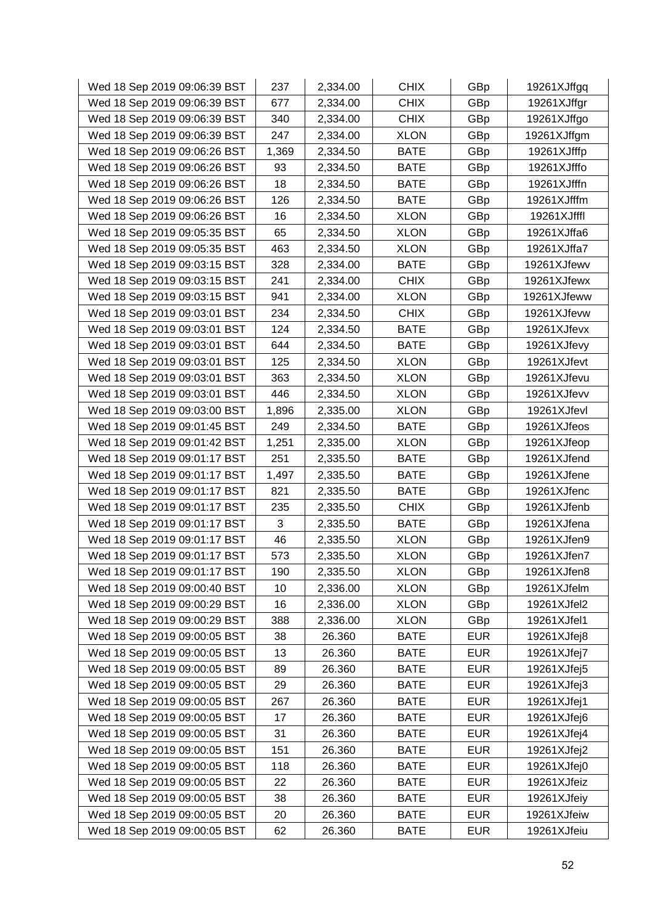| Wed 18 Sep 2019 09:06:39 BST | 237   | 2,334.00 | <b>CHIX</b> | GBp        | 19261XJffgq |
|------------------------------|-------|----------|-------------|------------|-------------|
| Wed 18 Sep 2019 09:06:39 BST | 677   | 2,334.00 | <b>CHIX</b> | GBp        | 19261XJffgr |
| Wed 18 Sep 2019 09:06:39 BST | 340   | 2,334.00 | <b>CHIX</b> | GBp        | 19261XJffgo |
| Wed 18 Sep 2019 09:06:39 BST | 247   | 2,334.00 | <b>XLON</b> | GBp        | 19261XJffgm |
| Wed 18 Sep 2019 09:06:26 BST | 1,369 | 2,334.50 | <b>BATE</b> | GBp        | 19261XJfffp |
| Wed 18 Sep 2019 09:06:26 BST | 93    | 2,334.50 | <b>BATE</b> | GBp        | 19261XJfffo |
| Wed 18 Sep 2019 09:06:26 BST | 18    | 2,334.50 | <b>BATE</b> | GBp        | 19261XJfffn |
| Wed 18 Sep 2019 09:06:26 BST | 126   | 2,334.50 | <b>BATE</b> | GBp        | 19261XJfffm |
| Wed 18 Sep 2019 09:06:26 BST | 16    | 2,334.50 | <b>XLON</b> | GBp        | 19261XJfffl |
| Wed 18 Sep 2019 09:05:35 BST | 65    | 2,334.50 | <b>XLON</b> | GBp        | 19261XJffa6 |
| Wed 18 Sep 2019 09:05:35 BST | 463   | 2,334.50 | <b>XLON</b> | GBp        | 19261XJffa7 |
| Wed 18 Sep 2019 09:03:15 BST | 328   | 2,334.00 | <b>BATE</b> | GBp        | 19261XJfewv |
| Wed 18 Sep 2019 09:03:15 BST | 241   | 2,334.00 | <b>CHIX</b> | GBp        | 19261XJfewx |
| Wed 18 Sep 2019 09:03:15 BST | 941   | 2,334.00 | <b>XLON</b> | GBp        | 19261XJfeww |
| Wed 18 Sep 2019 09:03:01 BST | 234   | 2,334.50 | <b>CHIX</b> | GBp        | 19261XJfevw |
| Wed 18 Sep 2019 09:03:01 BST | 124   | 2,334.50 | <b>BATE</b> | GBp        | 19261XJfevx |
| Wed 18 Sep 2019 09:03:01 BST | 644   | 2,334.50 | <b>BATE</b> | GBp        | 19261XJfevy |
| Wed 18 Sep 2019 09:03:01 BST | 125   | 2,334.50 | <b>XLON</b> | GBp        | 19261XJfevt |
| Wed 18 Sep 2019 09:03:01 BST | 363   | 2,334.50 | <b>XLON</b> | GBp        | 19261XJfevu |
| Wed 18 Sep 2019 09:03:01 BST | 446   | 2,334.50 | <b>XLON</b> | GBp        | 19261XJfevv |
| Wed 18 Sep 2019 09:03:00 BST | 1,896 | 2,335.00 | <b>XLON</b> | GBp        | 19261XJfevl |
| Wed 18 Sep 2019 09:01:45 BST | 249   | 2,334.50 | <b>BATE</b> | GBp        | 19261XJfeos |
| Wed 18 Sep 2019 09:01:42 BST | 1,251 | 2,335.00 | <b>XLON</b> | GBp        | 19261XJfeop |
| Wed 18 Sep 2019 09:01:17 BST | 251   | 2,335.50 | <b>BATE</b> | GBp        | 19261XJfend |
| Wed 18 Sep 2019 09:01:17 BST | 1,497 | 2,335.50 | <b>BATE</b> | GBp        | 19261XJfene |
| Wed 18 Sep 2019 09:01:17 BST | 821   | 2,335.50 | <b>BATE</b> | GBp        | 19261XJfenc |
| Wed 18 Sep 2019 09:01:17 BST | 235   | 2,335.50 | <b>CHIX</b> | GBp        | 19261XJfenb |
| Wed 18 Sep 2019 09:01:17 BST | 3     | 2,335.50 | <b>BATE</b> | GBp        | 19261XJfena |
| Wed 18 Sep 2019 09:01:17 BST | 46    | 2,335.50 | <b>XLON</b> | GBp        | 19261XJfen9 |
| Wed 18 Sep 2019 09:01:17 BST | 573   | 2,335.50 | <b>XLON</b> | GBp        | 19261XJfen7 |
| Wed 18 Sep 2019 09:01:17 BST | 190   | 2,335.50 | <b>XLON</b> | GBp        | 19261XJfen8 |
| Wed 18 Sep 2019 09:00:40 BST | 10    | 2,336.00 | <b>XLON</b> | GBp        | 19261XJfelm |
| Wed 18 Sep 2019 09:00:29 BST | 16    | 2,336.00 | <b>XLON</b> | GBp        | 19261XJfel2 |
| Wed 18 Sep 2019 09:00:29 BST | 388   | 2,336.00 | <b>XLON</b> | GBp        | 19261XJfel1 |
| Wed 18 Sep 2019 09:00:05 BST | 38    | 26.360   | <b>BATE</b> | <b>EUR</b> | 19261XJfej8 |
| Wed 18 Sep 2019 09:00:05 BST | 13    | 26.360   | <b>BATE</b> | <b>EUR</b> | 19261XJfej7 |
| Wed 18 Sep 2019 09:00:05 BST | 89    | 26.360   | <b>BATE</b> | <b>EUR</b> | 19261XJfej5 |
| Wed 18 Sep 2019 09:00:05 BST | 29    | 26.360   | <b>BATE</b> | <b>EUR</b> | 19261XJfej3 |
| Wed 18 Sep 2019 09:00:05 BST | 267   | 26.360   | <b>BATE</b> | <b>EUR</b> | 19261XJfej1 |
| Wed 18 Sep 2019 09:00:05 BST | 17    | 26.360   | <b>BATE</b> | <b>EUR</b> | 19261XJfej6 |
| Wed 18 Sep 2019 09:00:05 BST | 31    | 26.360   | <b>BATE</b> | <b>EUR</b> | 19261XJfej4 |
| Wed 18 Sep 2019 09:00:05 BST | 151   | 26.360   | <b>BATE</b> | <b>EUR</b> | 19261XJfej2 |
| Wed 18 Sep 2019 09:00:05 BST | 118   | 26.360   | <b>BATE</b> | <b>EUR</b> | 19261XJfej0 |
| Wed 18 Sep 2019 09:00:05 BST | 22    | 26.360   | <b>BATE</b> | <b>EUR</b> | 19261XJfeiz |
| Wed 18 Sep 2019 09:00:05 BST | 38    | 26.360   | <b>BATE</b> | <b>EUR</b> | 19261XJfeiy |
| Wed 18 Sep 2019 09:00:05 BST | 20    | 26.360   | <b>BATE</b> | <b>EUR</b> | 19261XJfeiw |
| Wed 18 Sep 2019 09:00:05 BST | 62    | 26.360   | <b>BATE</b> | <b>EUR</b> | 19261XJfeiu |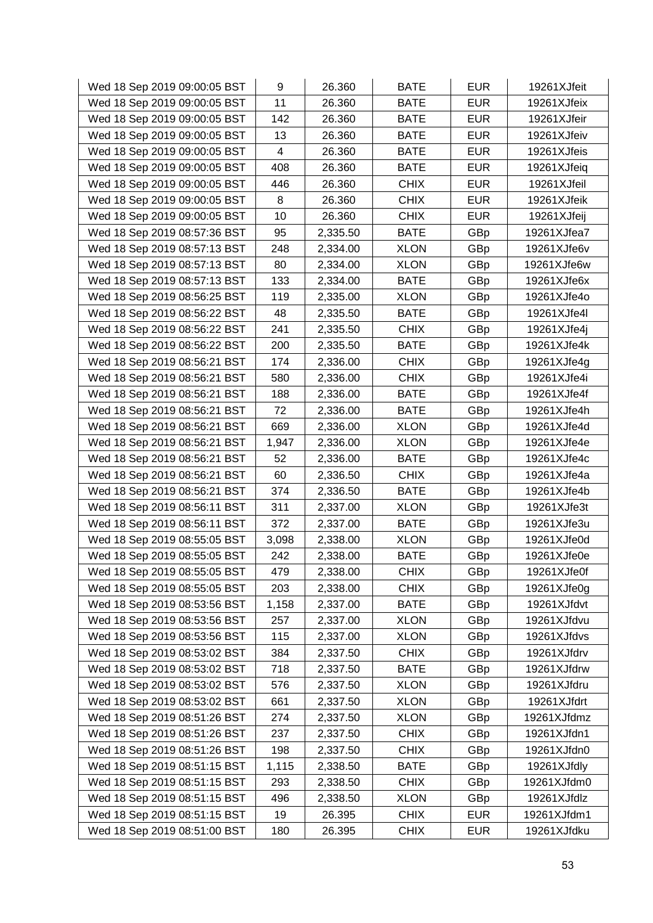| Wed 18 Sep 2019 09:00:05 BST | 9     | 26.360   | <b>BATE</b> | <b>EUR</b> | 19261XJfeit |
|------------------------------|-------|----------|-------------|------------|-------------|
| Wed 18 Sep 2019 09:00:05 BST | 11    | 26.360   | <b>BATE</b> | <b>EUR</b> | 19261XJfeix |
| Wed 18 Sep 2019 09:00:05 BST | 142   | 26.360   | <b>BATE</b> | <b>EUR</b> | 19261XJfeir |
| Wed 18 Sep 2019 09:00:05 BST | 13    | 26.360   | <b>BATE</b> | <b>EUR</b> | 19261XJfeiv |
| Wed 18 Sep 2019 09:00:05 BST | 4     | 26.360   | <b>BATE</b> | <b>EUR</b> | 19261XJfeis |
| Wed 18 Sep 2019 09:00:05 BST | 408   | 26.360   | <b>BATE</b> | <b>EUR</b> | 19261XJfeiq |
| Wed 18 Sep 2019 09:00:05 BST | 446   | 26.360   | <b>CHIX</b> | <b>EUR</b> | 19261XJfeil |
| Wed 18 Sep 2019 09:00:05 BST | 8     | 26.360   | <b>CHIX</b> | <b>EUR</b> | 19261XJfeik |
| Wed 18 Sep 2019 09:00:05 BST | 10    | 26.360   | <b>CHIX</b> | <b>EUR</b> | 19261XJfeij |
| Wed 18 Sep 2019 08:57:36 BST | 95    | 2,335.50 | <b>BATE</b> | GBp        | 19261XJfea7 |
| Wed 18 Sep 2019 08:57:13 BST | 248   | 2,334.00 | <b>XLON</b> | GBp        | 19261XJfe6v |
| Wed 18 Sep 2019 08:57:13 BST | 80    | 2,334.00 | <b>XLON</b> | GBp        | 19261XJfe6w |
| Wed 18 Sep 2019 08:57:13 BST | 133   | 2,334.00 | <b>BATE</b> | GBp        | 19261XJfe6x |
| Wed 18 Sep 2019 08:56:25 BST | 119   | 2,335.00 | <b>XLON</b> | GBp        | 19261XJfe4o |
| Wed 18 Sep 2019 08:56:22 BST | 48    | 2,335.50 | <b>BATE</b> | GBp        | 19261XJfe4l |
| Wed 18 Sep 2019 08:56:22 BST | 241   | 2,335.50 | <b>CHIX</b> | GBp        | 19261XJfe4j |
| Wed 18 Sep 2019 08:56:22 BST | 200   | 2,335.50 | <b>BATE</b> | GBp        | 19261XJfe4k |
| Wed 18 Sep 2019 08:56:21 BST | 174   | 2,336.00 | <b>CHIX</b> | GBp        | 19261XJfe4g |
| Wed 18 Sep 2019 08:56:21 BST | 580   | 2,336.00 | <b>CHIX</b> | GBp        | 19261XJfe4i |
| Wed 18 Sep 2019 08:56:21 BST | 188   | 2,336.00 | <b>BATE</b> | GBp        | 19261XJfe4f |
| Wed 18 Sep 2019 08:56:21 BST | 72    | 2,336.00 | <b>BATE</b> | GBp        | 19261XJfe4h |
| Wed 18 Sep 2019 08:56:21 BST | 669   | 2,336.00 | <b>XLON</b> | GBp        | 19261XJfe4d |
| Wed 18 Sep 2019 08:56:21 BST | 1,947 | 2,336.00 | <b>XLON</b> | GBp        | 19261XJfe4e |
| Wed 18 Sep 2019 08:56:21 BST | 52    | 2,336.00 | <b>BATE</b> | GBp        | 19261XJfe4c |
| Wed 18 Sep 2019 08:56:21 BST | 60    | 2,336.50 | <b>CHIX</b> | GBp        | 19261XJfe4a |
| Wed 18 Sep 2019 08:56:21 BST | 374   | 2,336.50 | <b>BATE</b> | GBp        | 19261XJfe4b |
| Wed 18 Sep 2019 08:56:11 BST | 311   | 2,337.00 | <b>XLON</b> | GBp        | 19261XJfe3t |
| Wed 18 Sep 2019 08:56:11 BST | 372   | 2,337.00 | <b>BATE</b> | GBp        | 19261XJfe3u |
| Wed 18 Sep 2019 08:55:05 BST | 3,098 | 2,338.00 | <b>XLON</b> | GBp        | 19261XJfe0d |
| Wed 18 Sep 2019 08:55:05 BST | 242   | 2,338.00 | <b>BATE</b> | GBp        | 19261XJfe0e |
| Wed 18 Sep 2019 08:55:05 BST | 479   | 2,338.00 | <b>CHIX</b> | GBp        | 19261XJfe0f |
| Wed 18 Sep 2019 08:55:05 BST | 203   | 2,338.00 | <b>CHIX</b> | GBp        | 19261XJfe0g |
| Wed 18 Sep 2019 08:53:56 BST | 1,158 | 2,337.00 | <b>BATE</b> | GBp        | 19261XJfdvt |
| Wed 18 Sep 2019 08:53:56 BST | 257   | 2,337.00 | <b>XLON</b> | GBp        | 19261XJfdvu |
| Wed 18 Sep 2019 08:53:56 BST | 115   | 2,337.00 | <b>XLON</b> | GBp        | 19261XJfdvs |
| Wed 18 Sep 2019 08:53:02 BST | 384   | 2,337.50 | <b>CHIX</b> | GBp        | 19261XJfdrv |
| Wed 18 Sep 2019 08:53:02 BST | 718   | 2,337.50 | <b>BATE</b> | GBp        | 19261XJfdrw |
| Wed 18 Sep 2019 08:53:02 BST | 576   | 2,337.50 | <b>XLON</b> | GBp        | 19261XJfdru |
| Wed 18 Sep 2019 08:53:02 BST | 661   | 2,337.50 | <b>XLON</b> | GBp        | 19261XJfdrt |
| Wed 18 Sep 2019 08:51:26 BST | 274   | 2,337.50 | <b>XLON</b> | GBp        | 19261XJfdmz |
| Wed 18 Sep 2019 08:51:26 BST | 237   | 2,337.50 | <b>CHIX</b> | GBp        | 19261XJfdn1 |
| Wed 18 Sep 2019 08:51:26 BST | 198   | 2,337.50 | <b>CHIX</b> | GBp        | 19261XJfdn0 |
| Wed 18 Sep 2019 08:51:15 BST | 1,115 | 2,338.50 | <b>BATE</b> | GBp        | 19261XJfdly |
| Wed 18 Sep 2019 08:51:15 BST | 293   | 2,338.50 | <b>CHIX</b> | GBp        | 19261XJfdm0 |
| Wed 18 Sep 2019 08:51:15 BST | 496   | 2,338.50 | <b>XLON</b> | GBp        | 19261XJfdlz |
| Wed 18 Sep 2019 08:51:15 BST | 19    | 26.395   | <b>CHIX</b> | <b>EUR</b> | 19261XJfdm1 |
| Wed 18 Sep 2019 08:51:00 BST | 180   | 26.395   | <b>CHIX</b> | <b>EUR</b> | 19261XJfdku |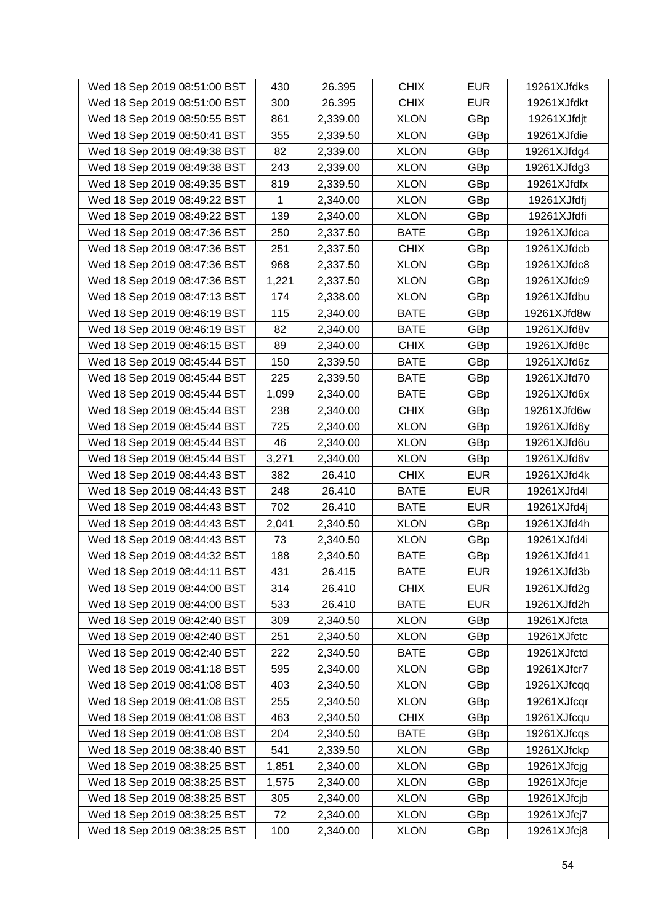| Wed 18 Sep 2019 08:51:00 BST | 430   | 26.395   | <b>CHIX</b> | <b>EUR</b> | 19261XJfdks |
|------------------------------|-------|----------|-------------|------------|-------------|
| Wed 18 Sep 2019 08:51:00 BST | 300   | 26.395   | <b>CHIX</b> | <b>EUR</b> | 19261XJfdkt |
| Wed 18 Sep 2019 08:50:55 BST | 861   | 2,339.00 | <b>XLON</b> | GBp        | 19261XJfdjt |
| Wed 18 Sep 2019 08:50:41 BST | 355   | 2,339.50 | <b>XLON</b> | GBp        | 19261XJfdie |
| Wed 18 Sep 2019 08:49:38 BST | 82    | 2,339.00 | <b>XLON</b> | GBp        | 19261XJfdg4 |
| Wed 18 Sep 2019 08:49:38 BST | 243   | 2,339.00 | <b>XLON</b> | GBp        | 19261XJfdg3 |
| Wed 18 Sep 2019 08:49:35 BST | 819   | 2,339.50 | <b>XLON</b> | GBp        | 19261XJfdfx |
| Wed 18 Sep 2019 08:49:22 BST | 1     | 2,340.00 | <b>XLON</b> | GBp        | 19261XJfdfj |
| Wed 18 Sep 2019 08:49:22 BST | 139   | 2,340.00 | <b>XLON</b> | GBp        | 19261XJfdfi |
| Wed 18 Sep 2019 08:47:36 BST | 250   | 2,337.50 | <b>BATE</b> | GBp        | 19261XJfdca |
| Wed 18 Sep 2019 08:47:36 BST | 251   | 2,337.50 | <b>CHIX</b> | GBp        | 19261XJfdcb |
| Wed 18 Sep 2019 08:47:36 BST | 968   | 2,337.50 | <b>XLON</b> | GBp        | 19261XJfdc8 |
| Wed 18 Sep 2019 08:47:36 BST | 1,221 | 2,337.50 | <b>XLON</b> | GBp        | 19261XJfdc9 |
| Wed 18 Sep 2019 08:47:13 BST | 174   | 2,338.00 | <b>XLON</b> | GBp        | 19261XJfdbu |
| Wed 18 Sep 2019 08:46:19 BST | 115   | 2,340.00 | <b>BATE</b> | GBp        | 19261XJfd8w |
| Wed 18 Sep 2019 08:46:19 BST | 82    | 2,340.00 | <b>BATE</b> | GBp        | 19261XJfd8v |
| Wed 18 Sep 2019 08:46:15 BST | 89    | 2,340.00 | <b>CHIX</b> | GBp        | 19261XJfd8c |
| Wed 18 Sep 2019 08:45:44 BST | 150   | 2,339.50 | <b>BATE</b> | GBp        | 19261XJfd6z |
| Wed 18 Sep 2019 08:45:44 BST | 225   | 2,339.50 | <b>BATE</b> | GBp        | 19261XJfd70 |
| Wed 18 Sep 2019 08:45:44 BST | 1,099 | 2,340.00 | <b>BATE</b> | GBp        | 19261XJfd6x |
| Wed 18 Sep 2019 08:45:44 BST | 238   | 2,340.00 | <b>CHIX</b> | GBp        | 19261XJfd6w |
| Wed 18 Sep 2019 08:45:44 BST | 725   | 2,340.00 | <b>XLON</b> | GBp        | 19261XJfd6y |
| Wed 18 Sep 2019 08:45:44 BST | 46    | 2,340.00 | <b>XLON</b> | GBp        | 19261XJfd6u |
| Wed 18 Sep 2019 08:45:44 BST | 3,271 | 2,340.00 | <b>XLON</b> | GBp        | 19261XJfd6v |
| Wed 18 Sep 2019 08:44:43 BST | 382   | 26.410   | <b>CHIX</b> | <b>EUR</b> | 19261XJfd4k |
| Wed 18 Sep 2019 08:44:43 BST | 248   | 26.410   | <b>BATE</b> | <b>EUR</b> | 19261XJfd4l |
| Wed 18 Sep 2019 08:44:43 BST | 702   | 26.410   | <b>BATE</b> | <b>EUR</b> | 19261XJfd4j |
| Wed 18 Sep 2019 08:44:43 BST | 2,041 | 2,340.50 | <b>XLON</b> | GBp        | 19261XJfd4h |
| Wed 18 Sep 2019 08:44:43 BST | 73    | 2,340.50 | <b>XLON</b> | GBp        | 19261XJfd4i |
| Wed 18 Sep 2019 08:44:32 BST | 188   | 2,340.50 | <b>BATE</b> | GBp        | 19261XJfd41 |
| Wed 18 Sep 2019 08:44:11 BST | 431   | 26.415   | <b>BATE</b> | <b>EUR</b> | 19261XJfd3b |
| Wed 18 Sep 2019 08:44:00 BST | 314   | 26.410   | <b>CHIX</b> | <b>EUR</b> | 19261XJfd2g |
| Wed 18 Sep 2019 08:44:00 BST | 533   | 26.410   | <b>BATE</b> | <b>EUR</b> | 19261XJfd2h |
| Wed 18 Sep 2019 08:42:40 BST | 309   | 2,340.50 | <b>XLON</b> | GBp        | 19261XJfcta |
| Wed 18 Sep 2019 08:42:40 BST | 251   | 2,340.50 | <b>XLON</b> | GBp        | 19261XJfctc |
| Wed 18 Sep 2019 08:42:40 BST | 222   | 2,340.50 | <b>BATE</b> | GBp        | 19261XJfctd |
| Wed 18 Sep 2019 08:41:18 BST | 595   | 2,340.00 | <b>XLON</b> | GBp        | 19261XJfcr7 |
| Wed 18 Sep 2019 08:41:08 BST | 403   | 2,340.50 | <b>XLON</b> | GBp        | 19261XJfcqq |
| Wed 18 Sep 2019 08:41:08 BST | 255   | 2,340.50 | <b>XLON</b> | GBp        | 19261XJfcqr |
| Wed 18 Sep 2019 08:41:08 BST | 463   | 2,340.50 | <b>CHIX</b> | GBp        | 19261XJfcqu |
| Wed 18 Sep 2019 08:41:08 BST | 204   | 2,340.50 | <b>BATE</b> | GBp        | 19261XJfcqs |
| Wed 18 Sep 2019 08:38:40 BST | 541   | 2,339.50 | <b>XLON</b> | GBp        | 19261XJfckp |
| Wed 18 Sep 2019 08:38:25 BST | 1,851 | 2,340.00 | <b>XLON</b> | GBp        | 19261XJfcjg |
| Wed 18 Sep 2019 08:38:25 BST | 1,575 | 2,340.00 | <b>XLON</b> | GBp        | 19261XJfcje |
| Wed 18 Sep 2019 08:38:25 BST | 305   | 2,340.00 | <b>XLON</b> | GBp        | 19261XJfcjb |
| Wed 18 Sep 2019 08:38:25 BST | 72    | 2,340.00 | <b>XLON</b> | GBp        | 19261XJfcj7 |
| Wed 18 Sep 2019 08:38:25 BST | 100   | 2,340.00 | <b>XLON</b> | GBp        | 19261XJfcj8 |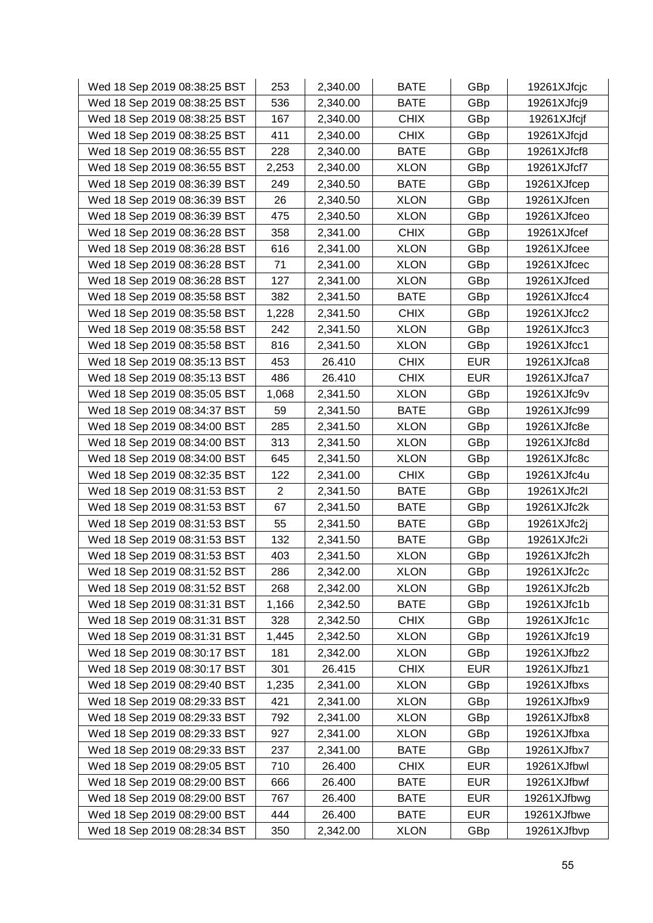| Wed 18 Sep 2019 08:38:25 BST | 253            | 2,340.00 | <b>BATE</b> | GBp        | 19261XJfcjc |
|------------------------------|----------------|----------|-------------|------------|-------------|
| Wed 18 Sep 2019 08:38:25 BST | 536            | 2,340.00 | <b>BATE</b> | GBp        | 19261XJfcj9 |
| Wed 18 Sep 2019 08:38:25 BST | 167            | 2,340.00 | <b>CHIX</b> | GBp        | 19261XJfcjf |
| Wed 18 Sep 2019 08:38:25 BST | 411            | 2,340.00 | <b>CHIX</b> | GBp        | 19261XJfcjd |
| Wed 18 Sep 2019 08:36:55 BST | 228            | 2,340.00 | <b>BATE</b> | GBp        | 19261XJfcf8 |
| Wed 18 Sep 2019 08:36:55 BST | 2,253          | 2,340.00 | <b>XLON</b> | GBp        | 19261XJfcf7 |
| Wed 18 Sep 2019 08:36:39 BST | 249            | 2,340.50 | <b>BATE</b> | GBp        | 19261XJfcep |
| Wed 18 Sep 2019 08:36:39 BST | 26             | 2,340.50 | <b>XLON</b> | GBp        | 19261XJfcen |
| Wed 18 Sep 2019 08:36:39 BST | 475            | 2,340.50 | <b>XLON</b> | GBp        | 19261XJfceo |
| Wed 18 Sep 2019 08:36:28 BST | 358            | 2,341.00 | <b>CHIX</b> | GBp        | 19261XJfcef |
| Wed 18 Sep 2019 08:36:28 BST | 616            | 2,341.00 | <b>XLON</b> | GBp        | 19261XJfcee |
| Wed 18 Sep 2019 08:36:28 BST | 71             | 2,341.00 | <b>XLON</b> | GBp        | 19261XJfcec |
| Wed 18 Sep 2019 08:36:28 BST | 127            | 2,341.00 | <b>XLON</b> | GBp        | 19261XJfced |
| Wed 18 Sep 2019 08:35:58 BST | 382            | 2,341.50 | <b>BATE</b> | GBp        | 19261XJfcc4 |
| Wed 18 Sep 2019 08:35:58 BST | 1,228          | 2,341.50 | <b>CHIX</b> | GBp        | 19261XJfcc2 |
| Wed 18 Sep 2019 08:35:58 BST | 242            | 2,341.50 | <b>XLON</b> | GBp        | 19261XJfcc3 |
| Wed 18 Sep 2019 08:35:58 BST | 816            | 2,341.50 | <b>XLON</b> | GBp        | 19261XJfcc1 |
| Wed 18 Sep 2019 08:35:13 BST | 453            | 26.410   | <b>CHIX</b> | <b>EUR</b> | 19261XJfca8 |
| Wed 18 Sep 2019 08:35:13 BST | 486            | 26.410   | <b>CHIX</b> | <b>EUR</b> | 19261XJfca7 |
| Wed 18 Sep 2019 08:35:05 BST | 1,068          | 2,341.50 | <b>XLON</b> | GBp        | 19261XJfc9v |
| Wed 18 Sep 2019 08:34:37 BST | 59             | 2,341.50 | <b>BATE</b> | GBp        | 19261XJfc99 |
| Wed 18 Sep 2019 08:34:00 BST | 285            | 2,341.50 | <b>XLON</b> | GBp        | 19261XJfc8e |
| Wed 18 Sep 2019 08:34:00 BST | 313            | 2,341.50 | <b>XLON</b> | GBp        | 19261XJfc8d |
| Wed 18 Sep 2019 08:34:00 BST | 645            | 2,341.50 | <b>XLON</b> | GBp        | 19261XJfc8c |
| Wed 18 Sep 2019 08:32:35 BST | 122            | 2,341.00 | <b>CHIX</b> | GBp        | 19261XJfc4u |
| Wed 18 Sep 2019 08:31:53 BST | $\overline{2}$ | 2,341.50 | <b>BATE</b> | GBp        | 19261XJfc2l |
| Wed 18 Sep 2019 08:31:53 BST | 67             | 2,341.50 | <b>BATE</b> | GBp        | 19261XJfc2k |
| Wed 18 Sep 2019 08:31:53 BST | 55             | 2,341.50 | <b>BATE</b> | GBp        | 19261XJfc2j |
| Wed 18 Sep 2019 08:31:53 BST | 132            | 2,341.50 | <b>BATE</b> | GBp        | 19261XJfc2i |
| Wed 18 Sep 2019 08:31:53 BST | 403            | 2,341.50 | <b>XLON</b> | GBp        | 19261XJfc2h |
| Wed 18 Sep 2019 08:31:52 BST | 286            | 2,342.00 | <b>XLON</b> | GBp        | 19261XJfc2c |
| Wed 18 Sep 2019 08:31:52 BST | 268            | 2,342.00 | <b>XLON</b> | GBp        | 19261XJfc2b |
| Wed 18 Sep 2019 08:31:31 BST | 1,166          | 2,342.50 | <b>BATE</b> | GBp        | 19261XJfc1b |
| Wed 18 Sep 2019 08:31:31 BST | 328            | 2,342.50 | <b>CHIX</b> | GBp        | 19261XJfc1c |
| Wed 18 Sep 2019 08:31:31 BST | 1,445          | 2,342.50 | <b>XLON</b> | GBp        | 19261XJfc19 |
| Wed 18 Sep 2019 08:30:17 BST | 181            | 2,342.00 | <b>XLON</b> | GBp        | 19261XJfbz2 |
| Wed 18 Sep 2019 08:30:17 BST | 301            | 26.415   | <b>CHIX</b> | <b>EUR</b> | 19261XJfbz1 |
| Wed 18 Sep 2019 08:29:40 BST | 1,235          | 2,341.00 | <b>XLON</b> | GBp        | 19261XJfbxs |
| Wed 18 Sep 2019 08:29:33 BST | 421            | 2,341.00 | <b>XLON</b> | GBp        | 19261XJfbx9 |
| Wed 18 Sep 2019 08:29:33 BST | 792            | 2,341.00 | <b>XLON</b> | GBp        | 19261XJfbx8 |
| Wed 18 Sep 2019 08:29:33 BST | 927            | 2,341.00 | <b>XLON</b> | GBp        | 19261XJfbxa |
| Wed 18 Sep 2019 08:29:33 BST | 237            | 2,341.00 | <b>BATE</b> | GBp        | 19261XJfbx7 |
| Wed 18 Sep 2019 08:29:05 BST | 710            | 26.400   | <b>CHIX</b> | <b>EUR</b> | 19261XJfbwl |
| Wed 18 Sep 2019 08:29:00 BST | 666            | 26.400   | <b>BATE</b> | <b>EUR</b> | 19261XJfbwf |
| Wed 18 Sep 2019 08:29:00 BST | 767            | 26.400   | <b>BATE</b> | <b>EUR</b> | 19261XJfbwg |
| Wed 18 Sep 2019 08:29:00 BST | 444            | 26.400   | <b>BATE</b> | <b>EUR</b> | 19261XJfbwe |
| Wed 18 Sep 2019 08:28:34 BST | 350            | 2,342.00 | <b>XLON</b> | GBp        | 19261XJfbvp |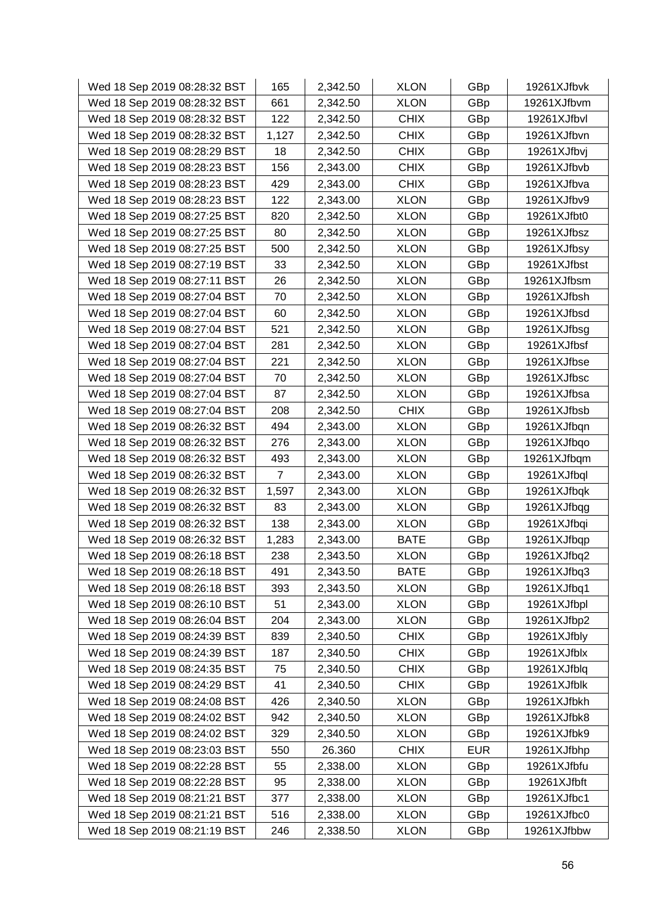| Wed 18 Sep 2019 08:28:32 BST | 165   | 2,342.50 | <b>XLON</b> | GBp        | 19261XJfbvk |
|------------------------------|-------|----------|-------------|------------|-------------|
| Wed 18 Sep 2019 08:28:32 BST | 661   | 2,342.50 | <b>XLON</b> | GBp        | 19261XJfbvm |
| Wed 18 Sep 2019 08:28:32 BST | 122   | 2,342.50 | <b>CHIX</b> | GBp        | 19261XJfbvl |
| Wed 18 Sep 2019 08:28:32 BST | 1,127 | 2,342.50 | <b>CHIX</b> | GBp        | 19261XJfbvn |
| Wed 18 Sep 2019 08:28:29 BST | 18    | 2,342.50 | <b>CHIX</b> | GBp        | 19261XJfbvj |
| Wed 18 Sep 2019 08:28:23 BST | 156   | 2,343.00 | <b>CHIX</b> | GBp        | 19261XJfbvb |
| Wed 18 Sep 2019 08:28:23 BST | 429   | 2,343.00 | <b>CHIX</b> | GBp        | 19261XJfbva |
| Wed 18 Sep 2019 08:28:23 BST | 122   | 2,343.00 | <b>XLON</b> | GBp        | 19261XJfbv9 |
| Wed 18 Sep 2019 08:27:25 BST | 820   | 2,342.50 | <b>XLON</b> | GBp        | 19261XJfbt0 |
| Wed 18 Sep 2019 08:27:25 BST | 80    | 2,342.50 | <b>XLON</b> | GBp        | 19261XJfbsz |
| Wed 18 Sep 2019 08:27:25 BST | 500   | 2,342.50 | <b>XLON</b> | GBp        | 19261XJfbsy |
| Wed 18 Sep 2019 08:27:19 BST | 33    | 2,342.50 | <b>XLON</b> | GBp        | 19261XJfbst |
| Wed 18 Sep 2019 08:27:11 BST | 26    | 2,342.50 | <b>XLON</b> | GBp        | 19261XJfbsm |
| Wed 18 Sep 2019 08:27:04 BST | 70    | 2,342.50 | <b>XLON</b> | GBp        | 19261XJfbsh |
| Wed 18 Sep 2019 08:27:04 BST | 60    | 2,342.50 | <b>XLON</b> | GBp        | 19261XJfbsd |
| Wed 18 Sep 2019 08:27:04 BST | 521   | 2,342.50 | <b>XLON</b> | GBp        | 19261XJfbsg |
| Wed 18 Sep 2019 08:27:04 BST | 281   | 2,342.50 | <b>XLON</b> | GBp        | 19261XJfbsf |
| Wed 18 Sep 2019 08:27:04 BST | 221   | 2,342.50 | <b>XLON</b> | GBp        | 19261XJfbse |
| Wed 18 Sep 2019 08:27:04 BST | 70    | 2,342.50 | <b>XLON</b> | GBp        | 19261XJfbsc |
| Wed 18 Sep 2019 08:27:04 BST | 87    | 2,342.50 | <b>XLON</b> | GBp        | 19261XJfbsa |
| Wed 18 Sep 2019 08:27:04 BST | 208   | 2,342.50 | <b>CHIX</b> | GBp        | 19261XJfbsb |
| Wed 18 Sep 2019 08:26:32 BST | 494   | 2,343.00 | <b>XLON</b> | GBp        | 19261XJfbqn |
| Wed 18 Sep 2019 08:26:32 BST | 276   | 2,343.00 | <b>XLON</b> | GBp        | 19261XJfbqo |
| Wed 18 Sep 2019 08:26:32 BST | 493   | 2,343.00 | <b>XLON</b> | GBp        | 19261XJfbqm |
| Wed 18 Sep 2019 08:26:32 BST | 7     | 2,343.00 | <b>XLON</b> | GBp        | 19261XJfbql |
| Wed 18 Sep 2019 08:26:32 BST | 1,597 | 2,343.00 | <b>XLON</b> | GBp        | 19261XJfbqk |
| Wed 18 Sep 2019 08:26:32 BST | 83    | 2,343.00 | <b>XLON</b> | GBp        | 19261XJfbqg |
| Wed 18 Sep 2019 08:26:32 BST | 138   | 2,343.00 | <b>XLON</b> | GBp        | 19261XJfbqi |
| Wed 18 Sep 2019 08:26:32 BST | 1,283 | 2,343.00 | <b>BATE</b> | GBp        | 19261XJfbqp |
| Wed 18 Sep 2019 08:26:18 BST | 238   | 2,343.50 | <b>XLON</b> | GBp        | 19261XJfbq2 |
| Wed 18 Sep 2019 08:26:18 BST | 491   | 2,343.50 | <b>BATE</b> | GBp        | 19261XJfbq3 |
| Wed 18 Sep 2019 08:26:18 BST | 393   | 2,343.50 | <b>XLON</b> | GBp        | 19261XJfbq1 |
| Wed 18 Sep 2019 08:26:10 BST | 51    | 2,343.00 | <b>XLON</b> | GBp        | 19261XJfbpl |
| Wed 18 Sep 2019 08:26:04 BST | 204   | 2,343.00 | <b>XLON</b> | GBp        | 19261XJfbp2 |
| Wed 18 Sep 2019 08:24:39 BST | 839   | 2,340.50 | <b>CHIX</b> | GBp        | 19261XJfbly |
| Wed 18 Sep 2019 08:24:39 BST | 187   | 2,340.50 | <b>CHIX</b> | GBp        | 19261XJfblx |
| Wed 18 Sep 2019 08:24:35 BST | 75    | 2,340.50 | <b>CHIX</b> | GBp        | 19261XJfblq |
| Wed 18 Sep 2019 08:24:29 BST | 41    | 2,340.50 | <b>CHIX</b> | GBp        | 19261XJfblk |
| Wed 18 Sep 2019 08:24:08 BST | 426   | 2,340.50 | <b>XLON</b> | GBp        | 19261XJfbkh |
| Wed 18 Sep 2019 08:24:02 BST | 942   | 2,340.50 | <b>XLON</b> | GBp        | 19261XJfbk8 |
| Wed 18 Sep 2019 08:24:02 BST | 329   | 2,340.50 | <b>XLON</b> | GBp        | 19261XJfbk9 |
| Wed 18 Sep 2019 08:23:03 BST | 550   | 26.360   | <b>CHIX</b> | <b>EUR</b> | 19261XJfbhp |
| Wed 18 Sep 2019 08:22:28 BST | 55    | 2,338.00 | <b>XLON</b> | GBp        | 19261XJfbfu |
| Wed 18 Sep 2019 08:22:28 BST | 95    | 2,338.00 | <b>XLON</b> | GBp        | 19261XJfbft |
| Wed 18 Sep 2019 08:21:21 BST | 377   | 2,338.00 | <b>XLON</b> | GBp        | 19261XJfbc1 |
| Wed 18 Sep 2019 08:21:21 BST | 516   | 2,338.00 | <b>XLON</b> | GBp        | 19261XJfbc0 |
| Wed 18 Sep 2019 08:21:19 BST | 246   | 2,338.50 | <b>XLON</b> | GBp        | 19261XJfbbw |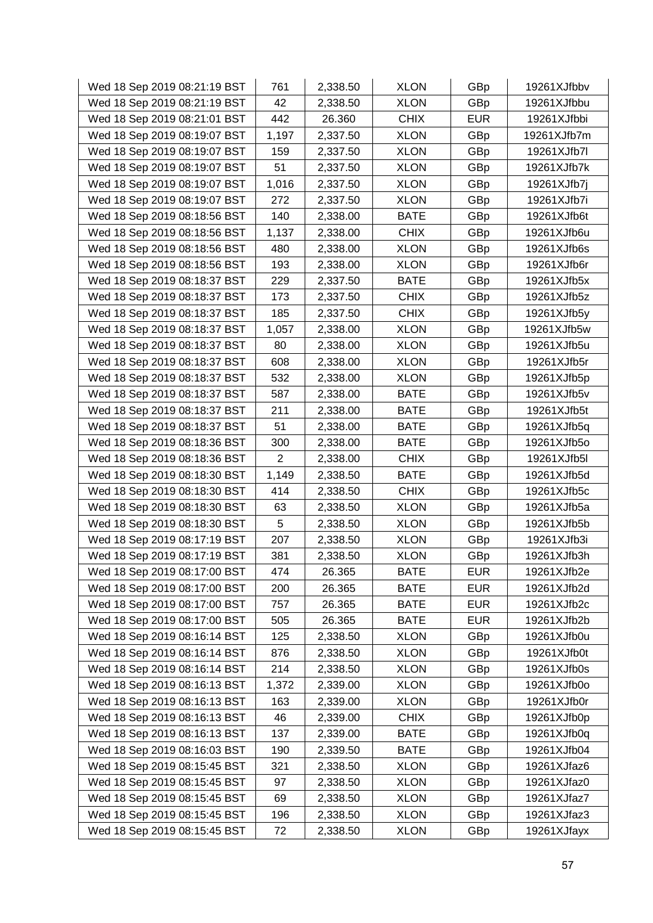| Wed 18 Sep 2019 08:21:19 BST | 761            | 2,338.50 | <b>XLON</b> | GBp        | 19261XJfbbv |
|------------------------------|----------------|----------|-------------|------------|-------------|
| Wed 18 Sep 2019 08:21:19 BST | 42             | 2,338.50 | <b>XLON</b> | GBp        | 19261XJfbbu |
| Wed 18 Sep 2019 08:21:01 BST | 442            | 26.360   | <b>CHIX</b> | <b>EUR</b> | 19261XJfbbi |
| Wed 18 Sep 2019 08:19:07 BST | 1,197          | 2,337.50 | <b>XLON</b> | GBp        | 19261XJfb7m |
| Wed 18 Sep 2019 08:19:07 BST | 159            | 2,337.50 | <b>XLON</b> | GBp        | 19261XJfb7l |
| Wed 18 Sep 2019 08:19:07 BST | 51             | 2,337.50 | <b>XLON</b> | GBp        | 19261XJfb7k |
| Wed 18 Sep 2019 08:19:07 BST | 1,016          | 2,337.50 | <b>XLON</b> | GBp        | 19261XJfb7j |
| Wed 18 Sep 2019 08:19:07 BST | 272            | 2,337.50 | <b>XLON</b> | GBp        | 19261XJfb7i |
| Wed 18 Sep 2019 08:18:56 BST | 140            | 2,338.00 | <b>BATE</b> | GBp        | 19261XJfb6t |
| Wed 18 Sep 2019 08:18:56 BST | 1,137          | 2,338.00 | <b>CHIX</b> | GBp        | 19261XJfb6u |
| Wed 18 Sep 2019 08:18:56 BST | 480            | 2,338.00 | <b>XLON</b> | GBp        | 19261XJfb6s |
| Wed 18 Sep 2019 08:18:56 BST | 193            | 2,338.00 | <b>XLON</b> | GBp        | 19261XJfb6r |
| Wed 18 Sep 2019 08:18:37 BST | 229            | 2,337.50 | <b>BATE</b> | GBp        | 19261XJfb5x |
| Wed 18 Sep 2019 08:18:37 BST | 173            | 2,337.50 | <b>CHIX</b> | GBp        | 19261XJfb5z |
| Wed 18 Sep 2019 08:18:37 BST | 185            | 2,337.50 | <b>CHIX</b> | GBp        | 19261XJfb5y |
| Wed 18 Sep 2019 08:18:37 BST | 1,057          | 2,338.00 | <b>XLON</b> | GBp        | 19261XJfb5w |
| Wed 18 Sep 2019 08:18:37 BST | 80             | 2,338.00 | <b>XLON</b> | GBp        | 19261XJfb5u |
| Wed 18 Sep 2019 08:18:37 BST | 608            | 2,338.00 | <b>XLON</b> | GBp        | 19261XJfb5r |
| Wed 18 Sep 2019 08:18:37 BST | 532            | 2,338.00 | <b>XLON</b> | GBp        | 19261XJfb5p |
| Wed 18 Sep 2019 08:18:37 BST | 587            | 2,338.00 | <b>BATE</b> | GBp        | 19261XJfb5v |
| Wed 18 Sep 2019 08:18:37 BST | 211            | 2,338.00 | <b>BATE</b> | GBp        | 19261XJfb5t |
| Wed 18 Sep 2019 08:18:37 BST | 51             | 2,338.00 | <b>BATE</b> | GBp        | 19261XJfb5q |
| Wed 18 Sep 2019 08:18:36 BST | 300            | 2,338.00 | <b>BATE</b> | GBp        | 19261XJfb5o |
| Wed 18 Sep 2019 08:18:36 BST | $\overline{2}$ | 2,338.00 | <b>CHIX</b> | GBp        | 19261XJfb5l |
| Wed 18 Sep 2019 08:18:30 BST | 1,149          | 2,338.50 | <b>BATE</b> | GBp        | 19261XJfb5d |
| Wed 18 Sep 2019 08:18:30 BST | 414            | 2,338.50 | <b>CHIX</b> | GBp        | 19261XJfb5c |
| Wed 18 Sep 2019 08:18:30 BST | 63             | 2,338.50 | <b>XLON</b> | GBp        | 19261XJfb5a |
| Wed 18 Sep 2019 08:18:30 BST | 5              | 2,338.50 | <b>XLON</b> | GBp        | 19261XJfb5b |
| Wed 18 Sep 2019 08:17:19 BST | 207            | 2,338.50 | <b>XLON</b> | GBp        | 19261XJfb3i |
| Wed 18 Sep 2019 08:17:19 BST | 381            | 2,338.50 | <b>XLON</b> | GBp        | 19261XJfb3h |
| Wed 18 Sep 2019 08:17:00 BST | 474            | 26.365   | <b>BATE</b> | <b>EUR</b> | 19261XJfb2e |
| Wed 18 Sep 2019 08:17:00 BST | 200            | 26.365   | <b>BATE</b> | <b>EUR</b> | 19261XJfb2d |
| Wed 18 Sep 2019 08:17:00 BST | 757            | 26.365   | <b>BATE</b> | <b>EUR</b> | 19261XJfb2c |
| Wed 18 Sep 2019 08:17:00 BST | 505            | 26.365   | <b>BATE</b> | <b>EUR</b> | 19261XJfb2b |
| Wed 18 Sep 2019 08:16:14 BST | 125            | 2,338.50 | <b>XLON</b> | GBp        | 19261XJfb0u |
| Wed 18 Sep 2019 08:16:14 BST | 876            | 2,338.50 | <b>XLON</b> | GBp        | 19261XJfb0t |
| Wed 18 Sep 2019 08:16:14 BST | 214            | 2,338.50 | <b>XLON</b> | GBp        | 19261XJfb0s |
| Wed 18 Sep 2019 08:16:13 BST | 1,372          | 2,339.00 | <b>XLON</b> | GBp        | 19261XJfb0o |
| Wed 18 Sep 2019 08:16:13 BST | 163            | 2,339.00 | <b>XLON</b> | GBp        | 19261XJfb0r |
| Wed 18 Sep 2019 08:16:13 BST | 46             | 2,339.00 | <b>CHIX</b> | GBp        | 19261XJfb0p |
| Wed 18 Sep 2019 08:16:13 BST | 137            | 2,339.00 | <b>BATE</b> | GBp        | 19261XJfb0q |
| Wed 18 Sep 2019 08:16:03 BST | 190            | 2,339.50 | <b>BATE</b> | GBp        | 19261XJfb04 |
| Wed 18 Sep 2019 08:15:45 BST | 321            | 2,338.50 | <b>XLON</b> | GBp        | 19261XJfaz6 |
| Wed 18 Sep 2019 08:15:45 BST | 97             | 2,338.50 | <b>XLON</b> | GBp        | 19261XJfaz0 |
| Wed 18 Sep 2019 08:15:45 BST | 69             | 2,338.50 | <b>XLON</b> | <b>GBp</b> | 19261XJfaz7 |
| Wed 18 Sep 2019 08:15:45 BST | 196            | 2,338.50 | <b>XLON</b> | GBp        | 19261XJfaz3 |
| Wed 18 Sep 2019 08:15:45 BST | 72             | 2,338.50 | <b>XLON</b> | GBp        | 19261XJfayx |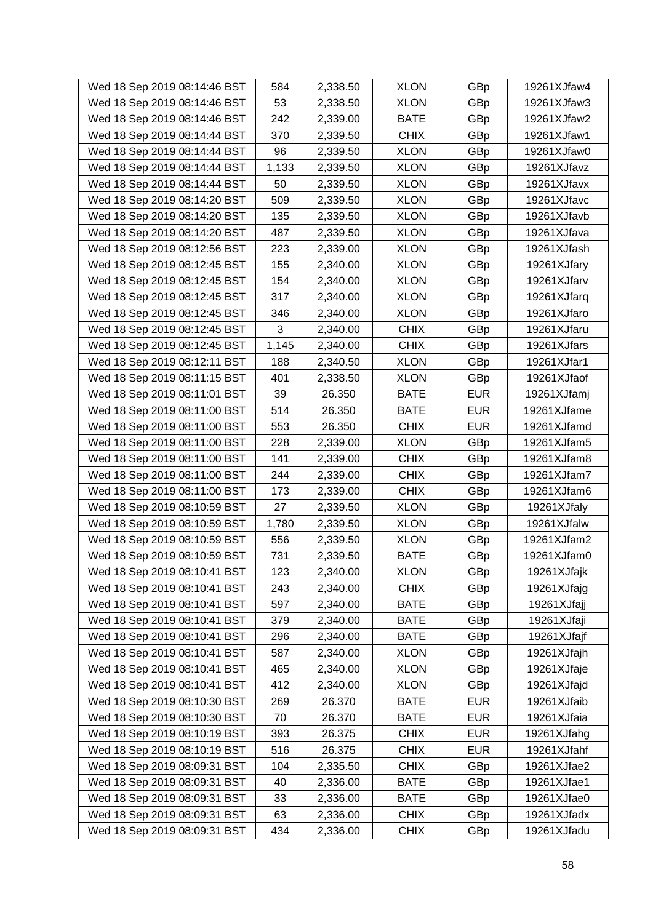| Wed 18 Sep 2019 08:14:46 BST | 584   | 2,338.50 | <b>XLON</b> | GBp        | 19261XJfaw4 |
|------------------------------|-------|----------|-------------|------------|-------------|
| Wed 18 Sep 2019 08:14:46 BST | 53    | 2,338.50 | <b>XLON</b> | GBp        | 19261XJfaw3 |
| Wed 18 Sep 2019 08:14:46 BST | 242   | 2,339.00 | <b>BATE</b> | GBp        | 19261XJfaw2 |
| Wed 18 Sep 2019 08:14:44 BST | 370   | 2,339.50 | <b>CHIX</b> | GBp        | 19261XJfaw1 |
| Wed 18 Sep 2019 08:14:44 BST | 96    | 2,339.50 | <b>XLON</b> | GBp        | 19261XJfaw0 |
| Wed 18 Sep 2019 08:14:44 BST | 1,133 | 2,339.50 | <b>XLON</b> | GBp        | 19261XJfavz |
| Wed 18 Sep 2019 08:14:44 BST | 50    | 2,339.50 | <b>XLON</b> | GBp        | 19261XJfavx |
| Wed 18 Sep 2019 08:14:20 BST | 509   | 2,339.50 | <b>XLON</b> | GBp        | 19261XJfavc |
| Wed 18 Sep 2019 08:14:20 BST | 135   | 2,339.50 | <b>XLON</b> | GBp        | 19261XJfavb |
| Wed 18 Sep 2019 08:14:20 BST | 487   | 2,339.50 | <b>XLON</b> | GBp        | 19261XJfava |
| Wed 18 Sep 2019 08:12:56 BST | 223   | 2,339.00 | <b>XLON</b> | GBp        | 19261XJfash |
| Wed 18 Sep 2019 08:12:45 BST | 155   | 2,340.00 | <b>XLON</b> | GBp        | 19261XJfary |
| Wed 18 Sep 2019 08:12:45 BST | 154   | 2,340.00 | <b>XLON</b> | GBp        | 19261XJfarv |
| Wed 18 Sep 2019 08:12:45 BST | 317   | 2,340.00 | <b>XLON</b> | GBp        | 19261XJfarq |
| Wed 18 Sep 2019 08:12:45 BST | 346   | 2,340.00 | <b>XLON</b> | GBp        | 19261XJfaro |
| Wed 18 Sep 2019 08:12:45 BST | 3     | 2,340.00 | <b>CHIX</b> | GBp        | 19261XJfaru |
| Wed 18 Sep 2019 08:12:45 BST | 1,145 | 2,340.00 | <b>CHIX</b> | GBp        | 19261XJfars |
| Wed 18 Sep 2019 08:12:11 BST | 188   | 2,340.50 | <b>XLON</b> | GBp        | 19261XJfar1 |
| Wed 18 Sep 2019 08:11:15 BST | 401   | 2,338.50 | <b>XLON</b> | GBp        | 19261XJfaof |
| Wed 18 Sep 2019 08:11:01 BST | 39    | 26.350   | <b>BATE</b> | <b>EUR</b> | 19261XJfamj |
| Wed 18 Sep 2019 08:11:00 BST | 514   | 26.350   | <b>BATE</b> | <b>EUR</b> | 19261XJfame |
| Wed 18 Sep 2019 08:11:00 BST | 553   | 26.350   | <b>CHIX</b> | <b>EUR</b> | 19261XJfamd |
| Wed 18 Sep 2019 08:11:00 BST | 228   | 2,339.00 | <b>XLON</b> | GBp        | 19261XJfam5 |
| Wed 18 Sep 2019 08:11:00 BST | 141   | 2,339.00 | <b>CHIX</b> | GBp        | 19261XJfam8 |
| Wed 18 Sep 2019 08:11:00 BST | 244   | 2,339.00 | <b>CHIX</b> | GBp        | 19261XJfam7 |
| Wed 18 Sep 2019 08:11:00 BST | 173   | 2,339.00 | <b>CHIX</b> | GBp        | 19261XJfam6 |
| Wed 18 Sep 2019 08:10:59 BST | 27    | 2,339.50 | <b>XLON</b> | GBp        | 19261XJfaly |
| Wed 18 Sep 2019 08:10:59 BST | 1,780 | 2,339.50 | <b>XLON</b> | GBp        | 19261XJfalw |
| Wed 18 Sep 2019 08:10:59 BST | 556   | 2,339.50 | <b>XLON</b> | GBp        | 19261XJfam2 |
| Wed 18 Sep 2019 08:10:59 BST | 731   | 2,339.50 | <b>BATE</b> | GBp        | 19261XJfam0 |
| Wed 18 Sep 2019 08:10:41 BST | 123   | 2,340.00 | <b>XLON</b> | GBp        | 19261XJfajk |
| Wed 18 Sep 2019 08:10:41 BST | 243   | 2,340.00 | <b>CHIX</b> | GBp        | 19261XJfajg |
| Wed 18 Sep 2019 08:10:41 BST | 597   | 2,340.00 | <b>BATE</b> | GBp        | 19261XJfajj |
| Wed 18 Sep 2019 08:10:41 BST | 379   | 2,340.00 | <b>BATE</b> | GBp        | 19261XJfaji |
| Wed 18 Sep 2019 08:10:41 BST | 296   | 2,340.00 | <b>BATE</b> | GBp        | 19261XJfajf |
| Wed 18 Sep 2019 08:10:41 BST | 587   | 2,340.00 | <b>XLON</b> | GBp        | 19261XJfajh |
| Wed 18 Sep 2019 08:10:41 BST | 465   | 2,340.00 | <b>XLON</b> | GBp        | 19261XJfaje |
| Wed 18 Sep 2019 08:10:41 BST | 412   | 2,340.00 | <b>XLON</b> | GBp        | 19261XJfajd |
| Wed 18 Sep 2019 08:10:30 BST | 269   | 26.370   | <b>BATE</b> | <b>EUR</b> | 19261XJfaib |
| Wed 18 Sep 2019 08:10:30 BST | 70    | 26.370   | <b>BATE</b> | <b>EUR</b> | 19261XJfaia |
| Wed 18 Sep 2019 08:10:19 BST | 393   | 26.375   | <b>CHIX</b> | <b>EUR</b> | 19261XJfahg |
| Wed 18 Sep 2019 08:10:19 BST | 516   | 26.375   | <b>CHIX</b> | <b>EUR</b> | 19261XJfahf |
| Wed 18 Sep 2019 08:09:31 BST | 104   | 2,335.50 | <b>CHIX</b> | GBp        | 19261XJfae2 |
| Wed 18 Sep 2019 08:09:31 BST | 40    | 2,336.00 | <b>BATE</b> | GBp        | 19261XJfae1 |
| Wed 18 Sep 2019 08:09:31 BST | 33    | 2,336.00 | <b>BATE</b> | GBp        | 19261XJfae0 |
| Wed 18 Sep 2019 08:09:31 BST | 63    | 2,336.00 | <b>CHIX</b> | GBp        | 19261XJfadx |
| Wed 18 Sep 2019 08:09:31 BST | 434   | 2,336.00 | <b>CHIX</b> | GBp        | 19261XJfadu |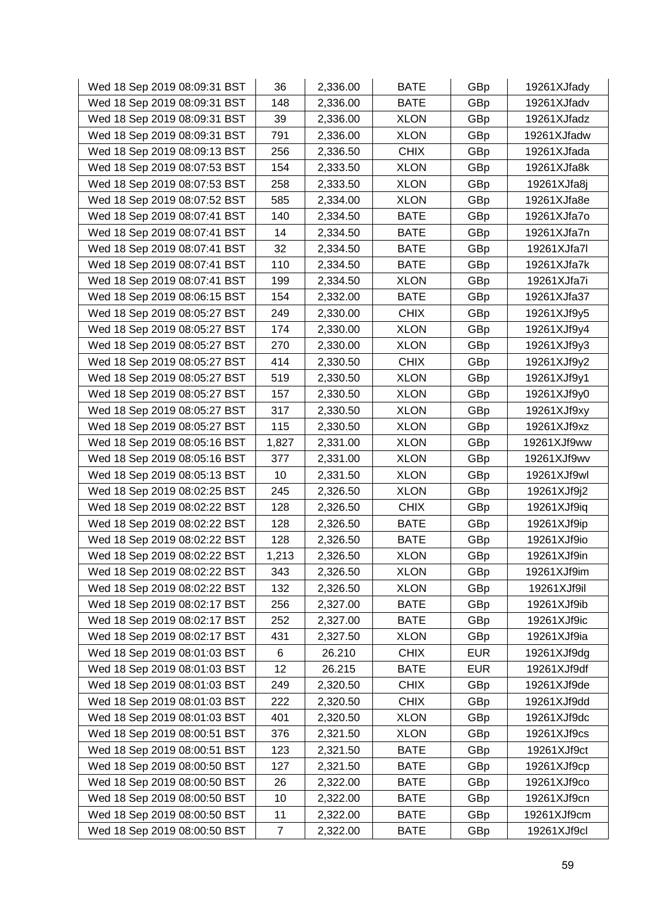| Wed 18 Sep 2019 08:09:31 BST | 36    | 2,336.00 | <b>BATE</b> | GBp        | 19261XJfady |
|------------------------------|-------|----------|-------------|------------|-------------|
| Wed 18 Sep 2019 08:09:31 BST | 148   | 2,336.00 | <b>BATE</b> | GBp        | 19261XJfadv |
| Wed 18 Sep 2019 08:09:31 BST | 39    | 2,336.00 | <b>XLON</b> | GBp        | 19261XJfadz |
| Wed 18 Sep 2019 08:09:31 BST | 791   | 2,336.00 | <b>XLON</b> | GBp        | 19261XJfadw |
| Wed 18 Sep 2019 08:09:13 BST | 256   | 2,336.50 | <b>CHIX</b> | GBp        | 19261XJfada |
| Wed 18 Sep 2019 08:07:53 BST | 154   | 2,333.50 | <b>XLON</b> | GBp        | 19261XJfa8k |
| Wed 18 Sep 2019 08:07:53 BST | 258   | 2,333.50 | <b>XLON</b> | GBp        | 19261XJfa8j |
| Wed 18 Sep 2019 08:07:52 BST | 585   | 2,334.00 | <b>XLON</b> | GBp        | 19261XJfa8e |
| Wed 18 Sep 2019 08:07:41 BST | 140   | 2,334.50 | <b>BATE</b> | GBp        | 19261XJfa7o |
| Wed 18 Sep 2019 08:07:41 BST | 14    | 2,334.50 | <b>BATE</b> | GBp        | 19261XJfa7n |
| Wed 18 Sep 2019 08:07:41 BST | 32    | 2,334.50 | <b>BATE</b> | GBp        | 19261XJfa7l |
| Wed 18 Sep 2019 08:07:41 BST | 110   | 2,334.50 | <b>BATE</b> | GBp        | 19261XJfa7k |
| Wed 18 Sep 2019 08:07:41 BST | 199   | 2,334.50 | <b>XLON</b> | GBp        | 19261XJfa7i |
| Wed 18 Sep 2019 08:06:15 BST | 154   | 2,332.00 | <b>BATE</b> | GBp        | 19261XJfa37 |
| Wed 18 Sep 2019 08:05:27 BST | 249   | 2,330.00 | <b>CHIX</b> | GBp        | 19261XJf9y5 |
| Wed 18 Sep 2019 08:05:27 BST | 174   | 2,330.00 | <b>XLON</b> | GBp        | 19261XJf9y4 |
| Wed 18 Sep 2019 08:05:27 BST | 270   | 2,330.00 | <b>XLON</b> | GBp        | 19261XJf9y3 |
| Wed 18 Sep 2019 08:05:27 BST | 414   | 2,330.50 | <b>CHIX</b> | GBp        | 19261XJf9y2 |
| Wed 18 Sep 2019 08:05:27 BST | 519   | 2,330.50 | <b>XLON</b> | GBp        | 19261XJf9y1 |
| Wed 18 Sep 2019 08:05:27 BST | 157   | 2,330.50 | <b>XLON</b> | GBp        | 19261XJf9y0 |
| Wed 18 Sep 2019 08:05:27 BST | 317   | 2,330.50 | <b>XLON</b> | GBp        | 19261XJf9xy |
| Wed 18 Sep 2019 08:05:27 BST | 115   | 2,330.50 | <b>XLON</b> | GBp        | 19261XJf9xz |
| Wed 18 Sep 2019 08:05:16 BST | 1,827 | 2,331.00 | <b>XLON</b> | GBp        | 19261XJf9ww |
| Wed 18 Sep 2019 08:05:16 BST | 377   | 2,331.00 | <b>XLON</b> | GBp        | 19261XJf9wv |
| Wed 18 Sep 2019 08:05:13 BST | 10    | 2,331.50 | <b>XLON</b> | GBp        | 19261XJf9wl |
| Wed 18 Sep 2019 08:02:25 BST | 245   | 2,326.50 | <b>XLON</b> | GBp        | 19261XJf9j2 |
| Wed 18 Sep 2019 08:02:22 BST | 128   | 2,326.50 | <b>CHIX</b> | GBp        | 19261XJf9iq |
| Wed 18 Sep 2019 08:02:22 BST | 128   | 2,326.50 | <b>BATE</b> | GBp        | 19261XJf9ip |
| Wed 18 Sep 2019 08:02:22 BST | 128   | 2,326.50 | <b>BATE</b> | GBp        | 19261XJf9io |
| Wed 18 Sep 2019 08:02:22 BST | 1,213 | 2,326.50 | <b>XLON</b> | GBp        | 19261XJf9in |
| Wed 18 Sep 2019 08:02:22 BST | 343   | 2,326.50 | <b>XLON</b> | GBp        | 19261XJf9im |
| Wed 18 Sep 2019 08:02:22 BST | 132   | 2,326.50 | <b>XLON</b> | GBp        | 19261XJf9il |
| Wed 18 Sep 2019 08:02:17 BST | 256   | 2,327.00 | <b>BATE</b> | GBp        | 19261XJf9ib |
| Wed 18 Sep 2019 08:02:17 BST | 252   | 2,327.00 | <b>BATE</b> | GBp        | 19261XJf9ic |
| Wed 18 Sep 2019 08:02:17 BST | 431   | 2,327.50 | <b>XLON</b> | GBp        | 19261XJf9ia |
| Wed 18 Sep 2019 08:01:03 BST | 6     | 26.210   | <b>CHIX</b> | <b>EUR</b> | 19261XJf9dg |
| Wed 18 Sep 2019 08:01:03 BST | 12    | 26.215   | <b>BATE</b> | <b>EUR</b> | 19261XJf9df |
| Wed 18 Sep 2019 08:01:03 BST | 249   | 2,320.50 | <b>CHIX</b> | GBp        | 19261XJf9de |
| Wed 18 Sep 2019 08:01:03 BST | 222   | 2,320.50 | <b>CHIX</b> | GBp        | 19261XJf9dd |
| Wed 18 Sep 2019 08:01:03 BST | 401   | 2,320.50 | <b>XLON</b> | GBp        | 19261XJf9dc |
| Wed 18 Sep 2019 08:00:51 BST | 376   | 2,321.50 | <b>XLON</b> | GBp        | 19261XJf9cs |
| Wed 18 Sep 2019 08:00:51 BST | 123   | 2,321.50 | <b>BATE</b> | GBp        | 19261XJf9ct |
| Wed 18 Sep 2019 08:00:50 BST | 127   | 2,321.50 | <b>BATE</b> | GBp        | 19261XJf9cp |
| Wed 18 Sep 2019 08:00:50 BST | 26    | 2,322.00 | <b>BATE</b> | GBp        | 19261XJf9co |
| Wed 18 Sep 2019 08:00:50 BST | 10    | 2,322.00 | <b>BATE</b> | GBp        | 19261XJf9cn |
| Wed 18 Sep 2019 08:00:50 BST | 11    | 2,322.00 | <b>BATE</b> | GBp        | 19261XJf9cm |
| Wed 18 Sep 2019 08:00:50 BST | 7     | 2,322.00 | <b>BATE</b> | GBp        | 19261XJf9cl |